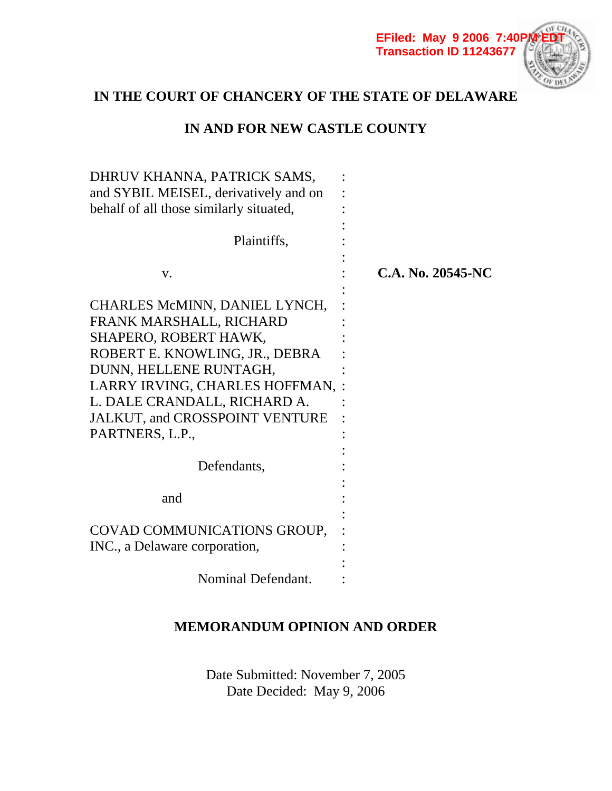**EFiled: May 9 2006 7:40PM EDT Transaction ID 11243677**



# **IN THE COURT OF CHANCERY OF THE STATE OF DELAWARE**

# **IN AND FOR NEW CASTLE COUNTY**

| DHRUV KHANNA, PATRICK SAMS,<br>and SYBIL MEISEL, derivatively and on |                   |
|----------------------------------------------------------------------|-------------------|
| behalf of all those similarly situated,                              |                   |
| Plaintiffs,                                                          |                   |
| V.                                                                   | C.A. No. 20545-NC |
| CHARLES McMINN, DANIEL LYNCH,                                        |                   |
| FRANK MARSHALL, RICHARD                                              |                   |
| SHAPERO, ROBERT HAWK,                                                |                   |
| ROBERT E. KNOWLING, JR., DEBRA                                       |                   |
| DUNN, HELLENE RUNTAGH,                                               |                   |
| LARRY IRVING, CHARLES HOFFMAN,                                       |                   |
| L. DALE CRANDALL, RICHARD A.                                         |                   |
| JALKUT, and CROSSPOINT VENTURE                                       |                   |
| PARTNERS, L.P.,                                                      |                   |
|                                                                      |                   |
| Defendants,                                                          |                   |
|                                                                      |                   |
| and                                                                  |                   |
|                                                                      |                   |
| COVAD COMMUNICATIONS GROUP,                                          |                   |
| INC., a Delaware corporation,                                        |                   |
|                                                                      |                   |
| Nominal Defendant.                                                   |                   |

## **MEMORANDUM OPINION AND ORDER**

Date Submitted: November 7, 2005 Date Decided: May 9, 2006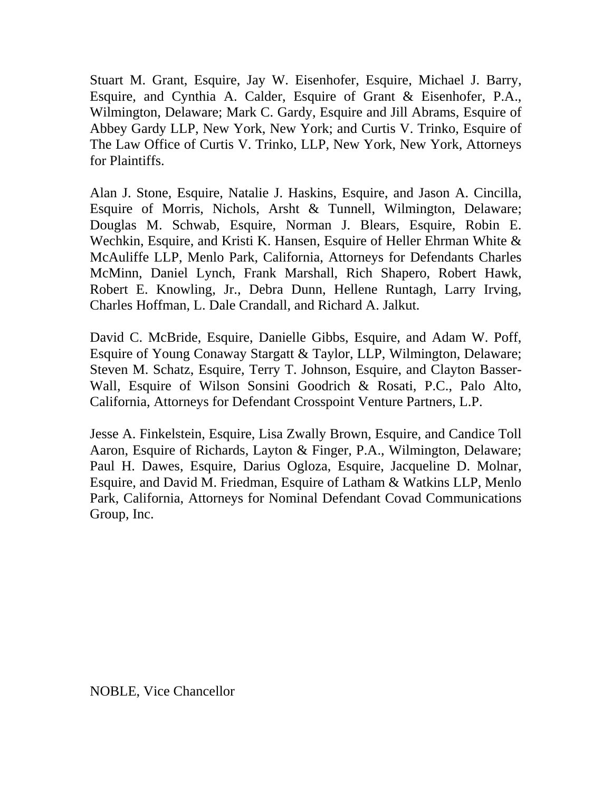Stuart M. Grant, Esquire, Jay W. Eisenhofer, Esquire, Michael J. Barry, Esquire, and Cynthia A. Calder, Esquire of Grant & Eisenhofer, P.A., Wilmington, Delaware; Mark C. Gardy, Esquire and Jill Abrams, Esquire of Abbey Gardy LLP, New York, New York; and Curtis V. Trinko, Esquire of The Law Office of Curtis V. Trinko, LLP, New York, New York, Attorneys for Plaintiffs.

Alan J. Stone, Esquire, Natalie J. Haskins, Esquire, and Jason A. Cincilla, Esquire of Morris, Nichols, Arsht & Tunnell, Wilmington, Delaware; Douglas M. Schwab, Esquire, Norman J. Blears, Esquire, Robin E. Wechkin, Esquire, and Kristi K. Hansen, Esquire of Heller Ehrman White & McAuliffe LLP, Menlo Park, California, Attorneys for Defendants Charles McMinn, Daniel Lynch, Frank Marshall, Rich Shapero, Robert Hawk, Robert E. Knowling, Jr., Debra Dunn, Hellene Runtagh, Larry Irving, Charles Hoffman, L. Dale Crandall, and Richard A. Jalkut.

David C. McBride, Esquire, Danielle Gibbs, Esquire, and Adam W. Poff, Esquire of Young Conaway Stargatt & Taylor, LLP, Wilmington, Delaware; Steven M. Schatz, Esquire, Terry T. Johnson, Esquire, and Clayton Basser-Wall, Esquire of Wilson Sonsini Goodrich & Rosati, P.C., Palo Alto, California, Attorneys for Defendant Crosspoint Venture Partners, L.P.

Jesse A. Finkelstein, Esquire, Lisa Zwally Brown, Esquire, and Candice Toll Aaron, Esquire of Richards, Layton & Finger, P.A., Wilmington, Delaware; Paul H. Dawes, Esquire, Darius Ogloza, Esquire, Jacqueline D. Molnar, Esquire, and David M. Friedman, Esquire of Latham & Watkins LLP, Menlo Park, California, Attorneys for Nominal Defendant Covad Communications Group, Inc.

NOBLE, Vice Chancellor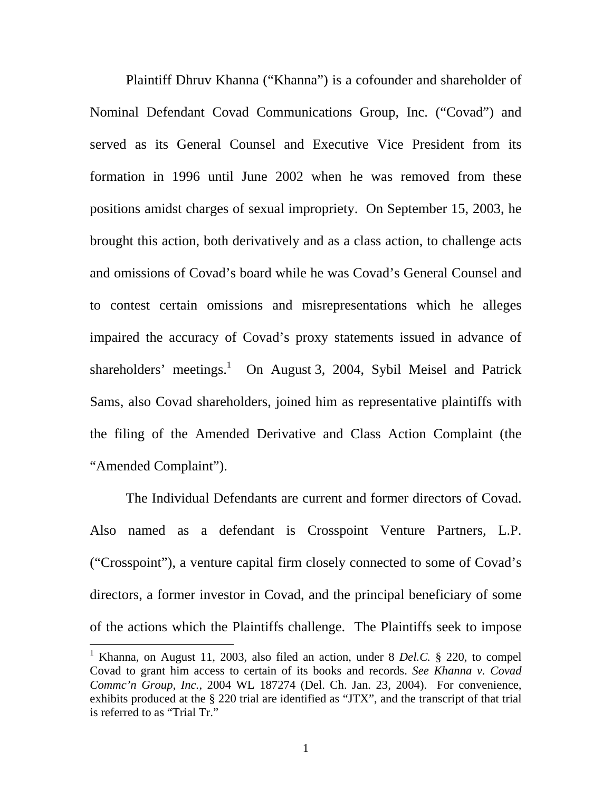Plaintiff Dhruv Khanna ("Khanna") is a cofounder and shareholder of Nominal Defendant Covad Communications Group, Inc. ("Covad") and served as its General Counsel and Executive Vice President from its formation in 1996 until June 2002 when he was removed from these positions amidst charges of sexual impropriety. On September 15, 2003, he brought this action, both derivatively and as a class action, to challenge acts and omissions of Covad's board while he was Covad's General Counsel and to contest certain omissions and misrepresentations which he alleges impaired the accuracy of Covad's proxy statements issued in advance of shareholders' meetings.<sup>1</sup> On August 3, 2004, Sybil Meisel and Patrick Sams, also Covad shareholders, joined him as representative plaintiffs with the filing of the Amended Derivative and Class Action Complaint (the "Amended Complaint").

 The Individual Defendants are current and former directors of Covad. Also named as a defendant is Crosspoint Venture Partners, L.P. ("Crosspoint"), a venture capital firm closely connected to some of Covad's directors, a former investor in Covad, and the principal beneficiary of some of the actions which the Plaintiffs challenge. The Plaintiffs seek to impose

<sup>&</sup>lt;sup>1</sup> Khanna, on August 11, 2003, also filed an action, under 8 *Del.C.* § 220, to compel Covad to grant him access to certain of its books and records. *See Khanna v. Covad Commc'n Group, Inc.*, 2004 WL 187274 (Del. Ch. Jan. 23, 2004). For convenience, exhibits produced at the § 220 trial are identified as "JTX", and the transcript of that trial is referred to as "Trial Tr."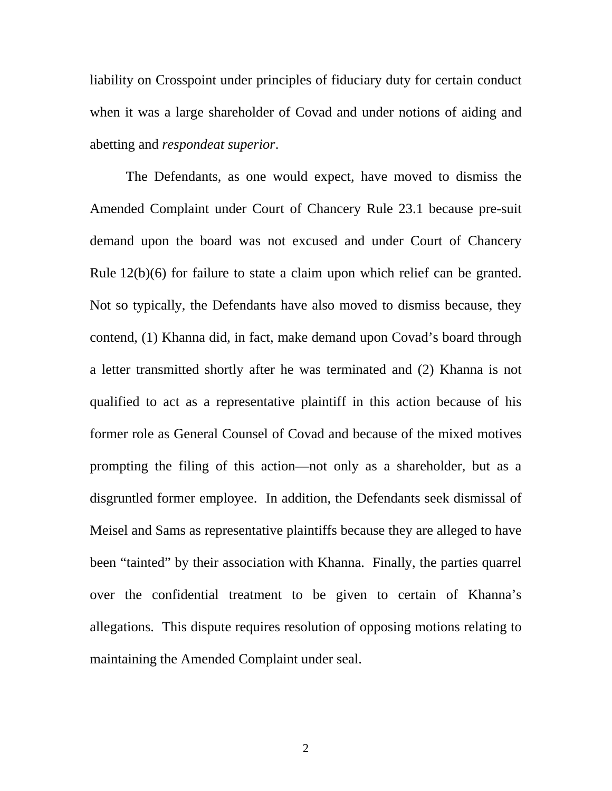liability on Crosspoint under principles of fiduciary duty for certain conduct when it was a large shareholder of Covad and under notions of aiding and abetting and *respondeat superior*.

 The Defendants, as one would expect, have moved to dismiss the Amended Complaint under Court of Chancery Rule 23.1 because pre-suit demand upon the board was not excused and under Court of Chancery Rule 12(b)(6) for failure to state a claim upon which relief can be granted. Not so typically, the Defendants have also moved to dismiss because, they contend, (1) Khanna did, in fact, make demand upon Covad's board through a letter transmitted shortly after he was terminated and (2) Khanna is not qualified to act as a representative plaintiff in this action because of his former role as General Counsel of Covad and because of the mixed motives prompting the filing of this action—not only as a shareholder, but as a disgruntled former employee. In addition, the Defendants seek dismissal of Meisel and Sams as representative plaintiffs because they are alleged to have been "tainted" by their association with Khanna. Finally, the parties quarrel over the confidential treatment to be given to certain of Khanna's allegations. This dispute requires resolution of opposing motions relating to maintaining the Amended Complaint under seal.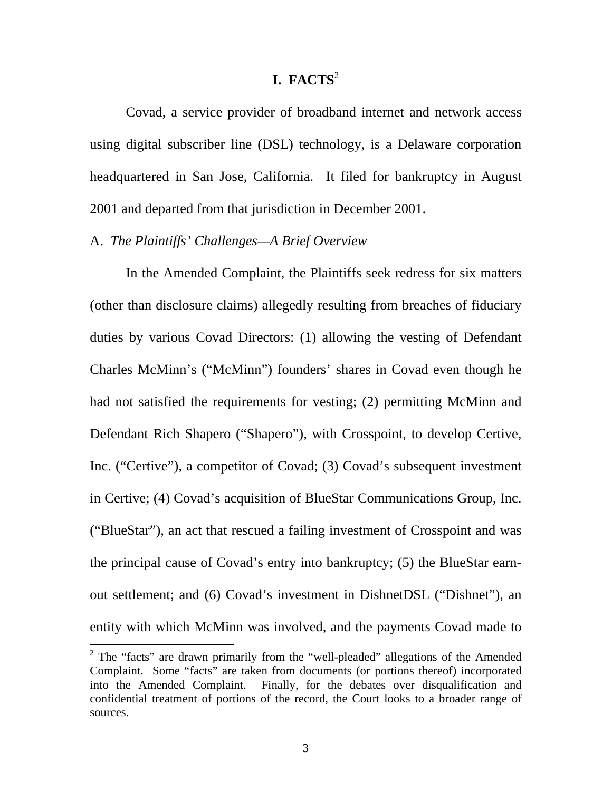## **I. FACTS**<sup>2</sup>

Covad, a service provider of broadband internet and network access using digital subscriber line (DSL) technology, is a Delaware corporation headquartered in San Jose, California. It filed for bankruptcy in August 2001 and departed from that jurisdiction in December 2001.

#### A. *The Plaintiffs' Challenges—A Brief Overview*

In the Amended Complaint, the Plaintiffs seek redress for six matters (other than disclosure claims) allegedly resulting from breaches of fiduciary duties by various Covad Directors: (1) allowing the vesting of Defendant Charles McMinn's ("McMinn") founders' shares in Covad even though he had not satisfied the requirements for vesting; (2) permitting McMinn and Defendant Rich Shapero ("Shapero"), with Crosspoint, to develop Certive, Inc. ("Certive"), a competitor of Covad; (3) Covad's subsequent investment in Certive; (4) Covad's acquisition of BlueStar Communications Group, Inc. ("BlueStar"), an act that rescued a failing investment of Crosspoint and was the principal cause of Covad's entry into bankruptcy; (5) the BlueStar earnout settlement; and (6) Covad's investment in DishnetDSL ("Dishnet"), an entity with which McMinn was involved, and the payments Covad made to

<sup>&</sup>lt;sup>2</sup> The "facts" are drawn primarily from the "well-pleaded" allegations of the Amended Complaint. Some "facts" are taken from documents (or portions thereof) incorporated into the Amended Complaint. Finally, for the debates over disqualification and confidential treatment of portions of the record, the Court looks to a broader range of sources.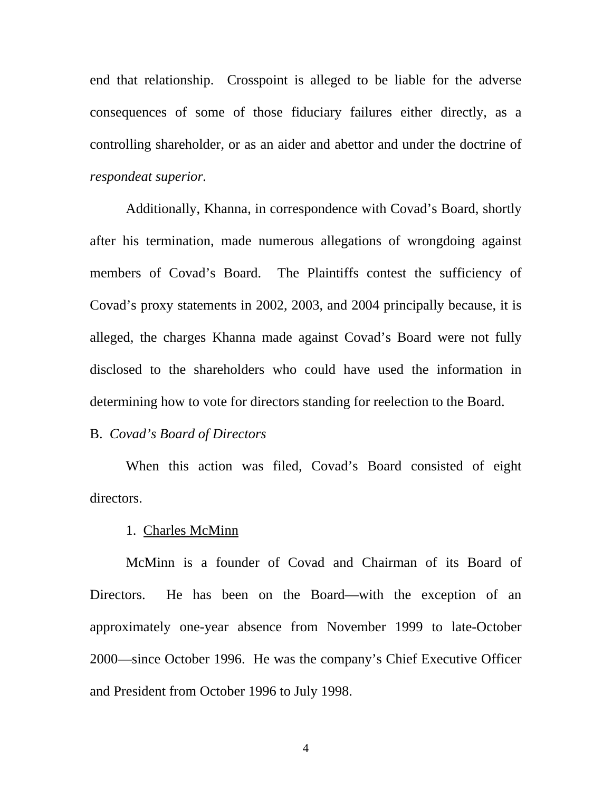end that relationship. Crosspoint is alleged to be liable for the adverse consequences of some of those fiduciary failures either directly, as a controlling shareholder, or as an aider and abettor and under the doctrine of *respondeat superior.*

Additionally, Khanna, in correspondence with Covad's Board, shortly after his termination, made numerous allegations of wrongdoing against members of Covad's Board. The Plaintiffs contest the sufficiency of Covad's proxy statements in 2002, 2003, and 2004 principally because, it is alleged, the charges Khanna made against Covad's Board were not fully disclosed to the shareholders who could have used the information in determining how to vote for directors standing for reelection to the Board.

#### B. *Covad's Board of Directors*

When this action was filed, Covad's Board consisted of eight directors.

#### 1. Charles McMinn

 McMinn is a founder of Covad and Chairman of its Board of Directors. He has been on the Board—with the exception of an approximately one-year absence from November 1999 to late-October 2000—since October 1996. He was the company's Chief Executive Officer and President from October 1996 to July 1998.

4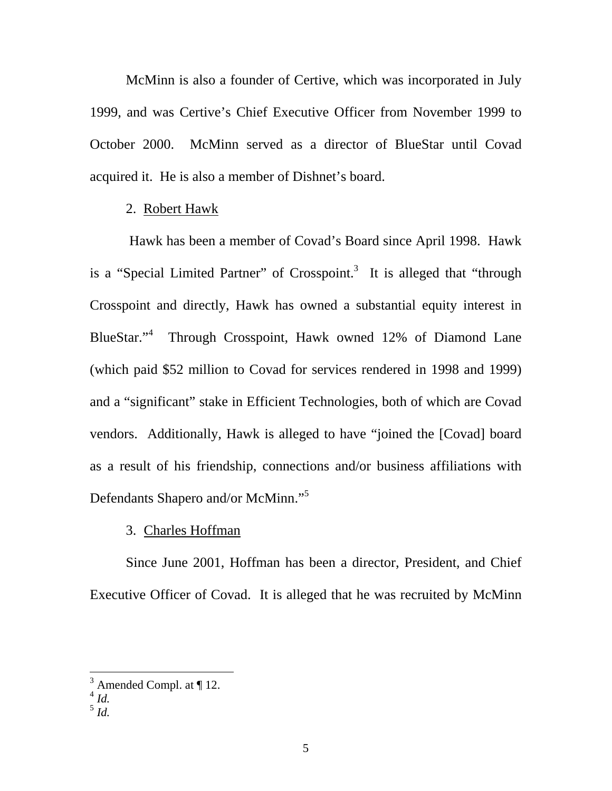McMinn is also a founder of Certive, which was incorporated in July 1999, and was Certive's Chief Executive Officer from November 1999 to October 2000. McMinn served as a director of BlueStar until Covad acquired it. He is also a member of Dishnet's board.

### 2. Robert Hawk

 Hawk has been a member of Covad's Board since April 1998. Hawk is a "Special Limited Partner" of Crosspoint.<sup>3</sup> It is alleged that "through Crosspoint and directly, Hawk has owned a substantial equity interest in BlueStar."<sup>4</sup> Through Crosspoint, Hawk owned 12% of Diamond Lane (which paid \$52 million to Covad for services rendered in 1998 and 1999) and a "significant" stake in Efficient Technologies, both of which are Covad vendors. Additionally, Hawk is alleged to have "joined the [Covad] board as a result of his friendship, connections and/or business affiliations with Defendants Shapero and/or McMinn."<sup>5</sup>

### 3. Charles Hoffman

Since June 2001, Hoffman has been a director, President, and Chief Executive Officer of Covad. It is alleged that he was recruited by McMinn

 $3$  Amended Compl. at  $\P$  12.

<sup>4</sup> *Id.*

 $^5$  *Id.*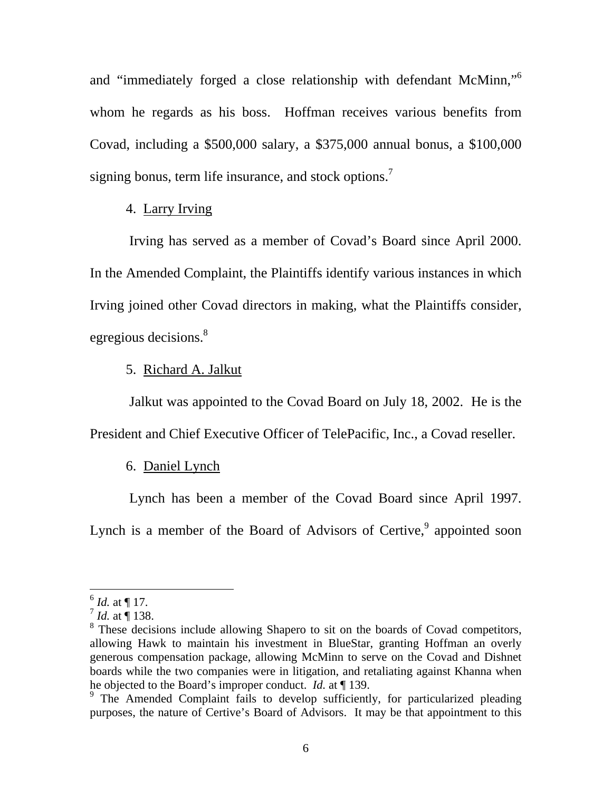and "immediately forged a close relationship with defendant McMinn,"6 whom he regards as his boss. Hoffman receives various benefits from Covad, including a \$500,000 salary, a \$375,000 annual bonus, a \$100,000 signing bonus, term life insurance, and stock options.<sup>7</sup>

## 4. Larry Irving

 Irving has served as a member of Covad's Board since April 2000. In the Amended Complaint, the Plaintiffs identify various instances in which Irving joined other Covad directors in making, what the Plaintiffs consider, egregious decisions.<sup>8</sup>

#### 5. Richard A. Jalkut

 Jalkut was appointed to the Covad Board on July 18, 2002. He is the President and Chief Executive Officer of TelePacific, Inc., a Covad reseller.

### 6. Daniel Lynch

Lynch has been a member of the Covad Board since April 1997.

Lynch is a member of the Board of Advisors of Certive,<sup>9</sup> appointed soon

 $^6$  *Id.* at ¶ 17.

 $^{7}$  *Id.* at  $\overline{9}$  138.

<sup>&</sup>lt;sup>8</sup> These decisions include allowing Shapero to sit on the boards of Covad competitors, allowing Hawk to maintain his investment in BlueStar, granting Hoffman an overly generous compensation package, allowing McMinn to serve on the Covad and Dishnet boards while the two companies were in litigation, and retaliating against Khanna when he objected to the Board's improper conduct. *Id.* at ¶ 139.

<sup>&</sup>lt;sup>9</sup> The Amended Complaint fails to develop sufficiently, for particularized pleading purposes, the nature of Certive's Board of Advisors. It may be that appointment to this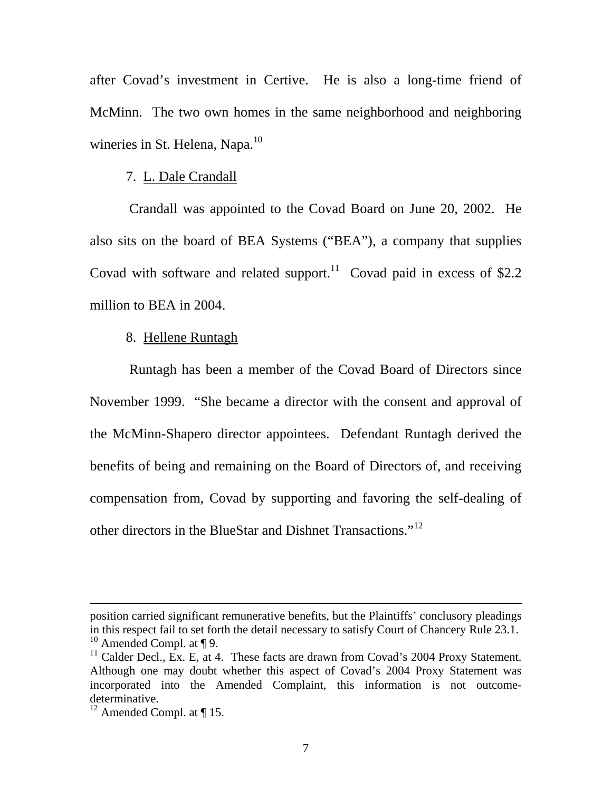after Covad's investment in Certive. He is also a long-time friend of McMinn. The two own homes in the same neighborhood and neighboring wineries in St. Helena, Napa.<sup>10</sup>

#### 7. L. Dale Crandall

 Crandall was appointed to the Covad Board on June 20, 2002. He also sits on the board of BEA Systems ("BEA"), a company that supplies Covad with software and related support.<sup>11</sup> Covad paid in excess of \$2.2 million to BEA in 2004.

#### 8. Hellene Runtagh

 Runtagh has been a member of the Covad Board of Directors since November 1999. "She became a director with the consent and approval of the McMinn-Shapero director appointees. Defendant Runtagh derived the benefits of being and remaining on the Board of Directors of, and receiving compensation from, Covad by supporting and favoring the self-dealing of other directors in the BlueStar and Dishnet Transactions."<sup>12</sup>

position carried significant remunerative benefits, but the Plaintiffs' conclusory pleadings in this respect fail to set forth the detail necessary to satisfy Court of Chancery Rule 23.1.  $10$  Amended Compl. at ¶ 9.

<sup>&</sup>lt;sup>11</sup> Calder Decl., Ex. E, at 4. These facts are drawn from Covad's 2004 Proxy Statement. Although one may doubt whether this aspect of Covad's 2004 Proxy Statement was incorporated into the Amended Complaint, this information is not outcomedeterminative.

 $12$  Amended Compl. at  $\P$  15.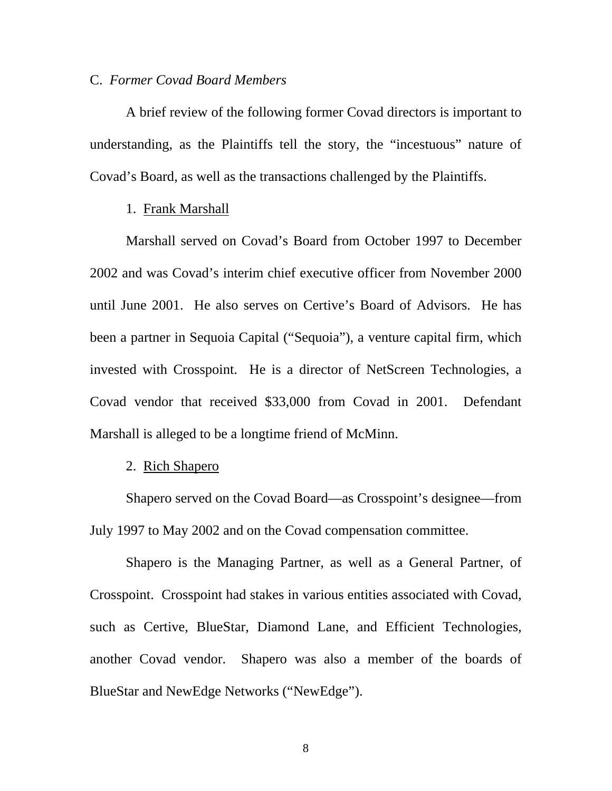#### C. *Former Covad Board Members*

A brief review of the following former Covad directors is important to understanding, as the Plaintiffs tell the story, the "incestuous" nature of Covad's Board, as well as the transactions challenged by the Plaintiffs.

### 1. Frank Marshall

 Marshall served on Covad's Board from October 1997 to December 2002 and was Covad's interim chief executive officer from November 2000 until June 2001. He also serves on Certive's Board of Advisors. He has been a partner in Sequoia Capital ("Sequoia"), a venture capital firm, which invested with Crosspoint. He is a director of NetScreen Technologies, a Covad vendor that received \$33,000 from Covad in 2001. Defendant Marshall is alleged to be a longtime friend of McMinn.

### 2. Rich Shapero

Shapero served on the Covad Board—as Crosspoint's designee—from July 1997 to May 2002 and on the Covad compensation committee.

Shapero is the Managing Partner, as well as a General Partner, of Crosspoint. Crosspoint had stakes in various entities associated with Covad, such as Certive, BlueStar, Diamond Lane, and Efficient Technologies, another Covad vendor. Shapero was also a member of the boards of BlueStar and NewEdge Networks ("NewEdge").

8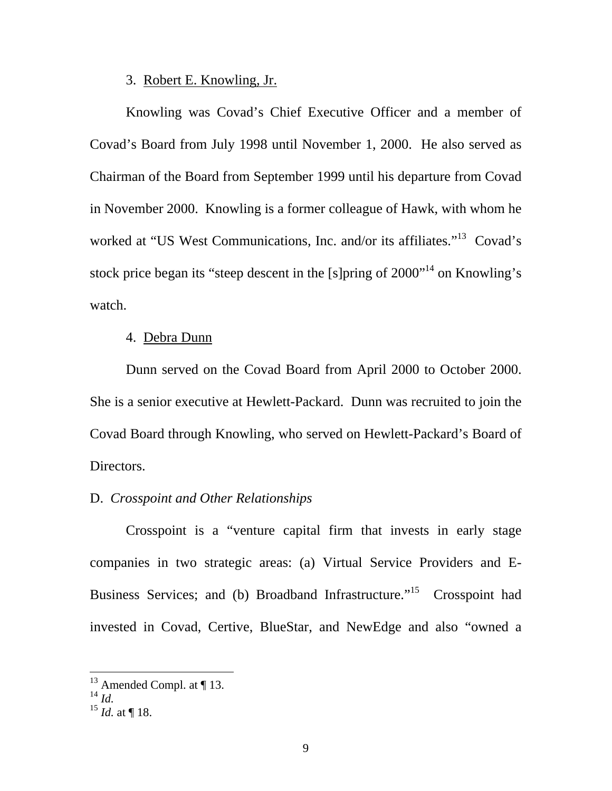#### 3. Robert E. Knowling, Jr.

Knowling was Covad's Chief Executive Officer and a member of Covad's Board from July 1998 until November 1, 2000. He also served as Chairman of the Board from September 1999 until his departure from Covad in November 2000. Knowling is a former colleague of Hawk, with whom he worked at "US West Communications, Inc. and/or its affiliates."<sup>13</sup> Covad's stock price began its "steep descent in the [s]pring of  $2000$ "<sup>14</sup> on Knowling's watch.

### 4. Debra Dunn

Dunn served on the Covad Board from April 2000 to October 2000. She is a senior executive at Hewlett-Packard. Dunn was recruited to join the Covad Board through Knowling, who served on Hewlett-Packard's Board of Directors.

## D. *Crosspoint and Other Relationships*

 Crosspoint is a "venture capital firm that invests in early stage companies in two strategic areas: (a) Virtual Service Providers and E-Business Services; and (b) Broadband Infrastructure."<sup>15</sup> Crosspoint had invested in Covad, Certive, BlueStar, and NewEdge and also "owned a

 $13$  Amended Compl. at ¶ 13.

 $^{14}$   $^{14}$   $^{14}$ 

 $^{15}$  *Id.* at ¶ 18.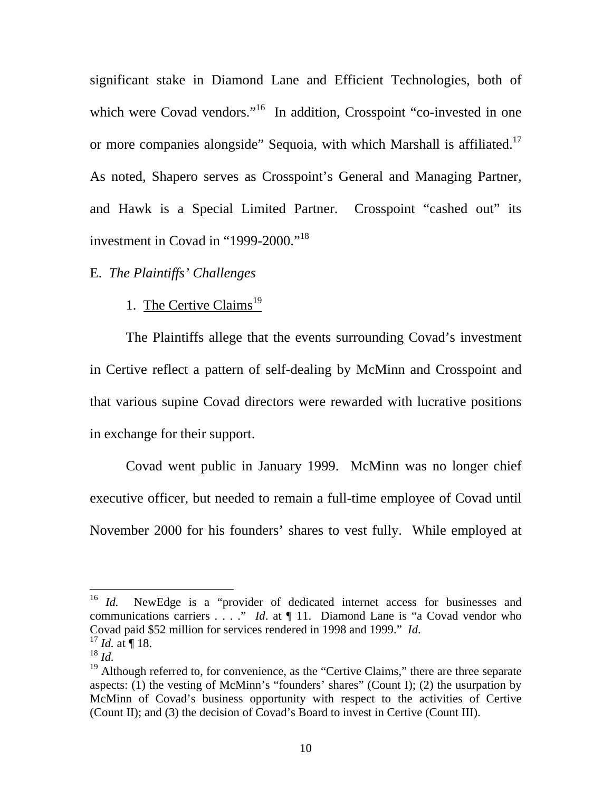significant stake in Diamond Lane and Efficient Technologies, both of which were Covad vendors."<sup>16</sup> In addition, Crosspoint "co-invested in one or more companies alongside" Sequoia, with which Marshall is affiliated.<sup>17</sup> As noted, Shapero serves as Crosspoint's General and Managing Partner, and Hawk is a Special Limited Partner. Crosspoint "cashed out" its investment in Covad in "1999-2000."<sup>18</sup>

## E. *The Plaintiffs' Challenges*

## 1. The Certive Claims<sup>19</sup>

The Plaintiffs allege that the events surrounding Covad's investment in Certive reflect a pattern of self-dealing by McMinn and Crosspoint and that various supine Covad directors were rewarded with lucrative positions in exchange for their support.

 Covad went public in January 1999. McMinn was no longer chief executive officer, but needed to remain a full-time employee of Covad until November 2000 for his founders' shares to vest fully. While employed at

 $16$  *Id.* NewEdge is a "provider of dedicated internet access for businesses and communications carriers . . . ." *Id*. at  $\P$  11. Diamond Lane is "a Covad vendor who Covad paid \$52 million for services rendered in 1998 and 1999." *Id.* <sup>17</sup> *Id.* at ¶ 18.

<sup>18</sup> *Id.*

<sup>&</sup>lt;sup>19</sup> Although referred to, for convenience, as the "Certive Claims," there are three separate aspects: (1) the vesting of McMinn's "founders' shares" (Count I); (2) the usurpation by McMinn of Covad's business opportunity with respect to the activities of Certive (Count II); and (3) the decision of Covad's Board to invest in Certive (Count III).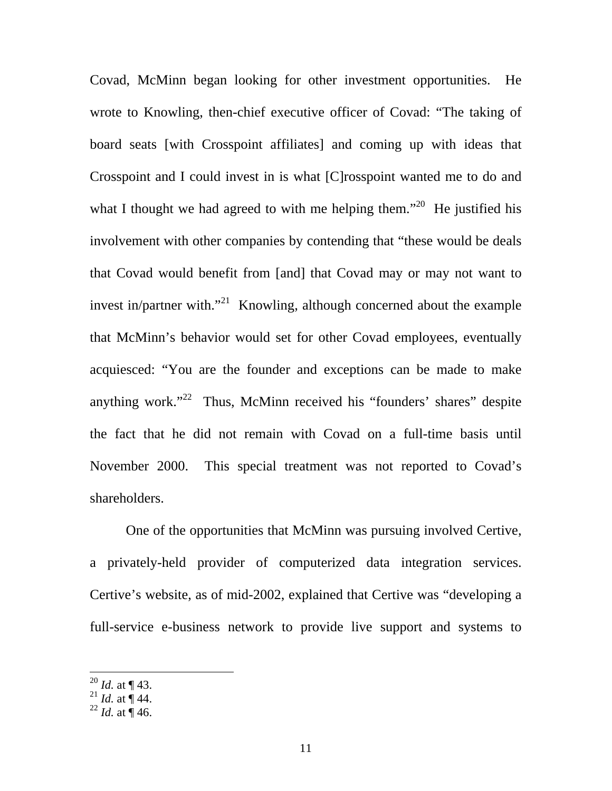Covad, McMinn began looking for other investment opportunities. He wrote to Knowling, then-chief executive officer of Covad: "The taking of board seats [with Crosspoint affiliates] and coming up with ideas that Crosspoint and I could invest in is what [C]rosspoint wanted me to do and what I thought we had agreed to with me helping them.<sup> $20$ </sup> He justified his involvement with other companies by contending that "these would be deals that Covad would benefit from [and] that Covad may or may not want to invest in/partner with. $12^{21}$  Knowling, although concerned about the example that McMinn's behavior would set for other Covad employees, eventually acquiesced: "You are the founder and exceptions can be made to make anything work." $2^2$  Thus, McMinn received his "founders' shares" despite the fact that he did not remain with Covad on a full-time basis until November 2000. This special treatment was not reported to Covad's shareholders.

 One of the opportunities that McMinn was pursuing involved Certive, a privately-held provider of computerized data integration services. Certive's website, as of mid-2002, explained that Certive was "developing a full-service e-business network to provide live support and systems to

<sup>20</sup> *Id.* at ¶ 43.

<sup>&</sup>lt;sup>21</sup> *Id.* at  $\int$  44.

 $^{22}$  *Id.* at  $\dot{$  46.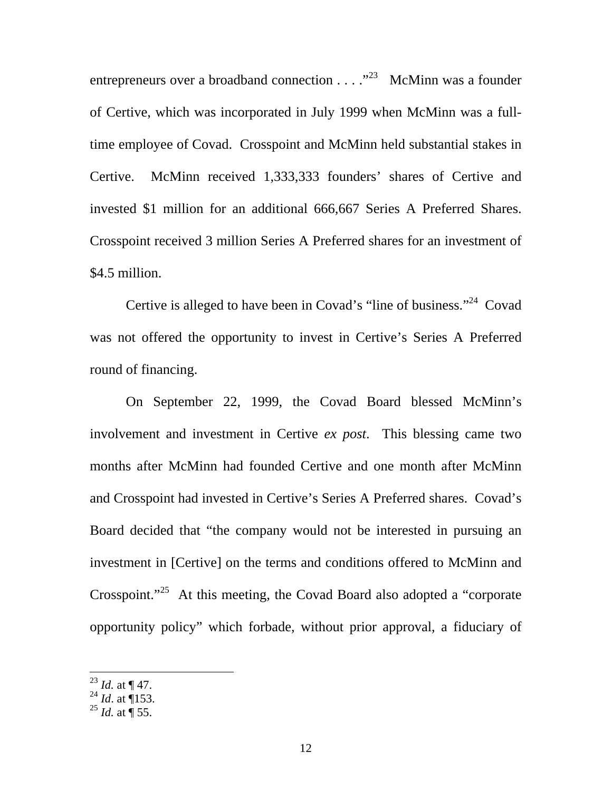entrepreneurs over a broadband connection  $\dots$   $\cdot$   $^{23}$  McMinn was a founder of Certive, which was incorporated in July 1999 when McMinn was a fulltime employee of Covad. Crosspoint and McMinn held substantial stakes in Certive. McMinn received 1,333,333 founders' shares of Certive and invested \$1 million for an additional 666,667 Series A Preferred Shares. Crosspoint received 3 million Series A Preferred shares for an investment of \$4.5 million.

 Certive is alleged to have been in Covad's "line of business."24 Covad was not offered the opportunity to invest in Certive's Series A Preferred round of financing.

 On September 22, 1999, the Covad Board blessed McMinn's involvement and investment in Certive *ex post*. This blessing came two months after McMinn had founded Certive and one month after McMinn and Crosspoint had invested in Certive's Series A Preferred shares. Covad's Board decided that "the company would not be interested in pursuing an investment in [Certive] on the terms and conditions offered to McMinn and Crosspoint."<sup>25</sup> At this meeting, the Covad Board also adopted a "corporate" opportunity policy" which forbade, without prior approval, a fiduciary of

<sup>23</sup> *Id.* at ¶ 47.

<sup>24</sup> *Id*. at ¶153.

<sup>25</sup> *Id.* at ¶ 55.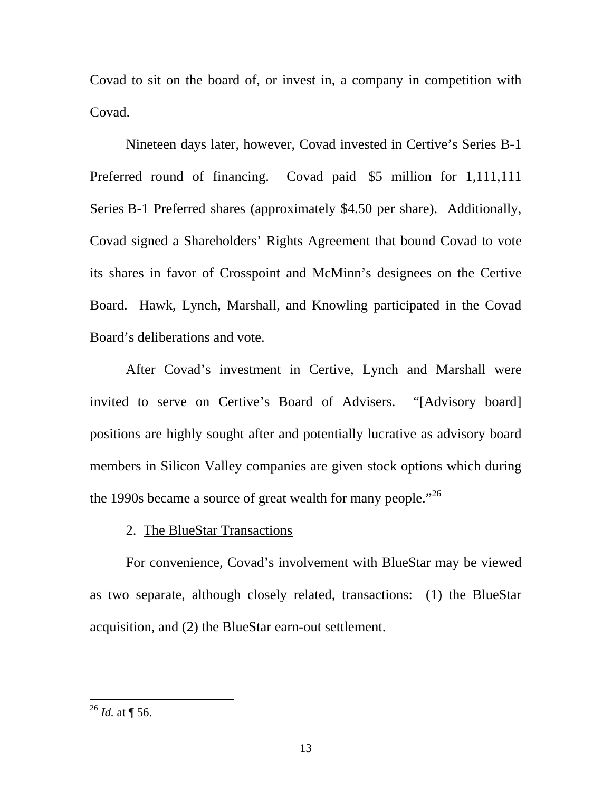Covad to sit on the board of, or invest in, a company in competition with Covad.

 Nineteen days later, however, Covad invested in Certive's Series B-1 Preferred round of financing. Covad paid \$5 million for 1,111,111 Series B-1 Preferred shares (approximately \$4.50 per share). Additionally, Covad signed a Shareholders' Rights Agreement that bound Covad to vote its shares in favor of Crosspoint and McMinn's designees on the Certive Board. Hawk, Lynch, Marshall, and Knowling participated in the Covad Board's deliberations and vote.

 After Covad's investment in Certive, Lynch and Marshall were invited to serve on Certive's Board of Advisers. "[Advisory board] positions are highly sought after and potentially lucrative as advisory board members in Silicon Valley companies are given stock options which during the 1990s became a source of great wealth for many people."<sup>26</sup>

## 2. The BlueStar Transactions

For convenience, Covad's involvement with BlueStar may be viewed as two separate, although closely related, transactions: (1) the BlueStar acquisition, and (2) the BlueStar earn-out settlement.

 $^{26}$  *Id.* at ¶ 56.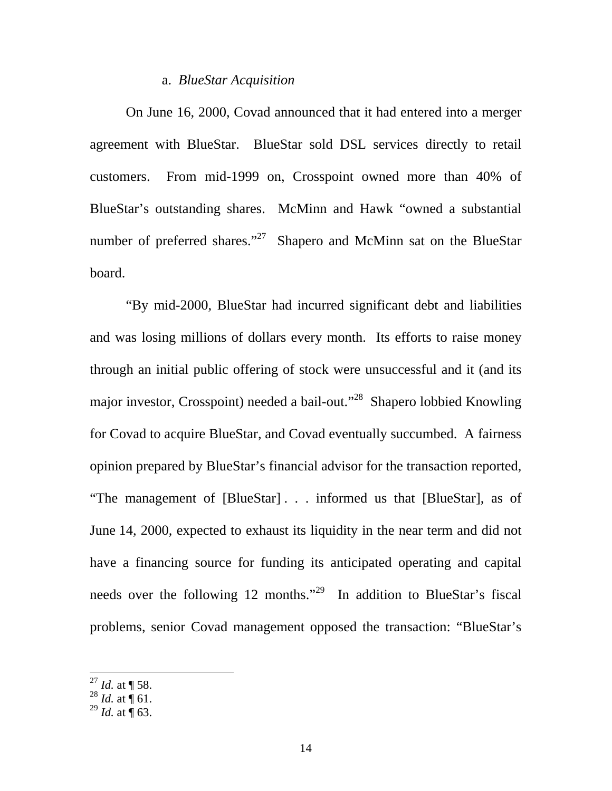#### a. *BlueStar Acquisition*

On June 16, 2000, Covad announced that it had entered into a merger agreement with BlueStar. BlueStar sold DSL services directly to retail customers. From mid-1999 on, Crosspoint owned more than 40% of BlueStar's outstanding shares. McMinn and Hawk "owned a substantial number of preferred shares."<sup>27</sup> Shapero and McMinn sat on the BlueStar board.

 "By mid-2000, BlueStar had incurred significant debt and liabilities and was losing millions of dollars every month. Its efforts to raise money through an initial public offering of stock were unsuccessful and it (and its major investor, Crosspoint) needed a bail-out."28 Shapero lobbied Knowling for Covad to acquire BlueStar, and Covad eventually succumbed. A fairness opinion prepared by BlueStar's financial advisor for the transaction reported, "The management of [BlueStar] . . . informed us that [BlueStar], as of June 14, 2000, expected to exhaust its liquidity in the near term and did not have a financing source for funding its anticipated operating and capital needs over the following 12 months."<sup>29</sup> In addition to BlueStar's fiscal problems, senior Covad management opposed the transaction: "BlueStar's

 $^{27}$  *Id.* at  $\sqrt{\phantom{a}}$  58.

 $^{28}$  *Id.* at  $\overline{9}$  61.

 $^{29}$  *Id.* at  $\overline{9}$  63.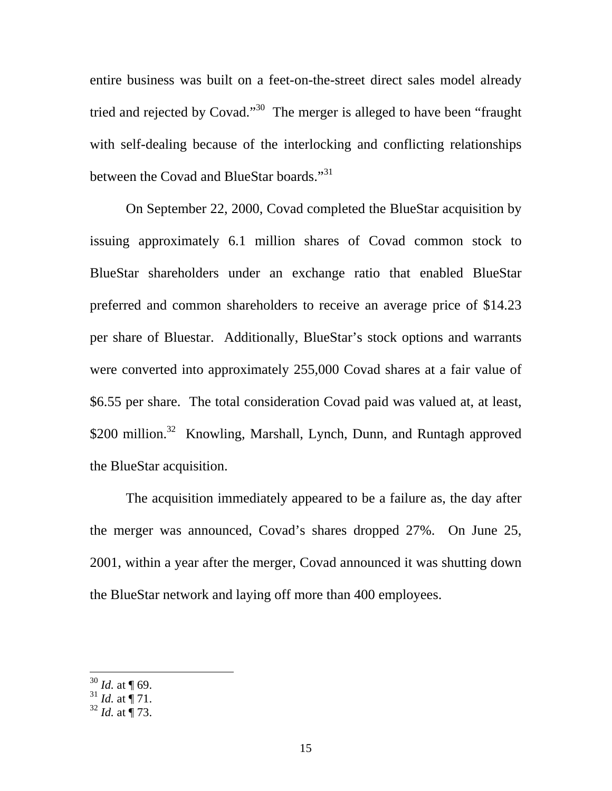entire business was built on a feet-on-the-street direct sales model already tried and rejected by Covad."<sup>30</sup> The merger is alleged to have been "fraught" with self-dealing because of the interlocking and conflicting relationships between the Covad and BlueStar boards."<sup>31</sup>

 On September 22, 2000, Covad completed the BlueStar acquisition by issuing approximately 6.1 million shares of Covad common stock to BlueStar shareholders under an exchange ratio that enabled BlueStar preferred and common shareholders to receive an average price of \$14.23 per share of Bluestar. Additionally, BlueStar's stock options and warrants were converted into approximately 255,000 Covad shares at a fair value of \$6.55 per share. The total consideration Covad paid was valued at, at least, \$200 million.<sup>32</sup> Knowling, Marshall, Lynch, Dunn, and Runtagh approved the BlueStar acquisition.

 The acquisition immediately appeared to be a failure as, the day after the merger was announced, Covad's shares dropped 27%. On June 25, 2001, within a year after the merger, Covad announced it was shutting down the BlueStar network and laying off more than 400 employees.

<sup>30</sup> *Id.* at ¶ 69.

 $31$  *Id.* at  $\frac{1}{1}$  71.

<sup>32</sup> *Id.* at ¶ 73.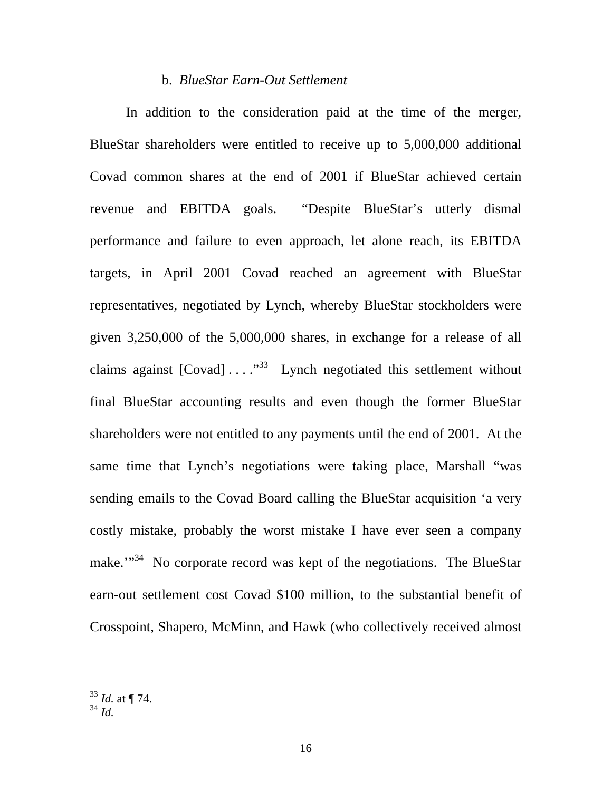#### b. *BlueStar Earn-Out Settlement*

In addition to the consideration paid at the time of the merger, BlueStar shareholders were entitled to receive up to 5,000,000 additional Covad common shares at the end of 2001 if BlueStar achieved certain revenue and EBITDA goals. "Despite BlueStar's utterly dismal performance and failure to even approach, let alone reach, its EBITDA targets, in April 2001 Covad reached an agreement with BlueStar representatives, negotiated by Lynch, whereby BlueStar stockholders were given 3,250,000 of the 5,000,000 shares, in exchange for a release of all claims against  $[Covad] \ldots$ ."<sup>33</sup> Lynch negotiated this settlement without final BlueStar accounting results and even though the former BlueStar shareholders were not entitled to any payments until the end of 2001. At the same time that Lynch's negotiations were taking place, Marshall "was sending emails to the Covad Board calling the BlueStar acquisition 'a very costly mistake, probably the worst mistake I have ever seen a company make."<sup>34</sup> No corporate record was kept of the negotiations. The BlueStar earn-out settlement cost Covad \$100 million, to the substantial benefit of Crosspoint, Shapero, McMinn, and Hawk (who collectively received almost

<sup>33</sup> *Id.* at ¶ 74.

<sup>34</sup> *Id.*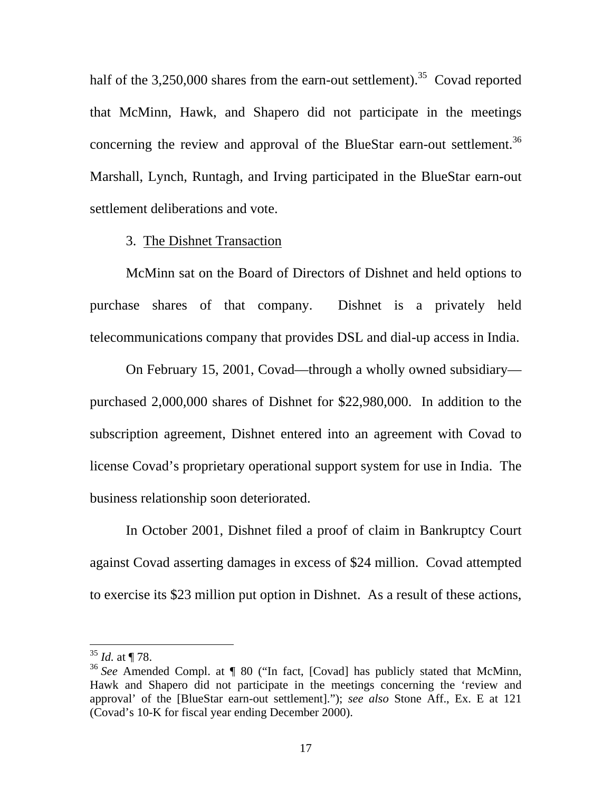half of the  $3,250,000$  shares from the earn-out settlement).<sup>35</sup> Covad reported that McMinn, Hawk, and Shapero did not participate in the meetings concerning the review and approval of the BlueStar earn-out settlement.<sup>36</sup> Marshall, Lynch, Runtagh, and Irving participated in the BlueStar earn-out settlement deliberations and vote.

#### 3. The Dishnet Transaction

 McMinn sat on the Board of Directors of Dishnet and held options to purchase shares of that company. Dishnet is a privately held telecommunications company that provides DSL and dial-up access in India.

 On February 15, 2001, Covad—through a wholly owned subsidiary purchased 2,000,000 shares of Dishnet for \$22,980,000. In addition to the subscription agreement, Dishnet entered into an agreement with Covad to license Covad's proprietary operational support system for use in India. The business relationship soon deteriorated.

 In October 2001, Dishnet filed a proof of claim in Bankruptcy Court against Covad asserting damages in excess of \$24 million. Covad attempted to exercise its \$23 million put option in Dishnet. As a result of these actions,

<sup>35</sup> *Id.* at ¶ 78.

<sup>36</sup> *See* Amended Compl. at ¶ 80 ("In fact, [Covad] has publicly stated that McMinn, Hawk and Shapero did not participate in the meetings concerning the 'review and approval' of the [BlueStar earn-out settlement]."); *see also* Stone Aff., Ex. E at 121 (Covad's 10-K for fiscal year ending December 2000).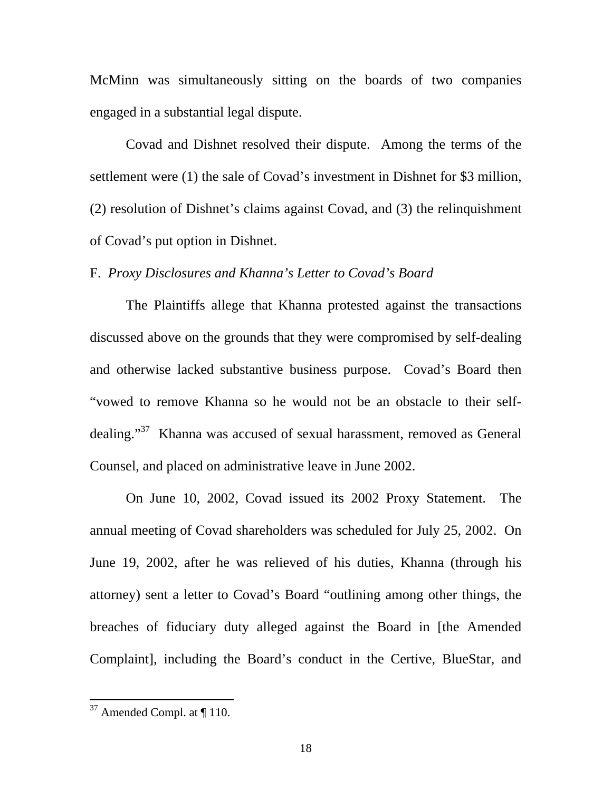McMinn was simultaneously sitting on the boards of two companies engaged in a substantial legal dispute.

 Covad and Dishnet resolved their dispute. Among the terms of the settlement were (1) the sale of Covad's investment in Dishnet for \$3 million, (2) resolution of Dishnet's claims against Covad, and (3) the relinquishment of Covad's put option in Dishnet.

## F. *Proxy Disclosures and Khanna's Letter to Covad's Board*

The Plaintiffs allege that Khanna protested against the transactions discussed above on the grounds that they were compromised by self-dealing and otherwise lacked substantive business purpose. Covad's Board then "vowed to remove Khanna so he would not be an obstacle to their selfdealing."37 Khanna was accused of sexual harassment, removed as General Counsel, and placed on administrative leave in June 2002.

 On June 10, 2002, Covad issued its 2002 Proxy Statement. The annual meeting of Covad shareholders was scheduled for July 25, 2002. On June 19, 2002, after he was relieved of his duties, Khanna (through his attorney) sent a letter to Covad's Board "outlining among other things, the breaches of fiduciary duty alleged against the Board in [the Amended Complaint], including the Board's conduct in the Certive, BlueStar, and

 $37$  Amended Compl. at  $\P$  110.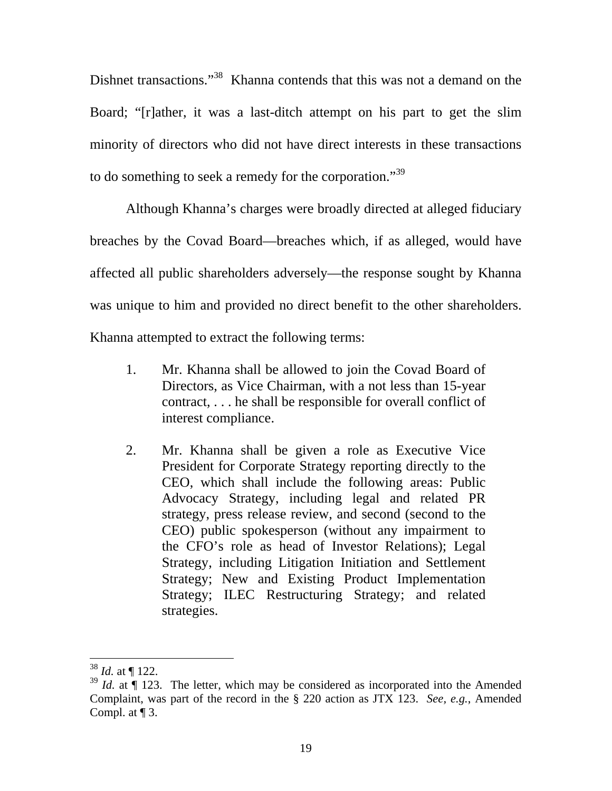Dishnet transactions."<sup>38</sup> Khanna contends that this was not a demand on the Board; "[r]ather, it was a last-ditch attempt on his part to get the slim minority of directors who did not have direct interests in these transactions to do something to seek a remedy for the corporation."<sup>39</sup>

 Although Khanna's charges were broadly directed at alleged fiduciary breaches by the Covad Board—breaches which, if as alleged, would have affected all public shareholders adversely—the response sought by Khanna was unique to him and provided no direct benefit to the other shareholders. Khanna attempted to extract the following terms:

- 1. Mr. Khanna shall be allowed to join the Covad Board of Directors, as Vice Chairman, with a not less than 15-year contract, . . . he shall be responsible for overall conflict of interest compliance.
- 2. Mr. Khanna shall be given a role as Executive Vice President for Corporate Strategy reporting directly to the CEO, which shall include the following areas: Public Advocacy Strategy, including legal and related PR strategy, press release review, and second (second to the CEO) public spokesperson (without any impairment to the CFO's role as head of Investor Relations); Legal Strategy, including Litigation Initiation and Settlement Strategy; New and Existing Product Implementation Strategy; ILEC Restructuring Strategy; and related strategies.

<sup>38</sup> *Id.* at ¶ 122.

<sup>&</sup>lt;sup>39</sup> *Id.* at ¶ 123. The letter, which may be considered as incorporated into the Amended Complaint, was part of the record in the § 220 action as JTX 123. *See, e.g.*, Amended Compl. at  $\P$  3.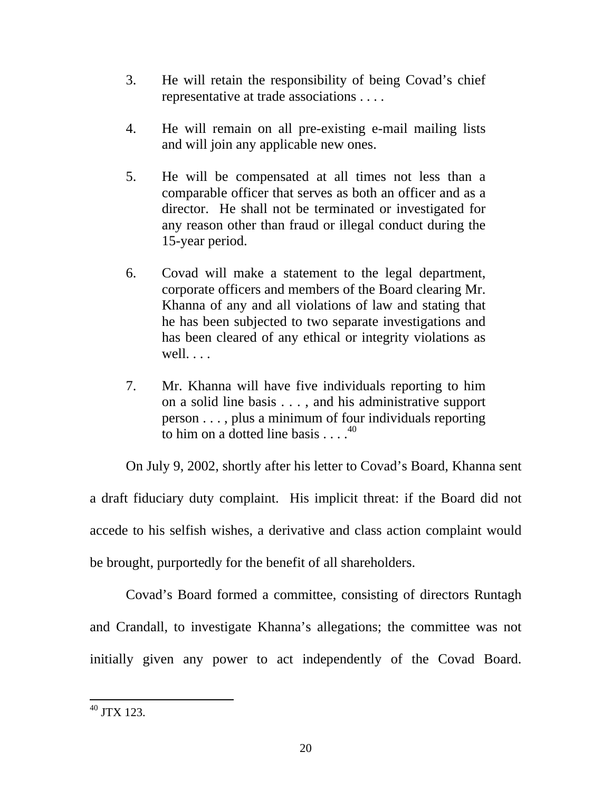- 3. He will retain the responsibility of being Covad's chief representative at trade associations . . . .
- 4. He will remain on all pre-existing e-mail mailing lists and will join any applicable new ones.
- 5. He will be compensated at all times not less than a comparable officer that serves as both an officer and as a director. He shall not be terminated or investigated for any reason other than fraud or illegal conduct during the 15-year period.
- 6. Covad will make a statement to the legal department, corporate officers and members of the Board clearing Mr. Khanna of any and all violations of law and stating that he has been subjected to two separate investigations and has been cleared of any ethical or integrity violations as well. . . .
- 7. Mr. Khanna will have five individuals reporting to him on a solid line basis . . . , and his administrative support person . . . , plus a minimum of four individuals reporting to him on a dotted line basis  $\ldots$ .<sup>40</sup>

 On July 9, 2002, shortly after his letter to Covad's Board, Khanna sent a draft fiduciary duty complaint. His implicit threat: if the Board did not accede to his selfish wishes, a derivative and class action complaint would be brought, purportedly for the benefit of all shareholders.

Covad's Board formed a committee, consisting of directors Runtagh and Crandall, to investigate Khanna's allegations; the committee was not initially given any power to act independently of the Covad Board.

 $\overline{a}$  $^{40}$  JTX 123.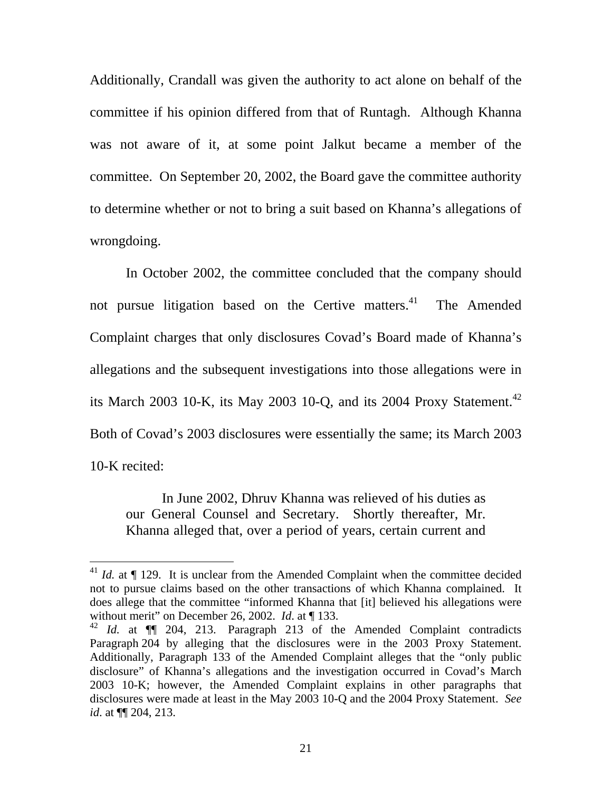Additionally, Crandall was given the authority to act alone on behalf of the committee if his opinion differed from that of Runtagh. Although Khanna was not aware of it, at some point Jalkut became a member of the committee. On September 20, 2002, the Board gave the committee authority to determine whether or not to bring a suit based on Khanna's allegations of wrongdoing.

 In October 2002, the committee concluded that the company should not pursue litigation based on the Certive matters.<sup>41</sup> The Amended Complaint charges that only disclosures Covad's Board made of Khanna's allegations and the subsequent investigations into those allegations were in its March 2003 10-K, its May 2003 10-O, and its 2004 Proxy Statement.<sup>42</sup> Both of Covad's 2003 disclosures were essentially the same; its March 2003 10-K recited:

 In June 2002, Dhruv Khanna was relieved of his duties as our General Counsel and Secretary. Shortly thereafter, Mr. Khanna alleged that, over a period of years, certain current and

 $^{41}$  *Id.* at  $\P$  129. It is unclear from the Amended Complaint when the committee decided not to pursue claims based on the other transactions of which Khanna complained. It does allege that the committee "informed Khanna that [it] believed his allegations were without merit" on December 26, 2002. *Id*. at ¶ 133.

<sup>&</sup>lt;sup>42</sup> *Id.* at  $\P$  204, 213. Paragraph 213 of the Amended Complaint contradicts Paragraph 204 by alleging that the disclosures were in the 2003 Proxy Statement. Additionally, Paragraph 133 of the Amended Complaint alleges that the "only public disclosure" of Khanna's allegations and the investigation occurred in Covad's March 2003 10-K; however, the Amended Complaint explains in other paragraphs that disclosures were made at least in the May 2003 10-Q and the 2004 Proxy Statement. *See id*. at ¶¶ 204, 213.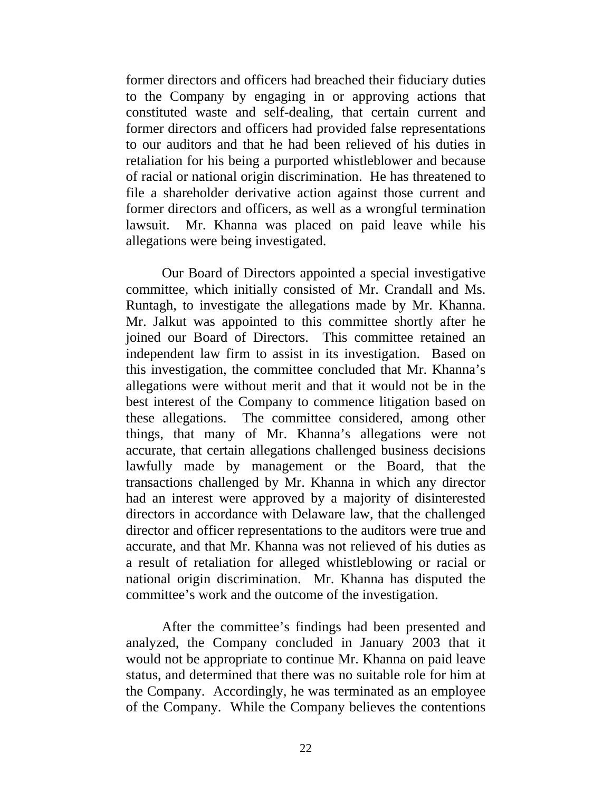former directors and officers had breached their fiduciary duties to the Company by engaging in or approving actions that constituted waste and self-dealing, that certain current and former directors and officers had provided false representations to our auditors and that he had been relieved of his duties in retaliation for his being a purported whistleblower and because of racial or national origin discrimination. He has threatened to file a shareholder derivative action against those current and former directors and officers, as well as a wrongful termination lawsuit. Mr. Khanna was placed on paid leave while his allegations were being investigated.

 Our Board of Directors appointed a special investigative committee, which initially consisted of Mr. Crandall and Ms. Runtagh, to investigate the allegations made by Mr. Khanna. Mr. Jalkut was appointed to this committee shortly after he joined our Board of Directors. This committee retained an independent law firm to assist in its investigation. Based on this investigation, the committee concluded that Mr. Khanna's allegations were without merit and that it would not be in the best interest of the Company to commence litigation based on these allegations. The committee considered, among other things, that many of Mr. Khanna's allegations were not accurate, that certain allegations challenged business decisions lawfully made by management or the Board, that the transactions challenged by Mr. Khanna in which any director had an interest were approved by a majority of disinterested directors in accordance with Delaware law, that the challenged director and officer representations to the auditors were true and accurate, and that Mr. Khanna was not relieved of his duties as a result of retaliation for alleged whistleblowing or racial or national origin discrimination. Mr. Khanna has disputed the committee's work and the outcome of the investigation.

 After the committee's findings had been presented and analyzed, the Company concluded in January 2003 that it would not be appropriate to continue Mr. Khanna on paid leave status, and determined that there was no suitable role for him at the Company. Accordingly, he was terminated as an employee of the Company. While the Company believes the contentions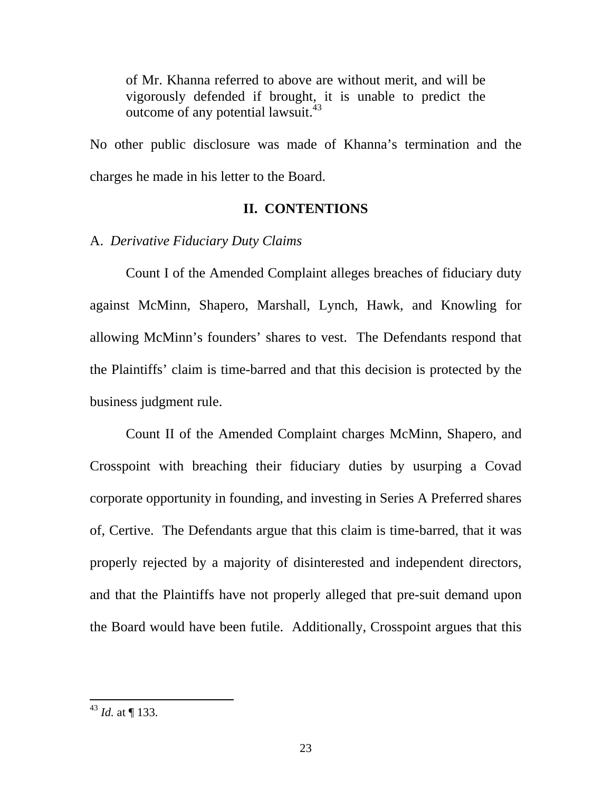of Mr. Khanna referred to above are without merit, and will be vigorously defended if brought, it is unable to predict the outcome of any potential lawsuit.<sup>43</sup>

No other public disclosure was made of Khanna's termination and the charges he made in his letter to the Board.

### **II. CONTENTIONS**

#### A. *Derivative Fiduciary Duty Claims*

 Count I of the Amended Complaint alleges breaches of fiduciary duty against McMinn, Shapero, Marshall, Lynch, Hawk, and Knowling for allowing McMinn's founders' shares to vest. The Defendants respond that the Plaintiffs' claim is time-barred and that this decision is protected by the business judgment rule.

 Count II of the Amended Complaint charges McMinn, Shapero, and Crosspoint with breaching their fiduciary duties by usurping a Covad corporate opportunity in founding, and investing in Series A Preferred shares of, Certive. The Defendants argue that this claim is time-barred, that it was properly rejected by a majority of disinterested and independent directors, and that the Plaintiffs have not properly alleged that pre-suit demand upon the Board would have been futile. Additionally, Crosspoint argues that this

<sup>43</sup> *Id.* at ¶ 133.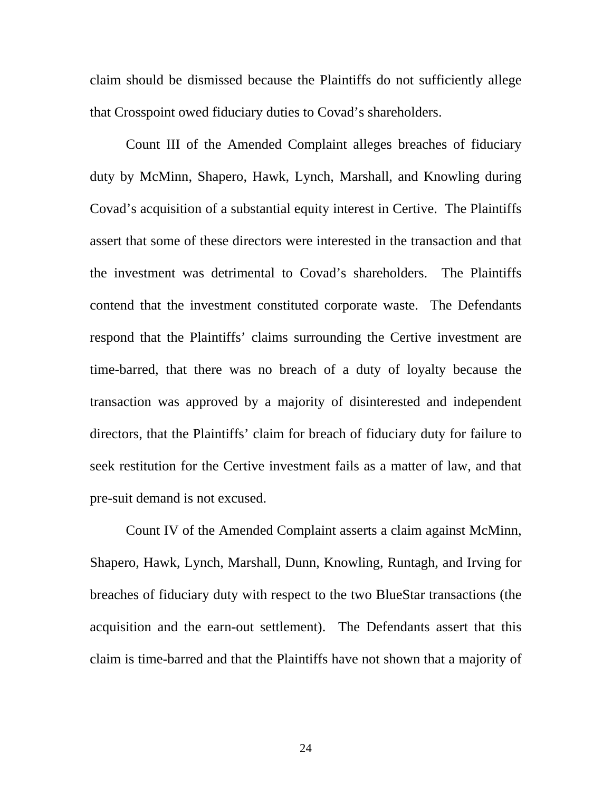claim should be dismissed because the Plaintiffs do not sufficiently allege that Crosspoint owed fiduciary duties to Covad's shareholders.

 Count III of the Amended Complaint alleges breaches of fiduciary duty by McMinn, Shapero, Hawk, Lynch, Marshall, and Knowling during Covad's acquisition of a substantial equity interest in Certive. The Plaintiffs assert that some of these directors were interested in the transaction and that the investment was detrimental to Covad's shareholders. The Plaintiffs contend that the investment constituted corporate waste. The Defendants respond that the Plaintiffs' claims surrounding the Certive investment are time-barred, that there was no breach of a duty of loyalty because the transaction was approved by a majority of disinterested and independent directors, that the Plaintiffs' claim for breach of fiduciary duty for failure to seek restitution for the Certive investment fails as a matter of law, and that pre-suit demand is not excused.

 Count IV of the Amended Complaint asserts a claim against McMinn, Shapero, Hawk, Lynch, Marshall, Dunn, Knowling, Runtagh, and Irving for breaches of fiduciary duty with respect to the two BlueStar transactions (the acquisition and the earn-out settlement). The Defendants assert that this claim is time-barred and that the Plaintiffs have not shown that a majority of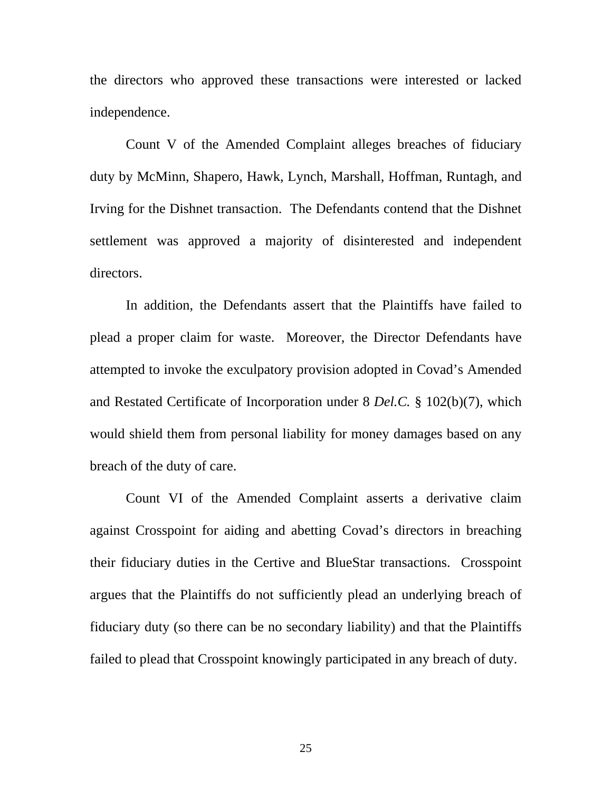the directors who approved these transactions were interested or lacked independence.

 Count V of the Amended Complaint alleges breaches of fiduciary duty by McMinn, Shapero, Hawk, Lynch, Marshall, Hoffman, Runtagh, and Irving for the Dishnet transaction. The Defendants contend that the Dishnet settlement was approved a majority of disinterested and independent directors.

 In addition, the Defendants assert that the Plaintiffs have failed to plead a proper claim for waste. Moreover, the Director Defendants have attempted to invoke the exculpatory provision adopted in Covad's Amended and Restated Certificate of Incorporation under 8 *Del.C.* § 102(b)(7), which would shield them from personal liability for money damages based on any breach of the duty of care.

 Count VI of the Amended Complaint asserts a derivative claim against Crosspoint for aiding and abetting Covad's directors in breaching their fiduciary duties in the Certive and BlueStar transactions. Crosspoint argues that the Plaintiffs do not sufficiently plead an underlying breach of fiduciary duty (so there can be no secondary liability) and that the Plaintiffs failed to plead that Crosspoint knowingly participated in any breach of duty.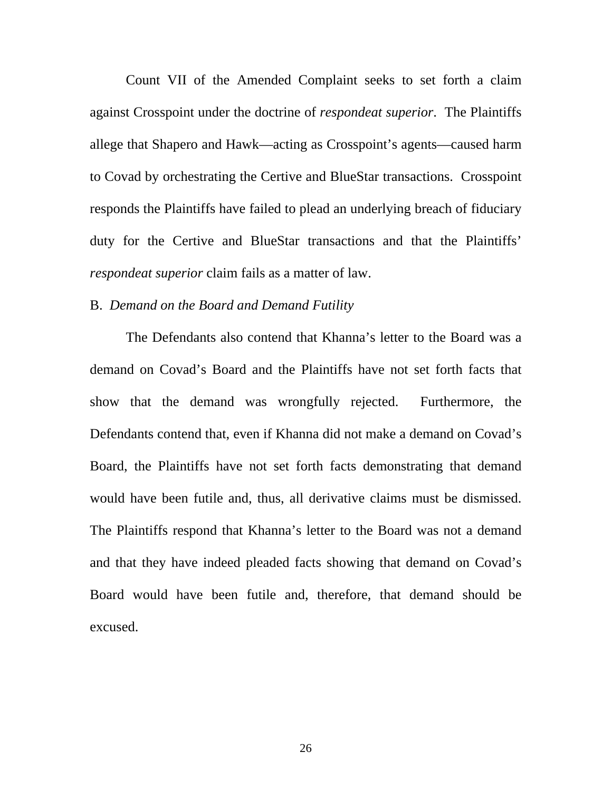Count VII of the Amended Complaint seeks to set forth a claim against Crosspoint under the doctrine of *respondeat superior*. The Plaintiffs allege that Shapero and Hawk—acting as Crosspoint's agents—caused harm to Covad by orchestrating the Certive and BlueStar transactions. Crosspoint responds the Plaintiffs have failed to plead an underlying breach of fiduciary duty for the Certive and BlueStar transactions and that the Plaintiffs' *respondeat superior* claim fails as a matter of law.

### B. *Demand on the Board and Demand Futility*

The Defendants also contend that Khanna's letter to the Board was a demand on Covad's Board and the Plaintiffs have not set forth facts that show that the demand was wrongfully rejected. Furthermore, the Defendants contend that, even if Khanna did not make a demand on Covad's Board, the Plaintiffs have not set forth facts demonstrating that demand would have been futile and, thus, all derivative claims must be dismissed. The Plaintiffs respond that Khanna's letter to the Board was not a demand and that they have indeed pleaded facts showing that demand on Covad's Board would have been futile and, therefore, that demand should be excused.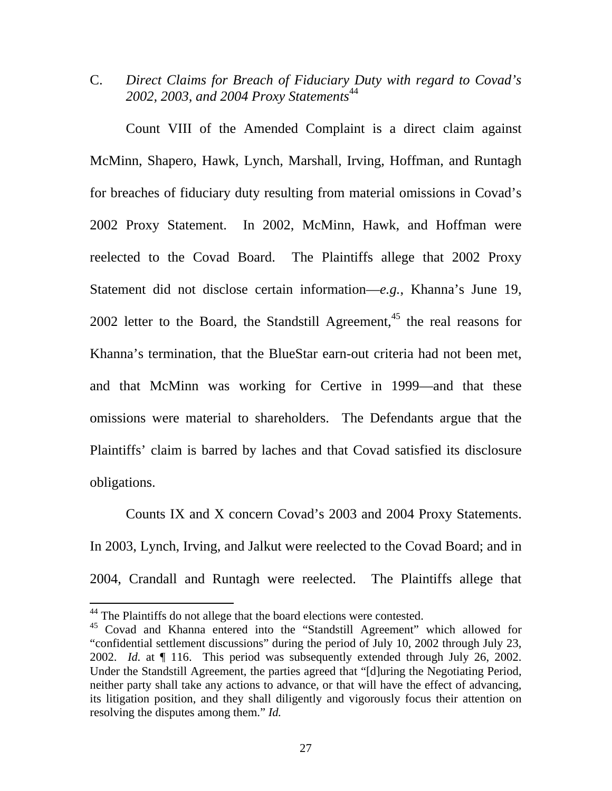C. *Direct Claims for Breach of Fiduciary Duty with regard to Covad's*  2002, 2003, and 2004 Proxy Statements<sup>44</sup>

Count VIII of the Amended Complaint is a direct claim against McMinn, Shapero, Hawk, Lynch, Marshall, Irving, Hoffman, and Runtagh for breaches of fiduciary duty resulting from material omissions in Covad's 2002 Proxy Statement. In 2002, McMinn, Hawk, and Hoffman were reelected to the Covad Board. The Plaintiffs allege that 2002 Proxy Statement did not disclose certain information—*e.g.*, Khanna's June 19, 2002 letter to the Board, the Standstill Agreement,<sup>45</sup> the real reasons for Khanna's termination, that the BlueStar earn-out criteria had not been met, and that McMinn was working for Certive in 1999—and that these omissions were material to shareholders. The Defendants argue that the Plaintiffs' claim is barred by laches and that Covad satisfied its disclosure obligations.

 Counts IX and X concern Covad's 2003 and 2004 Proxy Statements. In 2003, Lynch, Irving, and Jalkut were reelected to the Covad Board; and in 2004, Crandall and Runtagh were reelected. The Plaintiffs allege that

<sup>&</sup>lt;sup>44</sup> The Plaintiffs do not allege that the board elections were contested.

<sup>&</sup>lt;sup>45</sup> Covad and Khanna entered into the "Standstill Agreement" which allowed for "confidential settlement discussions" during the period of July 10, 2002 through July 23, 2002. *Id.* at ¶ 116. This period was subsequently extended through July 26, 2002. Under the Standstill Agreement, the parties agreed that "[d]uring the Negotiating Period, neither party shall take any actions to advance, or that will have the effect of advancing, its litigation position, and they shall diligently and vigorously focus their attention on resolving the disputes among them." *Id.*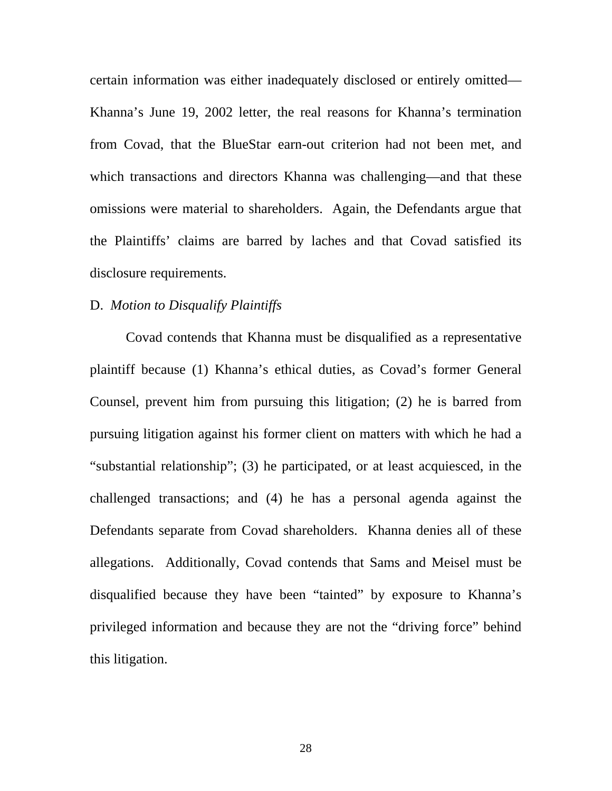certain information was either inadequately disclosed or entirely omitted— Khanna's June 19, 2002 letter, the real reasons for Khanna's termination from Covad, that the BlueStar earn-out criterion had not been met, and which transactions and directors Khanna was challenging—and that these omissions were material to shareholders. Again, the Defendants argue that the Plaintiffs' claims are barred by laches and that Covad satisfied its disclosure requirements.

## D. *Motion to Disqualify Plaintiffs*

Covad contends that Khanna must be disqualified as a representative plaintiff because (1) Khanna's ethical duties, as Covad's former General Counsel, prevent him from pursuing this litigation; (2) he is barred from pursuing litigation against his former client on matters with which he had a "substantial relationship"; (3) he participated, or at least acquiesced, in the challenged transactions; and (4) he has a personal agenda against the Defendants separate from Covad shareholders. Khanna denies all of these allegations. Additionally, Covad contends that Sams and Meisel must be disqualified because they have been "tainted" by exposure to Khanna's privileged information and because they are not the "driving force" behind this litigation.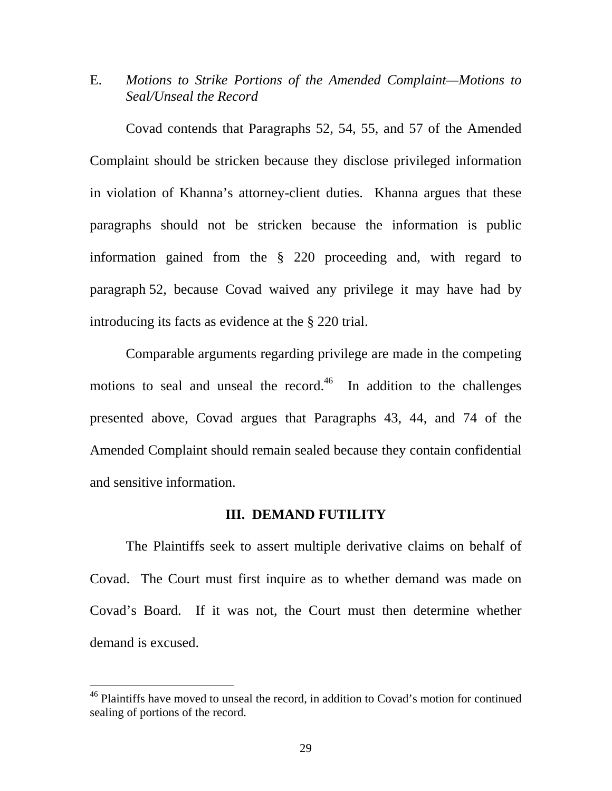E. *Motions to Strike Portions of the Amended Complaint—Motions to Seal/Unseal the Record*

 Covad contends that Paragraphs 52, 54, 55, and 57 of the Amended Complaint should be stricken because they disclose privileged information in violation of Khanna's attorney-client duties. Khanna argues that these paragraphs should not be stricken because the information is public information gained from the § 220 proceeding and, with regard to paragraph 52, because Covad waived any privilege it may have had by introducing its facts as evidence at the § 220 trial.

 Comparable arguments regarding privilege are made in the competing motions to seal and unseal the record.<sup>46</sup> In addition to the challenges presented above, Covad argues that Paragraphs 43, 44, and 74 of the Amended Complaint should remain sealed because they contain confidential and sensitive information.

## **III. DEMAND FUTILITY**

 The Plaintiffs seek to assert multiple derivative claims on behalf of Covad. The Court must first inquire as to whether demand was made on Covad's Board. If it was not, the Court must then determine whether demand is excused.

 $46$  Plaintiffs have moved to unseal the record, in addition to Covad's motion for continued sealing of portions of the record.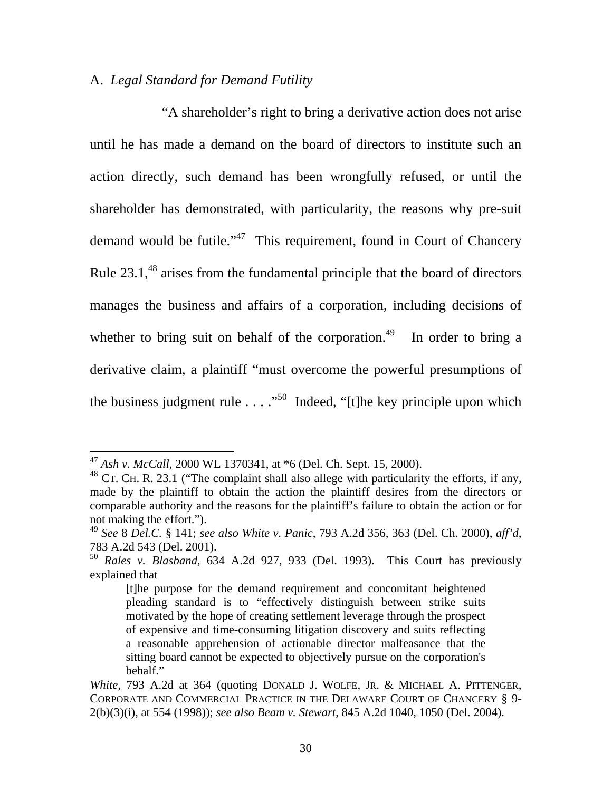## A. *Legal Standard for Demand Futility*

 "A shareholder's right to bring a derivative action does not arise until he has made a demand on the board of directors to institute such an action directly, such demand has been wrongfully refused, or until the shareholder has demonstrated, with particularity, the reasons why pre-suit demand would be futile."<sup>47</sup> This requirement, found in Court of Chancery Rule  $23.1<sup>48</sup>$  arises from the fundamental principle that the board of directors manages the business and affairs of a corporation, including decisions of whether to bring suit on behalf of the corporation.<sup>49</sup> In order to bring a derivative claim, a plaintiff "must overcome the powerful presumptions of the business judgment rule  $\dots$  ..."<sup>50</sup> Indeed, "[t]he key principle upon which

<sup>47</sup> *Ash v. McCall*, 2000 WL 1370341, at \*6 (Del. Ch. Sept. 15, 2000).

 $48$  CT. CH. R. 23.1 ("The complaint shall also allege with particularity the efforts, if any, made by the plaintiff to obtain the action the plaintiff desires from the directors or comparable authority and the reasons for the plaintiff's failure to obtain the action or for not making the effort.").

<sup>49</sup> *See* 8 *Del.C.* § 141; *see also White v. Panic*, 793 A.2d 356, 363 (Del. Ch. 2000), *aff'd*, 783 A.2d 543 (Del. 2001).

<sup>50</sup> *Rales v. Blasband*, 634 A.2d 927, 933 (Del. 1993). This Court has previously explained that

<sup>[</sup>t]he purpose for the demand requirement and concomitant heightened pleading standard is to "effectively distinguish between strike suits motivated by the hope of creating settlement leverage through the prospect of expensive and time-consuming litigation discovery and suits reflecting a reasonable apprehension of actionable director malfeasance that the sitting board cannot be expected to objectively pursue on the corporation's behalf."

*White*, 793 A.2d at 364 (quoting DONALD J. WOLFE, JR. & MICHAEL A. PITTENGER, CORPORATE AND COMMERCIAL PRACTICE IN THE DELAWARE COURT OF CHANCERY § 9- 2(b)(3)(i), at 554 (1998)); *see also Beam v. Stewart*, 845 A.2d 1040, 1050 (Del. 2004).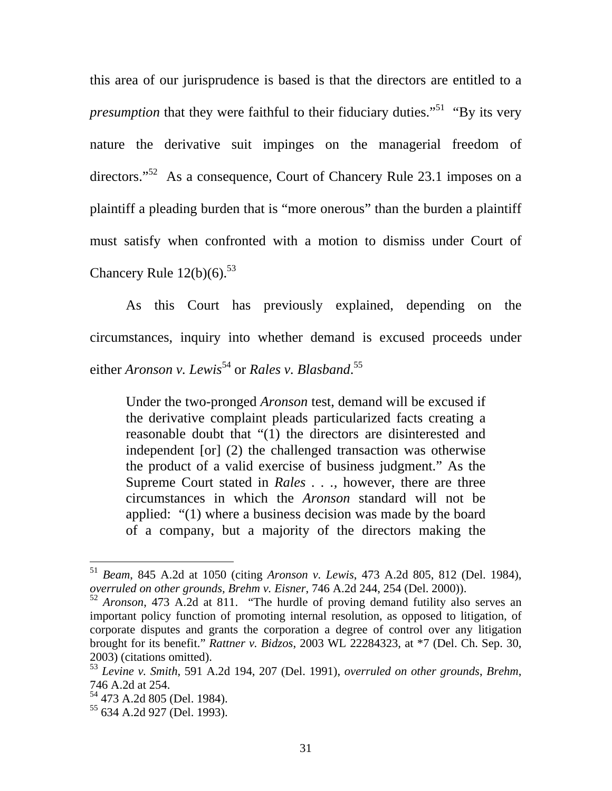this area of our jurisprudence is based is that the directors are entitled to a *presumption* that they were faithful to their fiduciary duties."<sup>51</sup> "By its very nature the derivative suit impinges on the managerial freedom of directors."<sup>52</sup> As a consequence, Court of Chancery Rule 23.1 imposes on a plaintiff a pleading burden that is "more onerous" than the burden a plaintiff must satisfy when confronted with a motion to dismiss under Court of Chancery Rule  $12(b)(6)$ .<sup>53</sup>

As this Court has previously explained, depending on the circumstances, inquiry into whether demand is excused proceeds under either *Aronson v. Lewis*<sup>54</sup> or *Rales v. Blasband*.<sup>55</sup>

Under the two-pronged *Aronson* test, demand will be excused if the derivative complaint pleads particularized facts creating a reasonable doubt that "(1) the directors are disinterested and independent [or] (2) the challenged transaction was otherwise the product of a valid exercise of business judgment." As the Supreme Court stated in *Rales . . .,* however, there are three circumstances in which the *Aronson* standard will not be applied: "(1) where a business decision was made by the board of a company, but a majority of the directors making the

<sup>51</sup> *Beam*, 845 A.2d at 1050 (citing *Aronson v. Lewis*, 473 A.2d 805, 812 (Del. 1984), *overruled on other grounds, Brehm v. Eisner*, 746 A.2d 244, 254 (Del. 2000)).

<sup>52</sup> *Aronson*, 473 A.2d at 811. "The hurdle of proving demand futility also serves an important policy function of promoting internal resolution, as opposed to litigation, of corporate disputes and grants the corporation a degree of control over any litigation brought for its benefit." *Rattner v. Bidzos*, 2003 WL 22284323, at \*7 (Del. Ch. Sep. 30, 2003) (citations omitted).

<sup>53</sup> *Levine v. Smith*, 591 A.2d 194, 207 (Del. 1991), *overruled on other grounds*, *Brehm*, 746 A.2d at 254.

<sup>54 473</sup> A.2d 805 (Del. 1984).

<sup>55 634</sup> A.2d 927 (Del. 1993).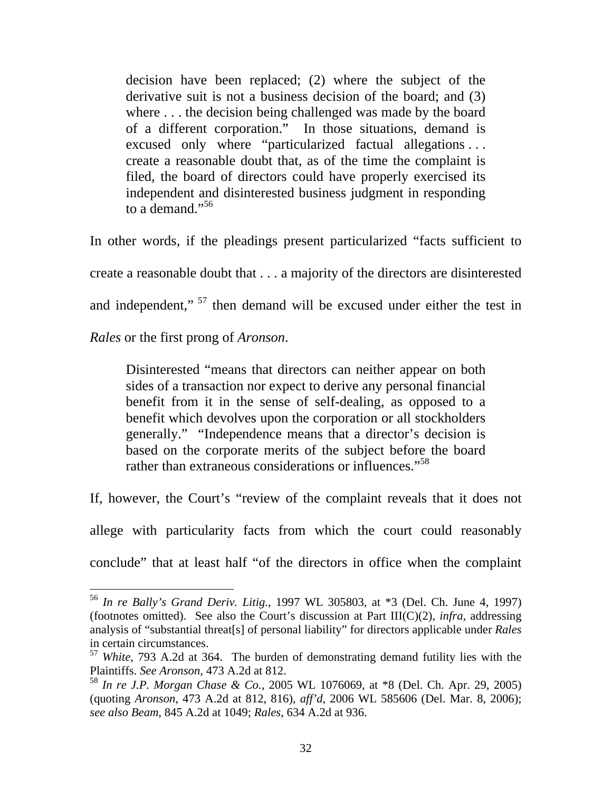decision have been replaced; (2) where the subject of the derivative suit is not a business decision of the board; and (3) where . . . the decision being challenged was made by the board of a different corporation." In those situations, demand is excused only where "particularized factual allegations . . . create a reasonable doubt that, as of the time the complaint is filed, the board of directors could have properly exercised its independent and disinterested business judgment in responding to a demand."<sup>56</sup>

In other words, if the pleadings present particularized "facts sufficient to create a reasonable doubt that . . . a majority of the directors are disinterested and independent,"<sup>57</sup> then demand will be excused under either the test in

*Rales* or the first prong of *Aronson*.

 $\overline{a}$ 

Disinterested "means that directors can neither appear on both sides of a transaction nor expect to derive any personal financial benefit from it in the sense of self-dealing, as opposed to a benefit which devolves upon the corporation or all stockholders generally." "Independence means that a director's decision is based on the corporate merits of the subject before the board rather than extraneous considerations or influences."<sup>58</sup>

If, however, the Court's "review of the complaint reveals that it does not

allege with particularity facts from which the court could reasonably

conclude" that at least half "of the directors in office when the complaint

<sup>56</sup> *In re Bally's Grand Deriv. Litig.*, 1997 WL 305803, at \*3 (Del. Ch. June 4, 1997) (footnotes omitted). See also the Court's discussion at Part III(C)(2), *infra*, addressing analysis of "substantial threat[s] of personal liability" for directors applicable under *Rales*  in certain circumstances.

<sup>57</sup> *White*, 793 A.2d at 364. The burden of demonstrating demand futility lies with the Plaintiffs. *See Aronson*, 473 A.2d at 812.

<sup>58</sup> *In re J.P. Morgan Chase & Co.*, 2005 WL 1076069, at \*8 (Del. Ch. Apr. 29, 2005) (quoting *Aronson*, 473 A.2d at 812, 816), *aff'd*, 2006 WL 585606 (Del. Mar. 8, 2006); *see also Beam*, 845 A.2d at 1049; *Rales*, 634 A.2d at 936.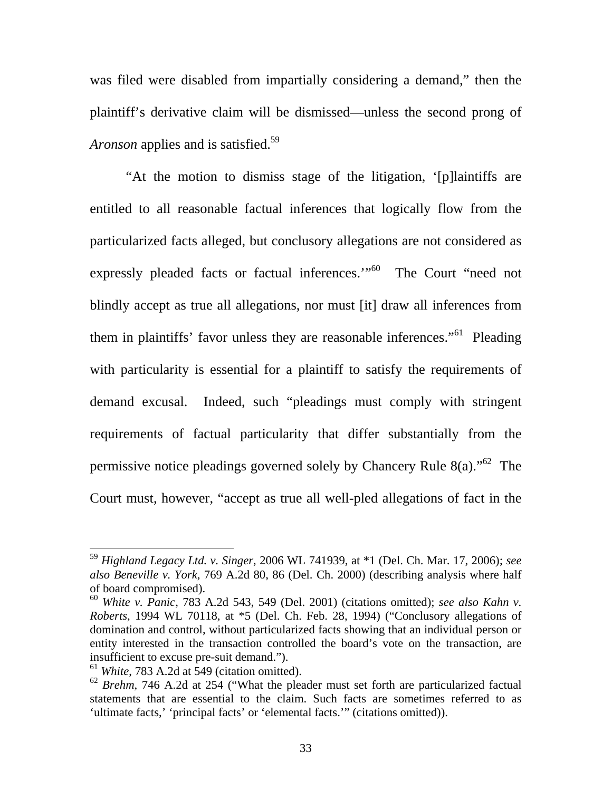was filed were disabled from impartially considering a demand," then the plaintiff's derivative claim will be dismissed—unless the second prong of *Aronson* applies and is satisfied.<sup>59</sup>

"At the motion to dismiss stage of the litigation, '[p]laintiffs are entitled to all reasonable factual inferences that logically flow from the particularized facts alleged, but conclusory allegations are not considered as expressly pleaded facts or factual inferences."<sup>60</sup> The Court "need not blindly accept as true all allegations, nor must [it] draw all inferences from them in plaintiffs' favor unless they are reasonable inferences."<sup>61</sup> Pleading with particularity is essential for a plaintiff to satisfy the requirements of demand excusal. Indeed, such "pleadings must comply with stringent requirements of factual particularity that differ substantially from the permissive notice pleadings governed solely by Chancery Rule  $8(a)$ .<sup>562</sup> The Court must, however, "accept as true all well-pled allegations of fact in the

<sup>59</sup> *Highland Legacy Ltd. v. Singer*, 2006 WL 741939, at \*1 (Del. Ch. Mar. 17, 2006); *see also Beneville v. York*, 769 A.2d 80, 86 (Del. Ch. 2000) (describing analysis where half of board compromised).

<sup>60</sup> *White v. Panic*, 783 A.2d 543, 549 (Del. 2001) (citations omitted); *see also Kahn v. Roberts*, 1994 WL 70118, at \*5 (Del. Ch. Feb. 28, 1994) ("Conclusory allegations of domination and control, without particularized facts showing that an individual person or entity interested in the transaction controlled the board's vote on the transaction, are insufficient to excuse pre-suit demand.").

<sup>61</sup> *White*, 783 A.2d at 549 (citation omitted).

<sup>62</sup> *Brehm*, 746 A.2d at 254 ("What the pleader must set forth are particularized factual statements that are essential to the claim. Such facts are sometimes referred to as 'ultimate facts,' 'principal facts' or 'elemental facts.'" (citations omitted)).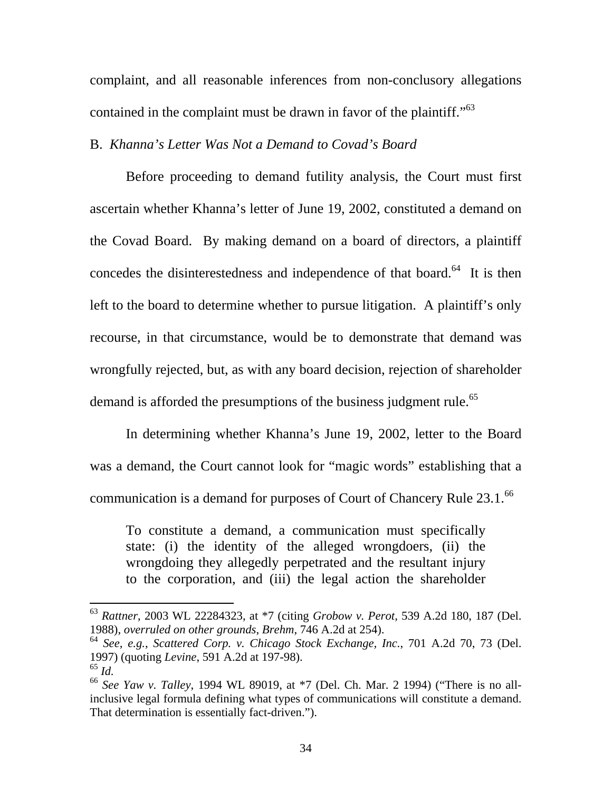complaint, and all reasonable inferences from non-conclusory allegations contained in the complaint must be drawn in favor of the plaintiff."<sup>63</sup>

### B. *Khanna's Letter Was Not a Demand to Covad's Board*

 Before proceeding to demand futility analysis, the Court must first ascertain whether Khanna's letter of June 19, 2002, constituted a demand on the Covad Board. By making demand on a board of directors, a plaintiff concedes the disinterestedness and independence of that board. $64$  It is then left to the board to determine whether to pursue litigation. A plaintiff's only recourse, in that circumstance, would be to demonstrate that demand was wrongfully rejected, but, as with any board decision, rejection of shareholder demand is afforded the presumptions of the business judgment rule.<sup>65</sup>

In determining whether Khanna's June 19, 2002, letter to the Board was a demand, the Court cannot look for "magic words" establishing that a communication is a demand for purposes of Court of Chancery Rule 23.1.<sup>66</sup>

To constitute a demand, a communication must specifically state: (i) the identity of the alleged wrongdoers, (ii) the wrongdoing they allegedly perpetrated and the resultant injury to the corporation, and (iii) the legal action the shareholder

<sup>63</sup> *Rattner*, 2003 WL 22284323, at \*7 (citing *Grobow v. Perot*, 539 A.2d 180, 187 (Del. 1988), *overruled on other grounds*, *Brehm*, 746 A.2d at 254).

<sup>64</sup> *See, e.g.*, *Scattered Corp. v. Chicago Stock Exchange, Inc.*, 701 A.2d 70, 73 (Del. 1997) (quoting *Levine*, 591 A.2d at 197-98).

<sup>65</sup> *Id.*<sup>66</sup> *See Yaw v. Talley*, 1994 WL 89019, at \*7 (Del. Ch. Mar. 2 1994) ("There is no allinclusive legal formula defining what types of communications will constitute a demand. That determination is essentially fact-driven.").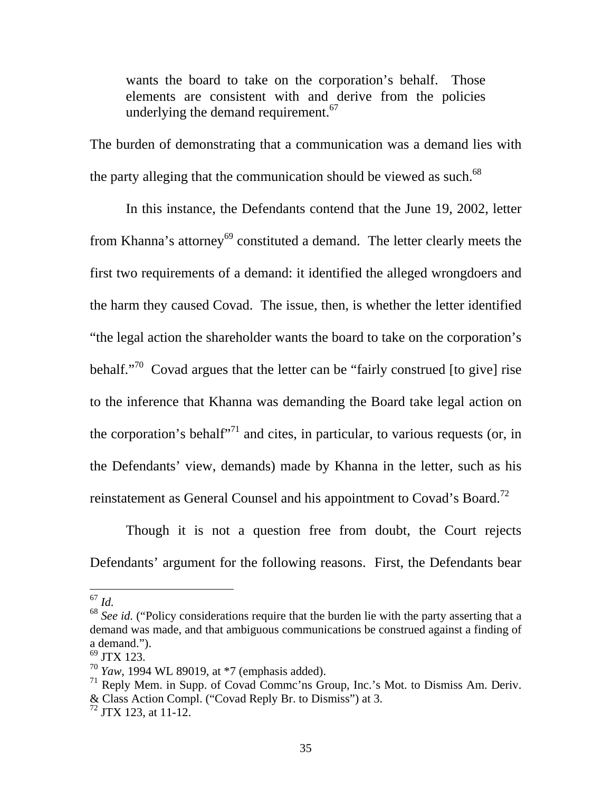wants the board to take on the corporation's behalf. Those elements are consistent with and derive from the policies underlying the demand requirement.  $67$ 

The burden of demonstrating that a communication was a demand lies with the party alleging that the communication should be viewed as such.<sup>68</sup>

In this instance, the Defendants contend that the June 19, 2002, letter from Khanna's attorney<sup>69</sup> constituted a demand. The letter clearly meets the first two requirements of a demand: it identified the alleged wrongdoers and the harm they caused Covad. The issue, then, is whether the letter identified "the legal action the shareholder wants the board to take on the corporation's behalf."<sup>70</sup> Covad argues that the letter can be "fairly construed [to give] rise to the inference that Khanna was demanding the Board take legal action on the corporation's behalf<sup> $271$ </sup> and cites, in particular, to various requests (or, in the Defendants' view, demands) made by Khanna in the letter, such as his reinstatement as General Counsel and his appointment to Covad's Board.<sup>72</sup>

Though it is not a question free from doubt, the Court rejects Defendants' argument for the following reasons. First, the Defendants bear

<sup>67</sup> *Id.*

<sup>&</sup>lt;sup>68</sup> See id. ("Policy considerations require that the burden lie with the party asserting that a demand was made, and that ambiguous communications be construed against a finding of a demand.").

<sup>69</sup> JTX 123.

<sup>70</sup> *Yaw*, 1994 WL 89019, at \*7 (emphasis added).

 $71$  Reply Mem. in Supp. of Covad Comme'ns Group, Inc.'s Mot. to Dismiss Am. Deriv. & Class Action Compl. ("Covad Reply Br. to Dismiss") at 3.

<sup>72</sup> JTX 123, at 11-12.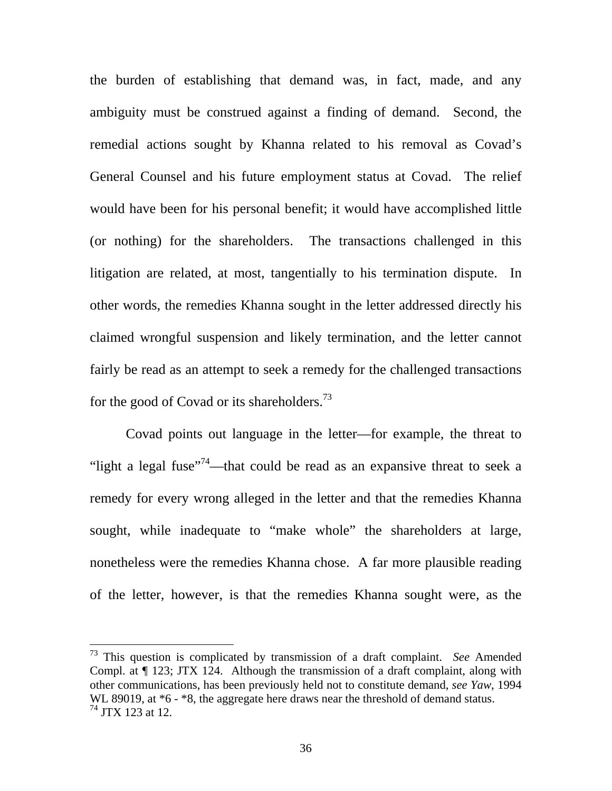the burden of establishing that demand was, in fact, made, and any ambiguity must be construed against a finding of demand. Second, the remedial actions sought by Khanna related to his removal as Covad's General Counsel and his future employment status at Covad. The relief would have been for his personal benefit; it would have accomplished little (or nothing) for the shareholders. The transactions challenged in this litigation are related, at most, tangentially to his termination dispute. In other words, the remedies Khanna sought in the letter addressed directly his claimed wrongful suspension and likely termination, and the letter cannot fairly be read as an attempt to seek a remedy for the challenged transactions for the good of Covad or its shareholders.<sup>73</sup>

Covad points out language in the letter—for example, the threat to "light a legal fuse"<sup>74</sup>—that could be read as an expansive threat to seek a remedy for every wrong alleged in the letter and that the remedies Khanna sought, while inadequate to "make whole" the shareholders at large, nonetheless were the remedies Khanna chose. A far more plausible reading of the letter, however, is that the remedies Khanna sought were, as the

<sup>73</sup> This question is complicated by transmission of a draft complaint. *See* Amended Compl. at ¶ 123; JTX 124. Although the transmission of a draft complaint, along with other communications, has been previously held not to constitute demand, *see Yaw*, 1994 WL 89019, at  $*6 - *8$ , the aggregate here draws near the threshold of demand status. 74 JTX 123 at 12.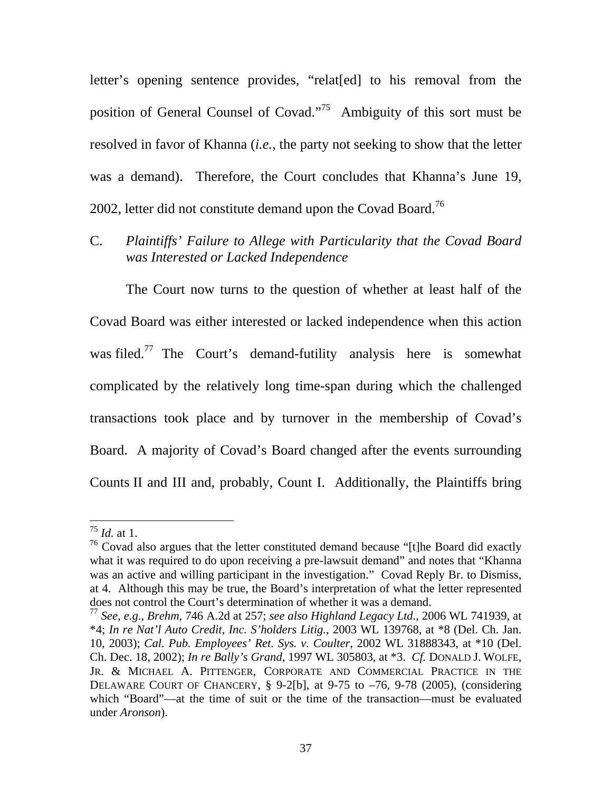letter's opening sentence provides, "relat[ed] to his removal from the position of General Counsel of Covad."75 Ambiguity of this sort must be resolved in favor of Khanna (*i.e.*, the party not seeking to show that the letter was a demand). Therefore, the Court concludes that Khanna's June 19, 2002, letter did not constitute demand upon the Covad Board.<sup>76</sup>

C. *Plaintiffs' Failure to Allege with Particularity that the Covad Board was Interested or Lacked Independence* 

The Court now turns to the question of whether at least half of the Covad Board was either interested or lacked independence when this action was filed.<sup>77</sup> The Court's demand-futility analysis here is somewhat complicated by the relatively long time-span during which the challenged transactions took place and by turnover in the membership of Covad's Board. A majority of Covad's Board changed after the events surrounding Counts II and III and, probably, Count I. Additionally, the Plaintiffs bring

<sup>75</sup> *Id.* at 1.

 $76$  Covad also argues that the letter constituted demand because "[t]he Board did exactly what it was required to do upon receiving a pre-lawsuit demand" and notes that "Khanna was an active and willing participant in the investigation." Covad Reply Br. to Dismiss, at 4. Although this may be true, the Board's interpretation of what the letter represented does not control the Court's determination of whether it was a demand.

<sup>77</sup> *See, e.g.*, *Brehm*, 746 A.2d at 257; *see also Highland Legacy Ltd.*, 2006 WL 741939, at \*4; *In re Nat'l Auto Credit, Inc. S'holders Litig.*, 2003 WL 139768, at \*8 (Del. Ch. Jan. 10, 2003); *Cal. Pub. Employees' Ret. Sys. v. Coulter*, 2002 WL 31888343, at \*10 (Del. Ch. Dec. 18, 2002); *In re Bally's Grand*, 1997 WL 305803, at \*3. *Cf.* DONALD J. WOLFE, JR. & MICHAEL A. PITTENGER, CORPORATE AND COMMERCIAL PRACTICE IN THE DELAWARE COURT OF CHANCERY, § 9-2[b], at 9-75 to –76, 9-78 (2005), (considering which "Board"—at the time of suit or the time of the transaction—must be evaluated under *Aronson*).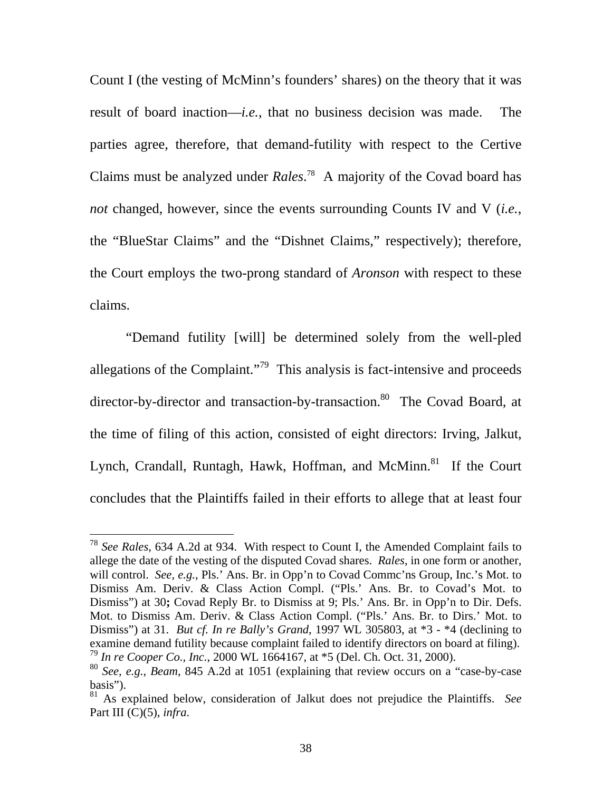Count I (the vesting of McMinn's founders' shares) on the theory that it was result of board inaction—*i.e.*, that no business decision was made. The parties agree, therefore, that demand-futility with respect to the Certive Claims must be analyzed under *Rales*. 78 A majority of the Covad board has *not* changed, however, since the events surrounding Counts IV and V (*i.e.*, the "BlueStar Claims" and the "Dishnet Claims," respectively); therefore, the Court employs the two-prong standard of *Aronson* with respect to these claims.

 "Demand futility [will] be determined solely from the well-pled allegations of the Complaint."<sup>79</sup> This analysis is fact-intensive and proceeds director-by-director and transaction-by-transaction.<sup>80</sup> The Covad Board, at the time of filing of this action, consisted of eight directors: Irving, Jalkut, Lynch, Crandall, Runtagh, Hawk, Hoffman, and McMinn.<sup>81</sup> If the Court concludes that the Plaintiffs failed in their efforts to allege that at least four

<sup>78</sup> *See Rales*, 634 A.2d at 934. With respect to Count I, the Amended Complaint fails to allege the date of the vesting of the disputed Covad shares. *Rales*, in one form or another, will control. *See, e.g.*, Pls.' Ans. Br. in Opp'n to Covad Commc'ns Group, Inc.'s Mot. to Dismiss Am. Deriv. & Class Action Compl. ("Pls.' Ans. Br. to Covad's Mot. to Dismiss") at 30**;** Covad Reply Br. to Dismiss at 9; Pls.' Ans. Br. in Opp'n to Dir. Defs. Mot. to Dismiss Am. Deriv. & Class Action Compl. ("Pls.' Ans. Br. to Dirs.' Mot. to Dismiss") at 31. *But cf. In re Bally's Grand*, 1997 WL 305803, at \*3 - \*4 (declining to examine demand futility because complaint failed to identify directors on board at filing). <sup>79</sup> *In re Cooper Co., Inc.*, 2000 WL 1664167, at \*5 (Del. Ch. Oct. 31, 2000).

<sup>80</sup> *See, e.g.*, *Beam*, 845 A.2d at 1051 (explaining that review occurs on a "case-by-case basis").

<sup>81</sup> As explained below, consideration of Jalkut does not prejudice the Plaintiffs. *See* Part III (C)(5), *infra*.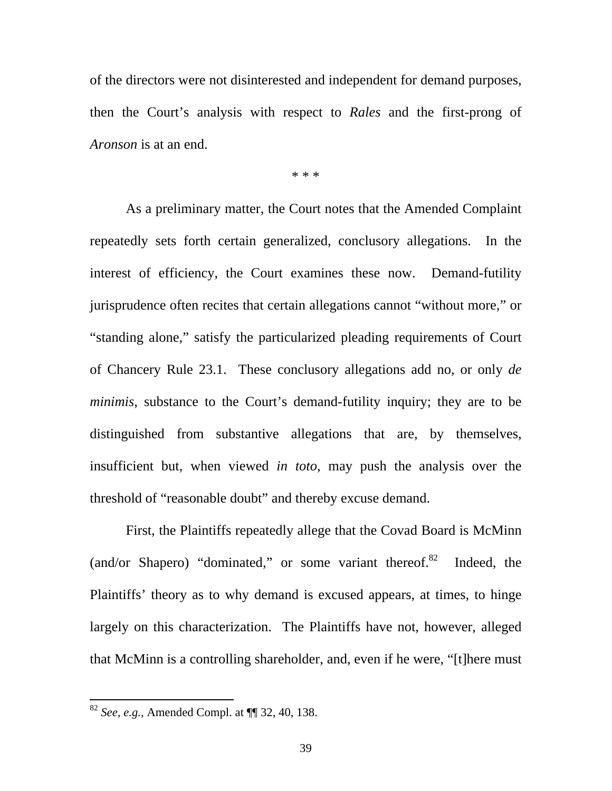of the directors were not disinterested and independent for demand purposes, then the Court's analysis with respect to *Rales* and the first-prong of *Aronson* is at an end.

\* \* \*

As a preliminary matter, the Court notes that the Amended Complaint repeatedly sets forth certain generalized, conclusory allegations. In the interest of efficiency, the Court examines these now. Demand-futility jurisprudence often recites that certain allegations cannot "without more," or "standing alone," satisfy the particularized pleading requirements of Court of Chancery Rule 23.1. These conclusory allegations add no, or only *de minimis*, substance to the Court's demand-futility inquiry; they are to be distinguished from substantive allegations that are, by themselves, insufficient but, when viewed *in toto*, may push the analysis over the threshold of "reasonable doubt" and thereby excuse demand.

First, the Plaintiffs repeatedly allege that the Covad Board is McMinn (and/or Shapero) "dominated," or some variant thereof. $82$  Indeed, the Plaintiffs' theory as to why demand is excused appears, at times, to hinge largely on this characterization. The Plaintiffs have not, however, alleged that McMinn is a controlling shareholder, and, even if he were, "[t]here must

<sup>82</sup> *See, e.g.*, Amended Compl. at ¶¶ 32, 40, 138.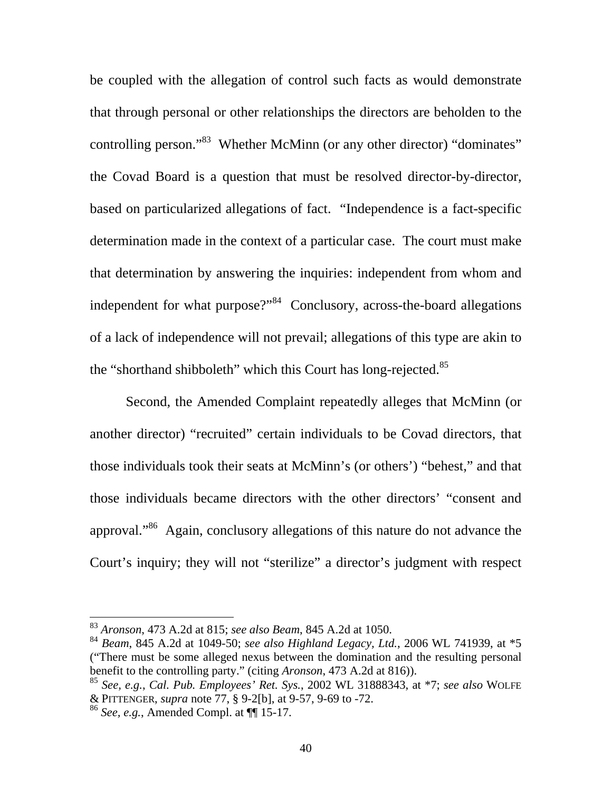be coupled with the allegation of control such facts as would demonstrate that through personal or other relationships the directors are beholden to the controlling person."<sup>83</sup> Whether McMinn (or any other director) "dominates" the Covad Board is a question that must be resolved director-by-director, based on particularized allegations of fact. "Independence is a fact-specific determination made in the context of a particular case. The court must make that determination by answering the inquiries: independent from whom and independent for what purpose?"<sup>84</sup> Conclusory, across-the-board allegations of a lack of independence will not prevail; allegations of this type are akin to the "shorthand shibboleth" which this Court has long-rejected.<sup>85</sup>

Second, the Amended Complaint repeatedly alleges that McMinn (or another director) "recruited" certain individuals to be Covad directors, that those individuals took their seats at McMinn's (or others') "behest," and that those individuals became directors with the other directors' "consent and approval."86 Again, conclusory allegations of this nature do not advance the Court's inquiry; they will not "sterilize" a director's judgment with respect

<sup>83</sup> *Aronson*, 473 A.2d at 815; *see also Beam*, 845 A.2d at 1050.

<sup>84</sup> *Beam*, 845 A.2d at 1049-50; *see also Highland Legacy, Ltd.*, 2006 WL 741939, at \*5 ("There must be some alleged nexus between the domination and the resulting personal benefit to the controlling party." (citing *Aronson*, 473 A.2d at 816)).

<sup>85</sup> *See, e.g.*, *Cal. Pub. Employees' Ret. Sys.*, 2002 WL 31888343, at \*7; *see also* WOLFE & PITTENGER, *supra* note 77, § 9-2[b], at 9-57, 9-69 to -72.

<sup>86</sup> *See, e.g.*, Amended Compl. at ¶¶ 15-17.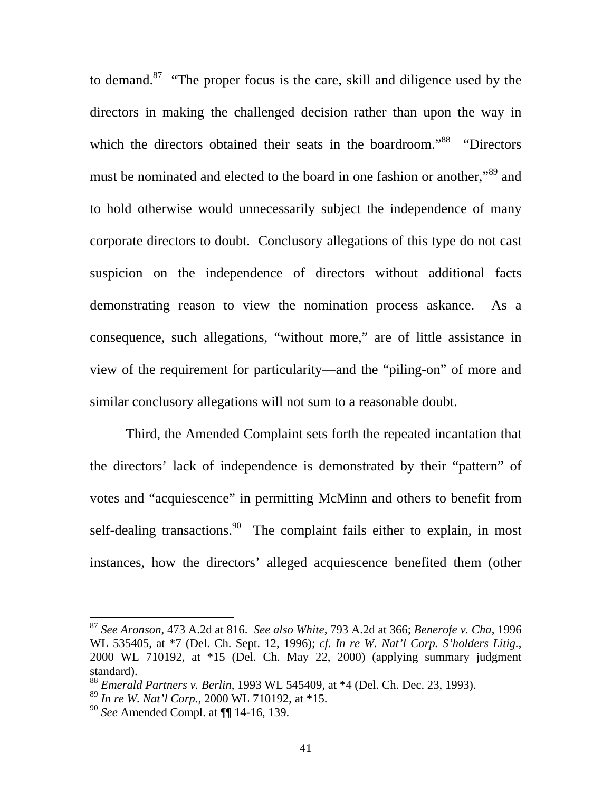to demand.<sup>87</sup> "The proper focus is the care, skill and diligence used by the directors in making the challenged decision rather than upon the way in which the directors obtained their seats in the boardroom.<sup>88</sup> "Directors" must be nominated and elected to the board in one fashion or another,"<sup>89</sup> and to hold otherwise would unnecessarily subject the independence of many corporate directors to doubt. Conclusory allegations of this type do not cast suspicion on the independence of directors without additional facts demonstrating reason to view the nomination process askance. As a consequence, such allegations, "without more," are of little assistance in view of the requirement for particularity—and the "piling-on" of more and similar conclusory allegations will not sum to a reasonable doubt.

Third, the Amended Complaint sets forth the repeated incantation that the directors' lack of independence is demonstrated by their "pattern" of votes and "acquiescence" in permitting McMinn and others to benefit from self-dealing transactions.<sup>90</sup> The complaint fails either to explain, in most instances, how the directors' alleged acquiescence benefited them (other

<sup>87</sup> *See Aronson*, 473 A.2d at 816. *See also White*, 793 A.2d at 366; *Benerofe v. Cha*, 1996 WL 535405, at \*7 (Del. Ch. Sept. 12, 1996); *cf. In re W. Nat'l Corp. S'holders Litig.*, 2000 WL 710192, at \*15 (Del. Ch. May 22, 2000) (applying summary judgment standard).

<sup>88</sup> *Emerald Partners v. Berlin*, 1993 WL 545409, at \*4 (Del. Ch. Dec. 23, 1993).

<sup>89</sup> *In re W. Nat'l Corp.*, 2000 WL 710192, at \*15.

<sup>90</sup> *See* Amended Compl. at ¶¶ 14-16, 139.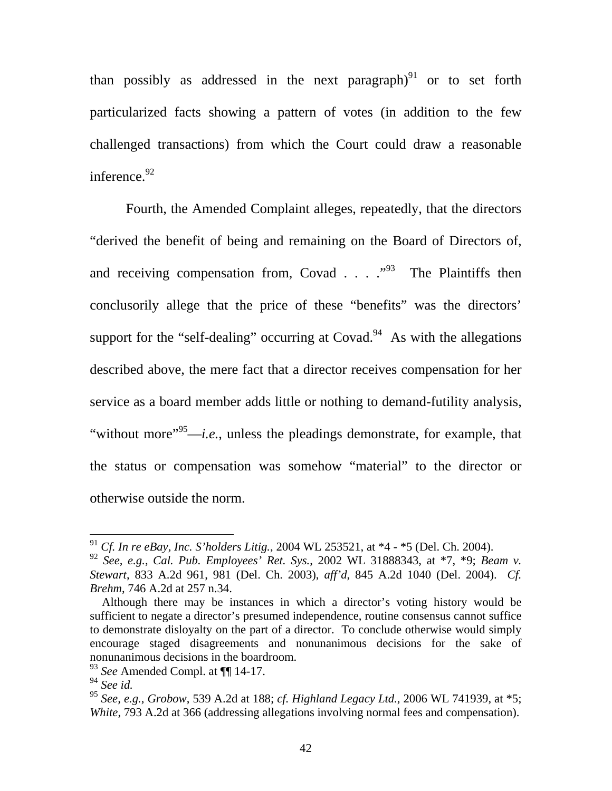than possibly as addressed in the next paragraph) $91$  or to set forth particularized facts showing a pattern of votes (in addition to the few challenged transactions) from which the Court could draw a reasonable inference.<sup>92</sup>

Fourth, the Amended Complaint alleges, repeatedly, that the directors "derived the benefit of being and remaining on the Board of Directors of, and receiving compensation from, Covad  $\ldots$   $\cdot$   $\cdot$   $\cdot$  The Plaintiffs then conclusorily allege that the price of these "benefits" was the directors' support for the "self-dealing" occurring at  $Covad<sup>94</sup>$  As with the allegations described above, the mere fact that a director receives compensation for her service as a board member adds little or nothing to demand-futility analysis, "without more"95—*i.e.*, unless the pleadings demonstrate, for example, that the status or compensation was somehow "material" to the director or otherwise outside the norm.

<sup>91</sup> *Cf. In re eBay, Inc. S'holders Litig.*, 2004 WL 253521, at \*4 - \*5 (Del. Ch. 2004).

<sup>92</sup> *See, e.g.*, *Cal. Pub. Employees' Ret. Sys.*, 2002 WL 31888343, at \*7, \*9; *Beam v. Stewart*, 833 A.2d 961, 981 (Del. Ch. 2003), *aff'd*, 845 A.2d 1040 (Del. 2004). *Cf. Brehm*, 746 A.2d at 257 n.34.

Although there may be instances in which a director's voting history would be sufficient to negate a director's presumed independence, routine consensus cannot suffice to demonstrate disloyalty on the part of a director. To conclude otherwise would simply encourage staged disagreements and nonunanimous decisions for the sake of nonunanimous decisions in the boardroom.

<sup>93</sup> *See* Amended Compl. at ¶¶ 14-17.

<sup>94</sup> *See id.*

<sup>95</sup> *See, e.g.*, *Grobow*, 539 A.2d at 188; *cf. Highland Legacy Ltd.*, 2006 WL 741939, at \*5; *White*, 793 A.2d at 366 (addressing allegations involving normal fees and compensation).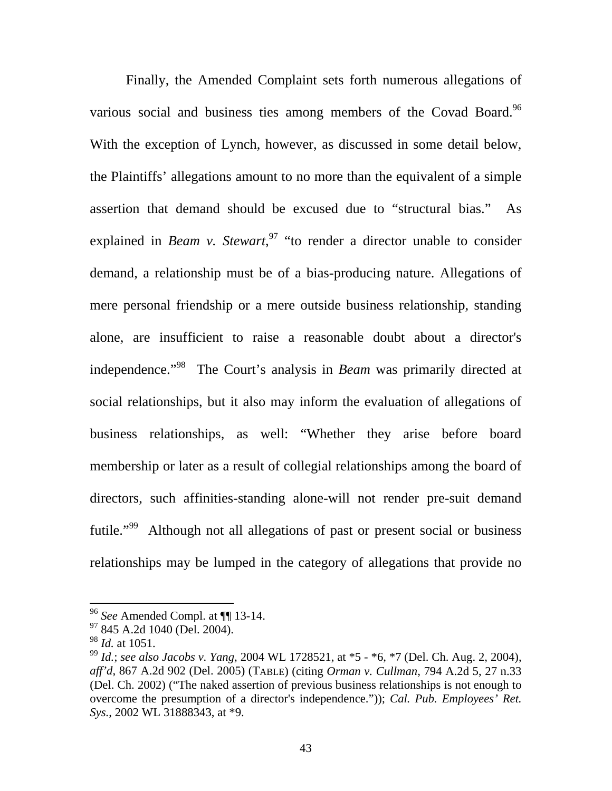Finally, the Amended Complaint sets forth numerous allegations of various social and business ties among members of the Covad Board.<sup>96</sup> With the exception of Lynch, however, as discussed in some detail below, the Plaintiffs' allegations amount to no more than the equivalent of a simple assertion that demand should be excused due to "structural bias." As explained in *Beam v. Stewart*,<sup>97</sup> "to render a director unable to consider demand, a relationship must be of a bias-producing nature. Allegations of mere personal friendship or a mere outside business relationship, standing alone, are insufficient to raise a reasonable doubt about a director's independence."98 The Court's analysis in *Beam* was primarily directed at social relationships, but it also may inform the evaluation of allegations of business relationships, as well: "Whether they arise before board membership or later as a result of collegial relationships among the board of directors, such affinities-standing alone-will not render pre-suit demand futile."<sup>99</sup> Although not all allegations of past or present social or business relationships may be lumped in the category of allegations that provide no

<sup>96</sup> *See* Amended Compl. at ¶¶ 13-14.

<sup>97 845</sup> A.2d 1040 (Del. 2004).

<sup>98</sup> *Id.* at 1051.

<sup>99</sup> *Id.*; *see also Jacobs v. Yang*, 2004 WL 1728521, at \*5 - \*6, \*7 (Del. Ch. Aug. 2, 2004), *aff'd*, 867 A.2d 902 (Del. 2005) (TABLE) (citing *Orman v. Cullman*, 794 A.2d 5, 27 n.33 (Del. Ch. 2002) ("The naked assertion of previous business relationships is not enough to overcome the presumption of a director's independence.")); *Cal. Pub. Employees' Ret. Sys.*, 2002 WL 31888343, at \*9.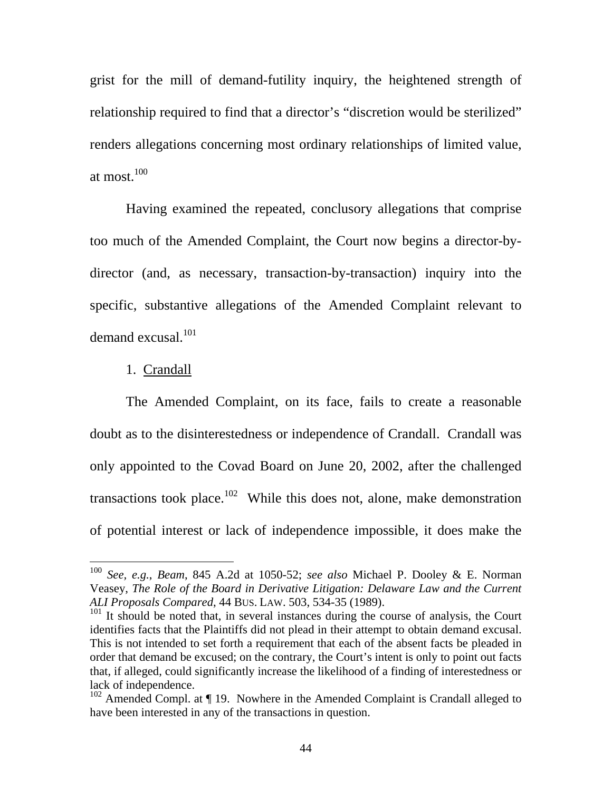grist for the mill of demand-futility inquiry, the heightened strength of relationship required to find that a director's "discretion would be sterilized" renders allegations concerning most ordinary relationships of limited value, at most.<sup>100</sup>

Having examined the repeated, conclusory allegations that comprise too much of the Amended Complaint, the Court now begins a director-bydirector (and, as necessary, transaction-by-transaction) inquiry into the specific, substantive allegations of the Amended Complaint relevant to demand excusal.<sup>101</sup>

### 1. Crandall

 $\overline{a}$ 

 The Amended Complaint, on its face, fails to create a reasonable doubt as to the disinterestedness or independence of Crandall. Crandall was only appointed to the Covad Board on June 20, 2002, after the challenged transactions took place.<sup>102</sup> While this does not, alone, make demonstration of potential interest or lack of independence impossible, it does make the

<sup>100</sup> *See, e.g.*, *Beam*, 845 A.2d at 1050-52; *see also* Michael P. Dooley & E. Norman Veasey, *The Role of the Board in Derivative Litigation: Delaware Law and the Current ALI Proposals Compared*, 44 BUS. LAW. 503, 534-35 (1989).

<sup>&</sup>lt;sup>101</sup> It should be noted that, in several instances during the course of analysis, the Court identifies facts that the Plaintiffs did not plead in their attempt to obtain demand excusal. This is not intended to set forth a requirement that each of the absent facts be pleaded in order that demand be excused; on the contrary, the Court's intent is only to point out facts that, if alleged, could significantly increase the likelihood of a finding of interestedness or lack of independence.

 $102$  Amended Compl. at  $\P$  19. Nowhere in the Amended Complaint is Crandall alleged to have been interested in any of the transactions in question.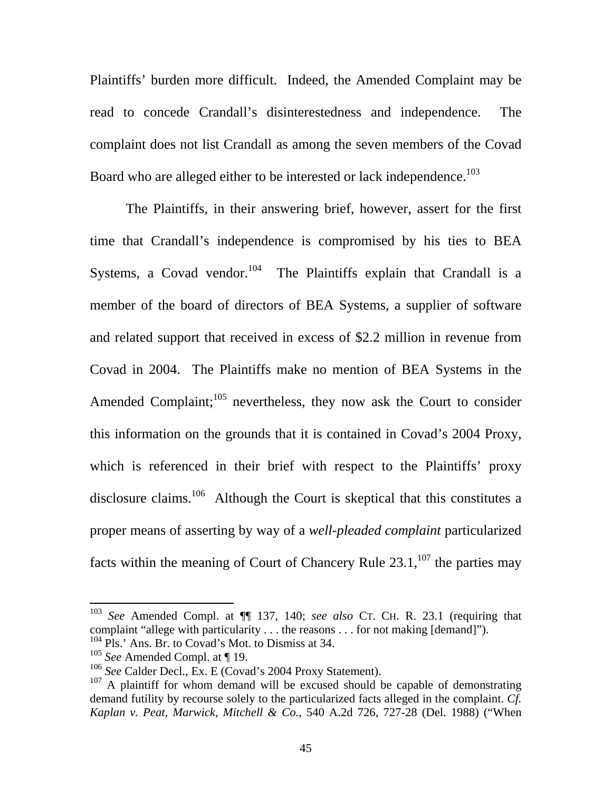Plaintiffs' burden more difficult. Indeed, the Amended Complaint may be read to concede Crandall's disinterestedness and independence. The complaint does not list Crandall as among the seven members of the Covad Board who are alleged either to be interested or lack independence.<sup>103</sup>

 The Plaintiffs, in their answering brief, however, assert for the first time that Crandall's independence is compromised by his ties to BEA Systems, a Covad vendor.<sup>104</sup> The Plaintiffs explain that Crandall is a member of the board of directors of BEA Systems, a supplier of software and related support that received in excess of \$2.2 million in revenue from Covad in 2004. The Plaintiffs make no mention of BEA Systems in the Amended Complaint; $^{105}$  nevertheless, they now ask the Court to consider this information on the grounds that it is contained in Covad's 2004 Proxy, which is referenced in their brief with respect to the Plaintiffs' proxy disclosure claims.<sup>106</sup> Although the Court is skeptical that this constitutes a proper means of asserting by way of a *well-pleaded complaint* particularized facts within the meaning of Court of Chancery Rule  $23.1$ ,  $107$  the parties may

<sup>103</sup> *See* Amended Compl. at ¶¶ 137, 140; *see also* CT. CH. R. 23.1 (requiring that complaint "allege with particularity . . . the reasons . . . for not making [demand]").

 $104$  Pls.' Ans. Br. to Covad's Mot. to Dismiss at 34.

<sup>105</sup> *See* Amended Compl. at ¶ 19.

<sup>106</sup> *See* Calder Decl., Ex. E (Covad's 2004 Proxy Statement).

<sup>&</sup>lt;sup>107</sup> A plaintiff for whom demand will be excused should be capable of demonstrating demand futility by recourse solely to the particularized facts alleged in the complaint. *Cf. Kaplan v. Peat, Marwick, Mitchell & Co.*, 540 A.2d 726, 727-28 (Del. 1988) ("When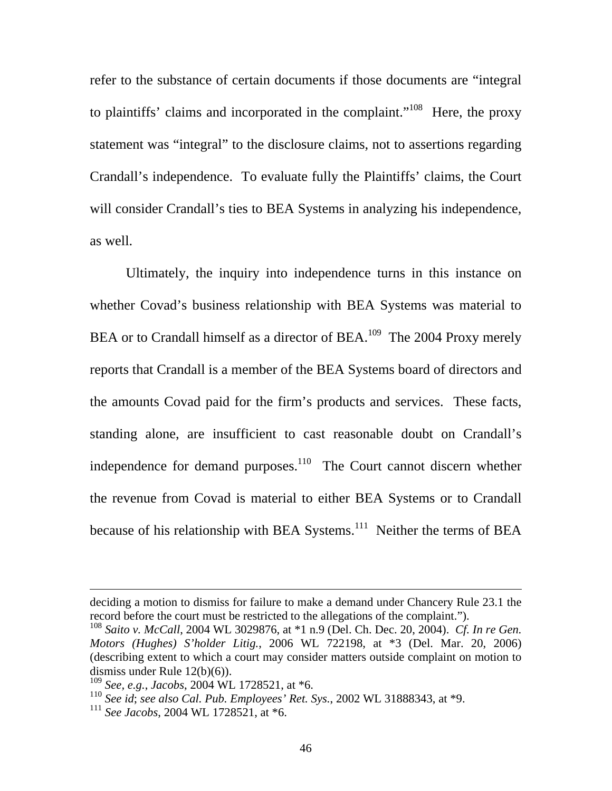refer to the substance of certain documents if those documents are "integral to plaintiffs' claims and incorporated in the complaint."108 Here, the proxy statement was "integral" to the disclosure claims, not to assertions regarding Crandall's independence. To evaluate fully the Plaintiffs' claims, the Court will consider Crandall's ties to BEA Systems in analyzing his independence, as well.

Ultimately, the inquiry into independence turns in this instance on whether Covad's business relationship with BEA Systems was material to BEA or to Crandall himself as a director of BEA.<sup>109</sup> The 2004 Proxy merely reports that Crandall is a member of the BEA Systems board of directors and the amounts Covad paid for the firm's products and services. These facts, standing alone, are insufficient to cast reasonable doubt on Crandall's independence for demand purposes.<sup>110</sup> The Court cannot discern whether the revenue from Covad is material to either BEA Systems or to Crandall because of his relationship with BEA Systems.<sup>111</sup> Neither the terms of BEA

deciding a motion to dismiss for failure to make a demand under Chancery Rule 23.1 the record before the court must be restricted to the allegations of the complaint.").

<sup>108</sup> *Saito v. McCall*, 2004 WL 3029876, at \*1 n.9 (Del. Ch. Dec. 20, 2004). *Cf. In re Gen. Motors (Hughes) S'holder Litig.*, 2006 WL 722198, at \*3 (Del. Mar. 20, 2006) (describing extent to which a court may consider matters outside complaint on motion to dismiss under Rule 12(b)(6)).

<sup>109</sup> *See, e.g.*, *Jacobs*, 2004 WL 1728521, at \*6.

<sup>110</sup> *See id*; *see also Cal. Pub. Employees' Ret. Sys.*, 2002 WL 31888343, at \*9.

<sup>111</sup> *See Jacobs*, 2004 WL 1728521, at \*6.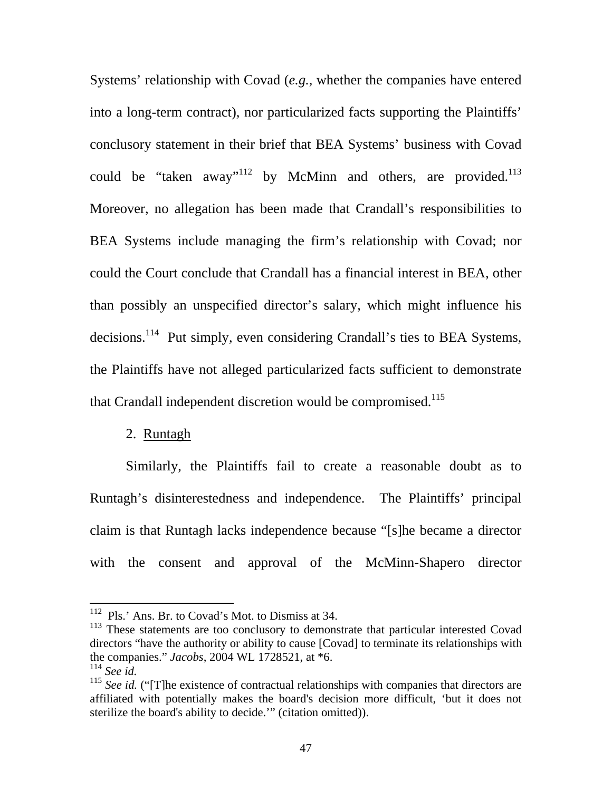Systems' relationship with Covad (*e.g.*, whether the companies have entered into a long-term contract), nor particularized facts supporting the Plaintiffs' conclusory statement in their brief that BEA Systems' business with Covad could be "taken away"<sup>112</sup> by McMinn and others, are provided.<sup>113</sup> Moreover, no allegation has been made that Crandall's responsibilities to BEA Systems include managing the firm's relationship with Covad; nor could the Court conclude that Crandall has a financial interest in BEA, other than possibly an unspecified director's salary, which might influence his decisions.<sup>114</sup> Put simply, even considering Crandall's ties to BEA Systems, the Plaintiffs have not alleged particularized facts sufficient to demonstrate that Crandall independent discretion would be compromised.<sup>115</sup>

# 2. Runtagh

Similarly, the Plaintiffs fail to create a reasonable doubt as to Runtagh's disinterestedness and independence. The Plaintiffs' principal claim is that Runtagh lacks independence because "[s]he became a director with the consent and approval of the McMinn-Shapero director

<sup>&</sup>lt;sup>112</sup> Pls.' Ans. Br. to Covad's Mot. to Dismiss at 34.

<sup>&</sup>lt;sup>113</sup> These statements are too conclusory to demonstrate that particular interested Covad directors "have the authority or ability to cause [Covad] to terminate its relationships with the companies." *Jacobs*, 2004 WL 1728521, at \*6.

<sup>&</sup>lt;sup>115</sup> *See id.* ("[T]he existence of contractual relationships with companies that directors are affiliated with potentially makes the board's decision more difficult, 'but it does not sterilize the board's ability to decide.'" (citation omitted)).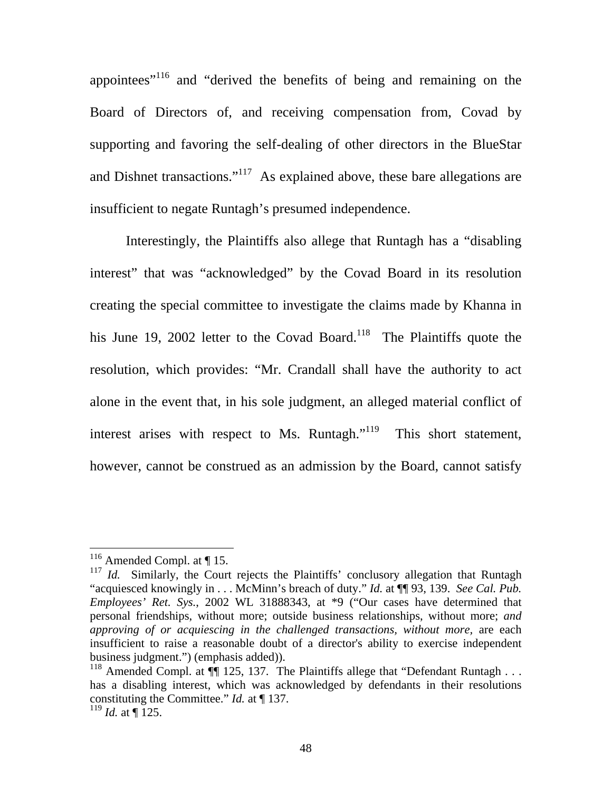appointees"116 and "derived the benefits of being and remaining on the Board of Directors of, and receiving compensation from, Covad by supporting and favoring the self-dealing of other directors in the BlueStar and Dishnet transactions."<sup>117</sup> As explained above, these bare allegations are insufficient to negate Runtagh's presumed independence.

 Interestingly, the Plaintiffs also allege that Runtagh has a "disabling interest" that was "acknowledged" by the Covad Board in its resolution creating the special committee to investigate the claims made by Khanna in his June 19, 2002 letter to the Covad Board.<sup>118</sup> The Plaintiffs quote the resolution, which provides: "Mr. Crandall shall have the authority to act alone in the event that, in his sole judgment, an alleged material conflict of interest arises with respect to Ms. Runtagh."<sup>119</sup> This short statement, however, cannot be construed as an admission by the Board, cannot satisfy

 $116$  Amended Compl. at  $\P$  15.

<sup>&</sup>lt;sup>117</sup> *Id.* Similarly, the Court rejects the Plaintiffs' conclusory allegation that Runtagh "acquiesced knowingly in . . . McMinn's breach of duty." *Id.* at ¶¶ 93, 139. *See Cal. Pub. Employees' Ret. Sys.*, 2002 WL 31888343, at \*9 ("Our cases have determined that personal friendships, without more; outside business relationships, without more; *and approving of or acquiescing in the challenged transactions, without more,* are each insufficient to raise a reasonable doubt of a director's ability to exercise independent business judgment.") (emphasis added)).

<sup>&</sup>lt;sup>118</sup> Amended Compl. at  $\P$  125, 137. The Plaintiffs allege that "Defendant Runtagh . . . has a disabling interest, which was acknowledged by defendants in their resolutions constituting the Committee." *Id.* at ¶ 137.

 $^{119}$  *Id.* at ¶ 125.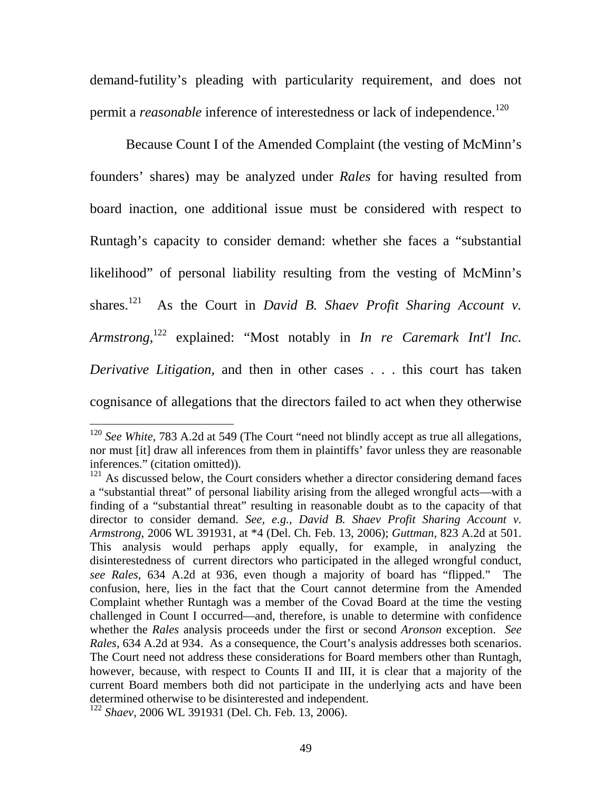demand-futility's pleading with particularity requirement, and does not permit a *reasonable* inference of interestedness or lack of independence.<sup>120</sup>

 Because Count I of the Amended Complaint (the vesting of McMinn's founders' shares) may be analyzed under *Rales* for having resulted from board inaction, one additional issue must be considered with respect to Runtagh's capacity to consider demand: whether she faces a "substantial likelihood" of personal liability resulting from the vesting of McMinn's shares.<sup>121</sup> As the Court in *David B. Shaev Profit Sharing Account v. Armstrong*, 122 explained: "Most notably in *In re Caremark Int'l Inc. Derivative Litigation,* and then in other cases . . . this court has taken cognisance of allegations that the directors failed to act when they otherwise

<sup>&</sup>lt;sup>120</sup> *See White*, 783 A.2d at 549 (The Court "need not blindly accept as true all allegations, nor must [it] draw all inferences from them in plaintiffs' favor unless they are reasonable inferences." (citation omitted)).

 $121$  As discussed below, the Court considers whether a director considering demand faces a "substantial threat" of personal liability arising from the alleged wrongful acts—with a finding of a "substantial threat" resulting in reasonable doubt as to the capacity of that director to consider demand. *See, e.g.*, *David B. Shaev Profit Sharing Account v. Armstrong*, 2006 WL 391931, at \*4 (Del. Ch. Feb. 13, 2006); *Guttman*, 823 A.2d at 501. This analysis would perhaps apply equally, for example, in analyzing the disinterestedness of current directors who participated in the alleged wrongful conduct, *see Rales*, 634 A.2d at 936, even though a majority of board has "flipped." The confusion, here, lies in the fact that the Court cannot determine from the Amended Complaint whether Runtagh was a member of the Covad Board at the time the vesting challenged in Count I occurred—and, therefore, is unable to determine with confidence whether the *Rales* analysis proceeds under the first or second *Aronson* exception. *See Rales*, 634 A.2d at 934. As a consequence, the Court's analysis addresses both scenarios. The Court need not address these considerations for Board members other than Runtagh, however, because, with respect to Counts II and III, it is clear that a majority of the current Board members both did not participate in the underlying acts and have been determined otherwise to be disinterested and independent.

<sup>122</sup> *Shaev*, 2006 WL 391931 (Del. Ch. Feb. 13, 2006).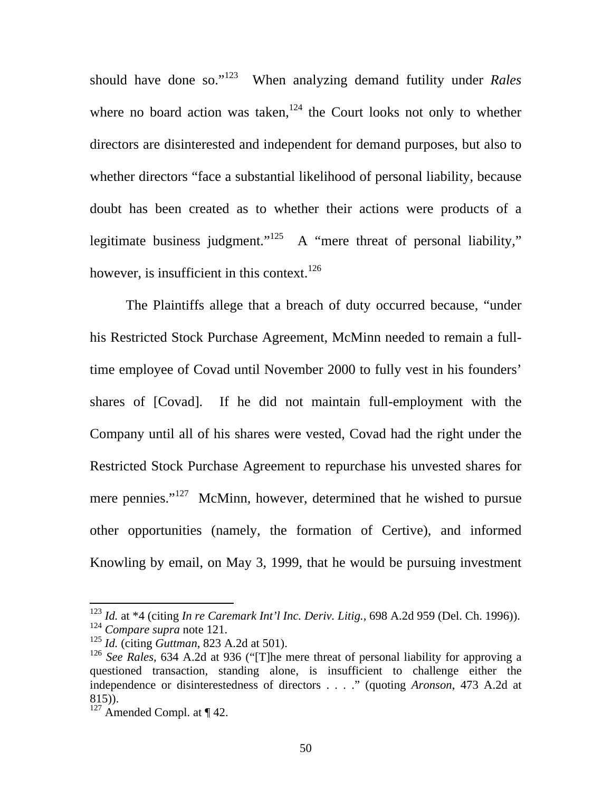should have done so."123 When analyzing demand futility under *Rales*  where no board action was taken,<sup>124</sup> the Court looks not only to whether directors are disinterested and independent for demand purposes, but also to whether directors "face a substantial likelihood of personal liability, because doubt has been created as to whether their actions were products of a legitimate business judgment."<sup>125</sup> A "mere threat of personal liability," however, is insufficient in this context.<sup>126</sup>

The Plaintiffs allege that a breach of duty occurred because, "under his Restricted Stock Purchase Agreement, McMinn needed to remain a fulltime employee of Covad until November 2000 to fully vest in his founders' shares of [Covad]. If he did not maintain full-employment with the Company until all of his shares were vested, Covad had the right under the Restricted Stock Purchase Agreement to repurchase his unvested shares for mere pennies."<sup>127</sup> McMinn, however, determined that he wished to pursue other opportunities (namely, the formation of Certive), and informed Knowling by email, on May 3, 1999, that he would be pursuing investment

<sup>123</sup> *Id.* at \*4 (citing *In re Caremark Int'l Inc. Deriv. Litig.*, 698 A.2d 959 (Del. Ch. 1996)). <sup>124</sup> *Compare supra* note 121.

<sup>125</sup> *Id.* (citing *Guttman*, 823 A.2d at 501).

<sup>126</sup> *See Rales*, 634 A.2d at 936 ("[T]he mere threat of personal liability for approving a questioned transaction, standing alone, is insufficient to challenge either the independence or disinterestedness of directors . . . ." (quoting *Aronson*, 473 A.2d at 815)).

 $127$  Amended Compl. at  $\P$  42.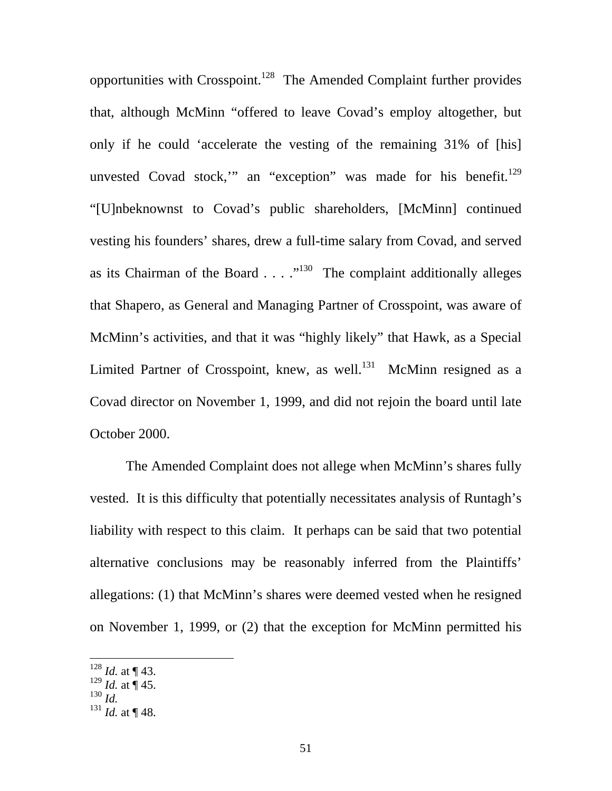opportunities with Crosspoint.<sup>128</sup> The Amended Complaint further provides that, although McMinn "offered to leave Covad's employ altogether, but only if he could 'accelerate the vesting of the remaining 31% of [his] unvested Covad stock," an "exception" was made for his benefit.<sup>129</sup> "[U]nbeknownst to Covad's public shareholders, [McMinn] continued vesting his founders' shares, drew a full-time salary from Covad, and served as its Chairman of the Board  $\dots$   $\cdot$ <sup>130</sup> The complaint additionally alleges that Shapero, as General and Managing Partner of Crosspoint, was aware of McMinn's activities, and that it was "highly likely" that Hawk, as a Special Limited Partner of Crosspoint, knew, as well.<sup>131</sup> McMinn resigned as a Covad director on November 1, 1999, and did not rejoin the board until late October 2000.

The Amended Complaint does not allege when McMinn's shares fully vested. It is this difficulty that potentially necessitates analysis of Runtagh's liability with respect to this claim. It perhaps can be said that two potential alternative conclusions may be reasonably inferred from the Plaintiffs' allegations: (1) that McMinn's shares were deemed vested when he resigned on November 1, 1999, or (2) that the exception for McMinn permitted his

 $128$  *Id.* at ¶ 43.

 $129$  *Id.* at  $\frac{1}{9}$  45.

 $^{130}$  *Id.* 

 $^{131}$  *Id.* at ¶ 48.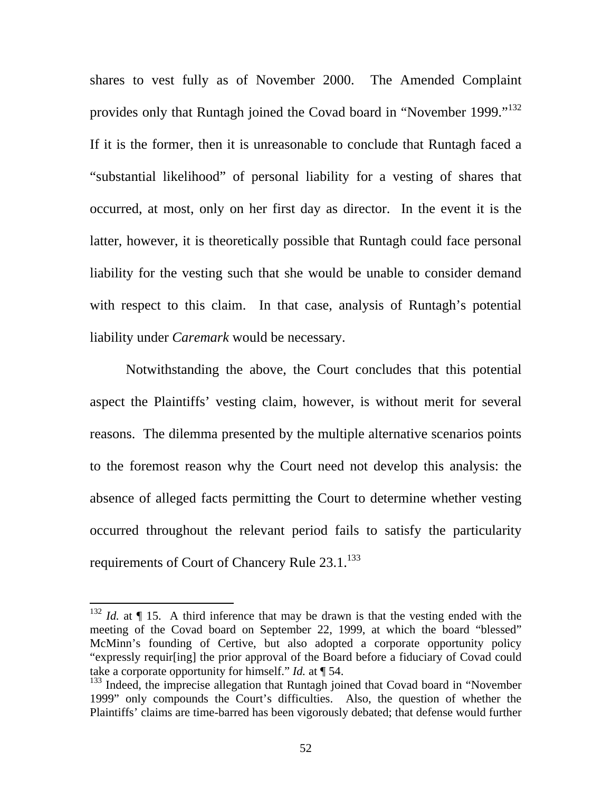shares to vest fully as of November 2000. The Amended Complaint provides only that Runtagh joined the Covad board in "November 1999."<sup>132</sup> If it is the former, then it is unreasonable to conclude that Runtagh faced a "substantial likelihood" of personal liability for a vesting of shares that occurred, at most, only on her first day as director. In the event it is the latter, however, it is theoretically possible that Runtagh could face personal liability for the vesting such that she would be unable to consider demand with respect to this claim. In that case, analysis of Runtagh's potential liability under *Caremark* would be necessary.

Notwithstanding the above, the Court concludes that this potential aspect the Plaintiffs' vesting claim, however, is without merit for several reasons. The dilemma presented by the multiple alternative scenarios points to the foremost reason why the Court need not develop this analysis: the absence of alleged facts permitting the Court to determine whether vesting occurred throughout the relevant period fails to satisfy the particularity requirements of Court of Chancery Rule 23.1.<sup>133</sup>

 $132$  *Id.* at  $\P$  15. A third inference that may be drawn is that the vesting ended with the meeting of the Covad board on September 22, 1999, at which the board "blessed" McMinn's founding of Certive, but also adopted a corporate opportunity policy "expressly requir[ing] the prior approval of the Board before a fiduciary of Covad could take a corporate opportunity for himself." *Id.* at ¶ 54.

<sup>&</sup>lt;sup>133</sup> Indeed, the imprecise allegation that Runtagh joined that Covad board in "November" 1999" only compounds the Court's difficulties. Also, the question of whether the Plaintiffs' claims are time-barred has been vigorously debated; that defense would further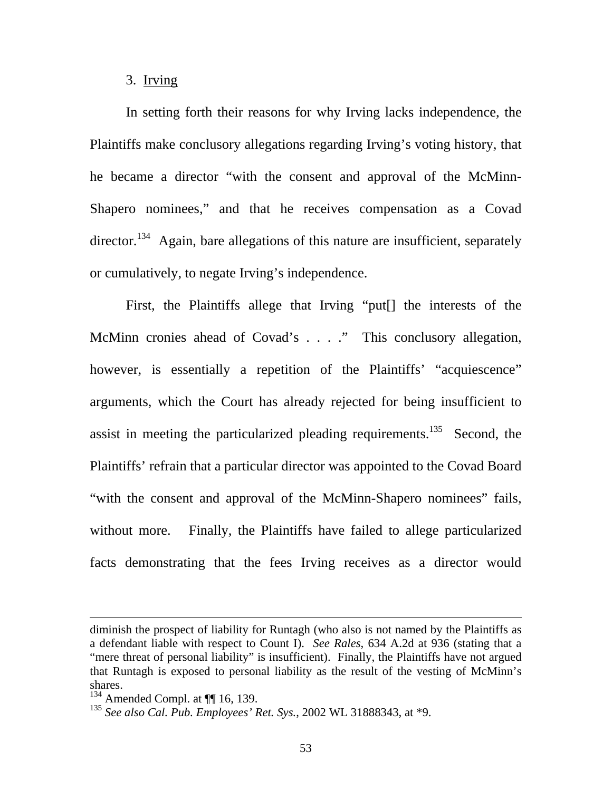## 3. Irving

In setting forth their reasons for why Irving lacks independence, the Plaintiffs make conclusory allegations regarding Irving's voting history, that he became a director "with the consent and approval of the McMinn-Shapero nominees," and that he receives compensation as a Covad director.<sup>134</sup> Again, bare allegations of this nature are insufficient, separately or cumulatively, to negate Irving's independence.

First, the Plaintiffs allege that Irving "put[] the interests of the McMinn cronies ahead of Covad's . . . ." This conclusory allegation, however, is essentially a repetition of the Plaintiffs' "acquiescence" arguments, which the Court has already rejected for being insufficient to assist in meeting the particularized pleading requirements.<sup>135</sup> Second, the Plaintiffs' refrain that a particular director was appointed to the Covad Board "with the consent and approval of the McMinn-Shapero nominees" fails, without more. Finally, the Plaintiffs have failed to allege particularized facts demonstrating that the fees Irving receives as a director would

diminish the prospect of liability for Runtagh (who also is not named by the Plaintiffs as a defendant liable with respect to Count I). *See Rales*, 634 A.2d at 936 (stating that a "mere threat of personal liability" is insufficient). Finally, the Plaintiffs have not argued that Runtagh is exposed to personal liability as the result of the vesting of McMinn's shares.

 $134$  Amended Compl. at  $\P$  16, 139.

<sup>135</sup> *See also Cal. Pub. Employees' Ret. Sys.*, 2002 WL 31888343, at \*9.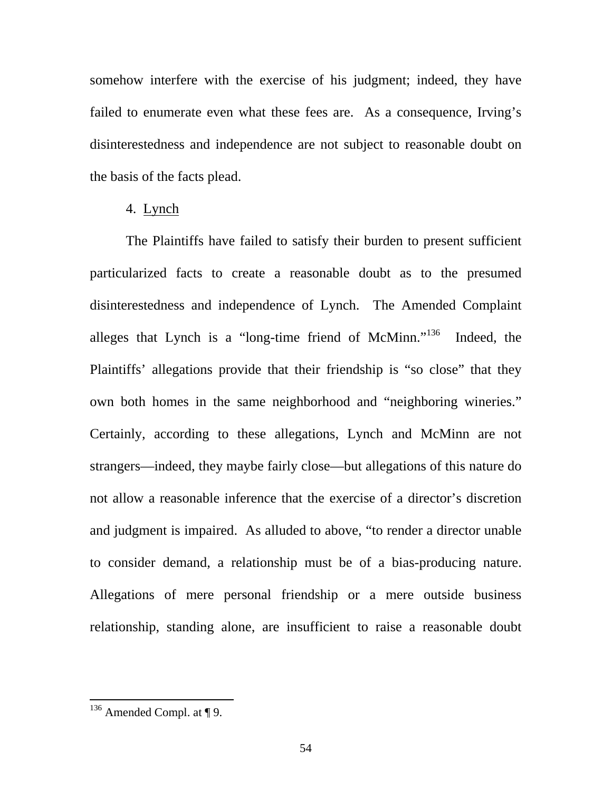somehow interfere with the exercise of his judgment; indeed, they have failed to enumerate even what these fees are. As a consequence, Irving's disinterestedness and independence are not subject to reasonable doubt on the basis of the facts plead.

4. Lynch

 The Plaintiffs have failed to satisfy their burden to present sufficient particularized facts to create a reasonable doubt as to the presumed disinterestedness and independence of Lynch. The Amended Complaint alleges that Lynch is a "long-time friend of McMinn."136 Indeed, the Plaintiffs' allegations provide that their friendship is "so close" that they own both homes in the same neighborhood and "neighboring wineries." Certainly, according to these allegations, Lynch and McMinn are not strangers—indeed, they maybe fairly close—but allegations of this nature do not allow a reasonable inference that the exercise of a director's discretion and judgment is impaired. As alluded to above, "to render a director unable to consider demand, a relationship must be of a bias-producing nature. Allegations of mere personal friendship or a mere outside business relationship, standing alone, are insufficient to raise a reasonable doubt

 $136$  Amended Compl. at ¶ 9.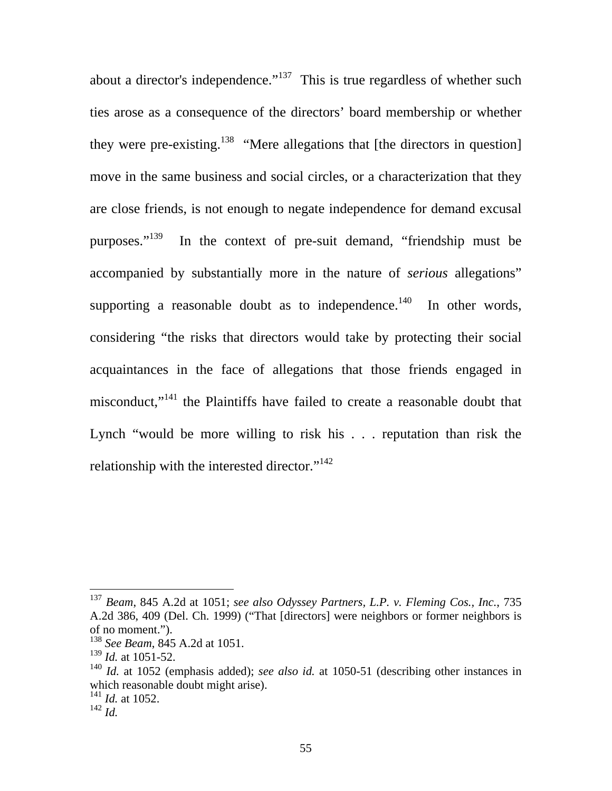about a director's independence."<sup>137</sup> This is true regardless of whether such ties arose as a consequence of the directors' board membership or whether they were pre-existing.<sup>138</sup> "Mere allegations that [the directors in question] move in the same business and social circles, or a characterization that they are close friends, is not enough to negate independence for demand excusal purposes."<sup>139</sup> In the context of pre-suit demand, "friendship must be accompanied by substantially more in the nature of *serious* allegations" supporting a reasonable doubt as to independence.<sup>140</sup> In other words, considering "the risks that directors would take by protecting their social acquaintances in the face of allegations that those friends engaged in misconduct,"141 the Plaintiffs have failed to create a reasonable doubt that Lynch "would be more willing to risk his . . . reputation than risk the relationship with the interested director."<sup>142</sup>

<sup>137</sup> *Beam*, 845 A.2d at 1051; *see also Odyssey Partners, L.P. v. Fleming Cos., Inc.*, 735 A.2d 386, 409 (Del. Ch. 1999) ("That [directors] were neighbors or former neighbors is of no moment.").

<sup>138</sup> *See Beam*, 845 A.2d at 1051.

<sup>139</sup> *Id.* at 1051-52.

<sup>140</sup> *Id.* at 1052 (emphasis added); *see also id.* at 1050-51 (describing other instances in which reasonable doubt might arise).

<sup>141</sup> *Id.* at 1052.

<sup>142</sup> *Id.*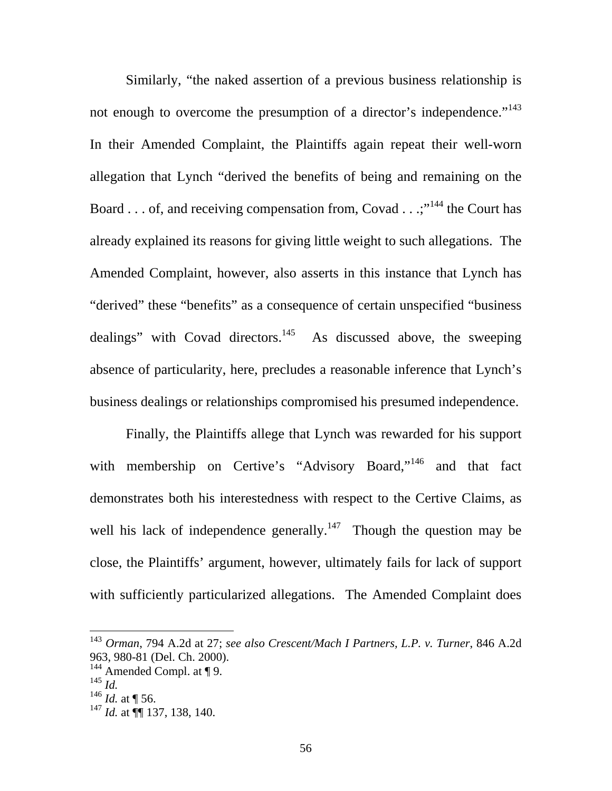Similarly, "the naked assertion of a previous business relationship is not enough to overcome the presumption of a director's independence."<sup>143</sup> In their Amended Complaint, the Plaintiffs again repeat their well-worn allegation that Lynch "derived the benefits of being and remaining on the Board . . . of, and receiving compensation from, Covad . . .;  $144$  the Court has already explained its reasons for giving little weight to such allegations. The Amended Complaint, however, also asserts in this instance that Lynch has "derived" these "benefits" as a consequence of certain unspecified "business dealings" with Covad directors.<sup>145</sup> As discussed above, the sweeping absence of particularity, here, precludes a reasonable inference that Lynch's business dealings or relationships compromised his presumed independence.

Finally, the Plaintiffs allege that Lynch was rewarded for his support with membership on Certive's "Advisory Board,"<sup>146</sup> and that fact demonstrates both his interestedness with respect to the Certive Claims, as well his lack of independence generally.<sup>147</sup> Though the question may be close, the Plaintiffs' argument, however, ultimately fails for lack of support with sufficiently particularized allegations. The Amended Complaint does

<sup>143</sup> *Orman*, 794 A.2d at 27; *see also Crescent/Mach I Partners, L.P. v. Turner*, 846 A.2d 963, 980-81 (Del. Ch. 2000).

 $144$  Amended Compl. at ¶ 9.

<sup>145</sup> *Id.* 

 $^{146}$  *Id.* at ¶ 56.

<sup>147</sup> *Id.* at ¶¶ 137, 138, 140.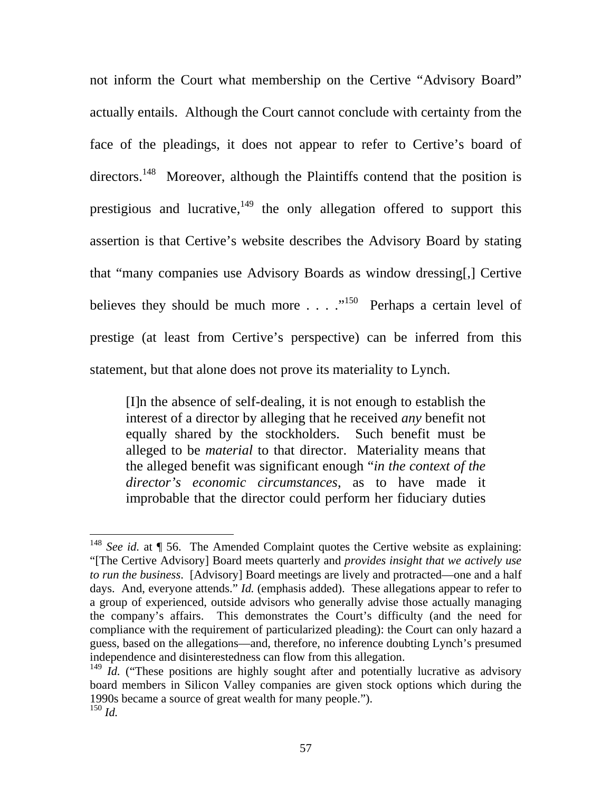not inform the Court what membership on the Certive "Advisory Board" actually entails. Although the Court cannot conclude with certainty from the face of the pleadings, it does not appear to refer to Certive's board of directors.<sup>148</sup> Moreover, although the Plaintiffs contend that the position is prestigious and lucrative, $149$  the only allegation offerred to support this assertion is that Certive's website describes the Advisory Board by stating that "many companies use Advisory Boards as window dressing[,] Certive believes they should be much more  $\ldots$  .  $\ldots$ <sup>150</sup> Perhaps a certain level of prestige (at least from Certive's perspective) can be inferred from this statement, but that alone does not prove its materiality to Lynch.

[I]n the absence of self-dealing, it is not enough to establish the interest of a director by alleging that he received *any* benefit not equally shared by the stockholders. Such benefit must be alleged to be *material* to that director. Materiality means that the alleged benefit was significant enough "*in the context of the director's economic circumstances*, as to have made it improbable that the director could perform her fiduciary duties

<sup>&</sup>lt;sup>148</sup> *See id.* at  $\P$  56. The Amended Complaint quotes the Certive website as explaining: "[The Certive Advisory] Board meets quarterly and *provides insight that we actively use to run the business*. [Advisory] Board meetings are lively and protracted—one and a half days. And, everyone attends." *Id.* (emphasis added). These allegations appear to refer to a group of experienced, outside advisors who generally advise those actually managing the company's affairs. This demonstrates the Court's difficulty (and the need for compliance with the requirement of particularized pleading): the Court can only hazard a guess, based on the allegations—and, therefore, no inference doubting Lynch's presumed independence and disinterestedness can flow from this allegation.

<sup>&</sup>lt;sup>149</sup> *Id.* ("These positions are highly sought after and potentially lucrative as advisory board members in Silicon Valley companies are given stock options which during the 1990s became a source of great wealth for many people."). <sup>150</sup> *Id.*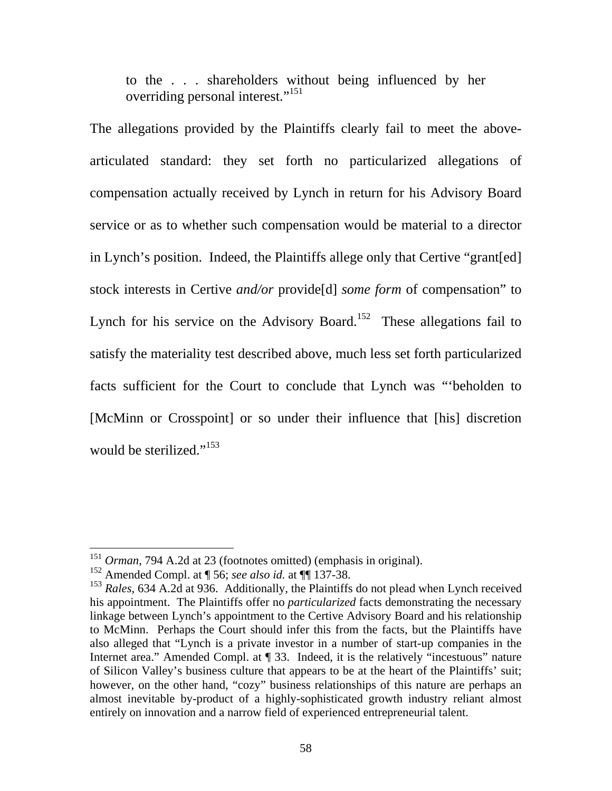to the . . . shareholders without being influenced by her overriding personal interest."<sup>151</sup>

The allegations provided by the Plaintiffs clearly fail to meet the abovearticulated standard: they set forth no particularized allegations of compensation actually received by Lynch in return for his Advisory Board service or as to whether such compensation would be material to a director in Lynch's position. Indeed, the Plaintiffs allege only that Certive "grant[ed] stock interests in Certive *and/or* provide[d] *some form* of compensation" to Lynch for his service on the Advisory Board.<sup>152</sup> These allegations fail to satisfy the materiality test described above, much less set forth particularized facts sufficient for the Court to conclude that Lynch was "'beholden to [McMinn or Crosspoint] or so under their influence that [his] discretion would be sterilized."<sup>153</sup>

<sup>151</sup> *Orman*, 794 A.2d at 23 (footnotes omitted) (emphasis in original).

<sup>152</sup> Amended Compl. at ¶ 56; *see also id.* at ¶¶ 137-38.

<sup>153</sup> *Rales*, 634 A.2d at 936. Additionally, the Plaintiffs do not plead when Lynch received his appointment. The Plaintiffs offer no *particularized* facts demonstrating the necessary linkage between Lynch's appointment to the Certive Advisory Board and his relationship to McMinn. Perhaps the Court should infer this from the facts, but the Plaintiffs have also alleged that "Lynch is a private investor in a number of start-up companies in the Internet area." Amended Compl. at ¶ 33. Indeed, it is the relatively "incestuous" nature of Silicon Valley's business culture that appears to be at the heart of the Plaintiffs' suit; however, on the other hand, "cozy" business relationships of this nature are perhaps an almost inevitable by-product of a highly-sophisticated growth industry reliant almost entirely on innovation and a narrow field of experienced entrepreneurial talent.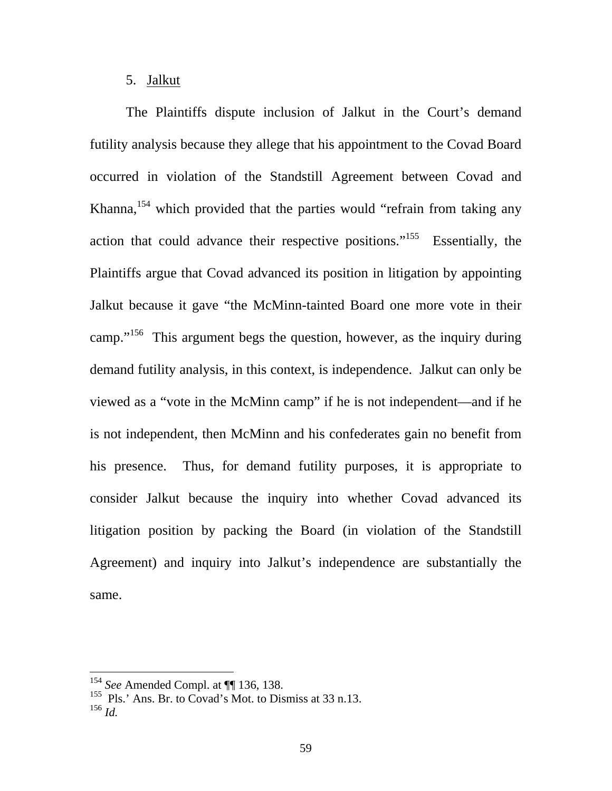### 5. Jalkut

 The Plaintiffs dispute inclusion of Jalkut in the Court's demand futility analysis because they allege that his appointment to the Covad Board occurred in violation of the Standstill Agreement between Covad and Khanna,  $154$  which provided that the parties would "refrain from taking any action that could advance their respective positions."155 Essentially, the Plaintiffs argue that Covad advanced its position in litigation by appointing Jalkut because it gave "the McMinn-tainted Board one more vote in their camp."<sup>156</sup> This argument begs the question, however, as the inquiry during demand futility analysis, in this context, is independence. Jalkut can only be viewed as a "vote in the McMinn camp" if he is not independent—and if he is not independent, then McMinn and his confederates gain no benefit from his presence. Thus, for demand futility purposes, it is appropriate to consider Jalkut because the inquiry into whether Covad advanced its litigation position by packing the Board (in violation of the Standstill Agreement) and inquiry into Jalkut's independence are substantially the same.

<sup>154</sup> *See* Amended Compl. at ¶¶ 136, 138.

<sup>&</sup>lt;sup>155</sup> Pls.' Ans. Br. to Covad's Mot. to Dismiss at 33 n.13. <sup>156</sup> *Id.*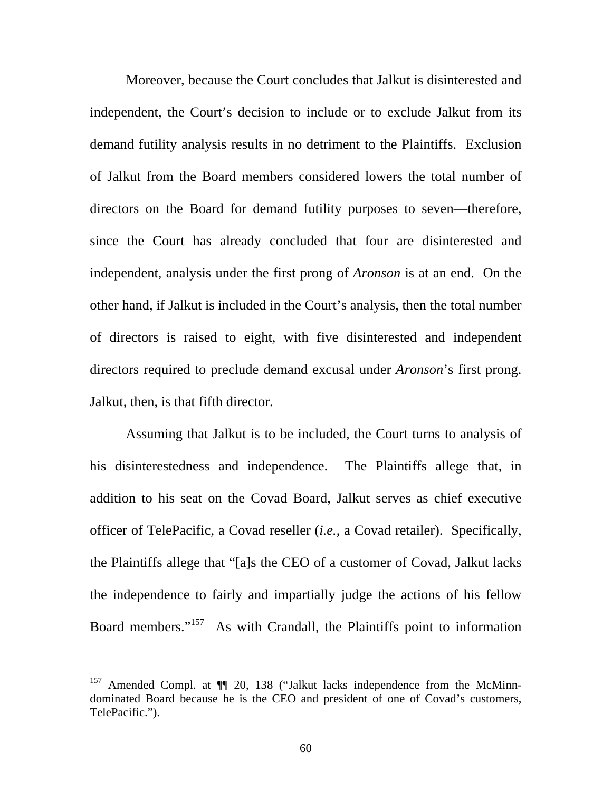Moreover, because the Court concludes that Jalkut is disinterested and independent, the Court's decision to include or to exclude Jalkut from its demand futility analysis results in no detriment to the Plaintiffs. Exclusion of Jalkut from the Board members considered lowers the total number of directors on the Board for demand futility purposes to seven—therefore, since the Court has already concluded that four are disinterested and independent, analysis under the first prong of *Aronson* is at an end. On the other hand, if Jalkut is included in the Court's analysis, then the total number of directors is raised to eight, with five disinterested and independent directors required to preclude demand excusal under *Aronson*'s first prong. Jalkut, then, is that fifth director.

 Assuming that Jalkut is to be included, the Court turns to analysis of his disinterestedness and independence. The Plaintiffs allege that, in addition to his seat on the Covad Board, Jalkut serves as chief executive officer of TelePacific, a Covad reseller (*i.e.*, a Covad retailer). Specifically, the Plaintiffs allege that "[a]s the CEO of a customer of Covad, Jalkut lacks the independence to fairly and impartially judge the actions of his fellow Board members."<sup>157</sup> As with Crandall, the Plaintiffs point to information

<sup>&</sup>lt;sup>157</sup> Amended Compl. at  $\P$  20, 138 ("Jalkut lacks independence from the McMinndominated Board because he is the CEO and president of one of Covad's customers, TelePacific.").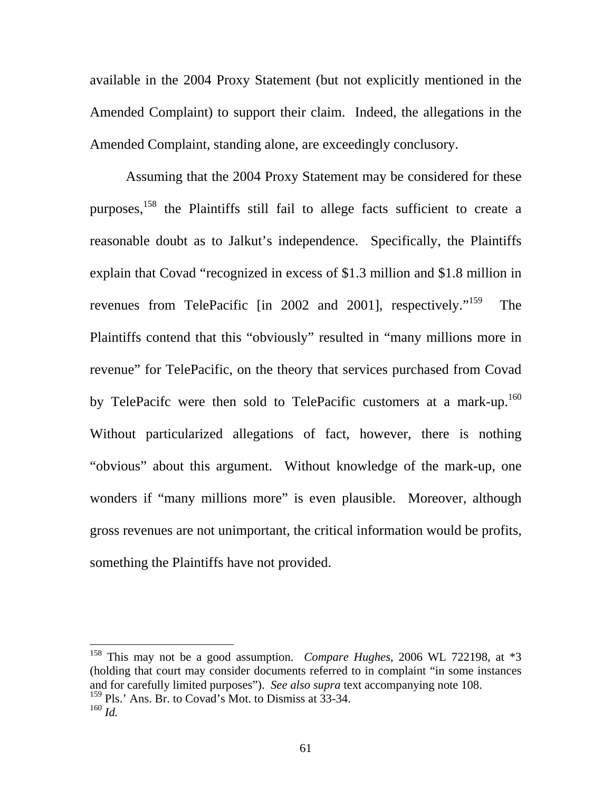available in the 2004 Proxy Statement (but not explicitly mentioned in the Amended Complaint) to support their claim. Indeed, the allegations in the Amended Complaint, standing alone, are exceedingly conclusory.

Assuming that the 2004 Proxy Statement may be considered for these purposes, $158$  the Plaintiffs still fail to allege facts sufficient to create a reasonable doubt as to Jalkut's independence. Specifically, the Plaintiffs explain that Covad "recognized in excess of \$1.3 million and \$1.8 million in revenues from TelePacific [in 2002 and 2001], respectively."159 The Plaintiffs contend that this "obviously" resulted in "many millions more in revenue" for TelePacific, on the theory that services purchased from Covad by TelePacifc were then sold to TelePacific customers at a mark-up.<sup>160</sup> Without particularized allegations of fact, however, there is nothing "obvious" about this argument. Without knowledge of the mark-up, one wonders if "many millions more" is even plausible. Moreover, although gross revenues are not unimportant, the critical information would be profits, something the Plaintiffs have not provided.

<sup>158</sup> This may not be a good assumption. *Compare Hughes*, 2006 WL 722198, at \*3 (holding that court may consider documents referred to in complaint "in some instances and for carefully limited purposes"). *See also supra* text accompanying note 108.  $159$  Pls.' Ans. Br. to Covad's Mot. to Dismiss at 33-34.  $^{160}$  *Id.*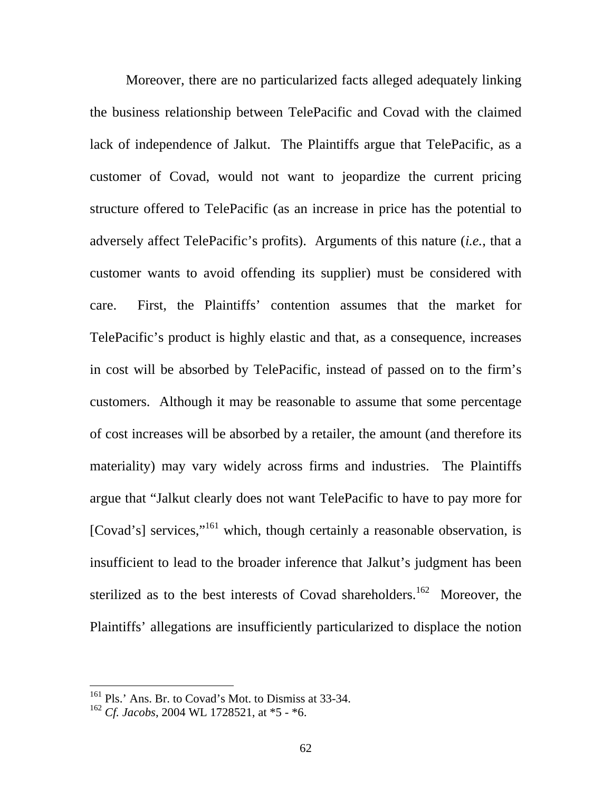Moreover, there are no particularized facts alleged adequately linking the business relationship between TelePacific and Covad with the claimed lack of independence of Jalkut. The Plaintiffs argue that TelePacific, as a customer of Covad, would not want to jeopardize the current pricing structure offered to TelePacific (as an increase in price has the potential to adversely affect TelePacific's profits). Arguments of this nature (*i.e.*, that a customer wants to avoid offending its supplier) must be considered with care. First, the Plaintiffs' contention assumes that the market for TelePacific's product is highly elastic and that, as a consequence, increases in cost will be absorbed by TelePacific, instead of passed on to the firm's customers. Although it may be reasonable to assume that some percentage of cost increases will be absorbed by a retailer, the amount (and therefore its materiality) may vary widely across firms and industries. The Plaintiffs argue that "Jalkut clearly does not want TelePacific to have to pay more for [Covad's] services,"<sup>161</sup> which, though certainly a reasonable observation, is insufficient to lead to the broader inference that Jalkut's judgment has been sterilized as to the best interests of Covad shareholders.<sup>162</sup> Moreover, the Plaintiffs' allegations are insufficiently particularized to displace the notion

<sup>&</sup>lt;sup>161</sup> Pls.' Ans. Br. to Covad's Mot. to Dismiss at 33-34.

<sup>162</sup> *Cf. Jacobs*, 2004 WL 1728521, at \*5 - \*6.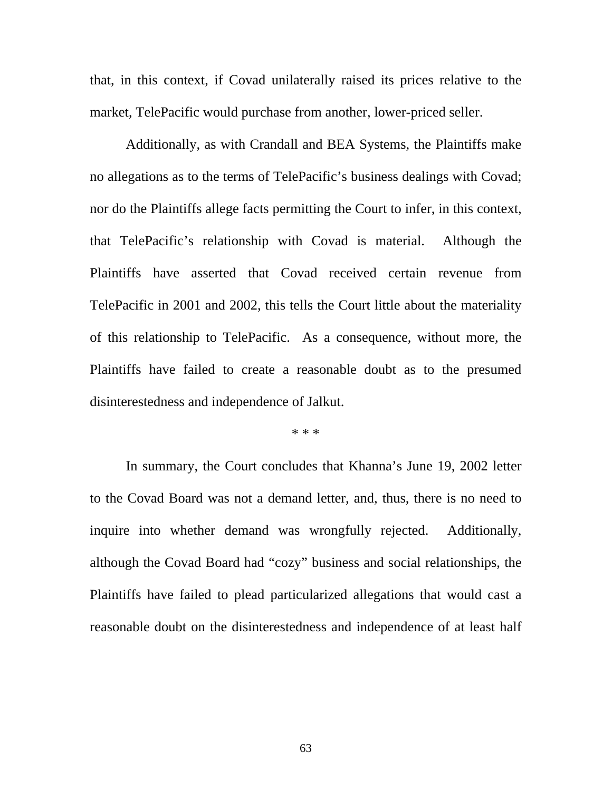that, in this context, if Covad unilaterally raised its prices relative to the market, TelePacific would purchase from another, lower-priced seller.

Additionally, as with Crandall and BEA Systems, the Plaintiffs make no allegations as to the terms of TelePacific's business dealings with Covad; nor do the Plaintiffs allege facts permitting the Court to infer, in this context, that TelePacific's relationship with Covad is material. Although the Plaintiffs have asserted that Covad received certain revenue from TelePacific in 2001 and 2002, this tells the Court little about the materiality of this relationship to TelePacific. As a consequence, without more, the Plaintiffs have failed to create a reasonable doubt as to the presumed disinterestedness and independence of Jalkut.

#### \* \* \*

In summary, the Court concludes that Khanna's June 19, 2002 letter to the Covad Board was not a demand letter, and, thus, there is no need to inquire into whether demand was wrongfully rejected. Additionally, although the Covad Board had "cozy" business and social relationships, the Plaintiffs have failed to plead particularized allegations that would cast a reasonable doubt on the disinterestedness and independence of at least half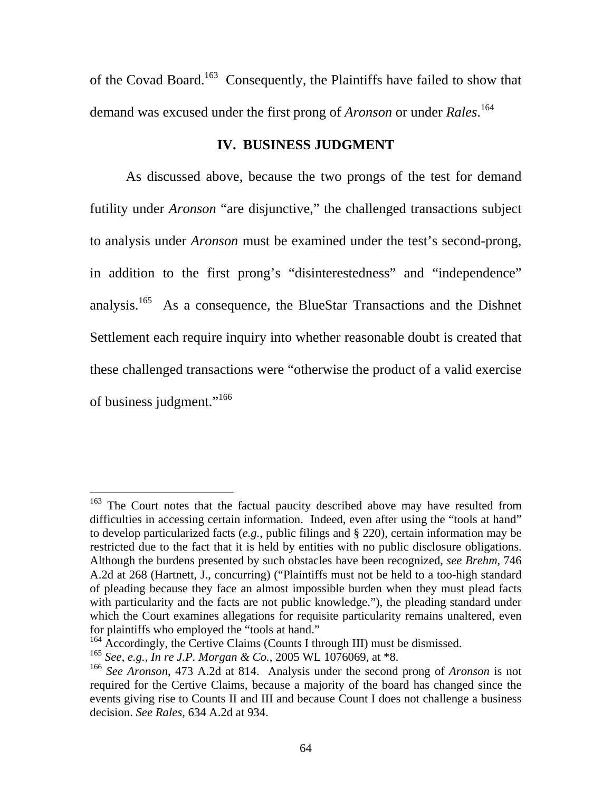of the Covad Board.<sup>163</sup> Consequently, the Plaintiffs have failed to show that demand was excused under the first prong of *Aronson* or under *Rales*. 164

# **IV. BUSINESS JUDGMENT**

As discussed above, because the two prongs of the test for demand futility under *Aronson* "are disjunctive," the challenged transactions subject to analysis under *Aronson* must be examined under the test's second-prong, in addition to the first prong's "disinterestedness" and "independence" analysis.165 As a consequence, the BlueStar Transactions and the Dishnet Settlement each require inquiry into whether reasonable doubt is created that these challenged transactions were "otherwise the product of a valid exercise of business judgment."<sup>166</sup>

<sup>&</sup>lt;sup>163</sup> The Court notes that the factual paucity described above may have resulted from difficulties in accessing certain information. Indeed, even after using the "tools at hand" to develop particularized facts (*e.g.*, public filings and § 220), certain information may be restricted due to the fact that it is held by entities with no public disclosure obligations. Although the burdens presented by such obstacles have been recognized, *see Brehm*, 746 A.2d at 268 (Hartnett, J., concurring) ("Plaintiffs must not be held to a too-high standard of pleading because they face an almost impossible burden when they must plead facts with particularity and the facts are not public knowledge."), the pleading standard under which the Court examines allegations for requisite particularity remains unaltered, even for plaintiffs who employed the "tools at hand."

<sup>&</sup>lt;sup>164</sup> Accordingly, the Certive Claims (Counts I through III) must be dismissed.

<sup>165</sup> *See, e.g.*, *In re J.P. Morgan & Co.*, 2005 WL 1076069, at \*8.

<sup>166</sup> *See Aronson*, 473 A.2d at 814. Analysis under the second prong of *Aronson* is not required for the Certive Claims, because a majority of the board has changed since the events giving rise to Counts II and III and because Count I does not challenge a business decision. *See Rales*, 634 A.2d at 934.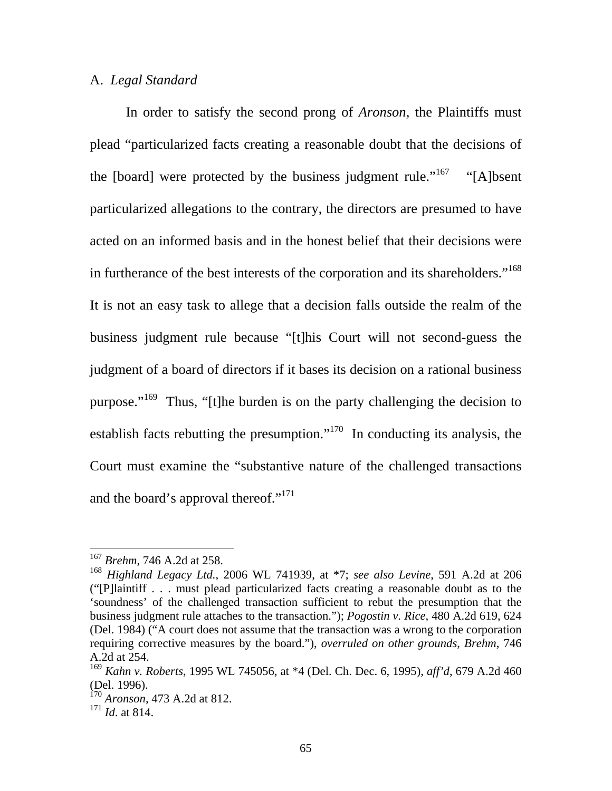## A. *Legal Standard*

In order to satisfy the second prong of *Aronson*, the Plaintiffs must plead "particularized facts creating a reasonable doubt that the decisions of the [board] were protected by the business judgment rule."<sup>167</sup> "[A]bsent particularized allegations to the contrary, the directors are presumed to have acted on an informed basis and in the honest belief that their decisions were in furtherance of the best interests of the corporation and its shareholders."<sup>168</sup> It is not an easy task to allege that a decision falls outside the realm of the business judgment rule because "[t]his Court will not second-guess the judgment of a board of directors if it bases its decision on a rational business purpose."<sup>169</sup> Thus, "[t]he burden is on the party challenging the decision to establish facts rebutting the presumption."170 In conducting its analysis, the Court must examine the "substantive nature of the challenged transactions and the board's approval thereof."<sup>171</sup>

<sup>167</sup> *Brehm*, 746 A.2d at 258.

<sup>168</sup> *Highland Legacy Ltd.*, 2006 WL 741939, at \*7; *see also Levine*, 591 A.2d at 206 ("[P]laintiff . . . must plead particularized facts creating a reasonable doubt as to the 'soundness' of the challenged transaction sufficient to rebut the presumption that the business judgment rule attaches to the transaction."); *Pogostin v. Rice*, 480 A.2d 619, 624 (Del. 1984) ("A court does not assume that the transaction was a wrong to the corporation requiring corrective measures by the board."), *overruled on other grounds*, *Brehm*, 746 A.2d at 254.

<sup>169</sup> *Kahn v. Roberts*, 1995 WL 745056, at \*4 (Del. Ch. Dec. 6, 1995), *aff'd*, 679 A.2d 460 (Del. 1996).

<sup>170</sup> *Aronson*, 473 A.2d at 812.

<sup>171</sup> *Id*. at 814.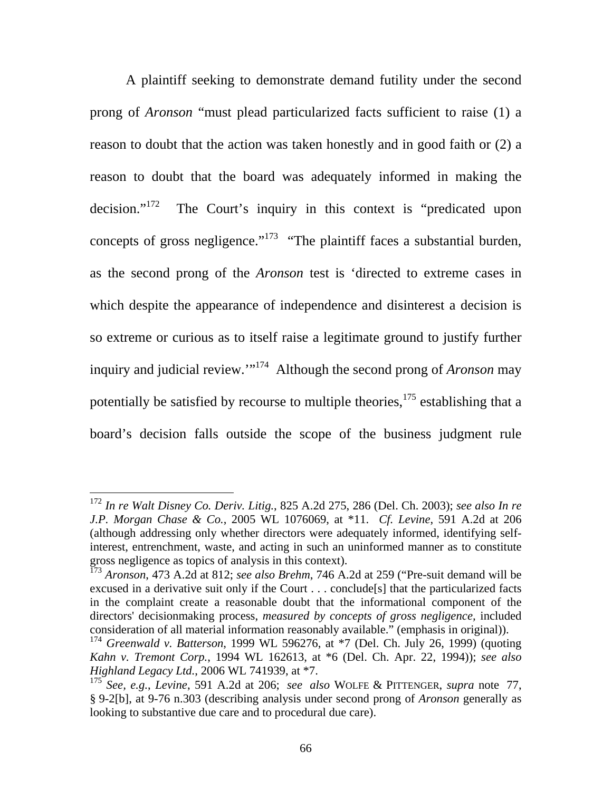A plaintiff seeking to demonstrate demand futility under the second prong of *Aronson* "must plead particularized facts sufficient to raise (1) a reason to doubt that the action was taken honestly and in good faith or (2) a reason to doubt that the board was adequately informed in making the decision."<sup>172</sup> The Court's inquiry in this context is "predicated upon concepts of gross negligence."<sup>173</sup> "The plaintiff faces a substantial burden, as the second prong of the *Aronson* test is 'directed to extreme cases in which despite the appearance of independence and disinterest a decision is so extreme or curious as to itself raise a legitimate ground to justify further inquiry and judicial review.'"174 Although the second prong of *Aronson* may potentially be satisfied by recourse to multiple theories,  $175$  establishing that a board's decision falls outside the scope of the business judgment rule

<sup>172</sup> *In re Walt Disney Co. Deriv. Litig.*, 825 A.2d 275, 286 (Del. Ch. 2003); *see also In re J.P. Morgan Chase & Co.*, 2005 WL 1076069, at \*11. *Cf. Levine*, 591 A.2d at 206 (although addressing only whether directors were adequately informed, identifying selfinterest, entrenchment, waste, and acting in such an uninformed manner as to constitute gross negligence as topics of analysis in this context).

<sup>173</sup> *Aronson*, 473 A.2d at 812; *see also Brehm*, 746 A.2d at 259 ("Pre-suit demand will be excused in a derivative suit only if the Court . . . conclude[s] that the particularized facts in the complaint create a reasonable doubt that the informational component of the directors' decisionmaking process, *measured by concepts of gross negligence,* included consideration of all material information reasonably available." (emphasis in original)).

<sup>174</sup> *Greenwald v. Batterson*, 1999 WL 596276, at \*7 (Del. Ch. July 26, 1999) (quoting *Kahn v. Tremont Corp.*, 1994 WL 162613, at \*6 (Del. Ch. Apr. 22, 1994)); *see also Highland Legacy Ltd.*, 2006 WL 741939, at \*7.

<sup>175</sup> *See, e.g.*, *Levine*, 591 A.2d at 206; *see also* WOLFE & PITTENGER, *supra* note 77, § 9-2[b], at 9-76 n.303 (describing analysis under second prong of *Aronson* generally as looking to substantive due care and to procedural due care).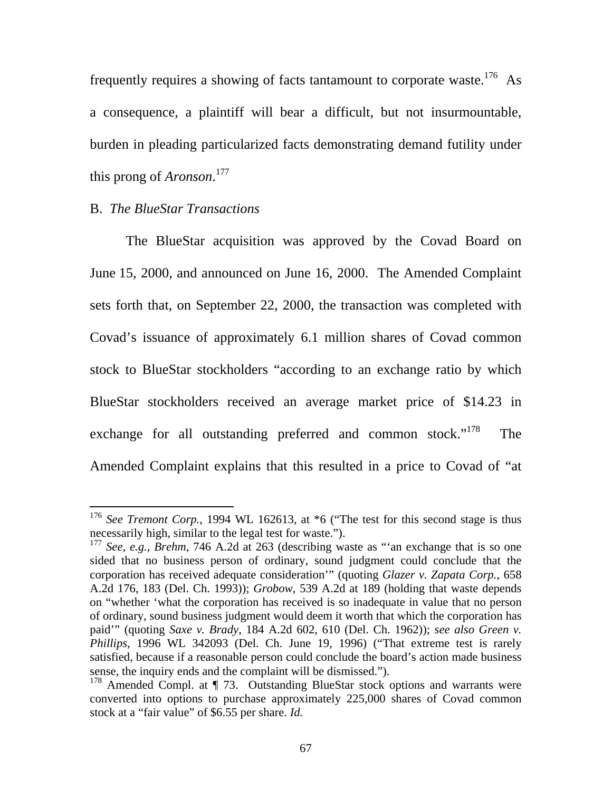frequently requires a showing of facts tantamount to corporate waste.<sup>176</sup> As a consequence, a plaintiff will bear a difficult, but not insurmountable, burden in pleading particularized facts demonstrating demand futility under this prong of *Aronson*. 177

# B. *The BlueStar Transactions*

 $\overline{a}$ 

The BlueStar acquisition was approved by the Covad Board on June 15, 2000, and announced on June 16, 2000. The Amended Complaint sets forth that, on September 22, 2000, the transaction was completed with Covad's issuance of approximately 6.1 million shares of Covad common stock to BlueStar stockholders "according to an exchange ratio by which BlueStar stockholders received an average market price of \$14.23 in exchange for all outstanding preferred and common stock."<sup>178</sup> The Amended Complaint explains that this resulted in a price to Covad of "at

<sup>&</sup>lt;sup>176</sup> See Tremont Corp., 1994 WL 162613, at \*6 ("The test for this second stage is thus necessarily high, similar to the legal test for waste.").

<sup>177</sup> *See, e.g.*, *Brehm*, 746 A.2d at 263 (describing waste as "'an exchange that is so one sided that no business person of ordinary, sound judgment could conclude that the corporation has received adequate consideration'" (quoting *Glazer v. Zapata Corp.*, 658 A.2d 176, 183 (Del. Ch. 1993)); *Grobow*, 539 A.2d at 189 (holding that waste depends on "whether 'what the corporation has received is so inadequate in value that no person of ordinary, sound business judgment would deem it worth that which the corporation has paid'" (quoting *Saxe v. Brady*, 184 A.2d 602, 610 (Del. Ch. 1962)); *see also Green v. Phillips*, 1996 WL 342093 (Del. Ch. June 19, 1996) ("That extreme test is rarely satisfied, because if a reasonable person could conclude the board's action made business sense, the inquiry ends and the complaint will be dismissed.").

<sup>&</sup>lt;sup>178</sup> Amended Compl. at ¶ 73. Outstanding BlueStar stock options and warrants were converted into options to purchase approximately 225,000 shares of Covad common stock at a "fair value" of \$6.55 per share. *Id.*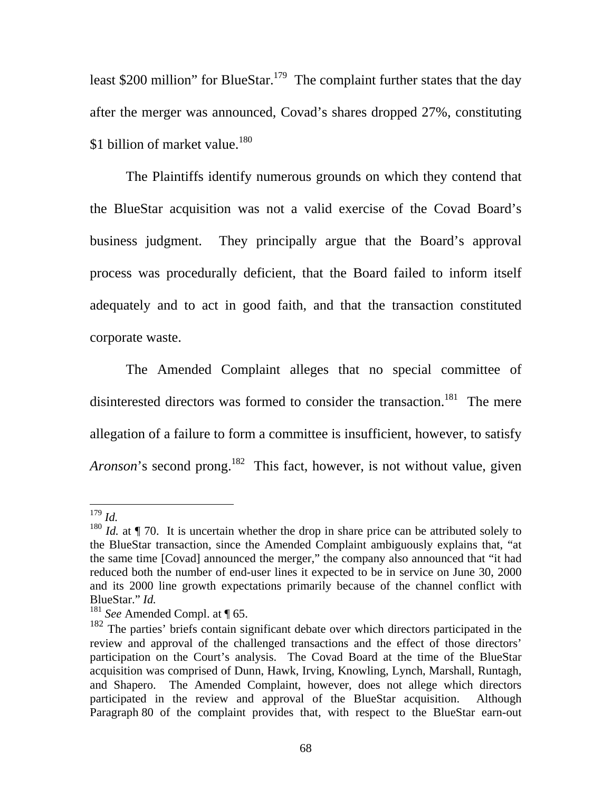least \$200 million" for BlueStar.<sup>179</sup> The complaint further states that the day after the merger was announced, Covad's shares dropped 27%, constituting \$1 billion of market value.<sup>180</sup>

The Plaintiffs identify numerous grounds on which they contend that the BlueStar acquisition was not a valid exercise of the Covad Board's business judgment. They principally argue that the Board's approval process was procedurally deficient, that the Board failed to inform itself adequately and to act in good faith, and that the transaction constituted corporate waste.

The Amended Complaint alleges that no special committee of disinterested directors was formed to consider the transaction.<sup>181</sup> The mere allegation of a failure to form a committee is insufficient, however, to satisfy *Aronson*'s second prong.<sup>182</sup> This fact, however, is not without value, given

 $\overline{a}$ <sup>179</sup> *Id.* 

<sup>&</sup>lt;sup>180</sup> *Id.* at  $\P$  70. It is uncertain whether the drop in share price can be attributed solely to the BlueStar transaction, since the Amended Complaint ambiguously explains that, "at the same time [Covad] announced the merger," the company also announced that "it had reduced both the number of end-user lines it expected to be in service on June 30, 2000 and its 2000 line growth expectations primarily because of the channel conflict with BlueStar." *Id.* 

<sup>181</sup> *See* Amended Compl. at ¶ 65.

<sup>&</sup>lt;sup>182</sup> The parties' briefs contain significant debate over which directors participated in the review and approval of the challenged transactions and the effect of those directors' participation on the Court's analysis. The Covad Board at the time of the BlueStar acquisition was comprised of Dunn, Hawk, Irving, Knowling, Lynch, Marshall, Runtagh, and Shapero. The Amended Complaint, however, does not allege which directors participated in the review and approval of the BlueStar acquisition. Although Paragraph 80 of the complaint provides that, with respect to the BlueStar earn-out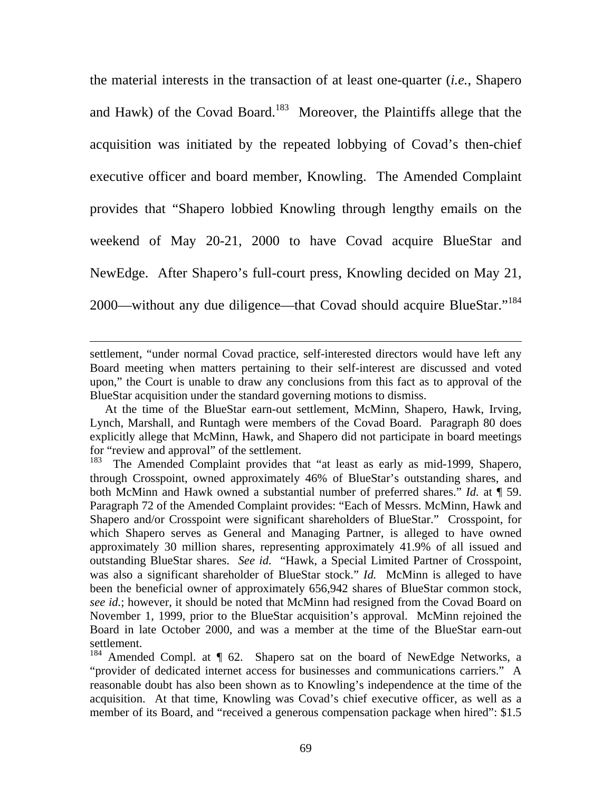the material interests in the transaction of at least one-quarter (*i.e.*, Shapero and Hawk) of the Covad Board.<sup>183</sup> Moreover, the Plaintiffs allege that the acquisition was initiated by the repeated lobbying of Covad's then-chief executive officer and board member, Knowling. The Amended Complaint provides that "Shapero lobbied Knowling through lengthy emails on the weekend of May 20-21, 2000 to have Covad acquire BlueStar and NewEdge. After Shapero's full-court press, Knowling decided on May 21, 2000—without any due diligence—that Covad should acquire BlueStar."184

settlement, "under normal Covad practice, self-interested directors would have left any Board meeting when matters pertaining to their self-interest are discussed and voted upon," the Court is unable to draw any conclusions from this fact as to approval of the BlueStar acquisition under the standard governing motions to dismiss.

At the time of the BlueStar earn-out settlement, McMinn, Shapero, Hawk, Irving, Lynch, Marshall, and Runtagh were members of the Covad Board. Paragraph 80 does explicitly allege that McMinn, Hawk, and Shapero did not participate in board meetings for "review and approval" of the settlement.

The Amended Complaint provides that "at least as early as mid-1999, Shapero, through Crosspoint, owned approximately 46% of BlueStar's outstanding shares, and both McMinn and Hawk owned a substantial number of preferred shares." *Id.* at ¶ 59. Paragraph 72 of the Amended Complaint provides: "Each of Messrs. McMinn, Hawk and Shapero and/or Crosspoint were significant shareholders of BlueStar." Crosspoint, for which Shapero serves as General and Managing Partner, is alleged to have owned approximately 30 million shares, representing approximately 41.9% of all issued and outstanding BlueStar shares. *See id*. "Hawk, a Special Limited Partner of Crosspoint, was also a significant shareholder of BlueStar stock." *Id.* McMinn is alleged to have been the beneficial owner of approximately 656,942 shares of BlueStar common stock, *see id.*; however, it should be noted that McMinn had resigned from the Covad Board on November 1, 1999, prior to the BlueStar acquisition's approval. McMinn rejoined the Board in late October 2000, and was a member at the time of the BlueStar earn-out settlement.

<sup>&</sup>lt;sup>184</sup> Amended Compl. at ¶ 62. Shapero sat on the board of NewEdge Networks, a "provider of dedicated internet access for businesses and communications carriers." A reasonable doubt has also been shown as to Knowling's independence at the time of the acquisition. At that time, Knowling was Covad's chief executive officer, as well as a member of its Board, and "received a generous compensation package when hired": \$1.5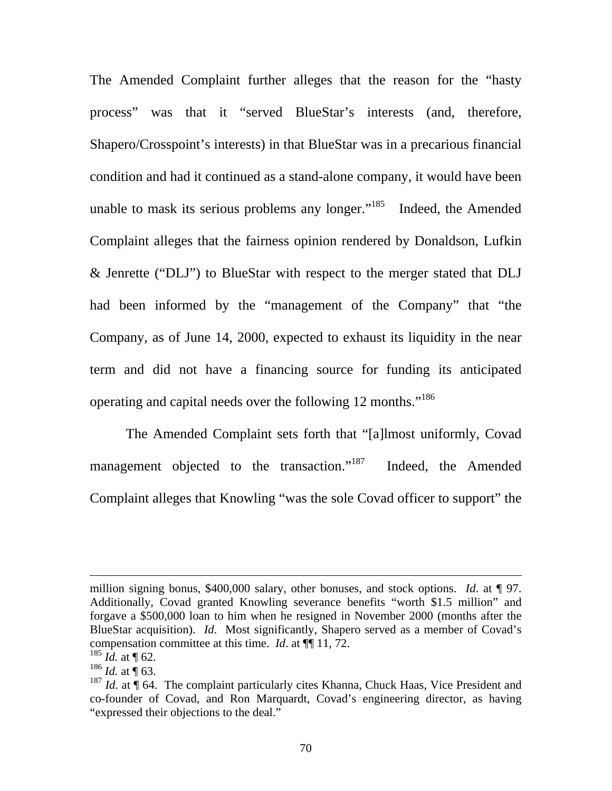The Amended Complaint further alleges that the reason for the "hasty process" was that it "served BlueStar's interests (and, therefore, Shapero/Crosspoint's interests) in that BlueStar was in a precarious financial condition and had it continued as a stand-alone company, it would have been unable to mask its serious problems any longer." $185$  Indeed, the Amended Complaint alleges that the fairness opinion rendered by Donaldson, Lufkin & Jenrette ("DLJ") to BlueStar with respect to the merger stated that DLJ had been informed by the "management of the Company" that "the Company, as of June 14, 2000, expected to exhaust its liquidity in the near term and did not have a financing source for funding its anticipated operating and capital needs over the following 12 months."<sup>186</sup>

The Amended Complaint sets forth that "[a]lmost uniformly, Covad management objected to the transaction."<sup>187</sup> Indeed, the Amended Complaint alleges that Knowling "was the sole Covad officer to support" the

million signing bonus, \$400,000 salary, other bonuses, and stock options. *Id*. at ¶ 97. Additionally, Covad granted Knowling severance benefits "worth \$1.5 million" and forgave a \$500,000 loan to him when he resigned in November 2000 (months after the BlueStar acquisition). *Id*. Most significantly, Shapero served as a member of Covad's compensation committee at this time. *Id*. at ¶¶ 11, 72.

 $185$  *Id.* at ¶ 62.

 $186$  *Id.* at ¶ 63.

<sup>&</sup>lt;sup>187</sup> *Id.* at  $\stackrel{\text{d}}{]}$  64. The complaint particularly cites Khanna, Chuck Haas, Vice President and co-founder of Covad, and Ron Marquardt, Covad's engineering director, as having "expressed their objections to the deal."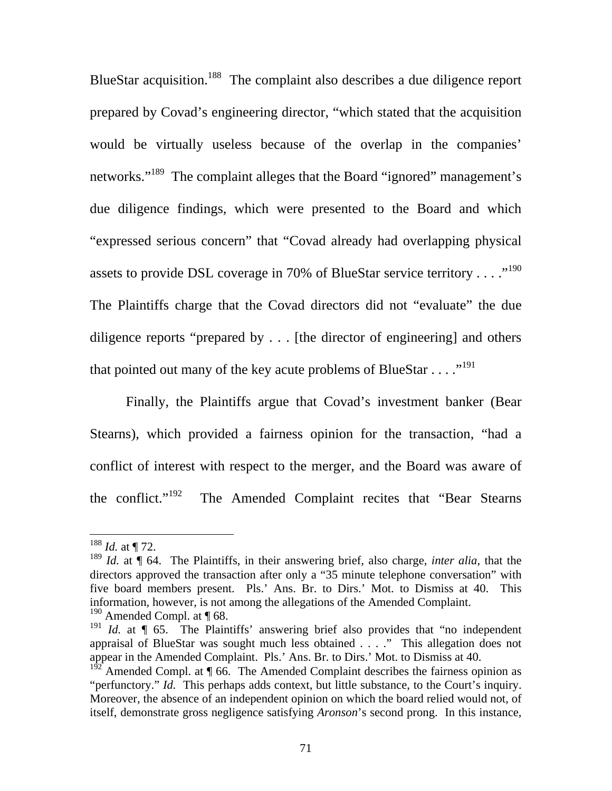BlueStar acquisition.<sup>188</sup> The complaint also describes a due diligence report prepared by Covad's engineering director, "which stated that the acquisition would be virtually useless because of the overlap in the companies' networks."<sup>189</sup> The complaint alleges that the Board "ignored" management's due diligence findings, which were presented to the Board and which "expressed serious concern" that "Covad already had overlapping physical assets to provide DSL coverage in 70% of BlueStar service territory . . . . .<sup>190</sup> The Plaintiffs charge that the Covad directors did not "evaluate" the due diligence reports "prepared by . . . [the director of engineering] and others that pointed out many of the key acute problems of BlueStar  $\dots$ <sup>191</sup>

Finally, the Plaintiffs argue that Covad's investment banker (Bear Stearns), which provided a fairness opinion for the transaction, "had a conflict of interest with respect to the merger, and the Board was aware of the conflict."<sup>192</sup> The Amended Complaint recites that "Bear Stearns"

 $188$  *Id.* at ¶ 72.

<sup>189</sup> *Id.* at ¶ 64.The Plaintiffs, in their answering brief, also charge, *inter alia*, that the directors approved the transaction after only a "35 minute telephone conversation" with five board members present. Pls.' Ans. Br. to Dirs.' Mot. to Dismiss at 40. This information, however, is not among the allegations of the Amended Complaint.  $190$  Amended Compl. at  $\P$  68.

<sup>&</sup>lt;sup>191</sup> *Id.* at ¶ 65. The Plaintiffs' answering brief also provides that "no independent appraisal of BlueStar was sought much less obtained . . . ." This allegation does not appear in the Amended Complaint. Pls.' Ans. Br. to Dirs.' Mot. to Dismiss at 40.

 $1^{92}$  Amended Compl. at  $\P$  66. The Amended Complaint describes the fairness opinion as "perfunctory." *Id.* This perhaps adds context, but little substance, to the Court's inquiry. Moreover, the absence of an independent opinion on which the board relied would not, of itself, demonstrate gross negligence satisfying *Aronson*'s second prong. In this instance,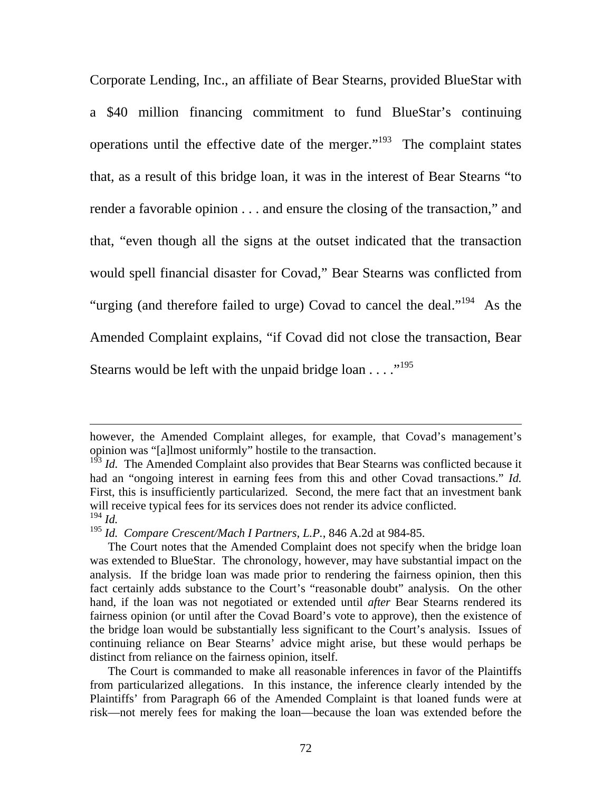Corporate Lending, Inc., an affiliate of Bear Stearns, provided BlueStar with a \$40 million financing commitment to fund BlueStar's continuing operations until the effective date of the merger. $193$  The complaint states that, as a result of this bridge loan, it was in the interest of Bear Stearns "to render a favorable opinion . . . and ensure the closing of the transaction," and that, "even though all the signs at the outset indicated that the transaction would spell financial disaster for Covad," Bear Stearns was conflicted from "urging (and therefore failed to urge) Covad to cancel the deal."<sup>194</sup> As the Amended Complaint explains, "if Covad did not close the transaction, Bear Stearns would be left with the unpaid bridge loan  $\dots$ ."<sup>195</sup>

 $\overline{a}$ 

 The Court is commanded to make all reasonable inferences in favor of the Plaintiffs from particularized allegations. In this instance, the inference clearly intended by the Plaintiffs' from Paragraph 66 of the Amended Complaint is that loaned funds were at risk—not merely fees for making the loan—because the loan was extended before the

however, the Amended Complaint alleges, for example, that Covad's management's opinion was "[a]lmost uniformly" hostile to the transaction.

<sup>&</sup>lt;sup>193</sup> *Id.* The Amended Complaint also provides that Bear Stearns was conflicted because it had an "ongoing interest in earning fees from this and other Covad transactions." *Id.* First, this is insufficiently particularized. Second, the mere fact that an investment bank will receive typical fees for its services does not render its advice conflicted. <sup>194</sup> *Id.* 

<sup>195</sup> *Id. Compare Crescent/Mach I Partners, L.P.*, 846 A.2d at 984-85.

The Court notes that the Amended Complaint does not specify when the bridge loan was extended to BlueStar. The chronology, however, may have substantial impact on the analysis. If the bridge loan was made prior to rendering the fairness opinion, then this fact certainly adds substance to the Court's "reasonable doubt" analysis. On the other hand, if the loan was not negotiated or extended until *after* Bear Stearns rendered its fairness opinion (or until after the Covad Board's vote to approve), then the existence of the bridge loan would be substantially less significant to the Court's analysis. Issues of continuing reliance on Bear Stearns' advice might arise, but these would perhaps be distinct from reliance on the fairness opinion, itself.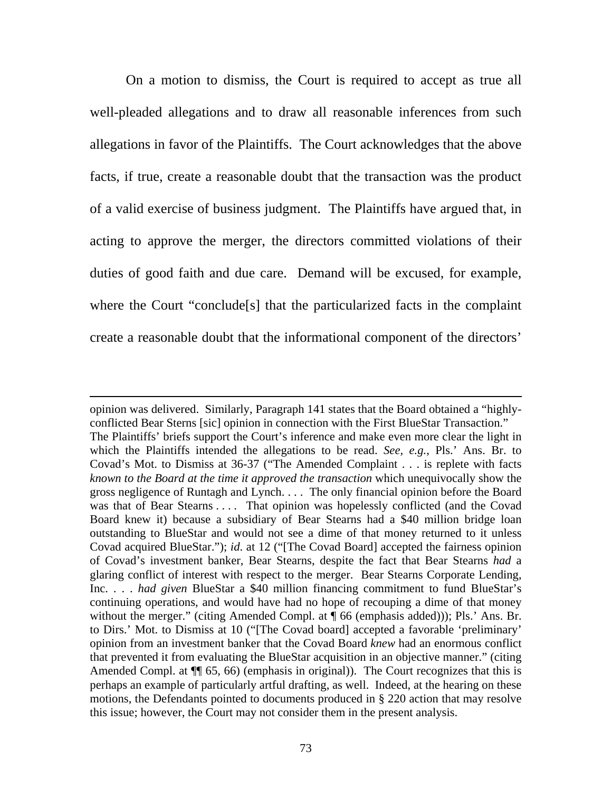On a motion to dismiss, the Court is required to accept as true all well-pleaded allegations and to draw all reasonable inferences from such allegations in favor of the Plaintiffs. The Court acknowledges that the above facts, if true, create a reasonable doubt that the transaction was the product of a valid exercise of business judgment. The Plaintiffs have argued that, in acting to approve the merger, the directors committed violations of their duties of good faith and due care. Demand will be excused, for example, where the Court "conclude[s] that the particularized facts in the complaint create a reasonable doubt that the informational component of the directors'

opinion was delivered. Similarly, Paragraph 141 states that the Board obtained a "highlyconflicted Bear Sterns [sic] opinion in connection with the First BlueStar Transaction." The Plaintiffs' briefs support the Court's inference and make even more clear the light in which the Plaintiffs intended the allegations to be read. *See, e.g.*, Pls.' Ans. Br. to Covad's Mot. to Dismiss at 36-37 ("The Amended Complaint . . . is replete with facts *known to the Board at the time it approved the transaction* which unequivocally show the gross negligence of Runtagh and Lynch. . . . The only financial opinion before the Board was that of Bear Stearns . . . . That opinion was hopelessly conflicted (and the Covad Board knew it) because a subsidiary of Bear Stearns had a \$40 million bridge loan outstanding to BlueStar and would not see a dime of that money returned to it unless Covad acquired BlueStar."); *id*. at 12 ("[The Covad Board] accepted the fairness opinion of Covad's investment banker, Bear Stearns, despite the fact that Bear Stearns *had* a glaring conflict of interest with respect to the merger. Bear Stearns Corporate Lending, Inc. . . . *had given* BlueStar a \$40 million financing commitment to fund BlueStar's continuing operations, and would have had no hope of recouping a dime of that money without the merger." (citing Amended Compl. at  $\P$  66 (emphasis added))); Pls.' Ans. Br. to Dirs.' Mot. to Dismiss at 10 ("[The Covad board] accepted a favorable 'preliminary' opinion from an investment banker that the Covad Board *knew* had an enormous conflict that prevented it from evaluating the BlueStar acquisition in an objective manner." (citing Amended Compl. at  $\P$  65, 66) (emphasis in original)). The Court recognizes that this is perhaps an example of particularly artful drafting, as well. Indeed, at the hearing on these motions, the Defendants pointed to documents produced in § 220 action that may resolve this issue; however, the Court may not consider them in the present analysis.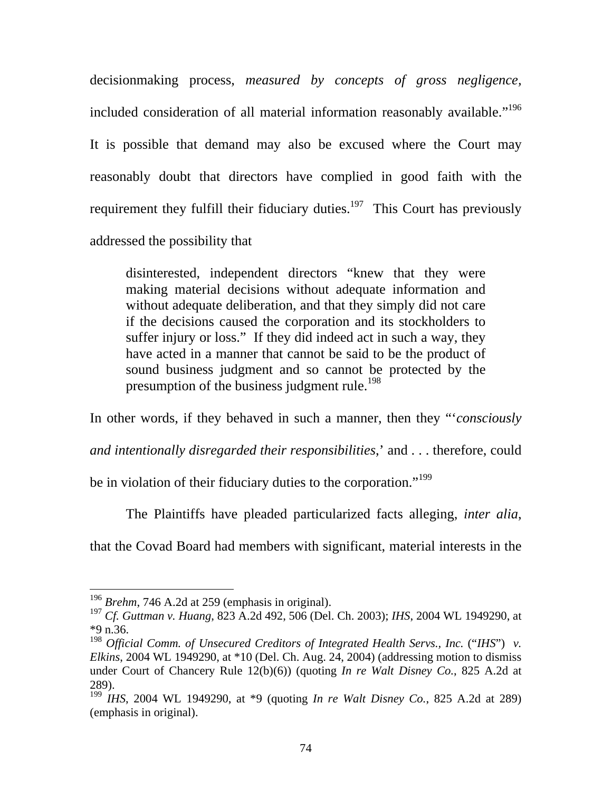decisionmaking process, *measured by concepts of gross negligence,* included consideration of all material information reasonably available."<sup>196</sup> It is possible that demand may also be excused where the Court may reasonably doubt that directors have complied in good faith with the requirement they fulfill their fiduciary duties.<sup>197</sup> This Court has previously addressed the possibility that

disinterested, independent directors "knew that they were making material decisions without adequate information and without adequate deliberation, and that they simply did not care if the decisions caused the corporation and its stockholders to suffer injury or loss." If they did indeed act in such a way, they have acted in a manner that cannot be said to be the product of sound business judgment and so cannot be protected by the presumption of the business judgment rule.<sup>198</sup>

In other words, if they behaved in such a manner, then they "'*consciously* 

*and intentionally disregarded their responsibilities*,' and . . . therefore, could

be in violation of their fiduciary duties to the corporation."<sup>199</sup>

The Plaintiffs have pleaded particularized facts alleging, *inter alia*,

that the Covad Board had members with significant, material interests in the

<sup>196</sup> *Brehm*, 746 A.2d at 259 (emphasis in original).

<sup>197</sup> *Cf. Guttman v. Huang*, 823 A.2d 492, 506 (Del. Ch. 2003); *IHS*, 2004 WL 1949290, at \*9 n.36.

<sup>198</sup> *Official Comm. of Unsecured Creditors of Integrated Health Servs., Inc.* ("*IHS*") *v. Elkins*, 2004 WL 1949290, at \*10 (Del. Ch. Aug. 24, 2004) (addressing motion to dismiss under Court of Chancery Rule 12(b)(6)) (quoting *In re Walt Disney Co.*, 825 A.2d at 289).

<sup>199</sup> *IHS*, 2004 WL 1949290, at \*9 (quoting *In re Walt Disney Co.*, 825 A.2d at 289) (emphasis in original).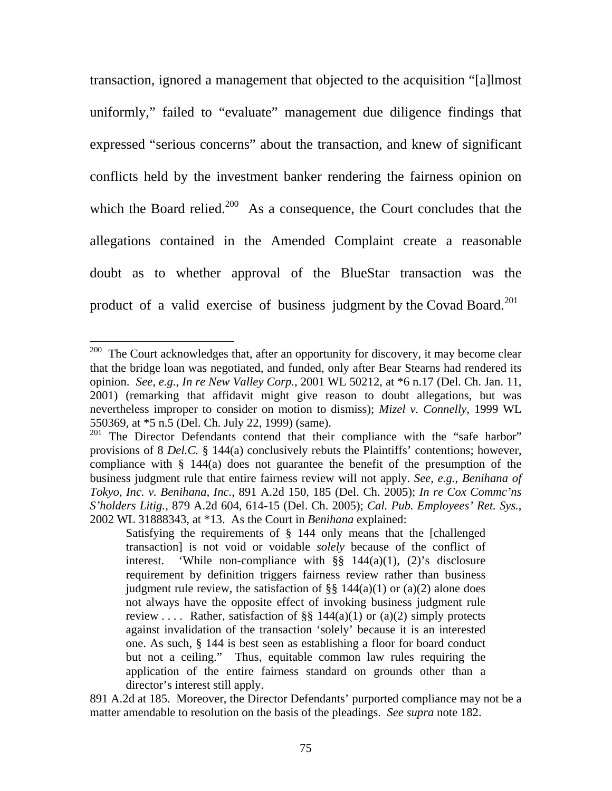transaction, ignored a management that objected to the acquisition "[a]lmost uniformly," failed to "evaluate" management due diligence findings that expressed "serious concerns" about the transaction, and knew of significant conflicts held by the investment banker rendering the fairness opinion on which the Board relied.<sup>200</sup> As a consequence, the Court concludes that the allegations contained in the Amended Complaint create a reasonable doubt as to whether approval of the BlueStar transaction was the product of a valid exercise of business judgment by the Covad Board.<sup>201</sup>

 $200$  The Court acknowledges that, after an opportunity for discovery, it may become clear that the bridge loan was negotiated, and funded, only after Bear Stearns had rendered its opinion. *See, e.g.*, *In re New Valley Corp.*, 2001 WL 50212, at \*6 n.17 (Del. Ch. Jan. 11, 2001) (remarking that affidavit might give reason to doubt allegations, but was nevertheless improper to consider on motion to dismiss); *Mizel v. Connelly*, 1999 WL 550369, at \*5 n.5 (Del. Ch. July 22, 1999) (same).

<sup>&</sup>lt;sup>201</sup> The Director Defendants contend that their compliance with the "safe harbor" provisions of 8 *Del.C.* § 144(a) conclusively rebuts the Plaintiffs' contentions; however, compliance with § 144(a) does not guarantee the benefit of the presumption of the business judgment rule that entire fairness review will not apply. *See, e.g.*, *Benihana of Tokyo, Inc. v. Benihana, Inc.*, 891 A.2d 150, 185 (Del. Ch. 2005); *In re Cox Commc'ns S'holders Litig.*, 879 A.2d 604, 614-15 (Del. Ch. 2005); *Cal. Pub. Employees' Ret. Sys.*, 2002 WL 31888343, at \*13. As the Court in *Benihana* explained:

Satisfying the requirements of § 144 only means that the [challenged transaction] is not void or voidable *solely* because of the conflict of interest. 'While non-compliance with  $\S$ § 144(a)(1), (2)'s disclosure requirement by definition triggers fairness review rather than business judgment rule review, the satisfaction of  $\S\S 144(a)(1)$  or (a)(2) alone does not always have the opposite effect of invoking business judgment rule review .... Rather, satisfaction of  $\S$ § 144(a)(1) or (a)(2) simply protects against invalidation of the transaction 'solely' because it is an interested one. As such, § 144 is best seen as establishing a floor for board conduct but not a ceiling." Thus, equitable common law rules requiring the application of the entire fairness standard on grounds other than a director's interest still apply.

<sup>891</sup> A.2d at 185. Moreover, the Director Defendants' purported compliance may not be a matter amendable to resolution on the basis of the pleadings. *See supra* note 182.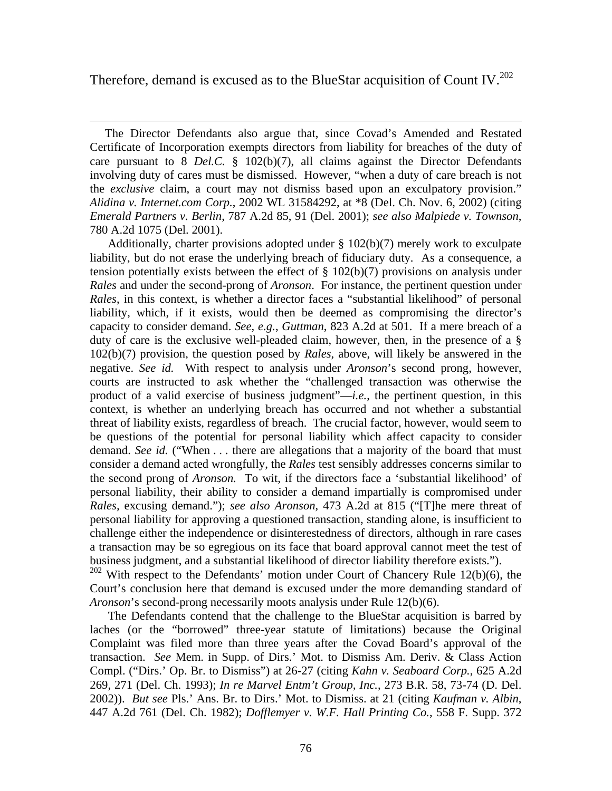Therefore, demand is excused as to the BlueStar acquisition of Count IV.<sup>202</sup>

 $\overline{a}$ 

 The Director Defendants also argue that, since Covad's Amended and Restated Certificate of Incorporation exempts directors from liability for breaches of the duty of care pursuant to 8 *Del.C.* § 102(b)(7), all claims against the Director Defendants involving duty of cares must be dismissed. However, "when a duty of care breach is not the *exclusive* claim, a court may not dismiss based upon an exculpatory provision." *Alidina v. Internet.com Corp.*, 2002 WL 31584292, at \*8 (Del. Ch. Nov. 6, 2002) (citing *Emerald Partners v. Berlin*, 787 A.2d 85, 91 (Del. 2001); *see also Malpiede v. Townson*, 780 A.2d 1075 (Del. 2001).

 Additionally, charter provisions adopted under § 102(b)(7) merely work to exculpate liability, but do not erase the underlying breach of fiduciary duty. As a consequence, a tension potentially exists between the effect of  $\S$  102(b)(7) provisions on analysis under *Rales* and under the second-prong of *Aronson*. For instance, the pertinent question under *Rales*, in this context, is whether a director faces a "substantial likelihood" of personal liability, which, if it exists, would then be deemed as compromising the director's capacity to consider demand. *See, e.g.*, *Guttman*, 823 A.2d at 501. If a mere breach of a duty of care is the exclusive well-pleaded claim, however, then, in the presence of a § 102(b)(7) provision, the question posed by *Rales*, above, will likely be answered in the negative. *See id.* With respect to analysis under *Aronson*'s second prong, however, courts are instructed to ask whether the "challenged transaction was otherwise the product of a valid exercise of business judgment"—*i.e.*, the pertinent question, in this context, is whether an underlying breach has occurred and not whether a substantial threat of liability exists, regardless of breach. The crucial factor, however, would seem to be questions of the potential for personal liability which affect capacity to consider demand. *See id.* ("When . . . there are allegations that a majority of the board that must consider a demand acted wrongfully, the *Rales* test sensibly addresses concerns similar to the second prong of *Aronson.* To wit, if the directors face a 'substantial likelihood' of personal liability, their ability to consider a demand impartially is compromised under *Rales,* excusing demand."); *see also Aronson*, 473 A.2d at 815 ("[T]he mere threat of personal liability for approving a questioned transaction, standing alone, is insufficient to challenge either the independence or disinterestedness of directors, although in rare cases a transaction may be so egregious on its face that board approval cannot meet the test of business judgment, and a substantial likelihood of director liability therefore exists.").

 $202$  With respect to the Defendants' motion under Court of Chancery Rule 12(b)(6), the Court's conclusion here that demand is excused under the more demanding standard of *Aronson*'s second-prong necessarily moots analysis under Rule 12(b)(6).

 The Defendants contend that the challenge to the BlueStar acquisition is barred by laches (or the "borrowed" three-year statute of limitations) because the Original Complaint was filed more than three years after the Covad Board's approval of the transaction. *See* Mem. in Supp. of Dirs.' Mot. to Dismiss Am. Deriv. & Class Action Compl. ("Dirs.' Op. Br. to Dismiss") at 26-27 (citing *Kahn v. Seaboard Corp.*, 625 A.2d 269, 271 (Del. Ch. 1993); *In re Marvel Entm't Group, Inc.*, 273 B.R. 58, 73-74 (D. Del. 2002)). *But see* Pls.' Ans. Br. to Dirs.' Mot. to Dismiss. at 21 (citing *Kaufman v. Albin*, 447 A.2d 761 (Del. Ch. 1982); *Dofflemyer v. W.F. Hall Printing Co.*, 558 F. Supp. 372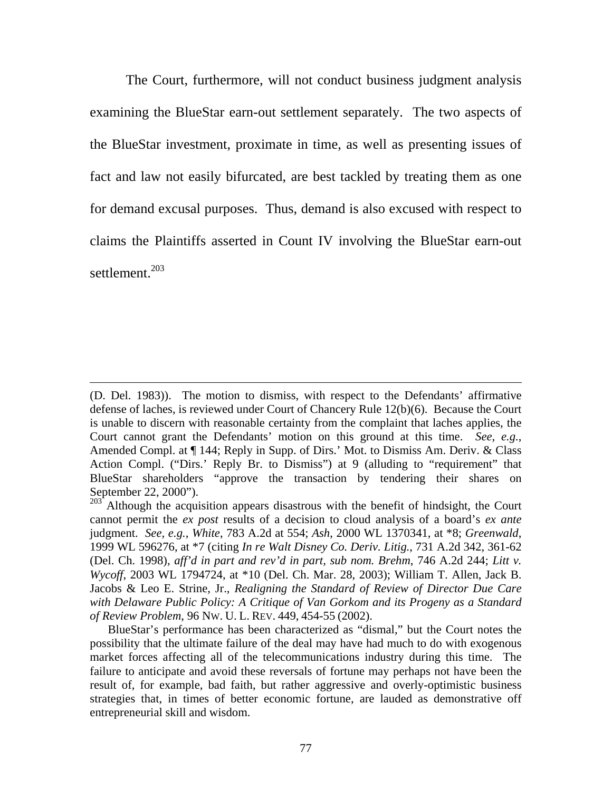The Court, furthermore, will not conduct business judgment analysis examining the BlueStar earn-out settlement separately. The two aspects of the BlueStar investment, proximate in time, as well as presenting issues of fact and law not easily bifurcated, are best tackled by treating them as one for demand excusal purposes. Thus, demand is also excused with respect to claims the Plaintiffs asserted in Count IV involving the BlueStar earn-out settlement.<sup>203</sup>

<sup>(</sup>D. Del. 1983)). The motion to dismiss, with respect to the Defendants' affirmative defense of laches, is reviewed under Court of Chancery Rule 12(b)(6). Because the Court is unable to discern with reasonable certainty from the complaint that laches applies, the Court cannot grant the Defendants' motion on this ground at this time. *See, e.g.*, Amended Compl. at ¶ 144; Reply in Supp. of Dirs.' Mot. to Dismiss Am. Deriv. & Class Action Compl. ("Dirs.' Reply Br. to Dismiss") at 9 (alluding to "requirement" that BlueStar shareholders "approve the transaction by tendering their shares on September 22, 2000").

 $203<sup>203</sup>$  Although the acquisition appears disastrous with the benefit of hindsight, the Court cannot permit the *ex post* results of a decision to cloud analysis of a board's *ex ante* judgment. *See, e.g.*, *White*, 783 A.2d at 554; *Ash*, 2000 WL 1370341, at \*8; *Greenwald*, 1999 WL 596276, at \*7 (citing *In re Walt Disney Co. Deriv. Litig.*, 731 A.2d 342, 361-62 (Del. Ch. 1998), *aff'd in part and rev'd in part, sub nom. Brehm*, 746 A.2d 244; *Litt v. Wycoff*, 2003 WL 1794724, at \*10 (Del. Ch. Mar. 28, 2003); William T. Allen, Jack B. Jacobs & Leo E. Strine, Jr., *Realigning the Standard of Review of Director Due Care with Delaware Public Policy: A Critique of Van Gorkom and its Progeny as a Standard of Review Problem*, 96 NW. U. L. REV. 449, 454-55 (2002).

BlueStar's performance has been characterized as "dismal," but the Court notes the possibility that the ultimate failure of the deal may have had much to do with exogenous market forces affecting all of the telecommunications industry during this time. The failure to anticipate and avoid these reversals of fortune may perhaps not have been the result of, for example, bad faith, but rather aggressive and overly-optimistic business strategies that, in times of better economic fortune, are lauded as demonstrative off entrepreneurial skill and wisdom.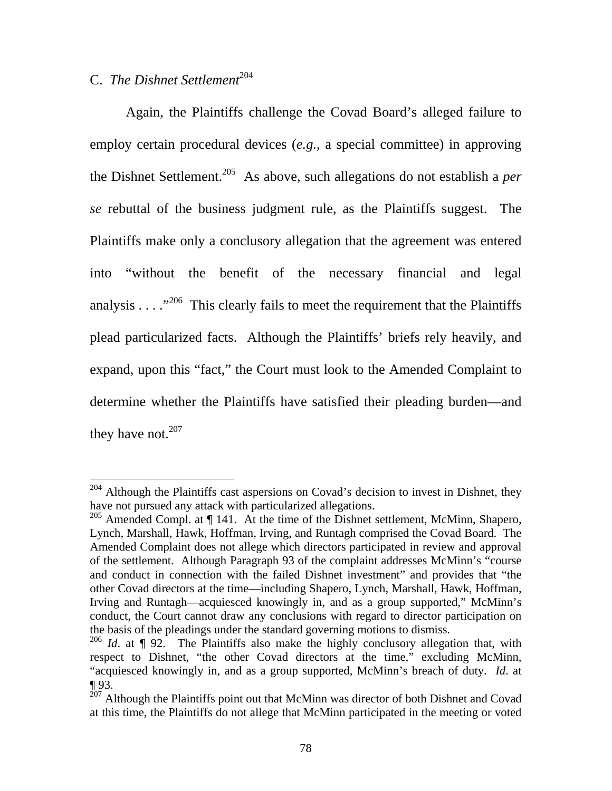# C. *The Dishnet Settlement*<sup>204</sup>

 $\overline{a}$ 

Again, the Plaintiffs challenge the Covad Board's alleged failure to employ certain procedural devices (*e.g.*, a special committee) in approving the Dishnet Settlement.205 As above, such allegations do not establish a *per se* rebuttal of the business judgment rule, as the Plaintiffs suggest. The Plaintiffs make only a conclusory allegation that the agreement was entered into "without the benefit of the necessary financial and legal analysis  $\ldots$ ."<sup>206</sup> This clearly fails to meet the requirement that the Plaintiffs plead particularized facts. Although the Plaintiffs' briefs rely heavily, and expand, upon this "fact," the Court must look to the Amended Complaint to determine whether the Plaintiffs have satisfied their pleading burden—and they have not. $207$ 

 $204$  Although the Plaintiffs cast aspersions on Covad's decision to invest in Dishnet, they have not pursued any attack with particularized allegations.

<sup>&</sup>lt;sup>205</sup> Amended Compl. at ¶ 141. At the time of the Dishnet settlement, McMinn, Shapero, Lynch, Marshall, Hawk, Hoffman, Irving, and Runtagh comprised the Covad Board. The Amended Complaint does not allege which directors participated in review and approval of the settlement. Although Paragraph 93 of the complaint addresses McMinn's "course and conduct in connection with the failed Dishnet investment" and provides that "the other Covad directors at the time—including Shapero, Lynch, Marshall, Hawk, Hoffman, Irving and Runtagh—acquiesced knowingly in, and as a group supported," McMinn's conduct, the Court cannot draw any conclusions with regard to director participation on the basis of the pleadings under the standard governing motions to dismiss.

<sup>&</sup>lt;sup>206</sup> *Id.* at ¶ 92. The Plaintiffs also make the highly conclusory allegation that, with respect to Dishnet, "the other Covad directors at the time," excluding McMinn, "acquiesced knowingly in, and as a group supported, McMinn's breach of duty. *Id*. at ¶ 93.

 $^{207}$  Although the Plaintiffs point out that McMinn was director of both Dishnet and Covad at this time, the Plaintiffs do not allege that McMinn participated in the meeting or voted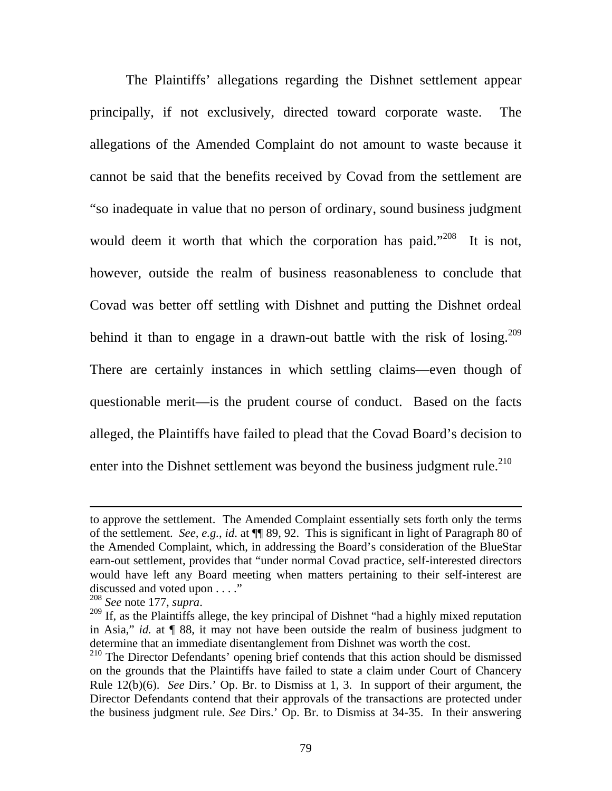The Plaintiffs' allegations regarding the Dishnet settlement appear principally, if not exclusively, directed toward corporate waste. The allegations of the Amended Complaint do not amount to waste because it cannot be said that the benefits received by Covad from the settlement are "so inadequate in value that no person of ordinary, sound business judgment would deem it worth that which the corporation has paid."<sup>208</sup> It is not, however, outside the realm of business reasonableness to conclude that Covad was better off settling with Dishnet and putting the Dishnet ordeal behind it than to engage in a drawn-out battle with the risk of losing.<sup>209</sup> There are certainly instances in which settling claims—even though of questionable merit—is the prudent course of conduct. Based on the facts alleged, the Plaintiffs have failed to plead that the Covad Board's decision to enter into the Dishnet settlement was beyond the business judgment rule.<sup>210</sup>

to approve the settlement. The Amended Complaint essentially sets forth only the terms of the settlement. *See, e.g.*, *id*. at ¶¶ 89, 92. This is significant in light of Paragraph 80 of the Amended Complaint, which, in addressing the Board's consideration of the BlueStar earn-out settlement, provides that "under normal Covad practice, self-interested directors would have left any Board meeting when matters pertaining to their self-interest are discussed and voted upon . . . ."<br> $\frac{208}{208}$  See note 177, supra.

<sup>&</sup>lt;sup>209</sup> If, as the Plaintiffs allege, the key principal of Dishnet "had a highly mixed reputation in Asia," *id.* at ¶ 88, it may not have been outside the realm of business judgment to determine that an immediate disentanglement from Dishnet was worth the cost.

<sup>&</sup>lt;sup>210</sup> The Director Defendants' opening brief contends that this action should be dismissed on the grounds that the Plaintiffs have failed to state a claim under Court of Chancery Rule 12(b)(6). *See* Dirs.' Op. Br. to Dismiss at 1, 3. In support of their argument, the Director Defendants contend that their approvals of the transactions are protected under the business judgment rule. *See* Dirs.' Op. Br. to Dismiss at 34-35. In their answering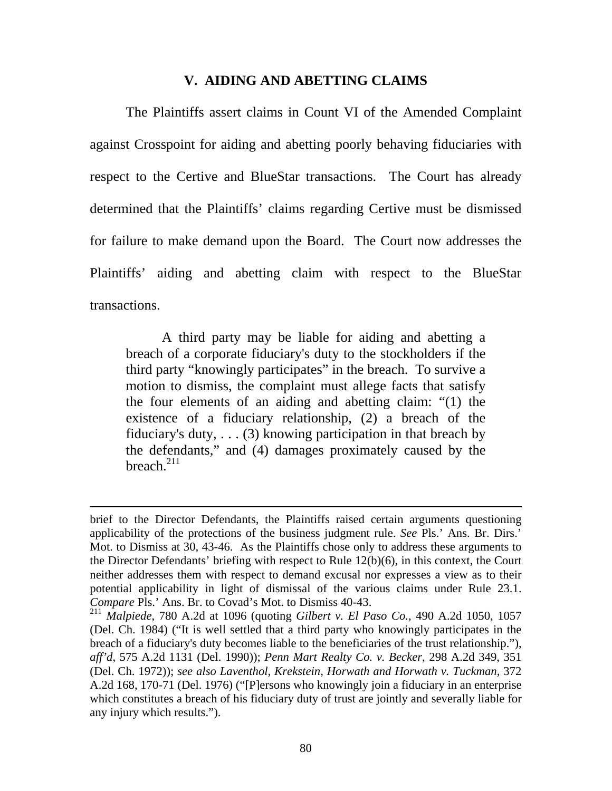#### **V. AIDING AND ABETTING CLAIMS**

The Plaintiffs assert claims in Count VI of the Amended Complaint against Crosspoint for aiding and abetting poorly behaving fiduciaries with respect to the Certive and BlueStar transactions. The Court has already determined that the Plaintiffs' claims regarding Certive must be dismissed for failure to make demand upon the Board. The Court now addresses the Plaintiffs' aiding and abetting claim with respect to the BlueStar transactions.

 A third party may be liable for aiding and abetting a breach of a corporate fiduciary's duty to the stockholders if the third party "knowingly participates" in the breach. To survive a motion to dismiss, the complaint must allege facts that satisfy the four elements of an aiding and abetting claim: "(1) the existence of a fiduciary relationship, (2) a breach of the fiduciary's duty,  $\dots$  (3) knowing participation in that breach by the defendants," and (4) damages proximately caused by the breach. $^{211}$ 

brief to the Director Defendants, the Plaintiffs raised certain arguments questioning applicability of the protections of the business judgment rule. *See* Pls.' Ans. Br. Dirs.' Mot. to Dismiss at 30, 43-46. As the Plaintiffs chose only to address these arguments to the Director Defendants' briefing with respect to Rule 12(b)(6), in this context, the Court neither addresses them with respect to demand excusal nor expresses a view as to their potential applicability in light of dismissal of the various claims under Rule 23.1. *Compare* Pls.' Ans. Br. to Covad's Mot. to Dismiss 40-43.

<sup>211</sup> *Malpiede*, 780 A.2d at 1096 (quoting *Gilbert v. El Paso Co.*, 490 A.2d 1050, 1057 (Del. Ch. 1984) ("It is well settled that a third party who knowingly participates in the breach of a fiduciary's duty becomes liable to the beneficiaries of the trust relationship."), *aff'd*, 575 A.2d 1131 (Del. 1990)); *Penn Mart Realty Co. v. Becker*, 298 A.2d 349, 351 (Del. Ch. 1972)); *see also Laventhol, Krekstein, Horwath and Horwath v. Tuckman,* 372 A.2d 168, 170-71 (Del. 1976) ("[P]ersons who knowingly join a fiduciary in an enterprise which constitutes a breach of his fiduciary duty of trust are jointly and severally liable for any injury which results.").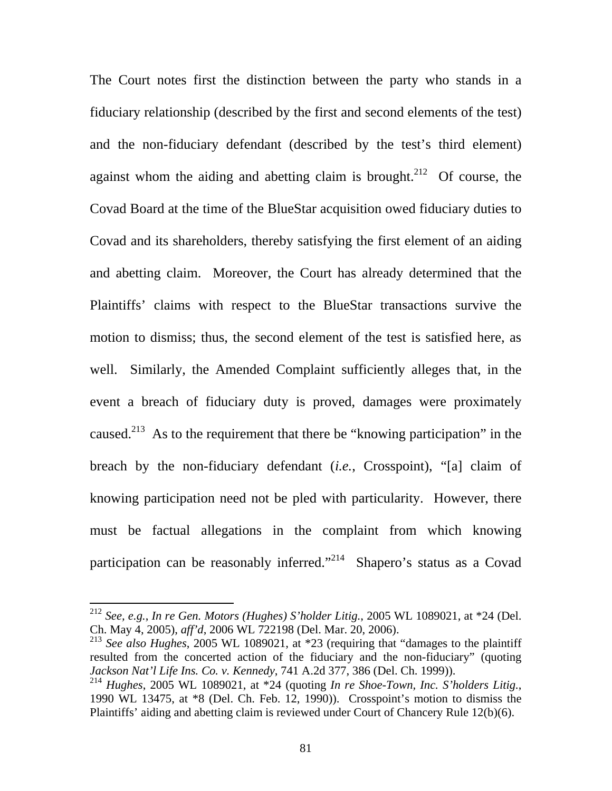The Court notes first the distinction between the party who stands in a fiduciary relationship (described by the first and second elements of the test) and the non-fiduciary defendant (described by the test's third element) against whom the aiding and abetting claim is brought.<sup>212</sup> Of course, the Covad Board at the time of the BlueStar acquisition owed fiduciary duties to Covad and its shareholders, thereby satisfying the first element of an aiding and abetting claim. Moreover, the Court has already determined that the Plaintiffs' claims with respect to the BlueStar transactions survive the motion to dismiss; thus, the second element of the test is satisfied here, as well. Similarly, the Amended Complaint sufficiently alleges that, in the event a breach of fiduciary duty is proved, damages were proximately caused.<sup>213</sup> As to the requirement that there be "knowing participation" in the breach by the non-fiduciary defendant (*i.e.*, Crosspoint), "[a] claim of knowing participation need not be pled with particularity. However, there must be factual allegations in the complaint from which knowing participation can be reasonably inferred."<sup>214</sup> Shapero's status as a Covad

<sup>212</sup> *See, e.g.*, *In re Gen. Motors (Hughes) S'holder Litig.*, 2005 WL 1089021, at \*24 (Del. Ch. May 4, 2005), *aff'd*, 2006 WL 722198 (Del. Mar. 20, 2006).

<sup>213</sup> *See also Hughes*, 2005 WL 1089021, at \*23 (requiring that "damages to the plaintiff resulted from the concerted action of the fiduciary and the non-fiduciary" (quoting *Jackson Nat'l Life Ins. Co. v. Kennedy*, 741 A.2d 377, 386 (Del. Ch. 1999)).

<sup>214</sup> *Hughes*, 2005 WL 1089021, at \*24 (quoting *In re Shoe-Town, Inc. S'holders Litig.*, 1990 WL 13475, at \*8 (Del. Ch. Feb. 12, 1990)). Crosspoint's motion to dismiss the Plaintiffs' aiding and abetting claim is reviewed under Court of Chancery Rule 12(b)(6).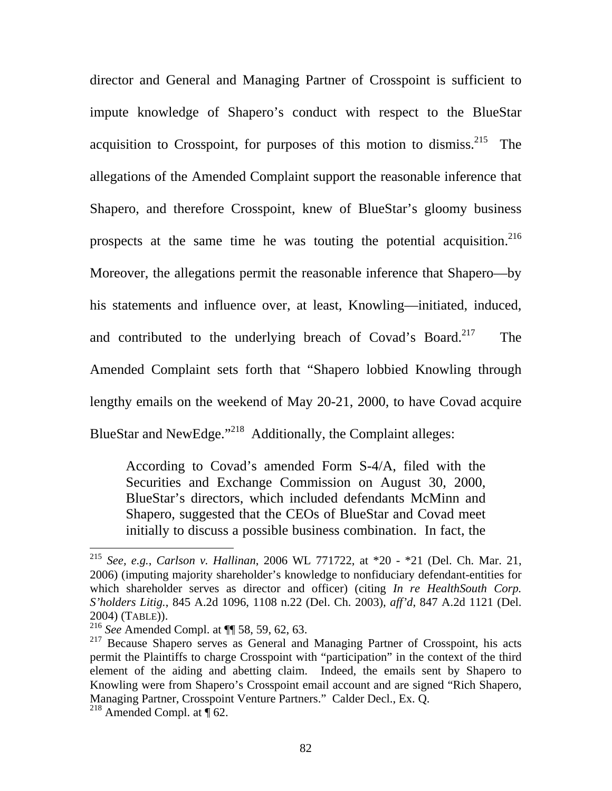director and General and Managing Partner of Crosspoint is sufficient to impute knowledge of Shapero's conduct with respect to the BlueStar acquisition to Crosspoint, for purposes of this motion to dismiss.<sup>215</sup> The allegations of the Amended Complaint support the reasonable inference that Shapero, and therefore Crosspoint, knew of BlueStar's gloomy business prospects at the same time he was touting the potential acquisition.<sup>216</sup> Moreover, the allegations permit the reasonable inference that Shapero—by his statements and influence over, at least, Knowling—initiated, induced, and contributed to the underlying breach of Covad's Board.<sup>217</sup> The Amended Complaint sets forth that "Shapero lobbied Knowling through lengthy emails on the weekend of May 20-21, 2000, to have Covad acquire BlueStar and NewEdge."<sup>218</sup> Additionally, the Complaint alleges:

According to Covad's amended Form S-4/A, filed with the Securities and Exchange Commission on August 30, 2000, BlueStar's directors, which included defendants McMinn and Shapero, suggested that the CEOs of BlueStar and Covad meet initially to discuss a possible business combination. In fact, the

<sup>215</sup> *See, e.g.*, *Carlson v. Hallinan*, 2006 WL 771722, at \*20 - \*21 (Del. Ch. Mar. 21, 2006) (imputing majority shareholder's knowledge to nonfiduciary defendant-entities for which shareholder serves as director and officer) (citing *In re HealthSouth Corp. S'holders Litig.*, 845 A.2d 1096, 1108 n.22 (Del. Ch. 2003), *aff'd*, 847 A.2d 1121 (Del. 2004) (TABLE)).

<sup>216</sup> *See* Amended Compl. at ¶¶ 58, 59, 62, 63.

<sup>&</sup>lt;sup>217</sup> Because Shapero serves as General and Managing Partner of Crosspoint, his acts permit the Plaintiffs to charge Crosspoint with "participation" in the context of the third element of the aiding and abetting claim. Indeed, the emails sent by Shapero to Knowling were from Shapero's Crosspoint email account and are signed "Rich Shapero, Managing Partner, Crosspoint Venture Partners." Calder Decl., Ex. Q. <sup>218</sup> Amended Compl. at  $\P$  62.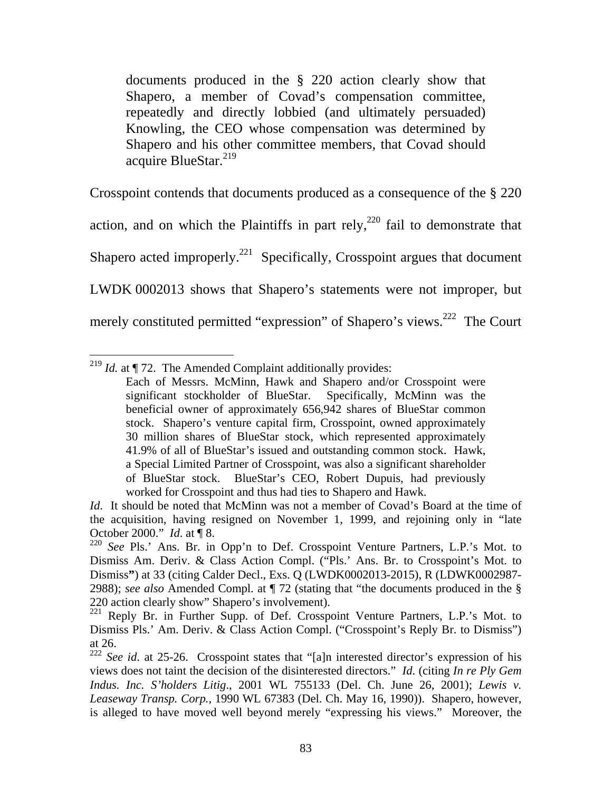documents produced in the § 220 action clearly show that Shapero, a member of Covad's compensation committee, repeatedly and directly lobbied (and ultimately persuaded) Knowling, the CEO whose compensation was determined by Shapero and his other committee members, that Covad should acquire BlueStar.<sup>219</sup>

Crosspoint contends that documents produced as a consequence of the § 220 action, and on which the Plaintiffs in part rely,<sup>220</sup> fail to demonstrate that Shapero acted improperly.<sup>221</sup> Specifically, Crosspoint argues that document LWDK 0002013 shows that Shapero's statements were not improper, but merely constituted permitted "expression" of Shapero's views.<sup>222</sup> The Court

 $\overline{a}$ <sup>219</sup> *Id.* at  $\P$  72. The Amended Complaint additionally provides:

Each of Messrs. McMinn, Hawk and Shapero and/or Crosspoint were significant stockholder of BlueStar. Specifically, McMinn was the beneficial owner of approximately 656,942 shares of BlueStar common stock. Shapero's venture capital firm, Crosspoint, owned approximately 30 million shares of BlueStar stock, which represented approximately 41.9% of all of BlueStar's issued and outstanding common stock. Hawk, a Special Limited Partner of Crosspoint, was also a significant shareholder of BlueStar stock. BlueStar's CEO, Robert Dupuis, had previously worked for Crosspoint and thus had ties to Shapero and Hawk.

*Id.* It should be noted that McMinn was not a member of Covad's Board at the time of the acquisition, having resigned on November 1, 1999, and rejoining only in "late October 2000." *Id*. at ¶ 8.

<sup>220</sup> *See* Pls.' Ans. Br. in Opp'n to Def. Crosspoint Venture Partners, L.P.'s Mot. to Dismiss Am. Deriv. & Class Action Compl. ("Pls.' Ans. Br. to Crosspoint's Mot. to Dismiss**"**) at 33 (citing Calder Decl., Exs. Q (LWDK0002013-2015), R (LDWK0002987- 2988); *see also* Amended Compl. at ¶ 72 (stating that "the documents produced in the § 220 action clearly show" Shapero's involvement).

<sup>&</sup>lt;sup>221</sup> Reply Br. in Further Supp. of Def. Crosspoint Venture Partners, L.P.'s Mot. to Dismiss Pls.' Am. Deriv. & Class Action Compl. ("Crosspoint's Reply Br. to Dismiss") at 26.

<sup>222</sup> *See id*. at 25-26. Crosspoint states that "[a]n interested director's expression of his views does not taint the decision of the disinterested directors." *Id*. (citing *In re Ply Gem Indus. Inc. S'holders Litig*., 2001 WL 755133 (Del. Ch. June 26, 2001); *Lewis v. Leaseway Transp. Corp.*, 1990 WL 67383 (Del. Ch. May 16, 1990)). Shapero, however, is alleged to have moved well beyond merely "expressing his views." Moreover, the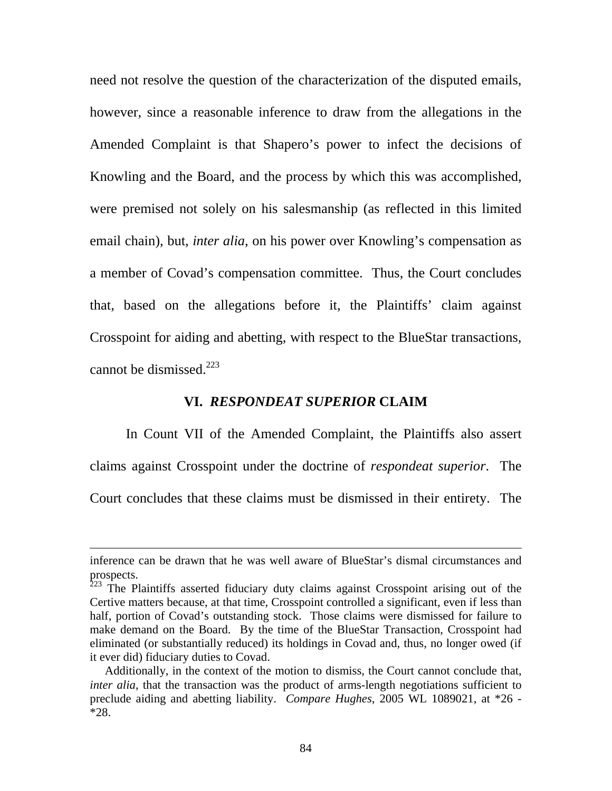need not resolve the question of the characterization of the disputed emails, however, since a reasonable inference to draw from the allegations in the Amended Complaint is that Shapero's power to infect the decisions of Knowling and the Board, and the process by which this was accomplished, were premised not solely on his salesmanship (as reflected in this limited email chain), but, *inter alia*, on his power over Knowling's compensation as a member of Covad's compensation committee. Thus, the Court concludes that, based on the allegations before it, the Plaintiffs' claim against Crosspoint for aiding and abetting, with respect to the BlueStar transactions, cannot be dismissed. $^{223}$ 

#### **VI.** *RESPONDEAT SUPERIOR* **CLAIM**

 In Count VII of the Amended Complaint, the Plaintiffs also assert claims against Crosspoint under the doctrine of *respondeat superior*. The Court concludes that these claims must be dismissed in their entirety. The

inference can be drawn that he was well aware of BlueStar's dismal circumstances and prospects.

 $223$  The Plaintiffs asserted fiduciary duty claims against Crosspoint arising out of the Certive matters because, at that time, Crosspoint controlled a significant, even if less than half, portion of Covad's outstanding stock. Those claims were dismissed for failure to make demand on the Board. By the time of the BlueStar Transaction, Crosspoint had eliminated (or substantially reduced) its holdings in Covad and, thus, no longer owed (if it ever did) fiduciary duties to Covad.

Additionally, in the context of the motion to dismiss, the Court cannot conclude that, *inter alia*, that the transaction was the product of arms-length negotiations sufficient to preclude aiding and abetting liability. *Compare Hughes*, 2005 WL 1089021, at \*26 - \*28.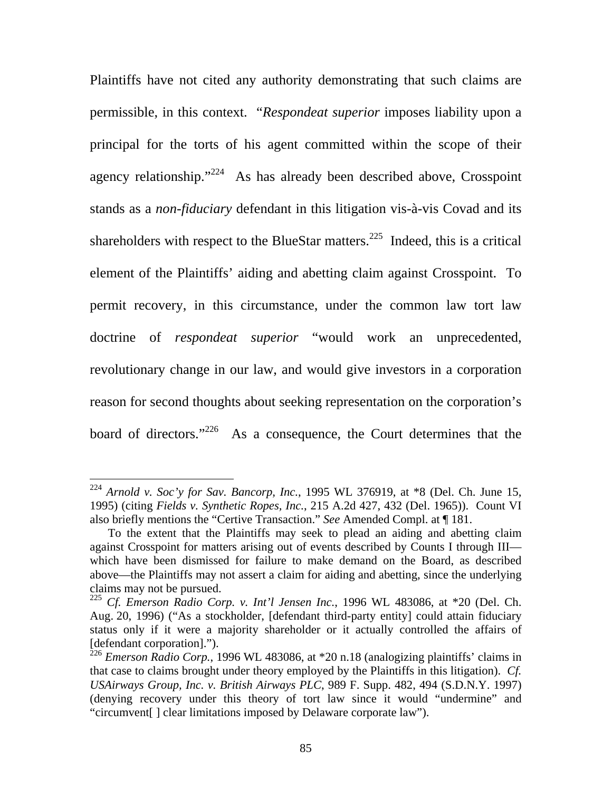Plaintiffs have not cited any authority demonstrating that such claims are permissible, in this context. "*Respondeat superior* imposes liability upon a principal for the torts of his agent committed within the scope of their agency relationship."<sup>224</sup> As has already been described above, Crosspoint stands as a *non-fiduciary* defendant in this litigation vis-à-vis Covad and its shareholders with respect to the BlueStar matters.<sup>225</sup> Indeed, this is a critical element of the Plaintiffs' aiding and abetting claim against Crosspoint. To permit recovery, in this circumstance, under the common law tort law doctrine of *respondeat superior* "would work an unprecedented, revolutionary change in our law, and would give investors in a corporation reason for second thoughts about seeking representation on the corporation's board of directors."<sup>226</sup> As a consequence, the Court determines that the

 $224$  *Arnold v. Soc'y for Sav. Bancorp, Inc.*, 1995 WL 376919, at  $*8$  (Del. Ch. June 15, 1995) (citing *Fields v. Synthetic Ropes, Inc.*, 215 A.2d 427, 432 (Del. 1965)). Count VI also briefly mentions the "Certive Transaction." *See* Amended Compl. at ¶ 181.

To the extent that the Plaintiffs may seek to plead an aiding and abetting claim against Crosspoint for matters arising out of events described by Counts I through III which have been dismissed for failure to make demand on the Board, as described above—the Plaintiffs may not assert a claim for aiding and abetting, since the underlying claims may not be pursued.

<sup>225</sup> *Cf. Emerson Radio Corp. v. Int'l Jensen Inc.*, 1996 WL 483086, at \*20 (Del. Ch. Aug. 20, 1996) ("As a stockholder, [defendant third-party entity] could attain fiduciary status only if it were a majority shareholder or it actually controlled the affairs of [defendant corporation].").

<sup>226</sup> *Emerson Radio Corp.*, 1996 WL 483086, at \*20 n.18 (analogizing plaintiffs' claims in that case to claims brought under theory employed by the Plaintiffs in this litigation). *Cf. USAirways Group, Inc. v. British Airways PLC*, 989 F. Supp. 482, 494 (S.D.N.Y. 1997) (denying recovery under this theory of tort law since it would "undermine" and "circumvent[ ] clear limitations imposed by Delaware corporate law").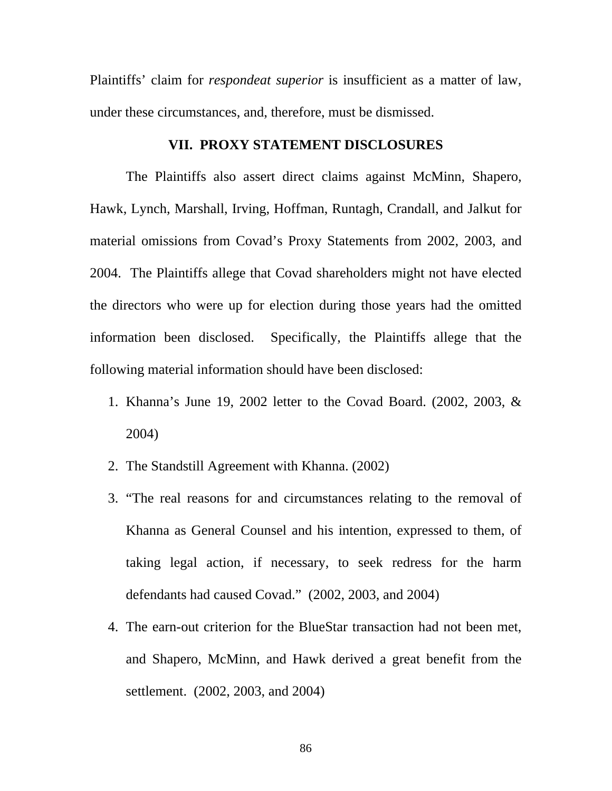Plaintiffs' claim for *respondeat superior* is insufficient as a matter of law, under these circumstances, and, therefore, must be dismissed.

#### **VII. PROXY STATEMENT DISCLOSURES**

 The Plaintiffs also assert direct claims against McMinn, Shapero, Hawk, Lynch, Marshall, Irving, Hoffman, Runtagh, Crandall, and Jalkut for material omissions from Covad's Proxy Statements from 2002, 2003, and 2004. The Plaintiffs allege that Covad shareholders might not have elected the directors who were up for election during those years had the omitted information been disclosed. Specifically, the Plaintiffs allege that the following material information should have been disclosed:

- 1. Khanna's June 19, 2002 letter to the Covad Board. (2002, 2003, & 2004)
- 2. The Standstill Agreement with Khanna. (2002)
- 3. "The real reasons for and circumstances relating to the removal of Khanna as General Counsel and his intention, expressed to them, of taking legal action, if necessary, to seek redress for the harm defendants had caused Covad." (2002, 2003, and 2004)
- 4. The earn-out criterion for the BlueStar transaction had not been met, and Shapero, McMinn, and Hawk derived a great benefit from the settlement. (2002, 2003, and 2004)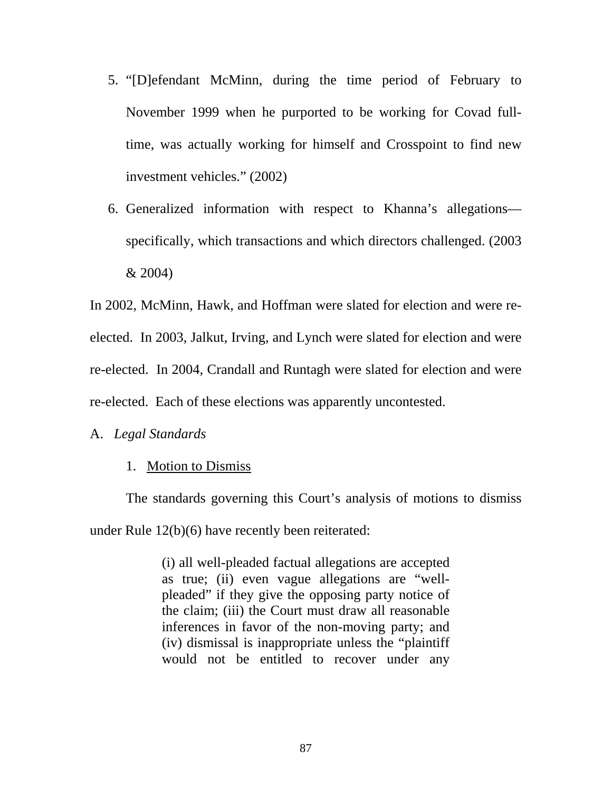- 5. "[D]efendant McMinn, during the time period of February to November 1999 when he purported to be working for Covad fulltime, was actually working for himself and Crosspoint to find new investment vehicles." (2002)
- 6. Generalized information with respect to Khanna's allegations specifically, which transactions and which directors challenged. (2003 & 2004)

In 2002, McMinn, Hawk, and Hoffman were slated for election and were reelected. In 2003, Jalkut, Irving, and Lynch were slated for election and were re-elected. In 2004, Crandall and Runtagh were slated for election and were re-elected. Each of these elections was apparently uncontested.

### A. *Legal Standards*

#### 1. Motion to Dismiss

 The standards governing this Court's analysis of motions to dismiss under Rule 12(b)(6) have recently been reiterated:

> (i) all well-pleaded factual allegations are accepted as true; (ii) even vague allegations are "wellpleaded" if they give the opposing party notice of the claim; (iii) the Court must draw all reasonable inferences in favor of the non-moving party; and (iv) dismissal is inappropriate unless the "plaintiff would not be entitled to recover under any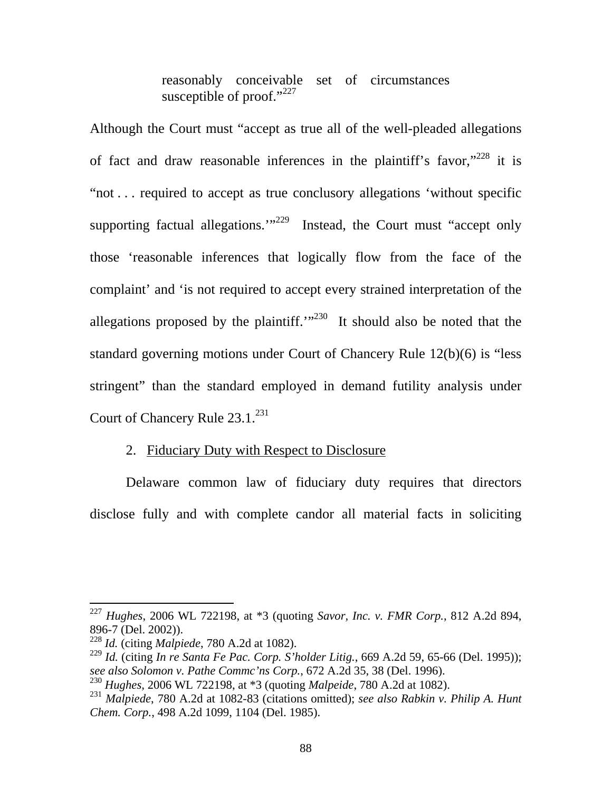reasonably conceivable set of circumstances susceptible of proof." $227$ 

Although the Court must "accept as true all of the well-pleaded allegations of fact and draw reasonable inferences in the plaintiff's favor,"228 it is "not . . . required to accept as true conclusory allegations 'without specific supporting factual allegations." $229$  Instead, the Court must "accept only those 'reasonable inferences that logically flow from the face of the complaint' and 'is not required to accept every strained interpretation of the allegations proposed by the plaintiff.<sup> $1230$ </sup> It should also be noted that the standard governing motions under Court of Chancery Rule 12(b)(6) is "less stringent" than the standard employed in demand futility analysis under Court of Chancery Rule 23.1.<sup>231</sup>

### 2. Fiduciary Duty with Respect to Disclosure

Delaware common law of fiduciary duty requires that directors disclose fully and with complete candor all material facts in soliciting

<sup>227</sup> *Hughes*, 2006 WL 722198, at \*3 (quoting *Savor, Inc. v. FMR Corp.*, 812 A.2d 894, 896-7 (Del. 2002)).

<sup>228</sup> *Id.* (citing *Malpiede*, 780 A.2d at 1082).

<sup>229</sup> *Id.* (citing *In re Santa Fe Pac. Corp. S'holder Litig.*, 669 A.2d 59, 65-66 (Del. 1995)); *see also Solomon v. Pathe Commc'ns Corp.*, 672 A.2d 35, 38 (Del. 1996).

<sup>230</sup> *Hughes*, 2006 WL 722198, at \*3 (quoting *Malpeide*, 780 A.2d at 1082).

<sup>231</sup> *Malpiede*, 780 A.2d at 1082-83 (citations omitted); *see also Rabkin v. Philip A. Hunt Chem. Corp.*, 498 A.2d 1099, 1104 (Del. 1985).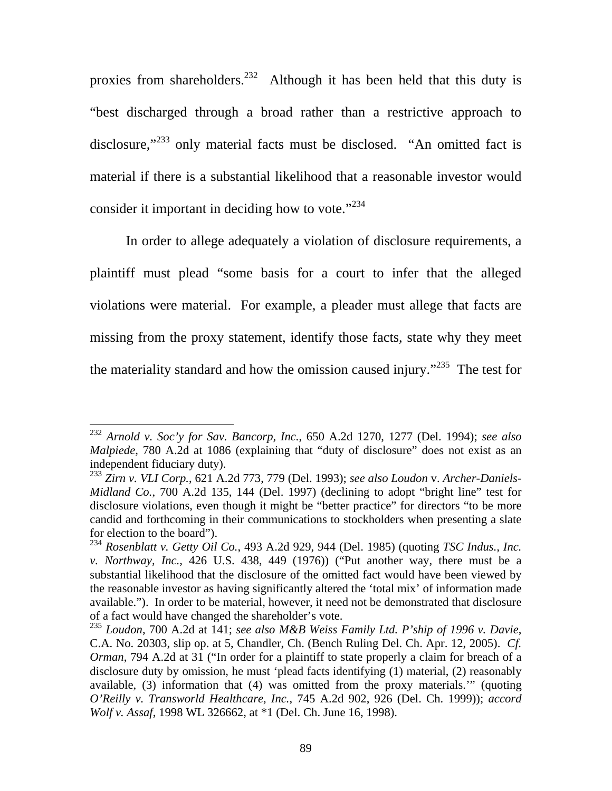proxies from shareholders.<sup>232</sup> Although it has been held that this duty is "best discharged through a broad rather than a restrictive approach to disclosure,"<sup>233</sup> only material facts must be disclosed. "An omitted fact is material if there is a substantial likelihood that a reasonable investor would consider it important in deciding how to vote."<sup>234</sup>

In order to allege adequately a violation of disclosure requirements, a plaintiff must plead "some basis for a court to infer that the alleged violations were material. For example, a pleader must allege that facts are missing from the proxy statement, identify those facts, state why they meet the materiality standard and how the omission caused injury."<sup>235</sup> The test for

<sup>232</sup> *Arnold v. Soc'y for Sav. Bancorp, Inc.*, 650 A.2d 1270, 1277 (Del. 1994); *see also Malpiede*, 780 A.2d at 1086 (explaining that "duty of disclosure" does not exist as an independent fiduciary duty).

<sup>233</sup> *Zirn v. VLI Corp.*, 621 A.2d 773, 779 (Del. 1993); *see also Loudon* v. *Archer-Daniels-Midland Co.*, 700 A.2d 135, 144 (Del. 1997) (declining to adopt "bright line" test for disclosure violations, even though it might be "better practice" for directors "to be more candid and forthcoming in their communications to stockholders when presenting a slate for election to the board").

<sup>234</sup> *Rosenblatt v. Getty Oil Co.*, 493 A.2d 929, 944 (Del. 1985) (quoting *TSC Indus., Inc. v. Northway, Inc.*, 426 U.S. 438, 449 (1976)) ("Put another way, there must be a substantial likelihood that the disclosure of the omitted fact would have been viewed by the reasonable investor as having significantly altered the 'total mix' of information made available."). In order to be material, however, it need not be demonstrated that disclosure of a fact would have changed the shareholder's vote.

<sup>235</sup> *Loudon*, 700 A.2d at 141; *see also M&B Weiss Family Ltd. P'ship of 1996 v. Davie*, C.A. No. 20303, slip op. at 5, Chandler, Ch. (Bench Ruling Del. Ch. Apr. 12, 2005). *Cf. Orman*, 794 A.2d at 31 ("In order for a plaintiff to state properly a claim for breach of a disclosure duty by omission, he must 'plead facts identifying (1) material, (2) reasonably available, (3) information that (4) was omitted from the proxy materials.'" (quoting *O'Reilly v. Transworld Healthcare, Inc.*, 745 A.2d 902, 926 (Del. Ch. 1999)); *accord Wolf v. Assaf*, 1998 WL 326662, at \*1 (Del. Ch. June 16, 1998).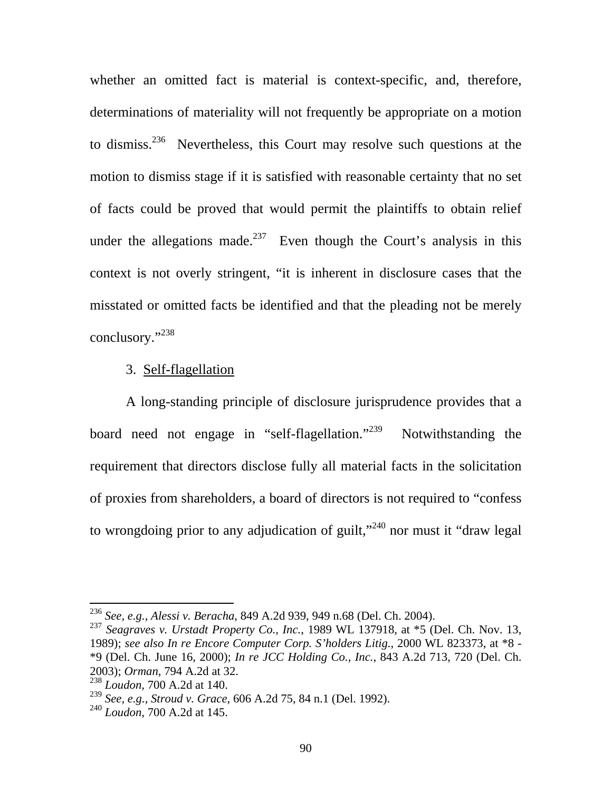whether an omitted fact is material is context-specific, and, therefore, determinations of materiality will not frequently be appropriate on a motion to dismiss.236 Nevertheless, this Court may resolve such questions at the motion to dismiss stage if it is satisfied with reasonable certainty that no set of facts could be proved that would permit the plaintiffs to obtain relief under the allegations made.<sup>237</sup> Even though the Court's analysis in this context is not overly stringent, "it is inherent in disclosure cases that the misstated or omitted facts be identified and that the pleading not be merely conclusory."<sup>238</sup>

#### 3. Self-flagellation

A long-standing principle of disclosure jurisprudence provides that a board need not engage in "self-flagellation."<sup>239</sup> Notwithstanding the requirement that directors disclose fully all material facts in the solicitation of proxies from shareholders, a board of directors is not required to "confess to wrongdoing prior to any adjudication of guilt,"<sup>240</sup> nor must it "draw legal

<sup>236</sup> *See, e.g.*, *Alessi v. Beracha*, 849 A.2d 939, 949 n.68 (Del. Ch. 2004).

<sup>237</sup> *Seagraves v. Urstadt Property Co., Inc.*, 1989 WL 137918, at \*5 (Del. Ch. Nov. 13, 1989); *see also In re Encore Computer Corp. S'holders Litig.*, 2000 WL 823373, at \*8 - \*9 (Del. Ch. June 16, 2000); *In re JCC Holding Co., Inc.*, 843 A.2d 713, 720 (Del. Ch. 2003); *Orman*, 794 A.2d at 32.

<sup>238</sup> *Loudon*, 700 A.2d at 140.

<sup>239</sup> *See, e.g.*, *Stroud v. Grace*, 606 A.2d 75, 84 n.1 (Del. 1992).

<sup>240</sup> *Loudon*, 700 A.2d at 145.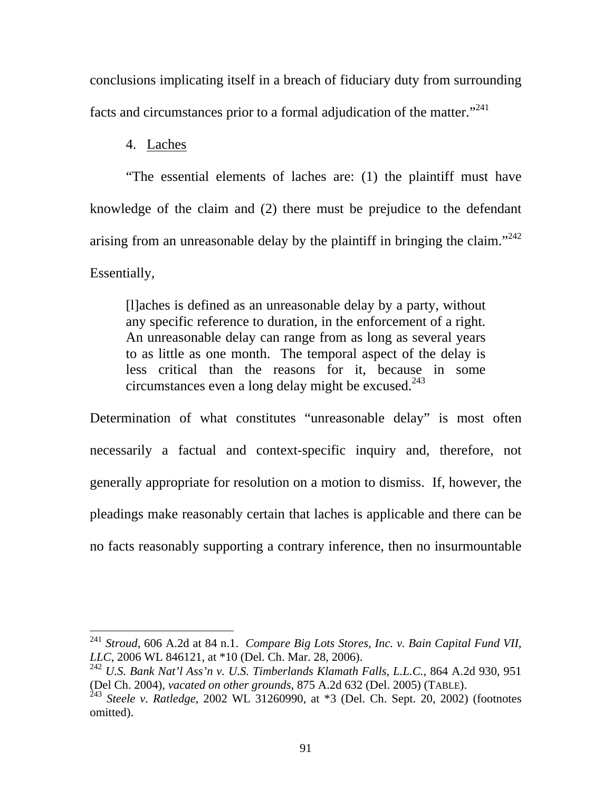conclusions implicating itself in a breach of fiduciary duty from surrounding facts and circumstances prior to a formal adjudication of the matter."<sup>241</sup>

### 4. Laches

 $\overline{a}$ 

 "The essential elements of laches are: (1) the plaintiff must have knowledge of the claim and (2) there must be prejudice to the defendant arising from an unreasonable delay by the plaintiff in bringing the claim."<sup>242</sup> Essentially,

[l]aches is defined as an unreasonable delay by a party, without any specific reference to duration, in the enforcement of a right. An unreasonable delay can range from as long as several years to as little as one month. The temporal aspect of the delay is less critical than the reasons for it, because in some circumstances even a long delay might be excused.<sup>243</sup>

Determination of what constitutes "unreasonable delay" is most often necessarily a factual and context-specific inquiry and, therefore, not generally appropriate for resolution on a motion to dismiss. If, however, the pleadings make reasonably certain that laches is applicable and there can be no facts reasonably supporting a contrary inference, then no insurmountable

<sup>241</sup> *Stroud*, 606 A.2d at 84 n.1. *Compare Big Lots Stores, Inc. v. Bain Capital Fund VII, LLC*, 2006 WL 846121, at \*10 (Del. Ch. Mar. 28, 2006).

<sup>242</sup> *U.S. Bank Nat'l Ass'n v. U.S. Timberlands Klamath Falls, L.L.C.*, 864 A.2d 930, 951 (Del Ch. 2004), *vacated on other grounds*, 875 A.2d 632 (Del. 2005) (TABLE).

<sup>243</sup> *Steele v. Ratledge*, 2002 WL 31260990, at \*3 (Del. Ch. Sept. 20, 2002) (footnotes omitted).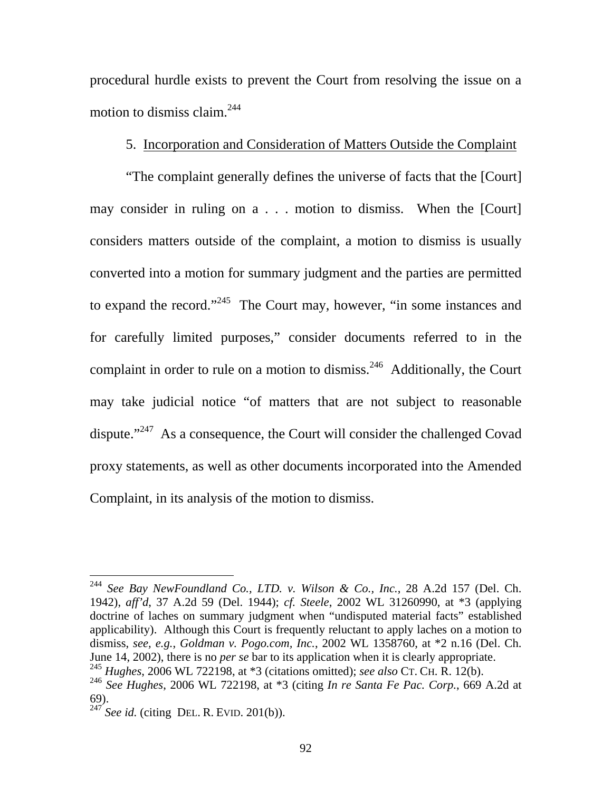procedural hurdle exists to prevent the Court from resolving the issue on a motion to dismiss claim. $^{244}$ 

## 5. Incorporation and Consideration of Matters Outside the Complaint

 "The complaint generally defines the universe of facts that the [Court] may consider in ruling on a . . . motion to dismiss. When the [Court] considers matters outside of the complaint, a motion to dismiss is usually converted into a motion for summary judgment and the parties are permitted to expand the record."<sup>245</sup> The Court may, however, "in some instances and for carefully limited purposes," consider documents referred to in the complaint in order to rule on a motion to dismiss.<sup>246</sup> Additionally, the Court may take judicial notice "of matters that are not subject to reasonable dispute."<sup>247</sup> As a consequence, the Court will consider the challenged Covad proxy statements, as well as other documents incorporated into the Amended Complaint, in its analysis of the motion to dismiss.

<sup>244</sup> *See Bay NewFoundland Co., LTD. v. Wilson & Co., Inc.*, 28 A.2d 157 (Del. Ch. 1942), *aff'd*, 37 A.2d 59 (Del. 1944); *cf. Steele*, 2002 WL 31260990, at \*3 (applying doctrine of laches on summary judgment when "undisputed material facts" established applicability). Although this Court is frequently reluctant to apply laches on a motion to dismiss, *see, e.g.*, *Goldman v. Pogo.com, Inc.*, 2002 WL 1358760, at \*2 n.16 (Del. Ch. June 14, 2002), there is no *per se* bar to its application when it is clearly appropriate. <sup>245</sup> *Hughes*, 2006 WL 722198, at \*3 (citations omitted); *see also* CT. CH. R. 12(b).

<sup>246</sup> *See Hughes*, 2006 WL 722198, at \*3 (citing *In re Santa Fe Pac. Corp.*, 669 A.2d at 69).

 $^{247}$  *See id.* (citing DEL. R. EVID. 201(b)).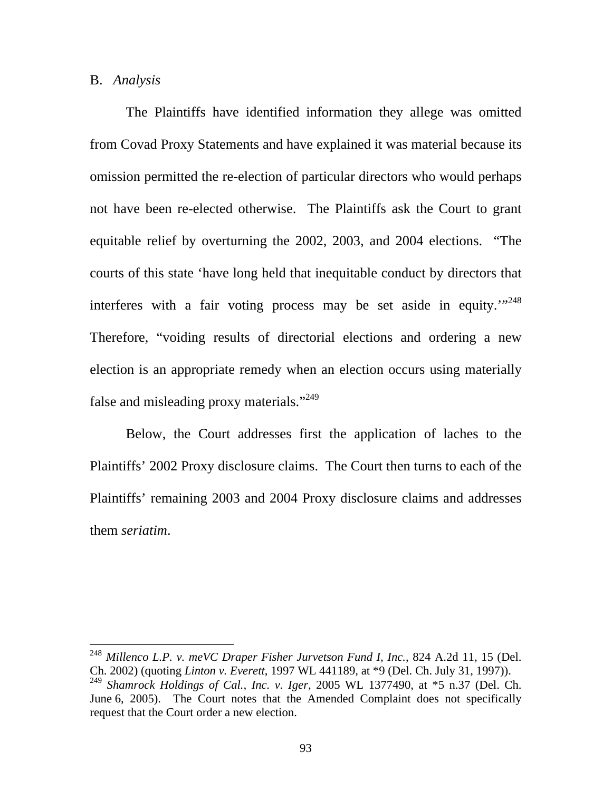#### B. *Analysis*

 $\overline{a}$ 

The Plaintiffs have identified information they allege was omitted from Covad Proxy Statements and have explained it was material because its omission permitted the re-election of particular directors who would perhaps not have been re-elected otherwise. The Plaintiffs ask the Court to grant equitable relief by overturning the 2002, 2003, and 2004 elections. "The courts of this state 'have long held that inequitable conduct by directors that interferes with a fair voting process may be set aside in equity."<sup>248</sup> Therefore, "voiding results of directorial elections and ordering a new election is an appropriate remedy when an election occurs using materially false and misleading proxy materials."<sup>249</sup>

Below, the Court addresses first the application of laches to the Plaintiffs' 2002 Proxy disclosure claims. The Court then turns to each of the Plaintiffs' remaining 2003 and 2004 Proxy disclosure claims and addresses them *seriatim*.

<sup>248</sup> *Millenco L.P. v. meVC Draper Fisher Jurvetson Fund I, Inc.*, 824 A.2d 11, 15 (Del. Ch. 2002) (quoting *Linton v. Everett*, 1997 WL 441189, at \*9 (Del. Ch. July 31, 1997)).<sup>249</sup> *Shamrock Holdings of Cal., Inc. v. Iger*, 2005 WL 1377490, at \*5 n.37 (Del. Ch.

June 6, 2005). The Court notes that the Amended Complaint does not specifically request that the Court order a new election.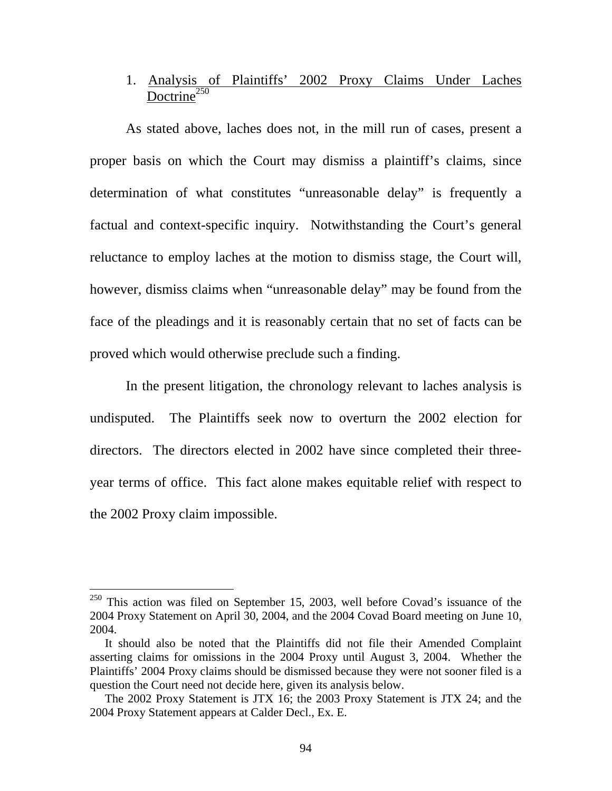# 1. Analysis of Plaintiffs' 2002 Proxy Claims Under Laches  $Doctrine<sup>250</sup>$

As stated above, laches does not, in the mill run of cases, present a proper basis on which the Court may dismiss a plaintiff's claims, since determination of what constitutes "unreasonable delay" is frequently a factual and context-specific inquiry. Notwithstanding the Court's general reluctance to employ laches at the motion to dismiss stage, the Court will, however, dismiss claims when "unreasonable delay" may be found from the face of the pleadings and it is reasonably certain that no set of facts can be proved which would otherwise preclude such a finding.

In the present litigation, the chronology relevant to laches analysis is undisputed. The Plaintiffs seek now to overturn the 2002 election for directors. The directors elected in 2002 have since completed their threeyear terms of office. This fact alone makes equitable relief with respect to the 2002 Proxy claim impossible.

 $250$  This action was filed on September 15, 2003, well before Covad's issuance of the 2004 Proxy Statement on April 30, 2004, and the 2004 Covad Board meeting on June 10, 2004.

It should also be noted that the Plaintiffs did not file their Amended Complaint asserting claims for omissions in the 2004 Proxy until August 3, 2004. Whether the Plaintiffs' 2004 Proxy claims should be dismissed because they were not sooner filed is a question the Court need not decide here, given its analysis below.

The 2002 Proxy Statement is JTX 16; the 2003 Proxy Statement is JTX 24; and the 2004 Proxy Statement appears at Calder Decl., Ex. E.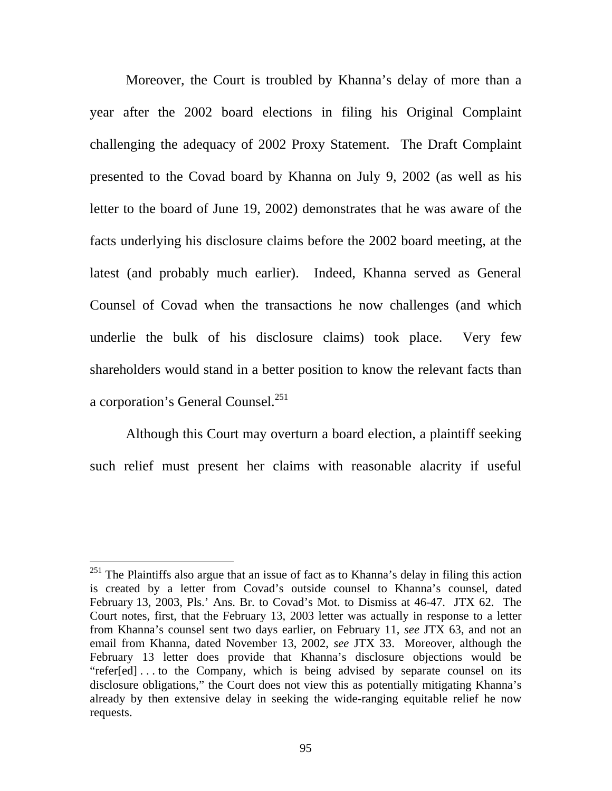Moreover, the Court is troubled by Khanna's delay of more than a year after the 2002 board elections in filing his Original Complaint challenging the adequacy of 2002 Proxy Statement. The Draft Complaint presented to the Covad board by Khanna on July 9, 2002 (as well as his letter to the board of June 19, 2002) demonstrates that he was aware of the facts underlying his disclosure claims before the 2002 board meeting, at the latest (and probably much earlier). Indeed, Khanna served as General Counsel of Covad when the transactions he now challenges (and which underlie the bulk of his disclosure claims) took place. Very few shareholders would stand in a better position to know the relevant facts than a corporation's General Counsel.<sup>251</sup>

 Although this Court may overturn a board election, a plaintiff seeking such relief must present her claims with reasonable alacrity if useful

 $^{251}$  The Plaintiffs also argue that an issue of fact as to Khanna's delay in filing this action is created by a letter from Covad's outside counsel to Khanna's counsel, dated February 13, 2003, Pls.' Ans. Br. to Covad's Mot. to Dismiss at 46-47. JTX 62. The Court notes, first, that the February 13, 2003 letter was actually in response to a letter from Khanna's counsel sent two days earlier, on February 11, *see* JTX 63, and not an email from Khanna, dated November 13, 2002, *see* JTX 33. Moreover, although the February 13 letter does provide that Khanna's disclosure objections would be "refer[ed] . . . to the Company, which is being advised by separate counsel on its disclosure obligations," the Court does not view this as potentially mitigating Khanna's already by then extensive delay in seeking the wide-ranging equitable relief he now requests.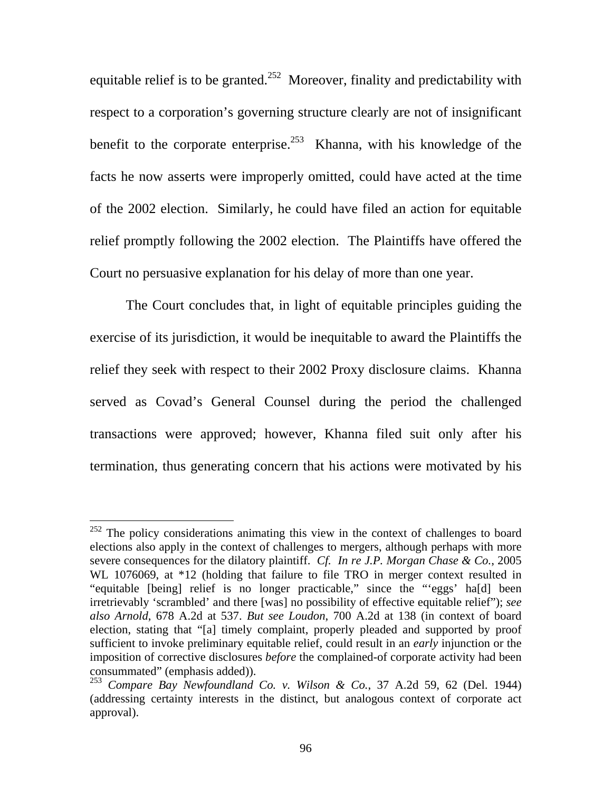equitable relief is to be granted.<sup>252</sup> Moreover, finality and predictability with respect to a corporation's governing structure clearly are not of insignificant benefit to the corporate enterprise.<sup>253</sup> Khanna, with his knowledge of the facts he now asserts were improperly omitted, could have acted at the time of the 2002 election. Similarly, he could have filed an action for equitable relief promptly following the 2002 election. The Plaintiffs have offered the Court no persuasive explanation for his delay of more than one year.

The Court concludes that, in light of equitable principles guiding the exercise of its jurisdiction, it would be inequitable to award the Plaintiffs the relief they seek with respect to their 2002 Proxy disclosure claims. Khanna served as Covad's General Counsel during the period the challenged transactions were approved; however, Khanna filed suit only after his termination, thus generating concern that his actions were motivated by his

 $252$  The policy considerations animating this view in the context of challenges to board elections also apply in the context of challenges to mergers, although perhaps with more severe consequences for the dilatory plaintiff. *Cf. In re J.P. Morgan Chase & Co.*, 2005 WL 1076069, at \*12 (holding that failure to file TRO in merger context resulted in "equitable [being] relief is no longer practicable," since the "'eggs' ha[d] been irretrievably 'scrambled' and there [was] no possibility of effective equitable relief"); *see also Arnold*, 678 A.2d at 537. *But see Loudon*, 700 A.2d at 138 (in context of board election, stating that "[a] timely complaint, properly pleaded and supported by proof sufficient to invoke preliminary equitable relief, could result in an *early* injunction or the imposition of corrective disclosures *before* the complained-of corporate activity had been consummated" (emphasis added)).

<sup>253</sup> *Compare Bay Newfoundland Co. v. Wilson & Co.*, 37 A.2d 59, 62 (Del. 1944) (addressing certainty interests in the distinct, but analogous context of corporate act approval).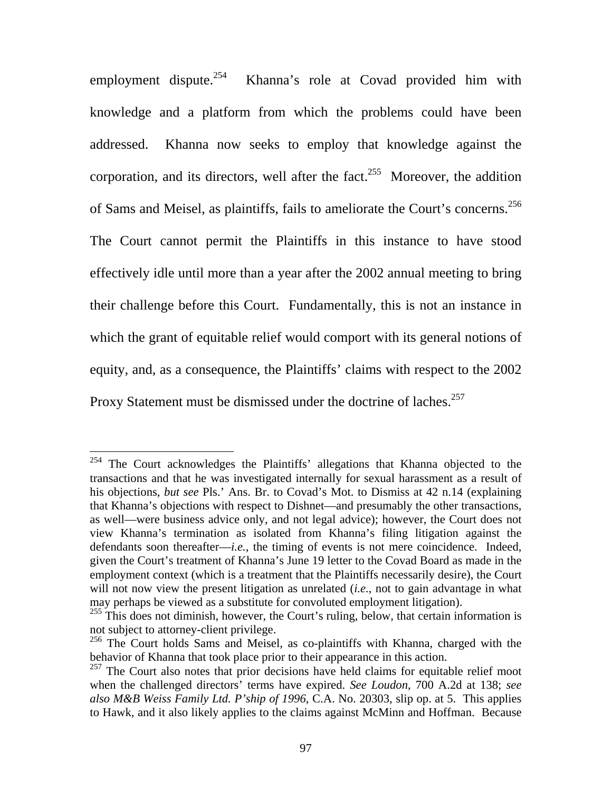employment dispute.<sup>254</sup> Khanna's role at Covad provided him with knowledge and a platform from which the problems could have been addressed. Khanna now seeks to employ that knowledge against the corporation, and its directors, well after the fact.<sup>255</sup> Moreover, the addition of Sams and Meisel, as plaintiffs, fails to ameliorate the Court's concerns.<sup>256</sup> The Court cannot permit the Plaintiffs in this instance to have stood effectively idle until more than a year after the 2002 annual meeting to bring their challenge before this Court. Fundamentally, this is not an instance in which the grant of equitable relief would comport with its general notions of equity, and, as a consequence, the Plaintiffs' claims with respect to the 2002 Proxy Statement must be dismissed under the doctrine of laches.<sup>257</sup>

 $254$  The Court acknowledges the Plaintiffs' allegations that Khanna objected to the transactions and that he was investigated internally for sexual harassment as a result of his objections, *but see* Pls.' Ans. Br. to Covad's Mot. to Dismiss at 42 n.14 (explaining that Khanna's objections with respect to Dishnet—and presumably the other transactions, as well—were business advice only, and not legal advice); however, the Court does not view Khanna's termination as isolated from Khanna's filing litigation against the defendants soon thereafter—*i.e.*, the timing of events is not mere coincidence. Indeed, given the Court's treatment of Khanna's June 19 letter to the Covad Board as made in the employment context (which is a treatment that the Plaintiffs necessarily desire), the Court will not now view the present litigation as unrelated (*i.e.*, not to gain advantage in what may perhaps be viewed as a substitute for convoluted employment litigation).

 $255$  This does not diminish, however, the Court's ruling, below, that certain information is not subject to attorney-client privilege.

<sup>&</sup>lt;sup>256</sup> The Court holds Sams and Meisel, as co-plaintiffs with Khanna, charged with the behavior of Khanna that took place prior to their appearance in this action.

<sup>&</sup>lt;sup>257</sup> The Court also notes that prior decisions have held claims for equitable relief moot when the challenged directors' terms have expired. *See Loudon*, 700 A.2d at 138; *see also M&B Weiss Family Ltd. P'ship of 1996*, C.A. No. 20303, slip op. at 5. This applies to Hawk, and it also likely applies to the claims against McMinn and Hoffman. Because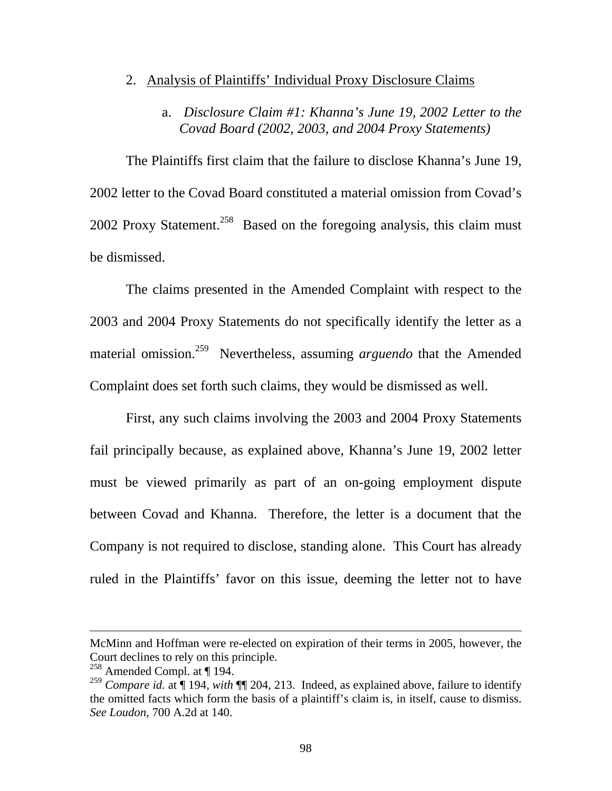### 2. Analysis of Plaintiffs' Individual Proxy Disclosure Claims

## a. *Disclosure Claim #1: Khanna's June 19, 2002 Letter to the Covad Board (2002, 2003, and 2004 Proxy Statements)*

The Plaintiffs first claim that the failure to disclose Khanna's June 19, 2002 letter to the Covad Board constituted a material omission from Covad's 2002 Proxy Statement.<sup>258</sup> Based on the foregoing analysis, this claim must be dismissed.

The claims presented in the Amended Complaint with respect to the 2003 and 2004 Proxy Statements do not specifically identify the letter as a material omission.259 Nevertheless, assuming *arguendo* that the Amended Complaint does set forth such claims, they would be dismissed as well.

First, any such claims involving the 2003 and 2004 Proxy Statements fail principally because, as explained above, Khanna's June 19, 2002 letter must be viewed primarily as part of an on-going employment dispute between Covad and Khanna. Therefore, the letter is a document that the Company is not required to disclose, standing alone. This Court has already ruled in the Plaintiffs' favor on this issue, deeming the letter not to have

McMinn and Hoffman were re-elected on expiration of their terms in 2005, however, the Court declines to rely on this principle.

<sup>258</sup> Amended Compl. at ¶ 194.

<sup>&</sup>lt;sup>259</sup> Compare id. at | 194, *with*  $\P$  204, 213. Indeed, as explained above, failure to identify the omitted facts which form the basis of a plaintiff's claim is, in itself, cause to dismiss. *See Loudon*, 700 A.2d at 140.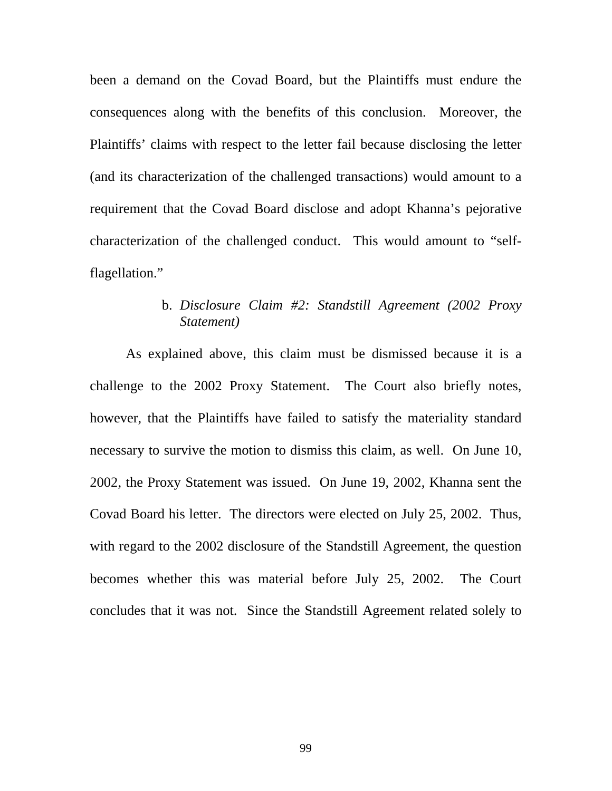been a demand on the Covad Board, but the Plaintiffs must endure the consequences along with the benefits of this conclusion. Moreover, the Plaintiffs' claims with respect to the letter fail because disclosing the letter (and its characterization of the challenged transactions) would amount to a requirement that the Covad Board disclose and adopt Khanna's pejorative characterization of the challenged conduct. This would amount to "selfflagellation."

## b. *Disclosure Claim #2: Standstill Agreement (2002 Proxy Statement)*

As explained above, this claim must be dismissed because it is a challenge to the 2002 Proxy Statement. The Court also briefly notes, however, that the Plaintiffs have failed to satisfy the materiality standard necessary to survive the motion to dismiss this claim, as well. On June 10, 2002, the Proxy Statement was issued. On June 19, 2002, Khanna sent the Covad Board his letter. The directors were elected on July 25, 2002. Thus, with regard to the 2002 disclosure of the Standstill Agreement, the question becomes whether this was material before July 25, 2002. The Court concludes that it was not. Since the Standstill Agreement related solely to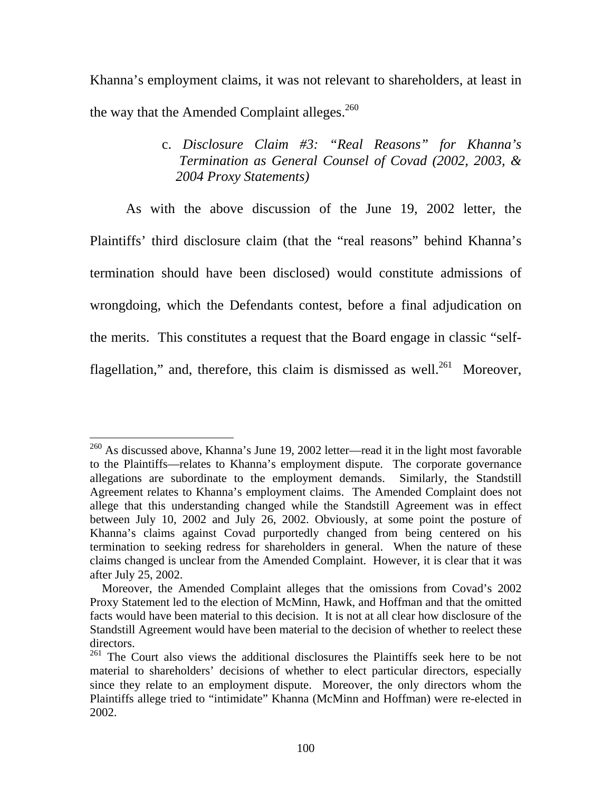Khanna's employment claims, it was not relevant to shareholders, at least in the way that the Amended Complaint alleges.<sup>260</sup>

> c. *Disclosure Claim #3: "Real Reasons" for Khanna's Termination as General Counsel of Covad (2002, 2003, & 2004 Proxy Statements)*

 As with the above discussion of the June 19, 2002 letter, the Plaintiffs' third disclosure claim (that the "real reasons" behind Khanna's termination should have been disclosed) would constitute admissions of wrongdoing, which the Defendants contest, before a final adjudication on the merits. This constitutes a request that the Board engage in classic "selfflagellation," and, therefore, this claim is dismissed as well.<sup>261</sup> Moreover,

 $^{260}$  As discussed above, Khanna's June 19, 2002 letter—read it in the light most favorable to the Plaintiffs—relates to Khanna's employment dispute. The corporate governance allegations are subordinate to the employment demands. Similarly, the Standstill Agreement relates to Khanna's employment claims. The Amended Complaint does not allege that this understanding changed while the Standstill Agreement was in effect between July 10, 2002 and July 26, 2002. Obviously, at some point the posture of Khanna's claims against Covad purportedly changed from being centered on his termination to seeking redress for shareholders in general. When the nature of these claims changed is unclear from the Amended Complaint. However, it is clear that it was after July 25, 2002.

Moreover, the Amended Complaint alleges that the omissions from Covad's 2002 Proxy Statement led to the election of McMinn, Hawk, and Hoffman and that the omitted facts would have been material to this decision. It is not at all clear how disclosure of the Standstill Agreement would have been material to the decision of whether to reelect these directors.

<sup>&</sup>lt;sup>261</sup> The Court also views the additional disclosures the Plaintiffs seek here to be not material to shareholders' decisions of whether to elect particular directors, especially since they relate to an employment dispute. Moreover, the only directors whom the Plaintiffs allege tried to "intimidate" Khanna (McMinn and Hoffman) were re-elected in 2002.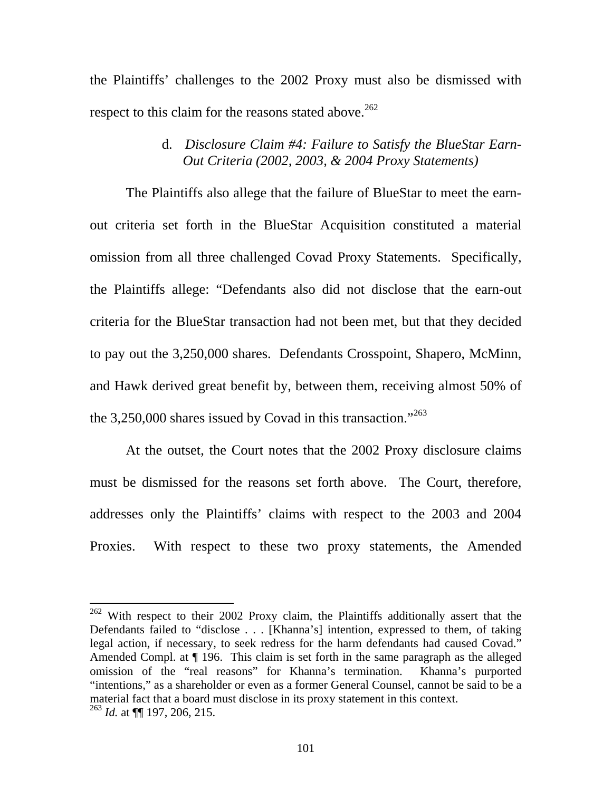the Plaintiffs' challenges to the 2002 Proxy must also be dismissed with respect to this claim for the reasons stated above.<sup>262</sup>

### d. *Disclosure Claim #4: Failure to Satisfy the BlueStar Earn- Out Criteria (2002, 2003, & 2004 Proxy Statements)*

 The Plaintiffs also allege that the failure of BlueStar to meet the earnout criteria set forth in the BlueStar Acquisition constituted a material omission from all three challenged Covad Proxy Statements. Specifically, the Plaintiffs allege: "Defendants also did not disclose that the earn-out criteria for the BlueStar transaction had not been met, but that they decided to pay out the 3,250,000 shares. Defendants Crosspoint, Shapero, McMinn, and Hawk derived great benefit by, between them, receiving almost 50% of the 3,250,000 shares issued by Covad in this transaction."<sup>263</sup>

At the outset, the Court notes that the 2002 Proxy disclosure claims must be dismissed for the reasons set forth above. The Court, therefore, addresses only the Plaintiffs' claims with respect to the 2003 and 2004 Proxies. With respect to these two proxy statements, the Amended

 $262$  With respect to their 2002 Proxy claim, the Plaintiffs additionally assert that the Defendants failed to "disclose . . . [Khanna's] intention, expressed to them, of taking legal action, if necessary, to seek redress for the harm defendants had caused Covad." Amended Compl. at ¶ 196. This claim is set forth in the same paragraph as the alleged omission of the "real reasons" for Khanna's termination. Khanna's purported "intentions," as a shareholder or even as a former General Counsel, cannot be said to be a material fact that a board must disclose in its proxy statement in this context. <sup>263</sup> *Id.* at ¶¶ 197, 206, 215.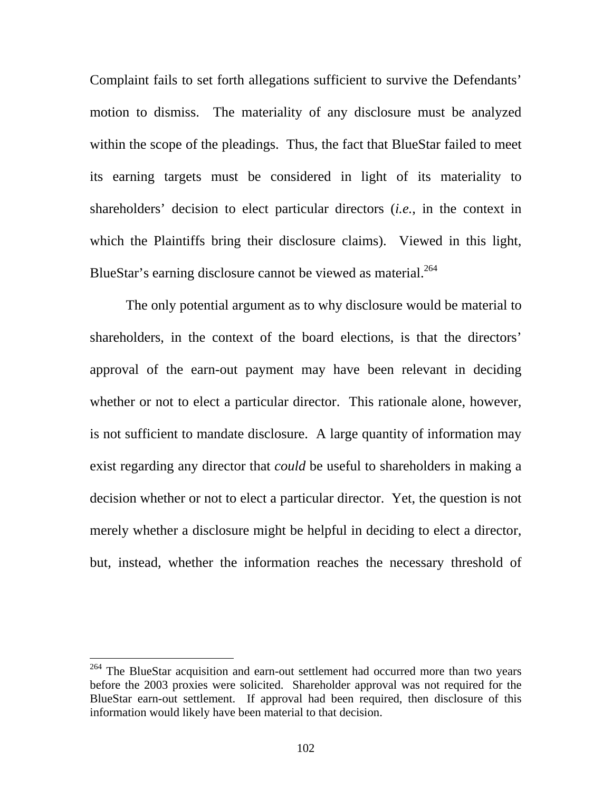Complaint fails to set forth allegations sufficient to survive the Defendants' motion to dismiss. The materiality of any disclosure must be analyzed within the scope of the pleadings. Thus, the fact that BlueStar failed to meet its earning targets must be considered in light of its materiality to shareholders' decision to elect particular directors (*i.e.*, in the context in which the Plaintiffs bring their disclosure claims). Viewed in this light, BlueStar's earning disclosure cannot be viewed as material.<sup>264</sup>

The only potential argument as to why disclosure would be material to shareholders, in the context of the board elections, is that the directors' approval of the earn-out payment may have been relevant in deciding whether or not to elect a particular director. This rationale alone, however, is not sufficient to mandate disclosure. A large quantity of information may exist regarding any director that *could* be useful to shareholders in making a decision whether or not to elect a particular director. Yet, the question is not merely whether a disclosure might be helpful in deciding to elect a director, but, instead, whether the information reaches the necessary threshold of

<sup>&</sup>lt;sup>264</sup> The BlueStar acquisition and earn-out settlement had occurred more than two years before the 2003 proxies were solicited. Shareholder approval was not required for the BlueStar earn-out settlement. If approval had been required, then disclosure of this information would likely have been material to that decision.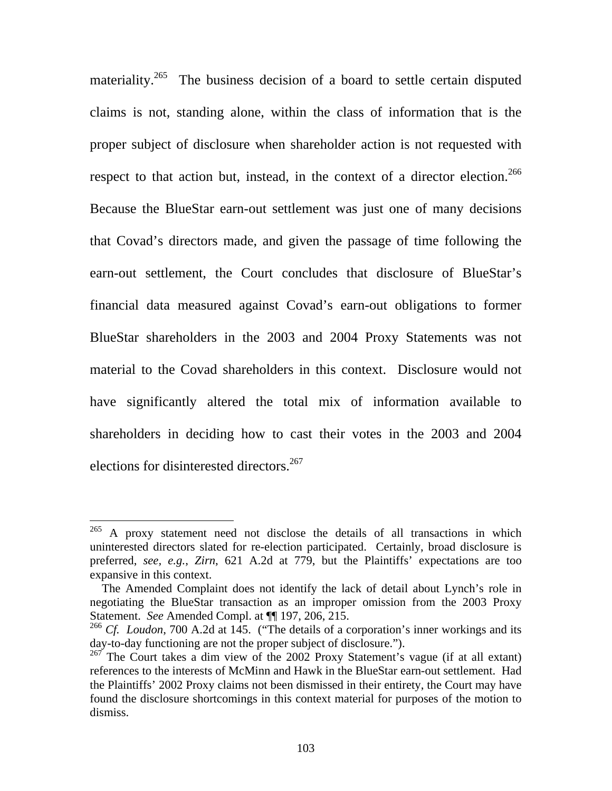materiality.<sup>265</sup> The business decision of a board to settle certain disputed claims is not, standing alone, within the class of information that is the proper subject of disclosure when shareholder action is not requested with respect to that action but, instead, in the context of a director election.<sup>266</sup> Because the BlueStar earn-out settlement was just one of many decisions that Covad's directors made, and given the passage of time following the earn-out settlement, the Court concludes that disclosure of BlueStar's financial data measured against Covad's earn-out obligations to former BlueStar shareholders in the 2003 and 2004 Proxy Statements was not material to the Covad shareholders in this context. Disclosure would not have significantly altered the total mix of information available to shareholders in deciding how to cast their votes in the 2003 and 2004 elections for disinterested directors.<sup>267</sup>

 $^{265}$  A proxy statement need not disclose the details of all transactions in which uninterested directors slated for re-election participated. Certainly, broad disclosure is preferred, *see, e.g.*, *Zirn*, 621 A.2d at 779, but the Plaintiffs' expectations are too expansive in this context.

The Amended Complaint does not identify the lack of detail about Lynch's role in negotiating the BlueStar transaction as an improper omission from the 2003 Proxy Statement. *See* Amended Compl. at ¶¶ 197, 206, 215.

<sup>&</sup>lt;sup>266</sup> *Cf. Loudon*, 700 A.2d at 145. ("The details of a corporation's inner workings and its day-to-day functioning are not the proper subject of disclosure.").

 $267$  The Court takes a dim view of the 2002 Proxy Statement's vague (if at all extant) references to the interests of McMinn and Hawk in the BlueStar earn-out settlement. Had the Plaintiffs' 2002 Proxy claims not been dismissed in their entirety, the Court may have found the disclosure shortcomings in this context material for purposes of the motion to dismiss.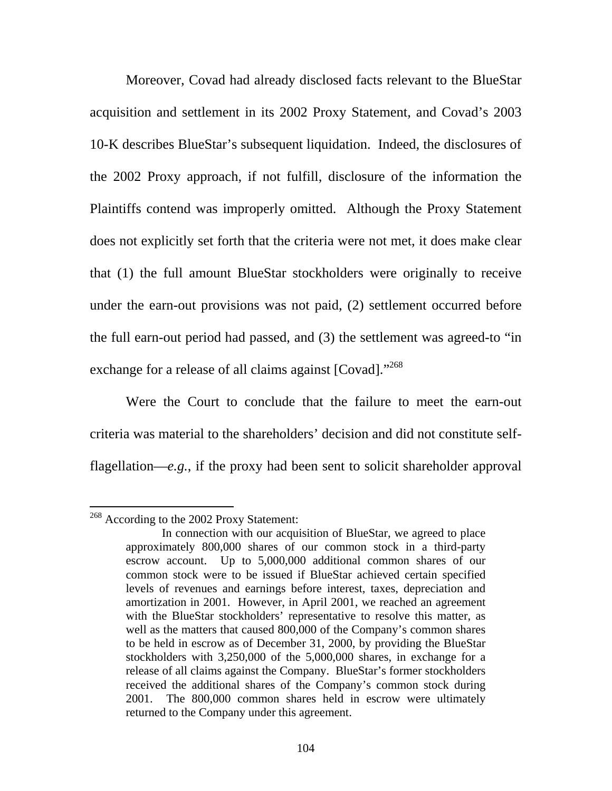Moreover, Covad had already disclosed facts relevant to the BlueStar acquisition and settlement in its 2002 Proxy Statement, and Covad's 2003 10-K describes BlueStar's subsequent liquidation. Indeed, the disclosures of the 2002 Proxy approach, if not fulfill, disclosure of the information the Plaintiffs contend was improperly omitted. Although the Proxy Statement does not explicitly set forth that the criteria were not met, it does make clear that (1) the full amount BlueStar stockholders were originally to receive under the earn-out provisions was not paid, (2) settlement occurred before the full earn-out period had passed, and (3) the settlement was agreed-to "in exchange for a release of all claims against [Covad]."<sup>268</sup>

Were the Court to conclude that the failure to meet the earn-out criteria was material to the shareholders' decision and did not constitute selfflagellation—*e.g.*, if the proxy had been sent to solicit shareholder approval

<sup>&</sup>lt;sup>268</sup> According to the 2002 Proxy Statement:

In connection with our acquisition of BlueStar, we agreed to place approximately 800,000 shares of our common stock in a third-party escrow account. Up to 5,000,000 additional common shares of our common stock were to be issued if BlueStar achieved certain specified levels of revenues and earnings before interest, taxes, depreciation and amortization in 2001. However, in April 2001, we reached an agreement with the BlueStar stockholders' representative to resolve this matter, as well as the matters that caused 800,000 of the Company's common shares to be held in escrow as of December 31, 2000, by providing the BlueStar stockholders with 3,250,000 of the 5,000,000 shares, in exchange for a release of all claims against the Company. BlueStar's former stockholders received the additional shares of the Company's common stock during 2001. The 800,000 common shares held in escrow were ultimately returned to the Company under this agreement.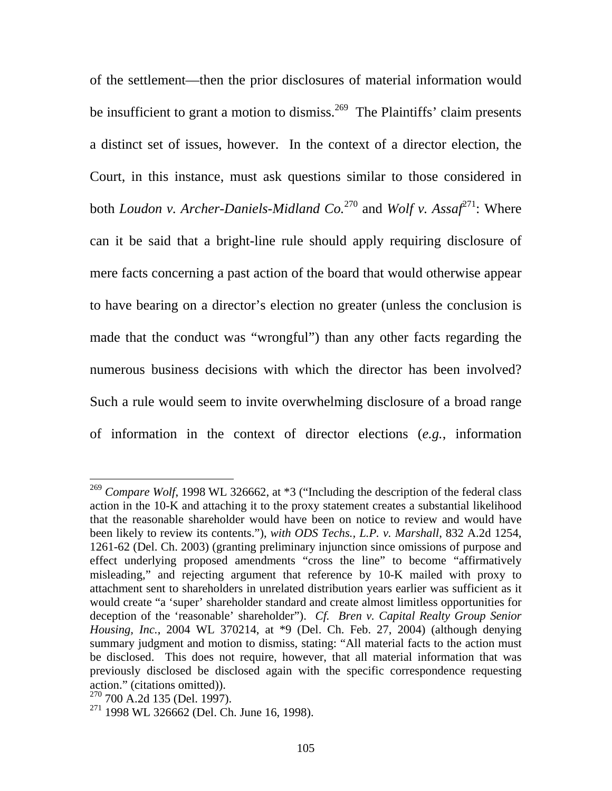of the settlement—then the prior disclosures of material information would be insufficient to grant a motion to dismiss.<sup>269</sup> The Plaintiffs' claim presents a distinct set of issues, however. In the context of a director election, the Court, in this instance, must ask questions similar to those considered in both *Loudon v. Archer-Daniels-Midland Co.*<sup>270</sup> and *Wolf v. Assaf*271: Where can it be said that a bright-line rule should apply requiring disclosure of mere facts concerning a past action of the board that would otherwise appear to have bearing on a director's election no greater (unless the conclusion is made that the conduct was "wrongful") than any other facts regarding the numerous business decisions with which the director has been involved? Such a rule would seem to invite overwhelming disclosure of a broad range of information in the context of director elections (*e.g.*, information

<sup>&</sup>lt;sup>269</sup> *Compare Wolf*, 1998 WL 326662, at \*3 ("Including the description of the federal class action in the 10-K and attaching it to the proxy statement creates a substantial likelihood that the reasonable shareholder would have been on notice to review and would have been likely to review its contents."), *with ODS Techs., L.P. v. Marshall*, 832 A.2d 1254, 1261-62 (Del. Ch. 2003) (granting preliminary injunction since omissions of purpose and effect underlying proposed amendments "cross the line" to become "affirmatively misleading," and rejecting argument that reference by 10-K mailed with proxy to attachment sent to shareholders in unrelated distribution years earlier was sufficient as it would create "a 'super' shareholder standard and create almost limitless opportunities for deception of the 'reasonable' shareholder"). *Cf. Bren v. Capital Realty Group Senior Housing, Inc.*, 2004 WL 370214, at \*9 (Del. Ch. Feb. 27, 2004) (although denying summary judgment and motion to dismiss, stating: "All material facts to the action must be disclosed. This does not require, however, that all material information that was previously disclosed be disclosed again with the specific correspondence requesting action." (citations omitted)).

<sup>270 700</sup> A.2d 135 (Del. 1997).

 $271$  1998 WL 326662 (Del. Ch. June 16, 1998).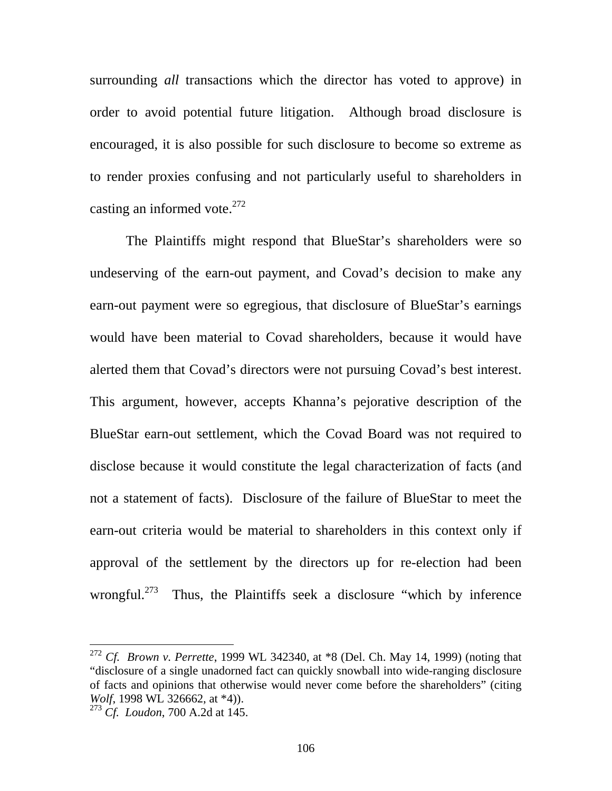surrounding *all* transactions which the director has voted to approve) in order to avoid potential future litigation. Although broad disclosure is encouraged, it is also possible for such disclosure to become so extreme as to render proxies confusing and not particularly useful to shareholders in casting an informed vote. $272$ 

 The Plaintiffs might respond that BlueStar's shareholders were so undeserving of the earn-out payment, and Covad's decision to make any earn-out payment were so egregious, that disclosure of BlueStar's earnings would have been material to Covad shareholders, because it would have alerted them that Covad's directors were not pursuing Covad's best interest. This argument, however, accepts Khanna's pejorative description of the BlueStar earn-out settlement, which the Covad Board was not required to disclose because it would constitute the legal characterization of facts (and not a statement of facts). Disclosure of the failure of BlueStar to meet the earn-out criteria would be material to shareholders in this context only if approval of the settlement by the directors up for re-election had been wrongful.<sup>273</sup> Thus, the Plaintiffs seek a disclosure "which by inference"

<sup>272</sup> *Cf. Brown v. Perrette*, 1999 WL 342340, at \*8 (Del. Ch. May 14, 1999) (noting that "disclosure of a single unadorned fact can quickly snowball into wide-ranging disclosure of facts and opinions that otherwise would never come before the shareholders" (citing *Wolf*, 1998 WL 326662, at \*4)).

<sup>273</sup> *Cf. Loudon*, 700 A.2d at 145.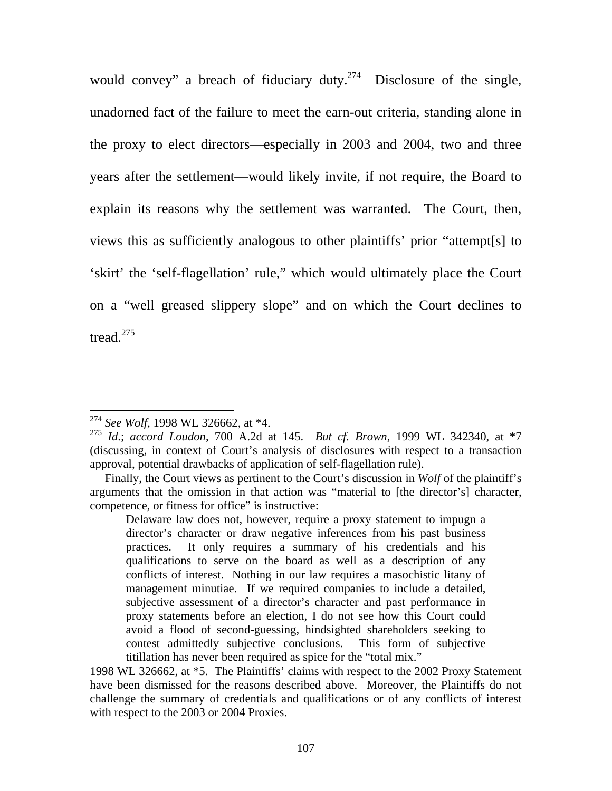would convey" a breach of fiduciary duty.<sup>274</sup> Disclosure of the single, unadorned fact of the failure to meet the earn-out criteria, standing alone in the proxy to elect directors—especially in 2003 and 2004, two and three years after the settlement—would likely invite, if not require, the Board to explain its reasons why the settlement was warranted. The Court, then, views this as sufficiently analogous to other plaintiffs' prior "attempt[s] to 'skirt' the 'self-flagellation' rule," which would ultimately place the Court on a "well greased slippery slope" and on which the Court declines to tread.<sup>275</sup>

<sup>274</sup> *See Wolf*, 1998 WL 326662, at \*4.

<sup>275</sup> *Id*.; *accord Loudon*, 700 A.2d at 145. *But cf. Brown*, 1999 WL 342340, at \*7 (discussing, in context of Court's analysis of disclosures with respect to a transaction approval, potential drawbacks of application of self-flagellation rule).

Finally, the Court views as pertinent to the Court's discussion in *Wolf* of the plaintiff's arguments that the omission in that action was "material to [the director's] character, competence, or fitness for office" is instructive:

Delaware law does not, however, require a proxy statement to impugn a director's character or draw negative inferences from his past business practices. It only requires a summary of his credentials and his qualifications to serve on the board as well as a description of any conflicts of interest. Nothing in our law requires a masochistic litany of management minutiae. If we required companies to include a detailed, subjective assessment of a director's character and past performance in proxy statements before an election, I do not see how this Court could avoid a flood of second-guessing, hindsighted shareholders seeking to contest admittedly subjective conclusions. This form of subjective titillation has never been required as spice for the "total mix."

<sup>1998</sup> WL 326662, at \*5. The Plaintiffs' claims with respect to the 2002 Proxy Statement have been dismissed for the reasons described above. Moreover, the Plaintiffs do not challenge the summary of credentials and qualifications or of any conflicts of interest with respect to the 2003 or 2004 Proxies.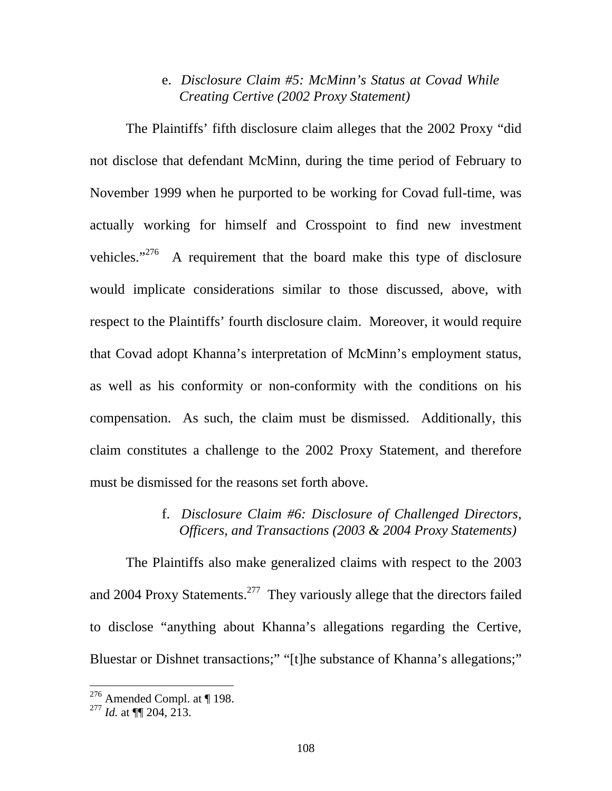### e. *Disclosure Claim #5: McMinn's Status at Covad While Creating Certive (2002 Proxy Statement)*

 The Plaintiffs' fifth disclosure claim alleges that the 2002 Proxy "did not disclose that defendant McMinn, during the time period of February to November 1999 when he purported to be working for Covad full-time, was actually working for himself and Crosspoint to find new investment vehicles."276 A requirement that the board make this type of disclosure would implicate considerations similar to those discussed, above, with respect to the Plaintiffs' fourth disclosure claim. Moreover, it would require that Covad adopt Khanna's interpretation of McMinn's employment status, as well as his conformity or non-conformity with the conditions on his compensation. As such, the claim must be dismissed. Additionally, this claim constitutes a challenge to the 2002 Proxy Statement, and therefore must be dismissed for the reasons set forth above.

## f. *Disclosure Claim #6: Disclosure of Challenged Directors, Officers, and Transactions (2003 & 2004 Proxy Statements)*

The Plaintiffs also make generalized claims with respect to the 2003 and 2004 Proxy Statements.<sup>277</sup> They variously allege that the directors failed to disclose "anything about Khanna's allegations regarding the Certive, Bluestar or Dishnet transactions;" "[t]he substance of Khanna's allegations;"

<sup>&</sup>lt;sup>276</sup> Amended Compl. at  $\P$  198.

<sup>277</sup> *Id.* at ¶¶ 204, 213.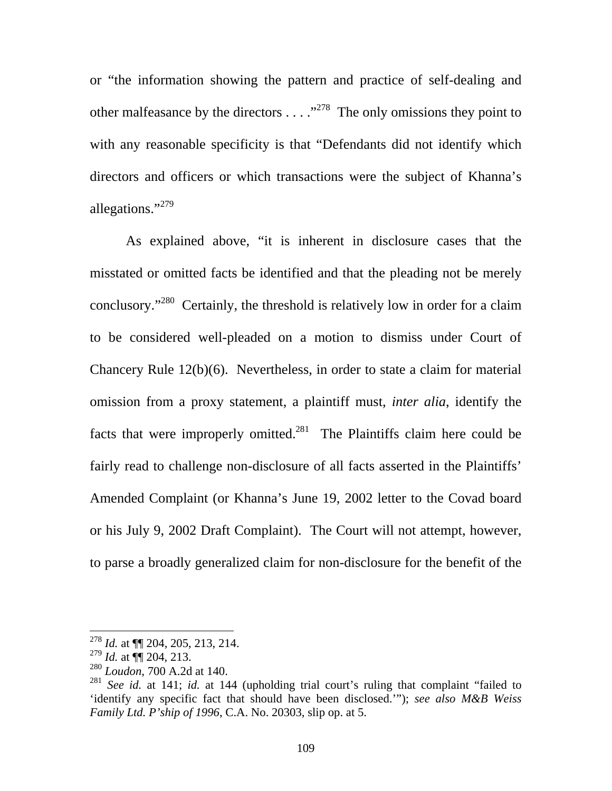or "the information showing the pattern and practice of self-dealing and other malfeasance by the directors  $\dots$  ."<sup>278</sup> The only omissions they point to with any reasonable specificity is that "Defendants did not identify which directors and officers or which transactions were the subject of Khanna's allegations."<sup>279</sup>

As explained above, "it is inherent in disclosure cases that the misstated or omitted facts be identified and that the pleading not be merely conclusory."280 Certainly, the threshold is relatively low in order for a claim to be considered well-pleaded on a motion to dismiss under Court of Chancery Rule 12(b)(6). Nevertheless, in order to state a claim for material omission from a proxy statement, a plaintiff must, *inter alia*, identify the facts that were improperly omitted. $^{281}$  The Plaintiffs claim here could be fairly read to challenge non-disclosure of all facts asserted in the Plaintiffs' Amended Complaint (or Khanna's June 19, 2002 letter to the Covad board or his July 9, 2002 Draft Complaint). The Court will not attempt, however, to parse a broadly generalized claim for non-disclosure for the benefit of the

<sup>278</sup> *Id.* at ¶¶ 204, 205, 213, 214.

<sup>279</sup> *Id.* at ¶¶ 204, 213.

<sup>280</sup> *Loudon*, 700 A.2d at 140.

<sup>281</sup> *See id.* at 141; *id.* at 144 (upholding trial court's ruling that complaint "failed to 'identify any specific fact that should have been disclosed.'"); *see also M&B Weiss Family Ltd. P'ship of 1996*, C.A. No. 20303, slip op. at 5.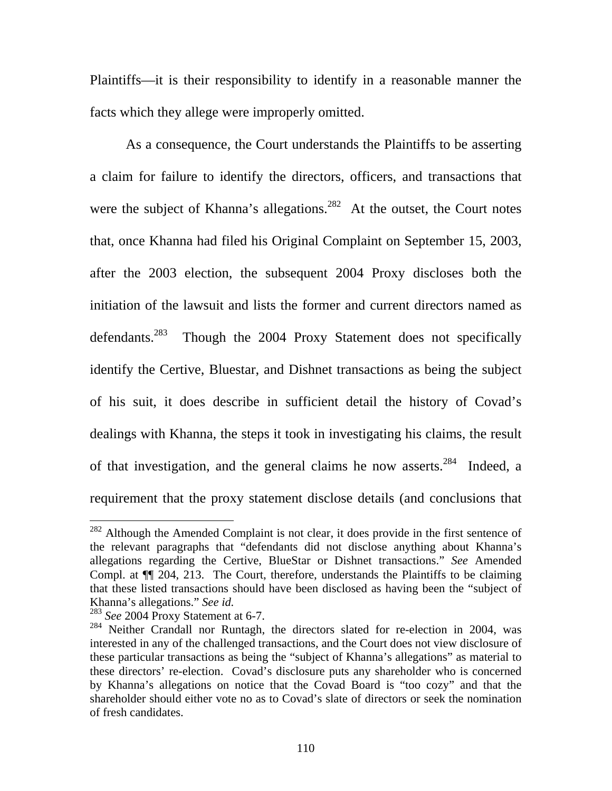Plaintiffs—it is their responsibility to identify in a reasonable manner the facts which they allege were improperly omitted.

As a consequence, the Court understands the Plaintiffs to be asserting a claim for failure to identify the directors, officers, and transactions that were the subject of Khanna's allegations.<sup>282</sup> At the outset, the Court notes that, once Khanna had filed his Original Complaint on September 15, 2003, after the 2003 election, the subsequent 2004 Proxy discloses both the initiation of the lawsuit and lists the former and current directors named as defendants.<sup>283</sup> Though the 2004 Proxy Statement does not specifically identify the Certive, Bluestar, and Dishnet transactions as being the subject of his suit, it does describe in sufficient detail the history of Covad's dealings with Khanna, the steps it took in investigating his claims, the result of that investigation, and the general claims he now asserts.<sup>284</sup> Indeed, a requirement that the proxy statement disclose details (and conclusions that

 $282$  Although the Amended Complaint is not clear, it does provide in the first sentence of the relevant paragraphs that "defendants did not disclose anything about Khanna's allegations regarding the Certive, BlueStar or Dishnet transactions." *See* Amended Compl. at ¶¶ 204, 213. The Court, therefore, understands the Plaintiffs to be claiming that these listed transactions should have been disclosed as having been the "subject of Khanna's allegations." *See id.* 

<sup>283</sup> *See* 2004 Proxy Statement at 6-7.

<sup>&</sup>lt;sup>284</sup> Neither Crandall nor Runtagh, the directors slated for re-election in 2004, was interested in any of the challenged transactions, and the Court does not view disclosure of these particular transactions as being the "subject of Khanna's allegations" as material to these directors' re-election. Covad's disclosure puts any shareholder who is concerned by Khanna's allegations on notice that the Covad Board is "too cozy" and that the shareholder should either vote no as to Covad's slate of directors or seek the nomination of fresh candidates.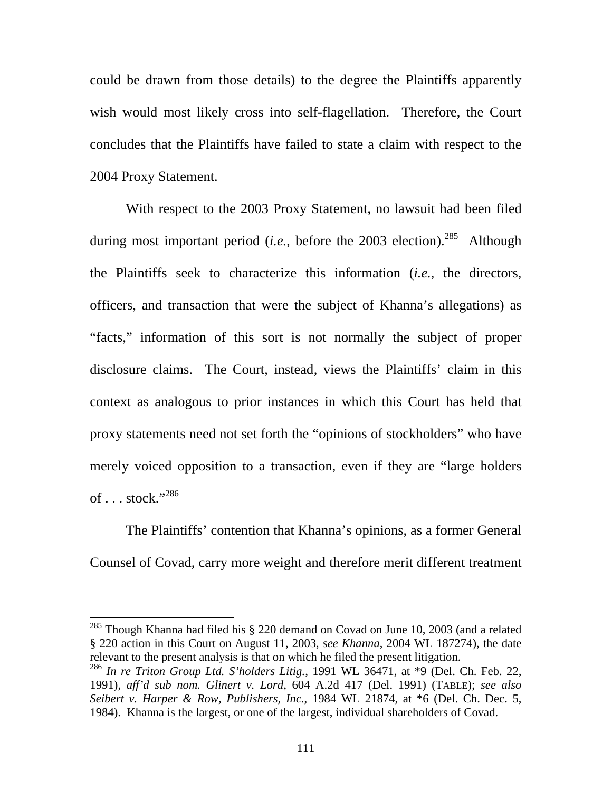could be drawn from those details) to the degree the Plaintiffs apparently wish would most likely cross into self-flagellation. Therefore, the Court concludes that the Plaintiffs have failed to state a claim with respect to the 2004 Proxy Statement.

With respect to the 2003 Proxy Statement, no lawsuit had been filed during most important period (*i.e.*, before the 2003 election).<sup>285</sup> Although the Plaintiffs seek to characterize this information (*i.e.*, the directors, officers, and transaction that were the subject of Khanna's allegations) as "facts," information of this sort is not normally the subject of proper disclosure claims. The Court, instead, views the Plaintiffs' claim in this context as analogous to prior instances in which this Court has held that proxy statements need not set forth the "opinions of stockholders" who have merely voiced opposition to a transaction, even if they are "large holders of  $\ldots$  stock."<sup>286</sup>

The Plaintiffs' contention that Khanna's opinions, as a former General Counsel of Covad, carry more weight and therefore merit different treatment

 $285$  Though Khanna had filed his  $\S$  220 demand on Covad on June 10, 2003 (and a related § 220 action in this Court on August 11, 2003, *see Khanna*, 2004 WL 187274), the date relevant to the present analysis is that on which he filed the present litigation.

<sup>286</sup> *In re Triton Group Ltd. S'holders Litig.*, 1991 WL 36471, at \*9 (Del. Ch. Feb. 22, 1991), *aff'd sub nom. Glinert v. Lord*, 604 A.2d 417 (Del. 1991) (TABLE); *see also Seibert v. Harper & Row, Publishers, Inc.*, 1984 WL 21874, at \*6 (Del. Ch. Dec. 5, 1984). Khanna is the largest, or one of the largest, individual shareholders of Covad.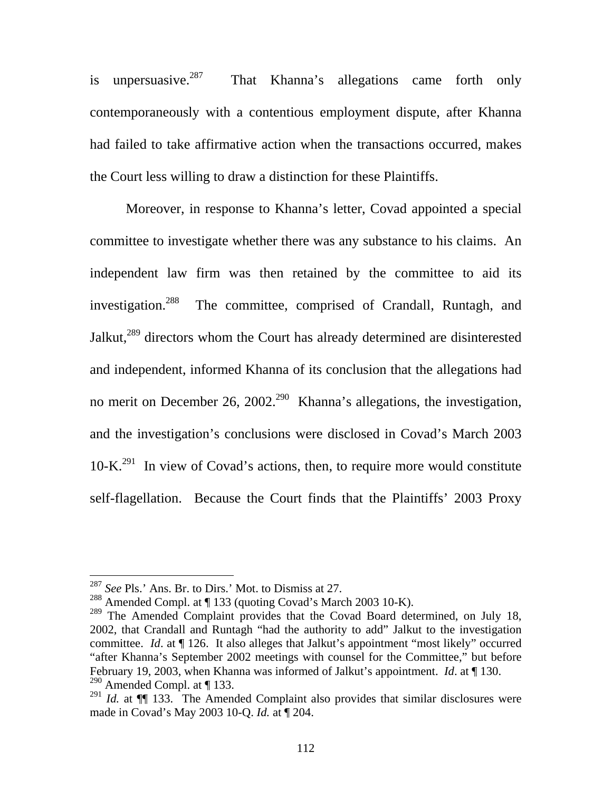is unpersuasive. $287$  That Khanna's allegations came forth only contemporaneously with a contentious employment dispute, after Khanna had failed to take affirmative action when the transactions occurred, makes the Court less willing to draw a distinction for these Plaintiffs.

Moreover, in response to Khanna's letter, Covad appointed a special committee to investigate whether there was any substance to his claims. An independent law firm was then retained by the committee to aid its investigation.<sup>288</sup> The committee, comprised of Crandall, Runtagh, and Jalkut,<sup>289</sup> directors whom the Court has already determined are disinterested and independent, informed Khanna of its conclusion that the allegations had no merit on December 26, 2002.<sup>290</sup> Khanna's allegations, the investigation, and the investigation's conclusions were disclosed in Covad's March 2003  $10\text{-K}^{291}$  In view of Covad's actions, then, to require more would constitute self-flagellation. Because the Court finds that the Plaintiffs' 2003 Proxy

<sup>287</sup> *See* Pls.' Ans. Br. to Dirs.' Mot. to Dismiss at 27.

<sup>288</sup> Amended Compl. at ¶ 133 (quoting Covad's March 2003 10-K).

<sup>&</sup>lt;sup>289</sup> The Amended Complaint provides that the Covad Board determined, on July 18, 2002, that Crandall and Runtagh "had the authority to add" Jalkut to the investigation committee. *Id*. at ¶ 126. It also alleges that Jalkut's appointment "most likely" occurred "after Khanna's September 2002 meetings with counsel for the Committee," but before February 19, 2003, when Khanna was informed of Jalkut's appointment. *Id*. at ¶ 130. <sup>290</sup> Amended Compl. at  $\P$  133.

<sup>&</sup>lt;sup>291</sup> *Id.* at  $\P$  133. The Amended Complaint also provides that similar disclosures were made in Covad's May 2003 10-Q. *Id.* at ¶ 204.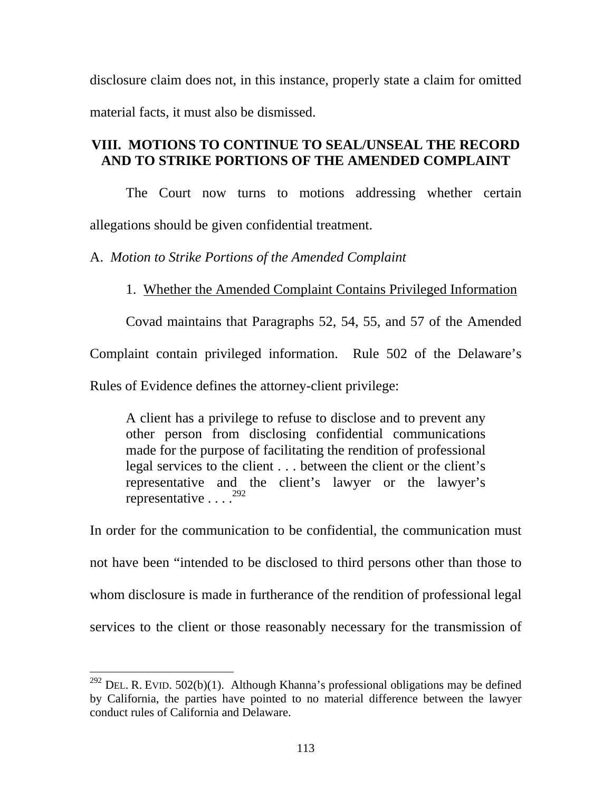disclosure claim does not, in this instance, properly state a claim for omitted material facts, it must also be dismissed.

# **VIII. MOTIONS TO CONTINUE TO SEAL/UNSEAL THE RECORD AND TO STRIKE PORTIONS OF THE AMENDED COMPLAINT**

The Court now turns to motions addressing whether certain allegations should be given confidential treatment.

A. *Motion to Strike Portions of the Amended Complaint* 

1. Whether the Amended Complaint Contains Privileged Information

Covad maintains that Paragraphs 52, 54, 55, and 57 of the Amended

Complaint contain privileged information. Rule 502 of the Delaware's

Rules of Evidence defines the attorney-client privilege:

 $\overline{a}$ 

A client has a privilege to refuse to disclose and to prevent any other person from disclosing confidential communications made for the purpose of facilitating the rendition of professional legal services to the client . . . between the client or the client's representative and the client's lawyer or the lawyer's representative  $\ldots$ <sup>292</sup>

In order for the communication to be confidential, the communication must not have been "intended to be disclosed to third persons other than those to whom disclosure is made in furtherance of the rendition of professional legal services to the client or those reasonably necessary for the transmission of

<sup>&</sup>lt;sup>292</sup> DEL. R. EVID. 502(b)(1). Although Khanna's professional obligations may be defined by California, the parties have pointed to no material difference between the lawyer conduct rules of California and Delaware.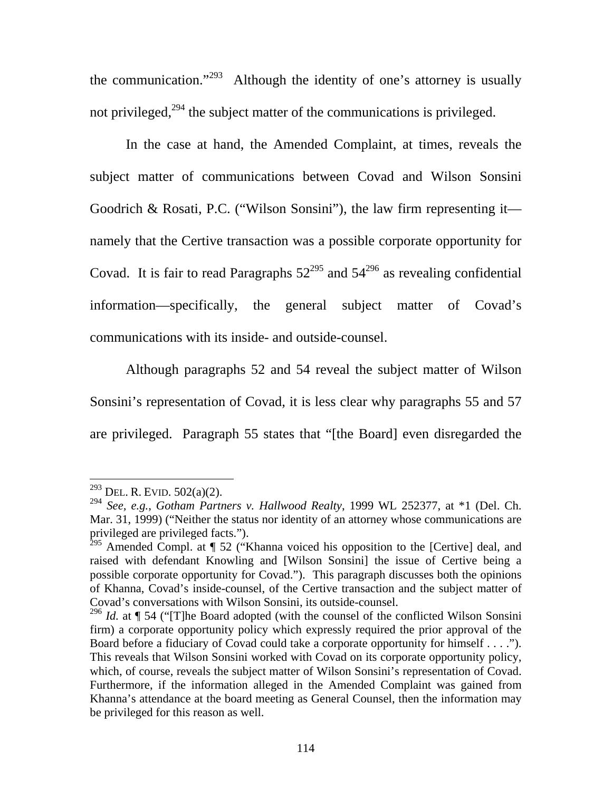the communication."<sup>293</sup> Although the identity of one's attorney is usually not privileged, $^{294}$  the subject matter of the communications is privileged.

In the case at hand, the Amended Complaint, at times, reveals the subject matter of communications between Covad and Wilson Sonsini Goodrich & Rosati, P.C. ("Wilson Sonsini"), the law firm representing it namely that the Certive transaction was a possible corporate opportunity for Covad. It is fair to read Paragraphs  $52^{295}$  and  $54^{296}$  as revealing confidential information—specifically, the general subject matter of Covad's communications with its inside- and outside-counsel.

 Although paragraphs 52 and 54 reveal the subject matter of Wilson Sonsini's representation of Covad, it is less clear why paragraphs 55 and 57 are privileged. Paragraph 55 states that "[the Board] even disregarded the

 $^{293}$  DEL. R. EVID. 502(a)(2).

<sup>294</sup> *See, e.g.*, *Gotham Partners v. Hallwood Realty*, 1999 WL 252377, at \*1 (Del. Ch. Mar. 31, 1999) ("Neither the status nor identity of an attorney whose communications are privileged are privileged facts.").

 $^{295}$  Amended Compl. at  $\sqrt{ }$  52 ("Khanna voiced his opposition to the [Certive] deal, and raised with defendant Knowling and [Wilson Sonsini] the issue of Certive being a possible corporate opportunity for Covad."). This paragraph discusses both the opinions of Khanna, Covad's inside-counsel, of the Certive transaction and the subject matter of Covad's conversations with Wilson Sonsini, its outside-counsel.

<sup>&</sup>lt;sup>296</sup> *Id.* at ¶ 54 ("The Board adopted (with the counsel of the conflicted Wilson Sonsini firm) a corporate opportunity policy which expressly required the prior approval of the Board before a fiduciary of Covad could take a corporate opportunity for himself . . . ."). This reveals that Wilson Sonsini worked with Covad on its corporate opportunity policy, which, of course, reveals the subject matter of Wilson Sonsini's representation of Covad. Furthermore, if the information alleged in the Amended Complaint was gained from Khanna's attendance at the board meeting as General Counsel, then the information may be privileged for this reason as well.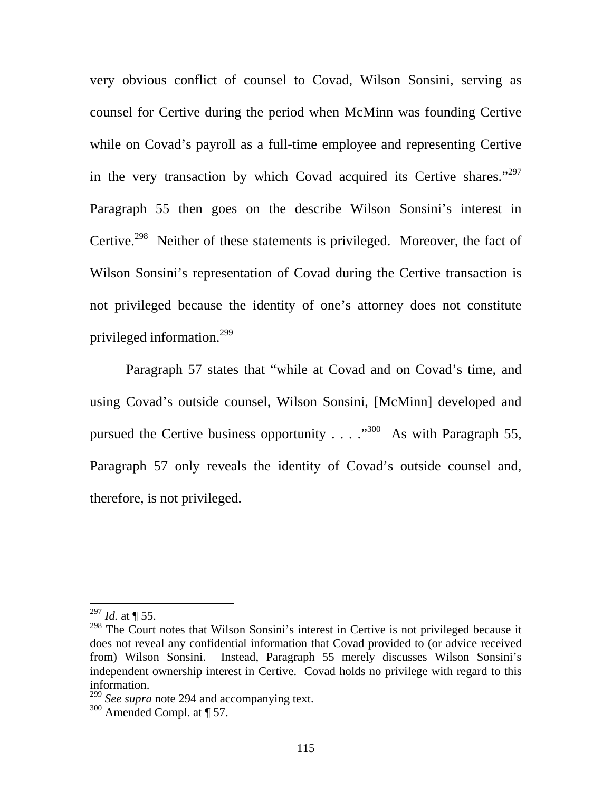very obvious conflict of counsel to Covad, Wilson Sonsini, serving as counsel for Certive during the period when McMinn was founding Certive while on Covad's payroll as a full-time employee and representing Certive in the very transaction by which Covad acquired its Certive shares."<sup>297</sup> Paragraph 55 then goes on the describe Wilson Sonsini's interest in Certive.<sup>298</sup> Neither of these statements is privileged. Moreover, the fact of Wilson Sonsini's representation of Covad during the Certive transaction is not privileged because the identity of one's attorney does not constitute privileged information.299

 Paragraph 57 states that "while at Covad and on Covad's time, and using Covad's outside counsel, Wilson Sonsini, [McMinn] developed and pursued the Certive business opportunity  $\ldots$  ...  $\cdot$  As with Paragraph 55, Paragraph 57 only reveals the identity of Covad's outside counsel and, therefore, is not privileged.

 $^{297}$  *Id.* at ¶ 55.

 $298$  The Court notes that Wilson Sonsini's interest in Certive is not privileged because it does not reveal any confidential information that Covad provided to (or advice received from) Wilson Sonsini. Instead, Paragraph 55 merely discusses Wilson Sonsini's independent ownership interest in Certive. Covad holds no privilege with regard to this information.

<sup>299</sup> *See supra* note 294 and accompanying text.

<sup>300</sup> Amended Compl. at ¶ 57.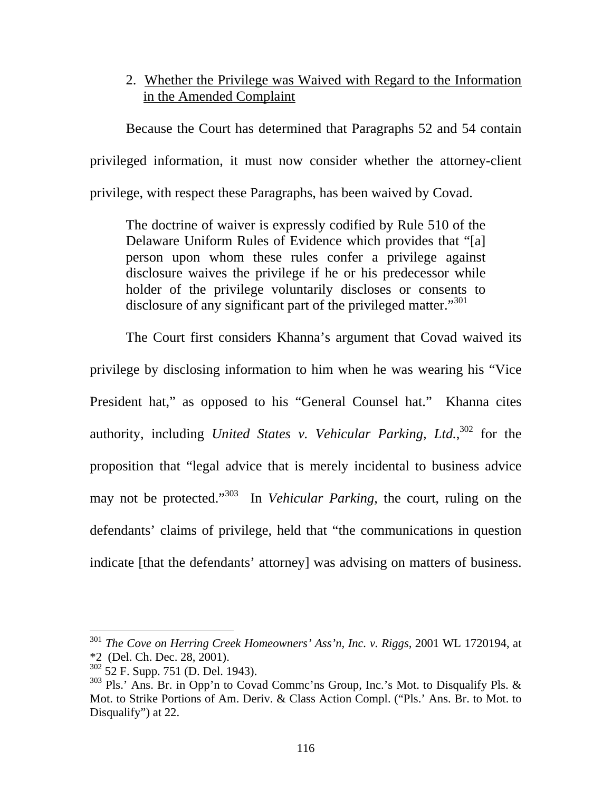## 2. Whether the Privilege was Waived with Regard to the Information in the Amended Complaint

Because the Court has determined that Paragraphs 52 and 54 contain privileged information, it must now consider whether the attorney-client privilege, with respect these Paragraphs, has been waived by Covad.

The doctrine of waiver is expressly codified by Rule 510 of the Delaware Uniform Rules of Evidence which provides that "[a] person upon whom these rules confer a privilege against disclosure waives the privilege if he or his predecessor while holder of the privilege voluntarily discloses or consents to disclosure of any significant part of the privileged matter."<sup>301</sup>

The Court first considers Khanna's argument that Covad waived its privilege by disclosing information to him when he was wearing his "Vice President hat," as opposed to his "General Counsel hat." Khanna cites authority, including *United States v. Vehicular Parking, Ltd.*, 302 for the proposition that "legal advice that is merely incidental to business advice may not be protected."303 In *Vehicular Parking*, the court, ruling on the defendants' claims of privilege, held that "the communications in question indicate [that the defendants' attorney] was advising on matters of business.

<sup>301</sup> *The Cove on Herring Creek Homeowners' Ass'n, Inc. v. Riggs*, 2001 WL 1720194, at \*2 (Del. Ch. Dec. 28, 2001).

<sup>302 52</sup> F. Supp. 751 (D. Del. 1943).

<sup>303</sup> Pls.' Ans. Br. in Opp'n to Covad Commc'ns Group, Inc.'s Mot. to Disqualify Pls. & Mot. to Strike Portions of Am. Deriv. & Class Action Compl. ("Pls.' Ans. Br. to Mot. to Disqualify") at 22.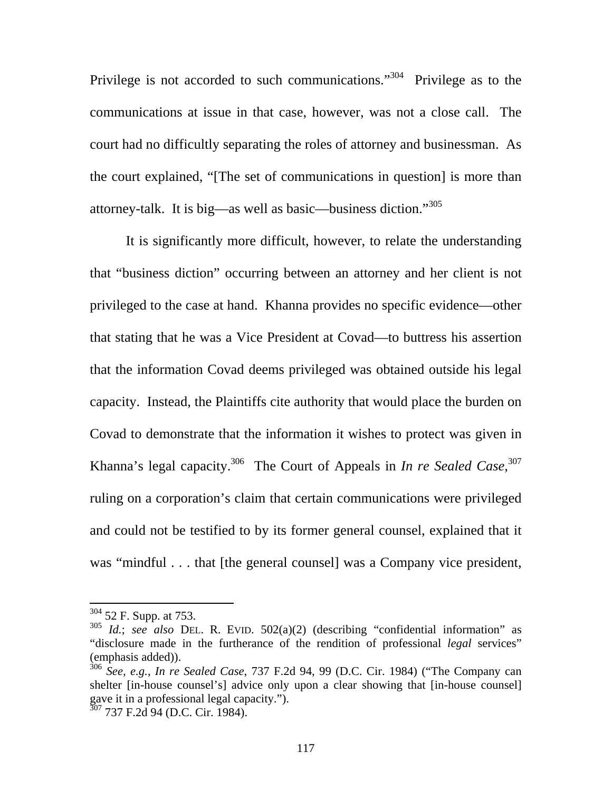Privilege is not accorded to such communications."<sup>304</sup> Privilege as to the communications at issue in that case, however, was not a close call. The court had no difficultly separating the roles of attorney and businessman. As the court explained, "[The set of communications in question] is more than attorney-talk. It is big—as well as basic—business diction."<sup>305</sup>

 It is significantly more difficult, however, to relate the understanding that "business diction" occurring between an attorney and her client is not privileged to the case at hand. Khanna provides no specific evidence—other that stating that he was a Vice President at Covad—to buttress his assertion that the information Covad deems privileged was obtained outside his legal capacity. Instead, the Plaintiffs cite authority that would place the burden on Covad to demonstrate that the information it wishes to protect was given in Khanna's legal capacity.<sup>306</sup> The Court of Appeals in *In re Sealed Case*,<sup>307</sup> ruling on a corporation's claim that certain communications were privileged and could not be testified to by its former general counsel, explained that it was "mindful . . . that [the general counsel] was a Company vice president,

 $304$  52 F. Supp. at 753.

<sup>305</sup> *Id.*; *see also* DEL. R. EVID. 502(a)(2) (describing "confidential information" as "disclosure made in the furtherance of the rendition of professional *legal* services" (emphasis added)).

<sup>306</sup> *See, e.g.*, *In re Sealed Case*, 737 F.2d 94, 99 (D.C. Cir. 1984) ("The Company can shelter [in-house counsel's] advice only upon a clear showing that [in-house counsel] gave it in a professional legal capacity.").

 $307$  737 F.2d 94 (D.C. Cir. 1984).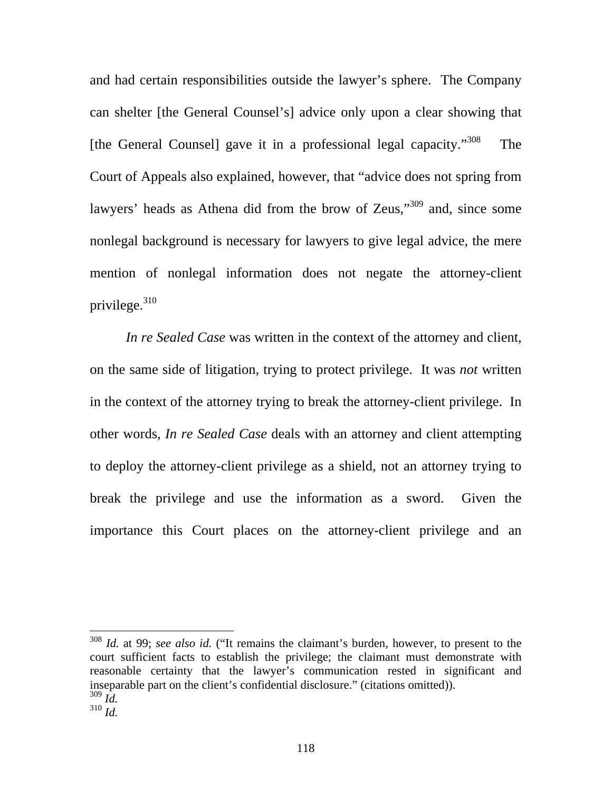and had certain responsibilities outside the lawyer's sphere. The Company can shelter [the General Counsel's] advice only upon a clear showing that [the General Counsel] gave it in a professional legal capacity."<sup>308</sup> The Court of Appeals also explained, however, that "advice does not spring from lawyers' heads as Athena did from the brow of Zeus,"<sup>309</sup> and, since some nonlegal background is necessary for lawyers to give legal advice, the mere mention of nonlegal information does not negate the attorney-client privilege. $310$ 

*In re Sealed Case* was written in the context of the attorney and client, on the same side of litigation, trying to protect privilege. It was *not* written in the context of the attorney trying to break the attorney-client privilege. In other words, *In re Sealed Case* deals with an attorney and client attempting to deploy the attorney-client privilege as a shield, not an attorney trying to break the privilege and use the information as a sword. Given the importance this Court places on the attorney-client privilege and an

<sup>308</sup> *Id.* at 99; *see also id.* ("It remains the claimant's burden, however, to present to the court sufficient facts to establish the privilege; the claimant must demonstrate with reasonable certainty that the lawyer's communication rested in significant and inseparable part on the client's confidential disclosure." (citations omitted)). <sup>309</sup> *Id.* <sup>310</sup> *Id.*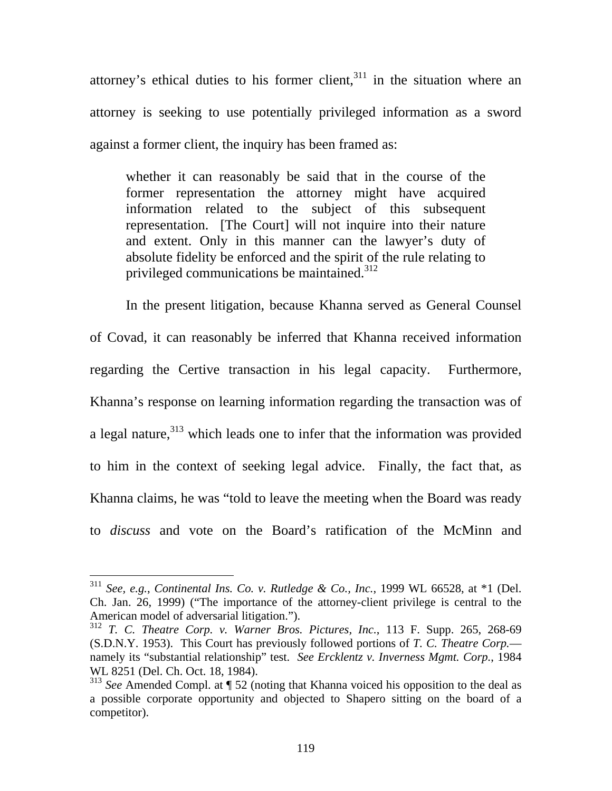attorney's ethical duties to his former client, $311$  in the situation where an attorney is seeking to use potentially privileged information as a sword against a former client, the inquiry has been framed as:

whether it can reasonably be said that in the course of the former representation the attorney might have acquired information related to the subject of this subsequent representation. [The Court] will not inquire into their nature and extent. Only in this manner can the lawyer's duty of absolute fidelity be enforced and the spirit of the rule relating to privileged communications be maintained.<sup>312</sup>

In the present litigation, because Khanna served as General Counsel of Covad, it can reasonably be inferred that Khanna received information regarding the Certive transaction in his legal capacity. Furthermore, Khanna's response on learning information regarding the transaction was of a legal nature,<sup>313</sup> which leads one to infer that the information was provided to him in the context of seeking legal advice. Finally, the fact that, as Khanna claims, he was "told to leave the meeting when the Board was ready to *discuss* and vote on the Board's ratification of the McMinn and

<sup>311</sup> *See, e.g.*, *Continental Ins. Co. v. Rutledge & Co., Inc.*, 1999 WL 66528, at \*1 (Del. Ch. Jan. 26, 1999) ("The importance of the attorney-client privilege is central to the American model of adversarial litigation.").

<sup>312</sup> *T. C. Theatre Corp. v. Warner Bros. Pictures, Inc.*, 113 F. Supp. 265, 268-69 (S.D.N.Y. 1953). This Court has previously followed portions of *T. C. Theatre Corp.* namely its "substantial relationship" test. *See Ercklentz v. Inverness Mgmt. Corp.*, 1984 WL 8251 (Del. Ch. Oct. 18, 1984).

<sup>313</sup> *See* Amended Compl. at ¶ 52 (noting that Khanna voiced his opposition to the deal as a possible corporate opportunity and objected to Shapero sitting on the board of a competitor).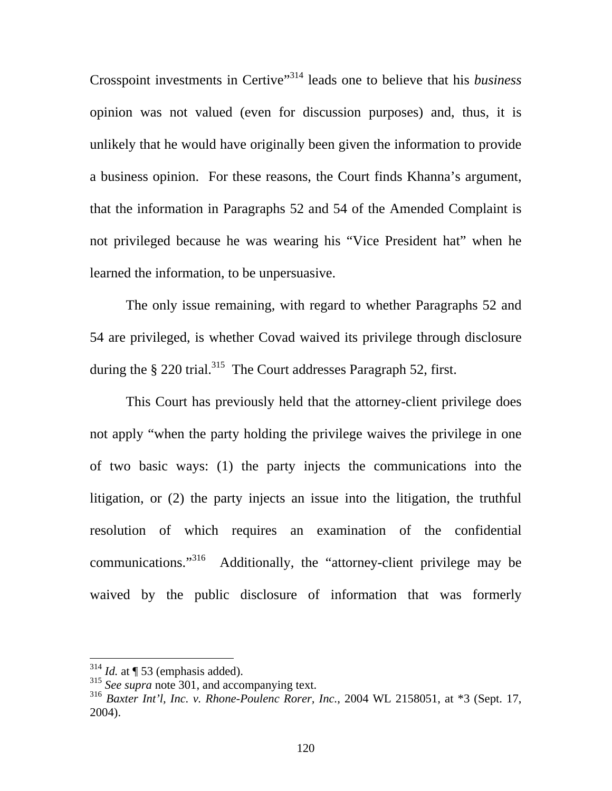Crosspoint investments in Certive"314 leads one to believe that his *business* opinion was not valued (even for discussion purposes) and, thus, it is unlikely that he would have originally been given the information to provide a business opinion. For these reasons, the Court finds Khanna's argument, that the information in Paragraphs 52 and 54 of the Amended Complaint is not privileged because he was wearing his "Vice President hat" when he learned the information, to be unpersuasive.

 The only issue remaining, with regard to whether Paragraphs 52 and 54 are privileged, is whether Covad waived its privilege through disclosure during the  $\S 220$  trial.<sup>315</sup> The Court addresses Paragraph 52, first.

This Court has previously held that the attorney-client privilege does not apply "when the party holding the privilege waives the privilege in one of two basic ways: (1) the party injects the communications into the litigation, or (2) the party injects an issue into the litigation, the truthful resolution of which requires an examination of the confidential communications."316 Additionally, the "attorney-client privilege may be waived by the public disclosure of information that was formerly

 $314$  *Id.* at  $\P$  53 (emphasis added).

<sup>315</sup> *See supra* note 301, and accompanying text.

<sup>316</sup> *Baxter Int'l, Inc. v. Rhone-Poulenc Rorer, Inc.*, 2004 WL 2158051, at \*3 (Sept. 17, 2004).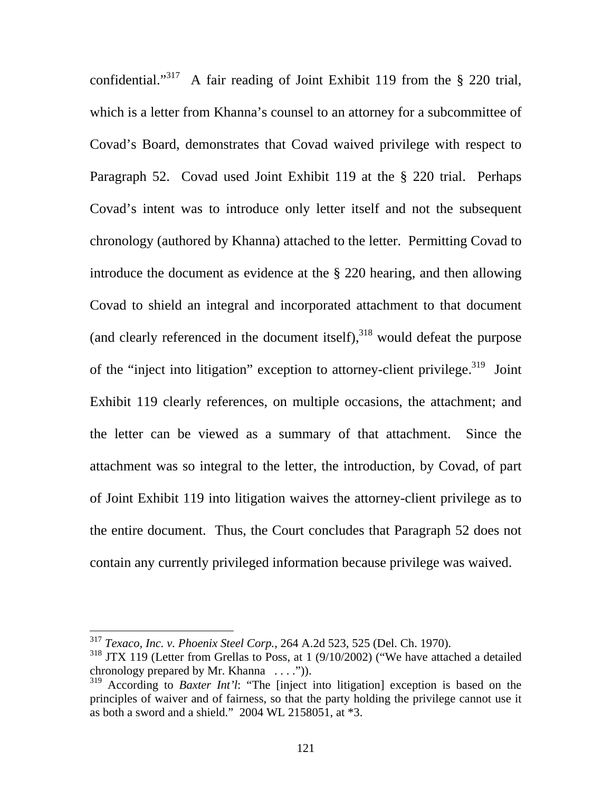confidential."<sup>317</sup> A fair reading of Joint Exhibit 119 from the  $\S$  220 trial, which is a letter from Khanna's counsel to an attorney for a subcommittee of Covad's Board, demonstrates that Covad waived privilege with respect to Paragraph 52. Covad used Joint Exhibit 119 at the § 220 trial. Perhaps Covad's intent was to introduce only letter itself and not the subsequent chronology (authored by Khanna) attached to the letter. Permitting Covad to introduce the document as evidence at the § 220 hearing, and then allowing Covad to shield an integral and incorporated attachment to that document (and clearly referenced in the document itself), $318$  would defeat the purpose of the "inject into litigation" exception to attorney-client privilege.<sup>319</sup> Joint Exhibit 119 clearly references, on multiple occasions, the attachment; and the letter can be viewed as a summary of that attachment. Since the attachment was so integral to the letter, the introduction, by Covad, of part of Joint Exhibit 119 into litigation waives the attorney-client privilege as to the entire document. Thus, the Court concludes that Paragraph 52 does not contain any currently privileged information because privilege was waived.

<sup>317</sup> *Texaco, Inc. v. Phoenix Steel Corp.*, 264 A.2d 523, 525 (Del. Ch. 1970).

<sup>&</sup>lt;sup>318</sup> JTX 119 (Letter from Grellas to Poss, at 1 (9/10/2002) ("We have attached a detailed chronology prepared by Mr. Khanna  $\dots$ .").

<sup>319</sup> According to *Baxter Int'l*: "The [inject into litigation] exception is based on the principles of waiver and of fairness, so that the party holding the privilege cannot use it as both a sword and a shield." 2004 WL 2158051, at \*3.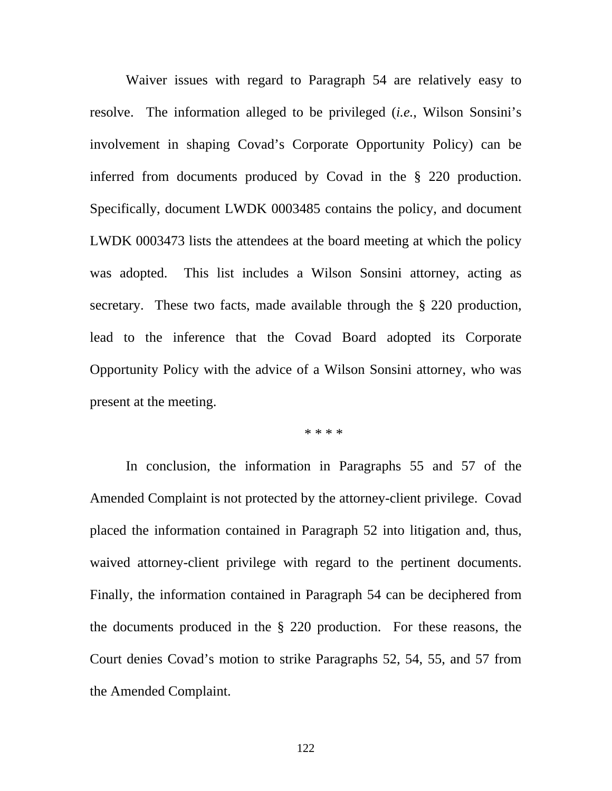Waiver issues with regard to Paragraph 54 are relatively easy to resolve. The information alleged to be privileged (*i.e.*, Wilson Sonsini's involvement in shaping Covad's Corporate Opportunity Policy) can be inferred from documents produced by Covad in the § 220 production. Specifically, document LWDK 0003485 contains the policy, and document LWDK 0003473 lists the attendees at the board meeting at which the policy was adopted. This list includes a Wilson Sonsini attorney, acting as secretary. These two facts, made available through the § 220 production, lead to the inference that the Covad Board adopted its Corporate Opportunity Policy with the advice of a Wilson Sonsini attorney, who was present at the meeting.

\* \* \* \*

In conclusion, the information in Paragraphs 55 and 57 of the Amended Complaint is not protected by the attorney-client privilege. Covad placed the information contained in Paragraph 52 into litigation and, thus, waived attorney-client privilege with regard to the pertinent documents. Finally, the information contained in Paragraph 54 can be deciphered from the documents produced in the § 220 production. For these reasons, the Court denies Covad's motion to strike Paragraphs 52, 54, 55, and 57 from the Amended Complaint.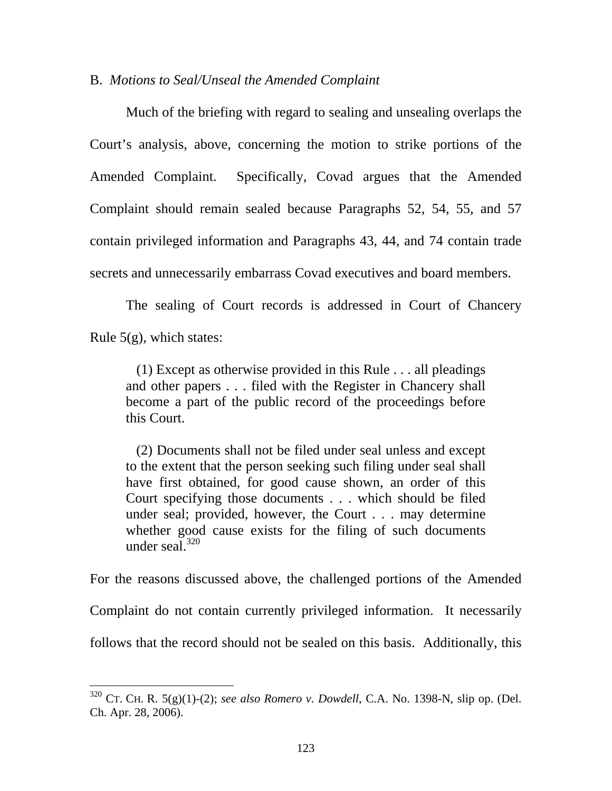#### B. *Motions to Seal/Unseal the Amended Complaint*

 Much of the briefing with regard to sealing and unsealing overlaps the Court's analysis, above, concerning the motion to strike portions of the Amended Complaint. Specifically, Covad argues that the Amended Complaint should remain sealed because Paragraphs 52, 54, 55, and 57 contain privileged information and Paragraphs 43, 44, and 74 contain trade secrets and unnecessarily embarrass Covad executives and board members.

 The sealing of Court records is addressed in Court of Chancery Rule  $5(g)$ , which states:

 (1) Except as otherwise provided in this Rule . . . all pleadings and other papers . . . filed with the Register in Chancery shall become a part of the public record of the proceedings before this Court.

 (2) Documents shall not be filed under seal unless and except to the extent that the person seeking such filing under seal shall have first obtained, for good cause shown, an order of this Court specifying those documents . . . which should be filed under seal; provided, however, the Court . . . may determine whether good cause exists for the filing of such documents under seal.<sup>320</sup>

For the reasons discussed above, the challenged portions of the Amended Complaint do not contain currently privileged information. It necessarily follows that the record should not be sealed on this basis. Additionally, this

 $320$  CT. CH. R. 5(g)(1)-(2); *see also Romero v. Dowdell*, C.A. No. 1398-N, slip op. (Del. Ch. Apr. 28, 2006).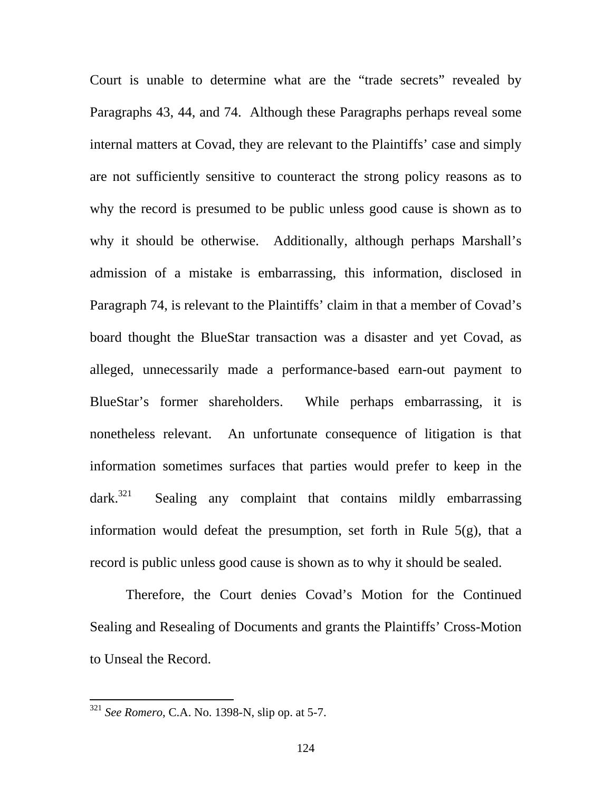Court is unable to determine what are the "trade secrets" revealed by Paragraphs 43, 44, and 74. Although these Paragraphs perhaps reveal some internal matters at Covad, they are relevant to the Plaintiffs' case and simply are not sufficiently sensitive to counteract the strong policy reasons as to why the record is presumed to be public unless good cause is shown as to why it should be otherwise. Additionally, although perhaps Marshall's admission of a mistake is embarrassing, this information, disclosed in Paragraph 74, is relevant to the Plaintiffs' claim in that a member of Covad's board thought the BlueStar transaction was a disaster and yet Covad, as alleged, unnecessarily made a performance-based earn-out payment to BlueStar's former shareholders. While perhaps embarrassing, it is nonetheless relevant. An unfortunate consequence of litigation is that information sometimes surfaces that parties would prefer to keep in the  $dark.<sup>321</sup>$  Sealing any complaint that contains mildly embarrassing information would defeat the presumption, set forth in Rule 5(g), that a record is public unless good cause is shown as to why it should be sealed.

 Therefore, the Court denies Covad's Motion for the Continued Sealing and Resealing of Documents and grants the Plaintiffs' Cross-Motion to Unseal the Record.

<sup>321</sup> *See Romero*, C.A. No. 1398-N, slip op. at 5-7.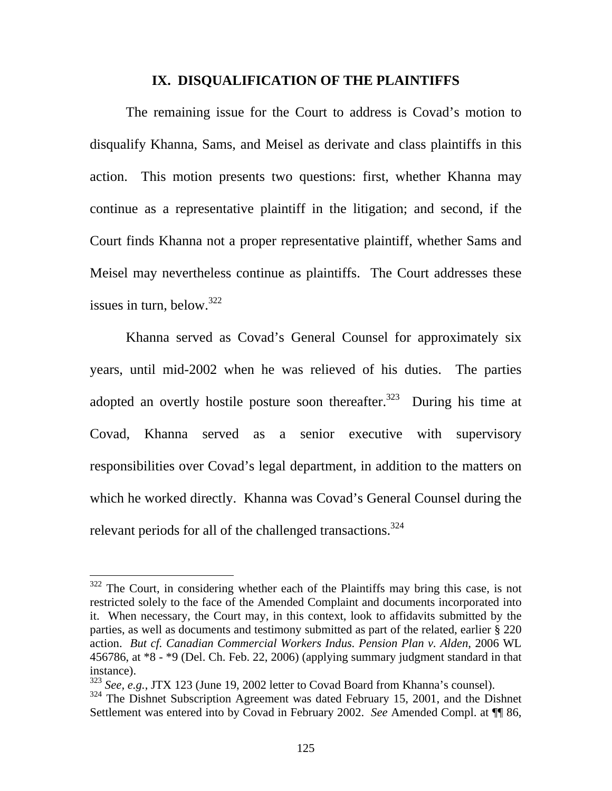#### **IX. DISQUALIFICATION OF THE PLAINTIFFS**

 The remaining issue for the Court to address is Covad's motion to disqualify Khanna, Sams, and Meisel as derivate and class plaintiffs in this action. This motion presents two questions: first, whether Khanna may continue as a representative plaintiff in the litigation; and second, if the Court finds Khanna not a proper representative plaintiff, whether Sams and Meisel may nevertheless continue as plaintiffs. The Court addresses these issues in turn, below.<sup>322</sup>

Khanna served as Covad's General Counsel for approximately six years, until mid-2002 when he was relieved of his duties. The parties adopted an overtly hostile posture soon thereafter.<sup>323</sup> During his time at Covad, Khanna served as a senior executive with supervisory responsibilities over Covad's legal department, in addition to the matters on which he worked directly. Khanna was Covad's General Counsel during the relevant periods for all of the challenged transactions.<sup>324</sup>

 $322$  The Court, in considering whether each of the Plaintiffs may bring this case, is not restricted solely to the face of the Amended Complaint and documents incorporated into it. When necessary, the Court may, in this context, look to affidavits submitted by the parties, as well as documents and testimony submitted as part of the related, earlier § 220 action. *But cf. Canadian Commercial Workers Indus. Pension Plan v. Alden*, 2006 WL 456786, at \*8 - \*9 (Del. Ch. Feb. 22, 2006) (applying summary judgment standard in that instance).

<sup>&</sup>lt;sup>323</sup> *See, e.g.*, JTX 123 (June 19, 2002 letter to Covad Board from Khanna's counsel).

<sup>&</sup>lt;sup>324</sup> The Dishnet Subscription Agreement was dated February 15, 2001, and the Dishnet Settlement was entered into by Covad in February 2002. *See* Amended Compl. at ¶¶ 86,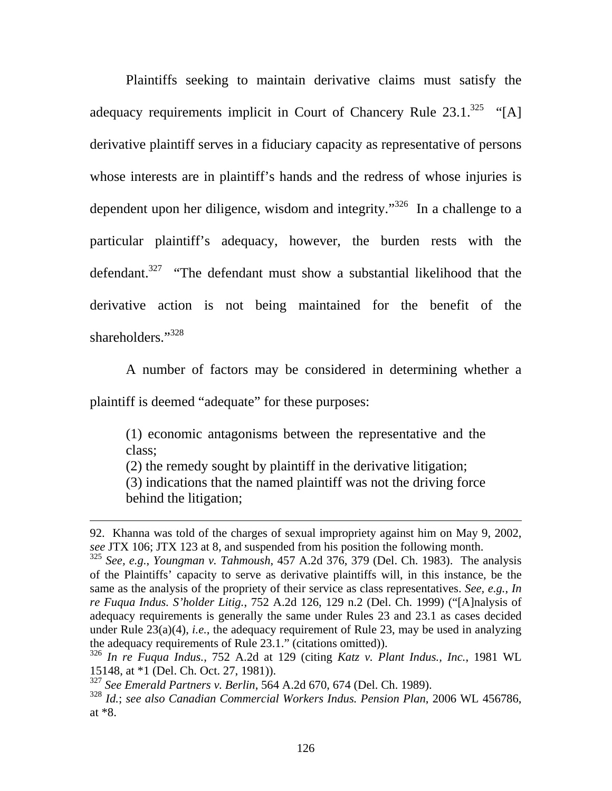Plaintiffs seeking to maintain derivative claims must satisfy the adequacy requirements implicit in Court of Chancery Rule  $23.1.^{325}$  "[A] derivative plaintiff serves in a fiduciary capacity as representative of persons whose interests are in plaintiff's hands and the redress of whose injuries is dependent upon her diligence, wisdom and integrity."<sup>326</sup> In a challenge to a particular plaintiff's adequacy, however, the burden rests with the defendant.<sup>327</sup> "The defendant must show a substantial likelihood that the derivative action is not being maintained for the benefit of the shareholders."<sup>328</sup>

A number of factors may be considered in determining whether a

plaintiff is deemed "adequate" for these purposes:

 $\overline{a}$ 

(1) economic antagonisms between the representative and the class;

(2) the remedy sought by plaintiff in the derivative litigation;

(3) indications that the named plaintiff was not the driving force behind the litigation;

<sup>92.</sup> Khanna was told of the charges of sexual impropriety against him on May 9, 2002, *see* JTX 106; JTX 123 at 8, and suspended from his position the following month.

<sup>325</sup> *See, e.g.*, *Youngman v. Tahmoush*, 457 A.2d 376, 379 (Del. Ch. 1983). The analysis of the Plaintiffs' capacity to serve as derivative plaintiffs will, in this instance, be the same as the analysis of the propriety of their service as class representatives. *See, e.g.*, *In re Fuqua Indus. S'holder Litig.*, 752 A.2d 126, 129 n.2 (Del. Ch. 1999) ("[A]nalysis of adequacy requirements is generally the same under Rules 23 and 23.1 as cases decided under Rule 23(a)(4), *i.e.*, the adequacy requirement of Rule 23, may be used in analyzing the adequacy requirements of Rule 23.1." (citations omitted)).

<sup>326</sup> *In re Fuqua Indus.*, 752 A.2d at 129 (citing *Katz v. Plant Indus., Inc.*, 1981 WL 15148, at \*1 (Del. Ch. Oct. 27, 1981)).

<sup>327</sup> *See Emerald Partners v. Berlin*, 564 A.2d 670, 674 (Del. Ch. 1989).

<sup>328</sup> *Id.*; *see also Canadian Commercial Workers Indus. Pension Plan*, 2006 WL 456786, at \*8.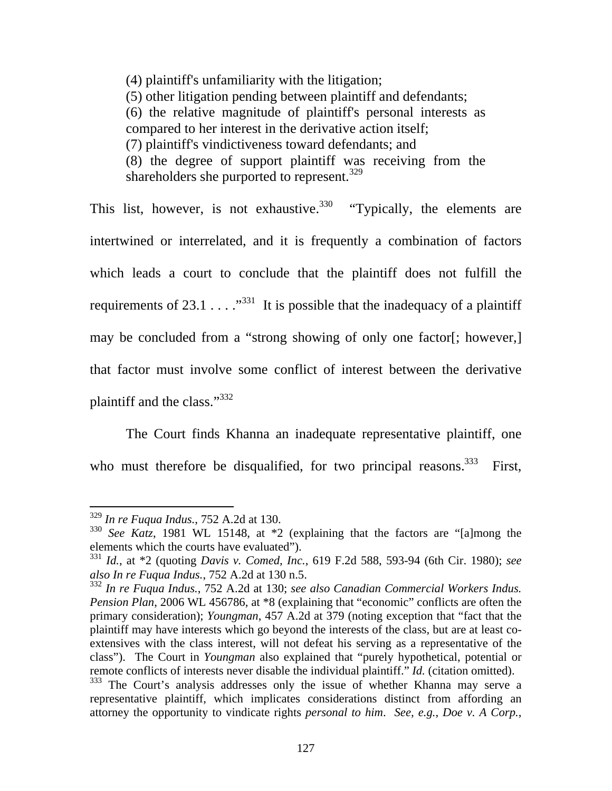(4) plaintiff's unfamiliarity with the litigation; (5) other litigation pending between plaintiff and defendants; (6) the relative magnitude of plaintiff's personal interests as compared to her interest in the derivative action itself; (7) plaintiff's vindictiveness toward defendants; and (8) the degree of support plaintiff was receiving from the shareholders she purported to represent.<sup>329</sup>

This list, however, is not exhaustive.<sup>330</sup> "Typically, the elements are intertwined or interrelated, and it is frequently a combination of factors which leads a court to conclude that the plaintiff does not fulfill the requirements of 23.1  $\dots$ <sup>331</sup> It is possible that the inadequacy of a plaintiff may be concluded from a "strong showing of only one factor[; however,] that factor must involve some conflict of interest between the derivative plaintiff and the class."332

 The Court finds Khanna an inadequate representative plaintiff, one who must therefore be disqualified, for two principal reasons.<sup>333</sup> First,

<sup>329</sup> *In re Fuqua Indus.*, 752 A.2d at 130.

<sup>330</sup> *See Katz*, 1981 WL 15148, at \*2 (explaining that the factors are "[a]mong the elements which the courts have evaluated").

<sup>331</sup> *Id.*, at \*2 (quoting *Davis v. Comed, Inc.*, 619 F.2d 588, 593-94 (6th Cir. 1980); *see also In re Fuqua Indus.*, 752 A.2d at 130 n.5.

<sup>332</sup> *In re Fuqua Indus.*, 752 A.2d at 130; *see also Canadian Commercial Workers Indus. Pension Plan*, 2006 WL 456786, at \*8 (explaining that "economic" conflicts are often the primary consideration); *Youngman*, 457 A.2d at 379 (noting exception that "fact that the plaintiff may have interests which go beyond the interests of the class, but are at least coextensives with the class interest, will not defeat his serving as a representative of the class"). The Court in *Youngman* also explained that "purely hypothetical, potential or remote conflicts of interests never disable the individual plaintiff." *Id.* (citation omitted).

<sup>&</sup>lt;sup>333</sup> The Court's analysis addresses only the issue of whether Khanna may serve a representative plaintiff, which implicates considerations distinct from affording an attorney the opportunity to vindicate rights *personal to him*. *See, e.g.*, *Doe v. A Corp.*,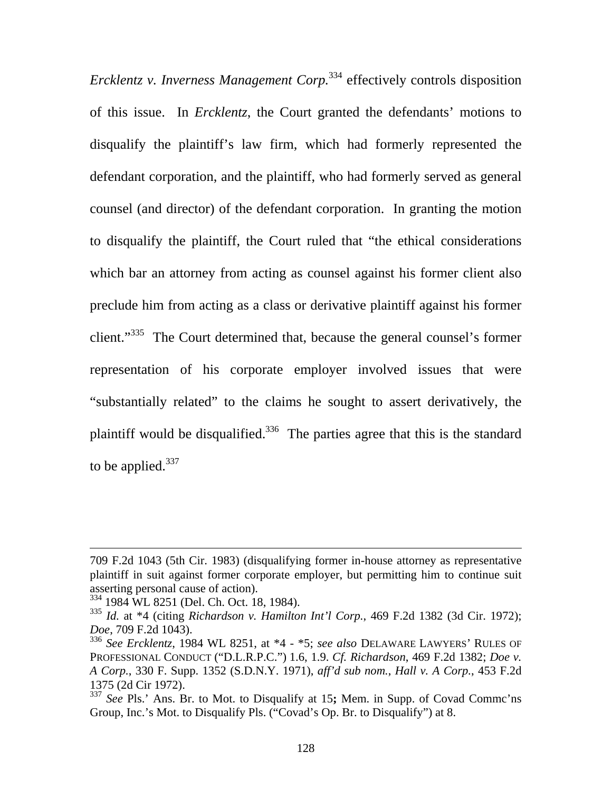*Ercklentz v. Inverness Management Corp.*<sup>334</sup> effectively controls disposition of this issue. In *Ercklentz*, the Court granted the defendants' motions to disqualify the plaintiff's law firm, which had formerly represented the defendant corporation, and the plaintiff, who had formerly served as general counsel (and director) of the defendant corporation. In granting the motion to disqualify the plaintiff, the Court ruled that "the ethical considerations which bar an attorney from acting as counsel against his former client also preclude him from acting as a class or derivative plaintiff against his former client."<sup>335</sup> The Court determined that, because the general counsel's former representation of his corporate employer involved issues that were "substantially related" to the claims he sought to assert derivatively, the plaintiff would be disqualified.<sup>336</sup> The parties agree that this is the standard to be applied. $337$ 

<sup>709</sup> F.2d 1043 (5th Cir. 1983) (disqualifying former in-house attorney as representative plaintiff in suit against former corporate employer, but permitting him to continue suit asserting personal cause of action).

<sup>334 1984</sup> WL 8251 (Del. Ch. Oct. 18, 1984).

<sup>335</sup> *Id.* at \*4 (citing *Richardson v. Hamilton Int'l Corp.*, 469 F.2d 1382 (3d Cir. 1972); *Doe*, 709 F.2d 1043).

<sup>336</sup> *See Ercklentz*, 1984 WL 8251, at \*4 - \*5; *see also* DELAWARE LAWYERS' RULES OF PROFESSIONAL CONDUCT ("D.L.R.P.C.") 1.6, 1.9. *Cf. Richardson*, 469 F.2d 1382; *Doe v. A Corp.*, 330 F. Supp. 1352 (S.D.N.Y. 1971), *aff'd sub nom.*, *Hall v. A Corp.*, 453 F.2d 1375 (2d Cir 1972).

<sup>337</sup> *See* Pls.' Ans. Br. to Mot. to Disqualify at 15**;** Mem. in Supp. of Covad Commc'ns Group, Inc.'s Mot. to Disqualify Pls. ("Covad's Op. Br. to Disqualify") at 8.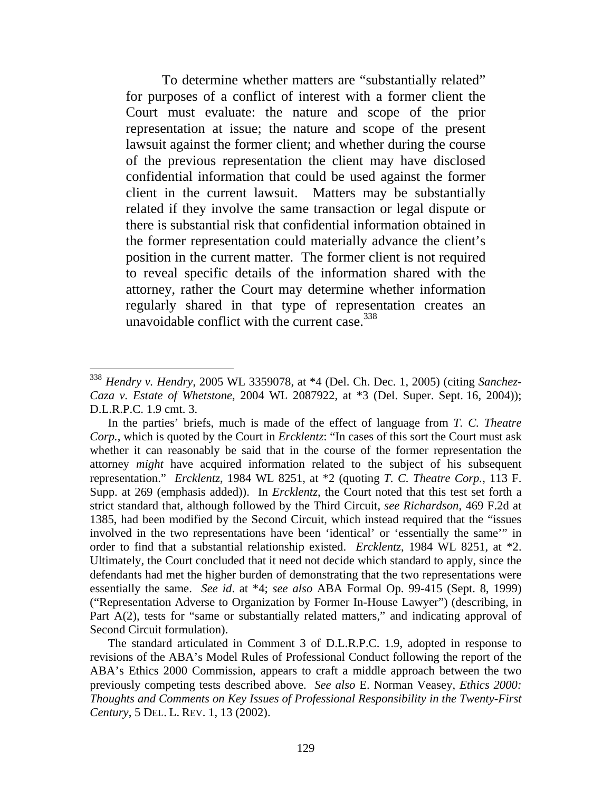To determine whether matters are "substantially related" for purposes of a conflict of interest with a former client the Court must evaluate: the nature and scope of the prior representation at issue; the nature and scope of the present lawsuit against the former client; and whether during the course of the previous representation the client may have disclosed confidential information that could be used against the former client in the current lawsuit. Matters may be substantially related if they involve the same transaction or legal dispute or there is substantial risk that confidential information obtained in the former representation could materially advance the client's position in the current matter. The former client is not required to reveal specific details of the information shared with the attorney, rather the Court may determine whether information regularly shared in that type of representation creates an unavoidable conflict with the current case.  $338$ 

<sup>338</sup> *Hendry v. Hendry*, 2005 WL 3359078, at \*4 (Del. Ch. Dec. 1, 2005) (citing *Sanchez-Caza v. Estate of Whetstone*, 2004 WL 2087922, at \*3 (Del. Super. Sept. 16, 2004)); D.L.R.P.C. 1.9 cmt. 3.

In the parties' briefs, much is made of the effect of language from *T. C. Theatre Corp.*, which is quoted by the Court in *Ercklentz*: "In cases of this sort the Court must ask whether it can reasonably be said that in the course of the former representation the attorney *might* have acquired information related to the subject of his subsequent representation." *Ercklentz*, 1984 WL 8251, at \*2 (quoting *T. C. Theatre Corp.*, 113 F. Supp. at 269 (emphasis added)). In *Ercklentz*, the Court noted that this test set forth a strict standard that, although followed by the Third Circuit, *see Richardson*, 469 F.2d at 1385, had been modified by the Second Circuit, which instead required that the "issues involved in the two representations have been 'identical' or 'essentially the same'" in order to find that a substantial relationship existed. *Ercklentz*, 1984 WL 8251, at \*2. Ultimately, the Court concluded that it need not decide which standard to apply, since the defendants had met the higher burden of demonstrating that the two representations were essentially the same. *See id*. at \*4; *see also* ABA Formal Op. 99-415 (Sept. 8, 1999) ("Representation Adverse to Organization by Former In-House Lawyer") (describing, in Part A(2), tests for "same or substantially related matters," and indicating approval of Second Circuit formulation).

The standard articulated in Comment 3 of D.L.R.P.C. 1.9, adopted in response to revisions of the ABA's Model Rules of Professional Conduct following the report of the ABA's Ethics 2000 Commission, appears to craft a middle approach between the two previously competing tests described above. *See also* E. Norman Veasey, *Ethics 2000: Thoughts and Comments on Key Issues of Professional Responsibility in the Twenty-First Century*, 5 DEL. L. REV. 1, 13 (2002).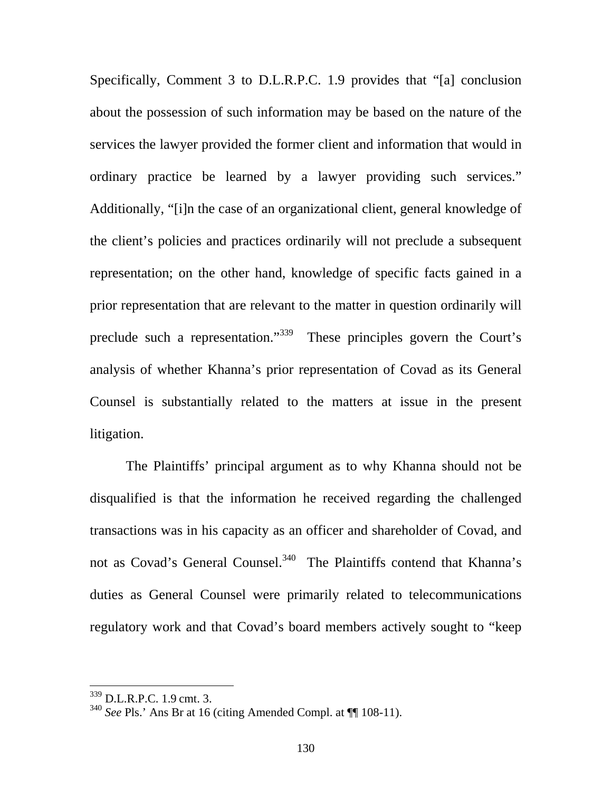Specifically, Comment 3 to D.L.R.P.C. 1.9 provides that "[a] conclusion about the possession of such information may be based on the nature of the services the lawyer provided the former client and information that would in ordinary practice be learned by a lawyer providing such services." Additionally, "[i]n the case of an organizational client, general knowledge of the client's policies and practices ordinarily will not preclude a subsequent representation; on the other hand, knowledge of specific facts gained in a prior representation that are relevant to the matter in question ordinarily will preclude such a representation."<sup>339</sup> These principles govern the Court's analysis of whether Khanna's prior representation of Covad as its General Counsel is substantially related to the matters at issue in the present litigation.

The Plaintiffs' principal argument as to why Khanna should not be disqualified is that the information he received regarding the challenged transactions was in his capacity as an officer and shareholder of Covad, and not as Covad's General Counsel.<sup>340</sup> The Plaintiffs contend that Khanna's duties as General Counsel were primarily related to telecommunications regulatory work and that Covad's board members actively sought to "keep

<sup>339</sup> D.L.R.P.C. 1.9 cmt. 3.

<sup>340</sup> *See* Pls.' Ans Br at 16 (citing Amended Compl. at ¶¶ 108-11).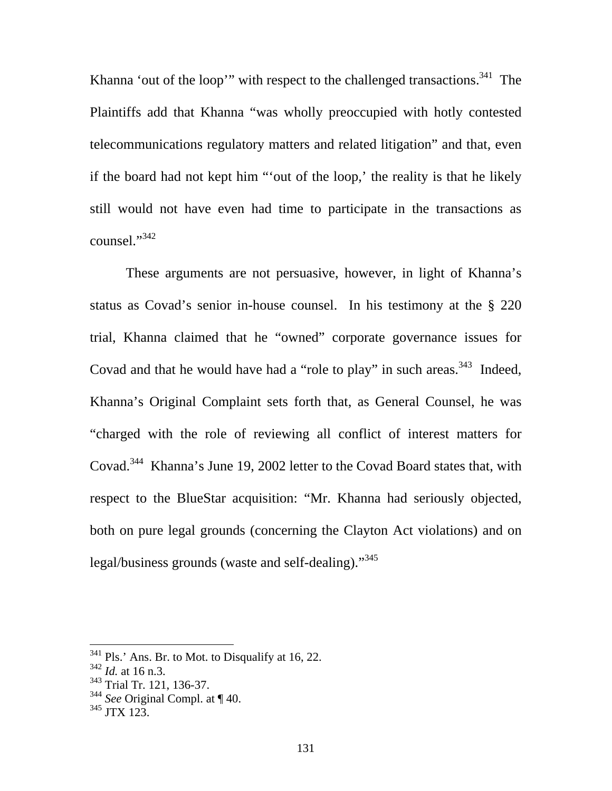Khanna 'out of the loop'" with respect to the challenged transactions.<sup>341</sup> The Plaintiffs add that Khanna "was wholly preoccupied with hotly contested telecommunications regulatory matters and related litigation" and that, even if the board had not kept him "'out of the loop,' the reality is that he likely still would not have even had time to participate in the transactions as counsel."<sup>342</sup>

These arguments are not persuasive, however, in light of Khanna's status as Covad's senior in-house counsel. In his testimony at the § 220 trial, Khanna claimed that he "owned" corporate governance issues for Covad and that he would have had a "role to play" in such areas.  $343$  Indeed, Khanna's Original Complaint sets forth that, as General Counsel, he was "charged with the role of reviewing all conflict of interest matters for Covad.<sup>344</sup> Khanna's June 19, 2002 letter to the Covad Board states that, with respect to the BlueStar acquisition: "Mr. Khanna had seriously objected, both on pure legal grounds (concerning the Clayton Act violations) and on legal/business grounds (waste and self-dealing)."345

 $341$  Pls.' Ans. Br. to Mot. to Disqualify at 16, 22.

<sup>342</sup> *Id.* at 16 n.3.

<sup>&</sup>lt;sup>343</sup> Trial Tr. 121, 136-37.

<sup>344</sup> *See* Original Compl. at ¶ 40.

 $345$  JTX 123.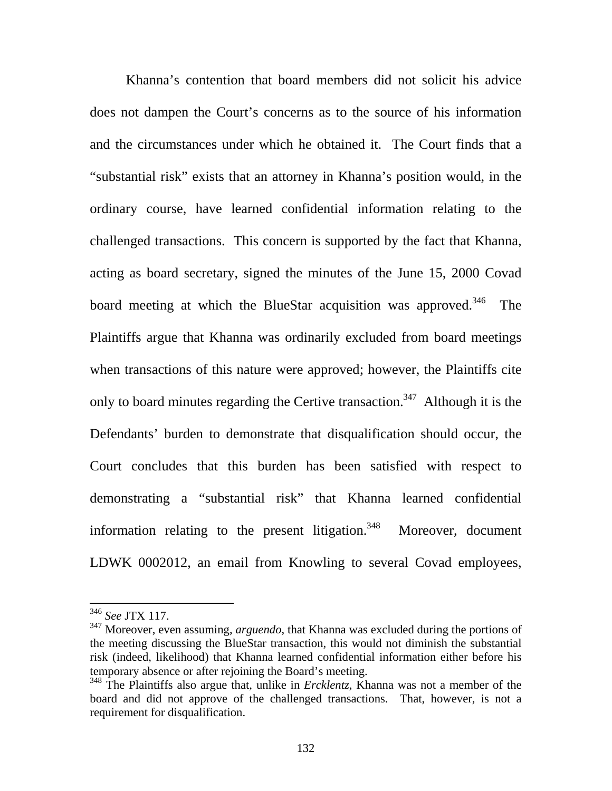Khanna's contention that board members did not solicit his advice does not dampen the Court's concerns as to the source of his information and the circumstances under which he obtained it. The Court finds that a "substantial risk" exists that an attorney in Khanna's position would, in the ordinary course, have learned confidential information relating to the challenged transactions. This concern is supported by the fact that Khanna, acting as board secretary, signed the minutes of the June 15, 2000 Covad board meeting at which the BlueStar acquisition was approved.<sup>346</sup> The Plaintiffs argue that Khanna was ordinarily excluded from board meetings when transactions of this nature were approved; however, the Plaintiffs cite only to board minutes regarding the Certive transaction.<sup>347</sup> Although it is the Defendants' burden to demonstrate that disqualification should occur, the Court concludes that this burden has been satisfied with respect to demonstrating a "substantial risk" that Khanna learned confidential information relating to the present litigation.<sup>348</sup> Moreover, document LDWK 0002012, an email from Knowling to several Covad employees,

<sup>346</sup> *See* JTX 117.

<sup>347</sup> Moreover, even assuming, *arguendo*, that Khanna was excluded during the portions of the meeting discussing the BlueStar transaction, this would not diminish the substantial risk (indeed, likelihood) that Khanna learned confidential information either before his temporary absence or after rejoining the Board's meeting.

<sup>348</sup> The Plaintiffs also argue that, unlike in *Ercklentz*, Khanna was not a member of the board and did not approve of the challenged transactions. That, however, is not a requirement for disqualification.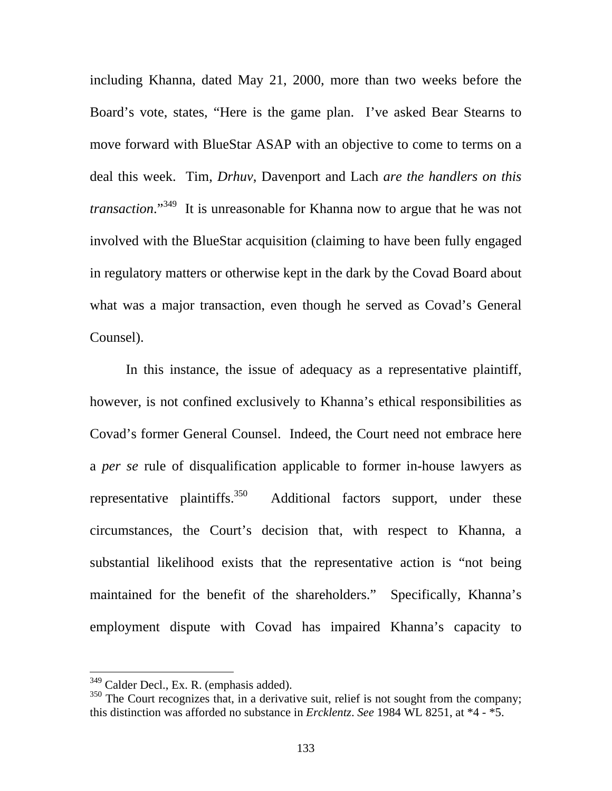including Khanna, dated May 21, 2000, more than two weeks before the Board's vote, states, "Here is the game plan. I've asked Bear Stearns to move forward with BlueStar ASAP with an objective to come to terms on a deal this week. Tim, *Drhuv*, Davenport and Lach *are the handlers on this transaction*."349 It is unreasonable for Khanna now to argue that he was not involved with the BlueStar acquisition (claiming to have been fully engaged in regulatory matters or otherwise kept in the dark by the Covad Board about what was a major transaction, even though he served as Covad's General Counsel).

 In this instance, the issue of adequacy as a representative plaintiff, however, is not confined exclusively to Khanna's ethical responsibilities as Covad's former General Counsel. Indeed, the Court need not embrace here a *per se* rule of disqualification applicable to former in-house lawyers as representative plaintiffs.<sup>350</sup> Additional factors support, under these circumstances, the Court's decision that, with respect to Khanna, a substantial likelihood exists that the representative action is "not being maintained for the benefit of the shareholders." Specifically, Khanna's employment dispute with Covad has impaired Khanna's capacity to

<sup>&</sup>lt;sup>349</sup> Calder Decl., Ex. R. (emphasis added).

<sup>&</sup>lt;sup>350</sup> The Court recognizes that, in a derivative suit, relief is not sought from the company; this distinction was afforded no substance in *Ercklentz*. *See* 1984 WL 8251, at \*4 - \*5.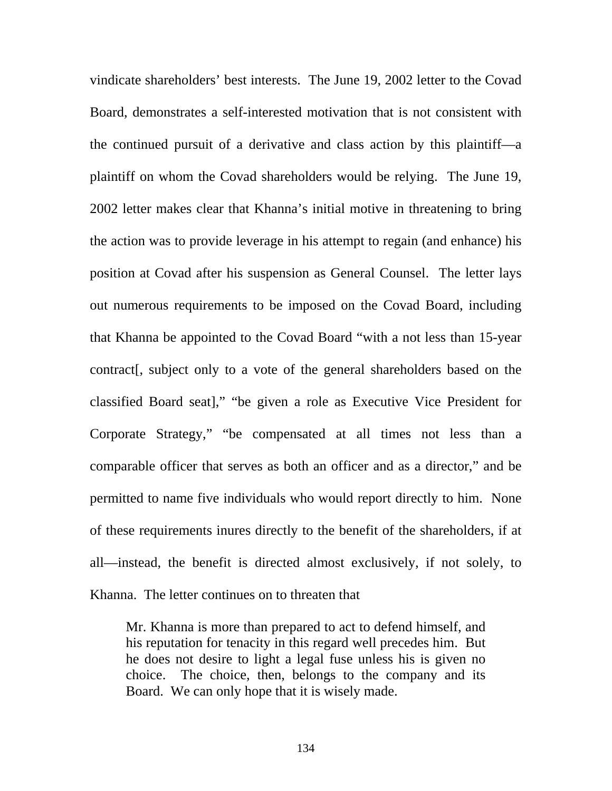vindicate shareholders' best interests. The June 19, 2002 letter to the Covad Board, demonstrates a self-interested motivation that is not consistent with the continued pursuit of a derivative and class action by this plaintiff—a plaintiff on whom the Covad shareholders would be relying. The June 19, 2002 letter makes clear that Khanna's initial motive in threatening to bring the action was to provide leverage in his attempt to regain (and enhance) his position at Covad after his suspension as General Counsel. The letter lays out numerous requirements to be imposed on the Covad Board, including that Khanna be appointed to the Covad Board "with a not less than 15-year contract[, subject only to a vote of the general shareholders based on the classified Board seat]," "be given a role as Executive Vice President for Corporate Strategy," "be compensated at all times not less than a comparable officer that serves as both an officer and as a director," and be permitted to name five individuals who would report directly to him. None of these requirements inures directly to the benefit of the shareholders, if at all—instead, the benefit is directed almost exclusively, if not solely, to Khanna. The letter continues on to threaten that

Mr. Khanna is more than prepared to act to defend himself, and his reputation for tenacity in this regard well precedes him. But he does not desire to light a legal fuse unless his is given no choice. The choice, then, belongs to the company and its Board. We can only hope that it is wisely made.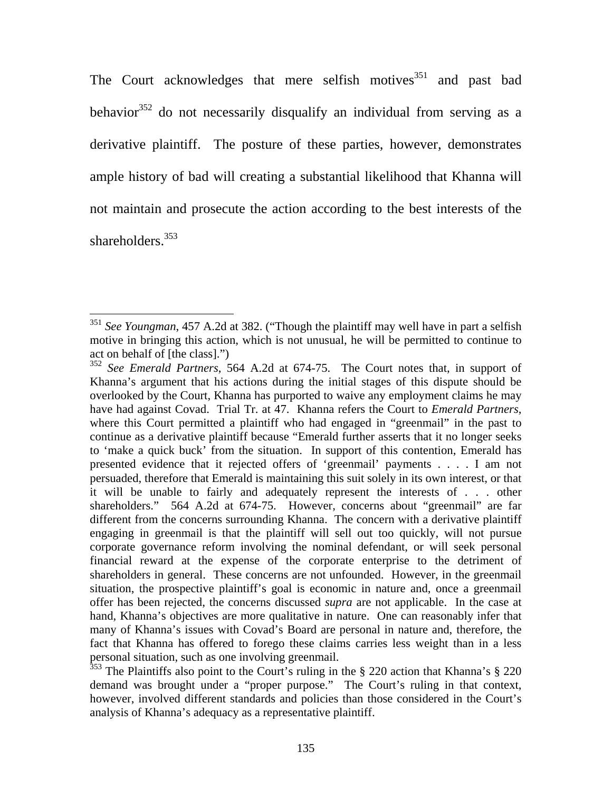The Court acknowledges that mere selfish motives<sup>351</sup> and past bad behavior<sup>352</sup> do not necessarily disqualify an individual from serving as a derivative plaintiff. The posture of these parties, however, demonstrates ample history of bad will creating a substantial likelihood that Khanna will not maintain and prosecute the action according to the best interests of the shareholders<sup>353</sup>

<sup>351</sup> *See Youngman*, 457 A.2d at 382. ("Though the plaintiff may well have in part a selfish motive in bringing this action, which is not unusual, he will be permitted to continue to act on behalf of [the class].")

<sup>352</sup> *See Emerald Partners*, 564 A.2d at 674-75. The Court notes that, in support of Khanna's argument that his actions during the initial stages of this dispute should be overlooked by the Court, Khanna has purported to waive any employment claims he may have had against Covad. Trial Tr. at 47. Khanna refers the Court to *Emerald Partners*, where this Court permitted a plaintiff who had engaged in "greenmail" in the past to continue as a derivative plaintiff because "Emerald further asserts that it no longer seeks to 'make a quick buck' from the situation. In support of this contention, Emerald has presented evidence that it rejected offers of 'greenmail' payments . . . . I am not persuaded, therefore that Emerald is maintaining this suit solely in its own interest, or that it will be unable to fairly and adequately represent the interests of . . . other shareholders." 564 A.2d at 674-75. However, concerns about "greenmail" are far different from the concerns surrounding Khanna. The concern with a derivative plaintiff engaging in greenmail is that the plaintiff will sell out too quickly, will not pursue corporate governance reform involving the nominal defendant, or will seek personal financial reward at the expense of the corporate enterprise to the detriment of shareholders in general. These concerns are not unfounded. However, in the greenmail situation, the prospective plaintiff's goal is economic in nature and, once a greenmail offer has been rejected, the concerns discussed *supra* are not applicable. In the case at hand, Khanna's objectives are more qualitative in nature. One can reasonably infer that many of Khanna's issues with Covad's Board are personal in nature and, therefore, the fact that Khanna has offered to forego these claims carries less weight than in a less personal situation, such as one involving greenmail.

 $353$  The Plaintiffs also point to the Court's ruling in the § 220 action that Khanna's § 220 demand was brought under a "proper purpose." The Court's ruling in that context, however, involved different standards and policies than those considered in the Court's analysis of Khanna's adequacy as a representative plaintiff.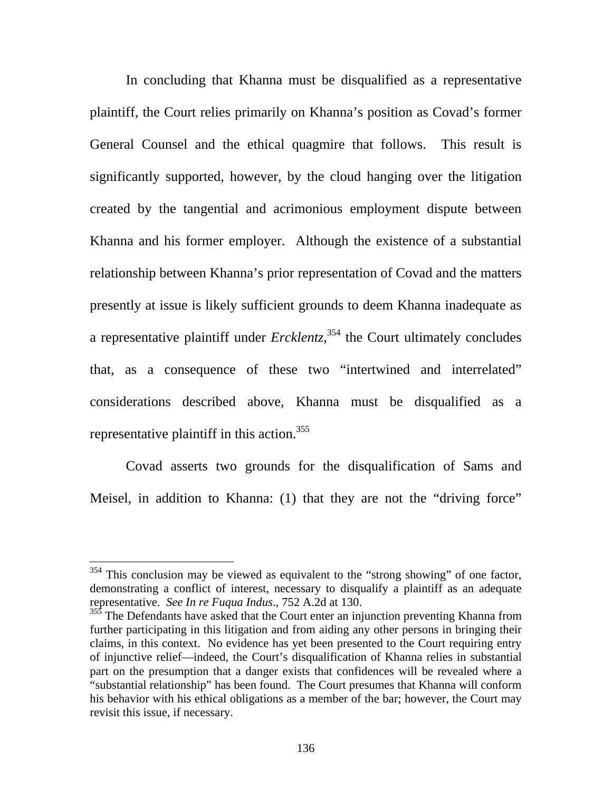In concluding that Khanna must be disqualified as a representative plaintiff, the Court relies primarily on Khanna's position as Covad's former General Counsel and the ethical quagmire that follows. This result is significantly supported, however, by the cloud hanging over the litigation created by the tangential and acrimonious employment dispute between Khanna and his former employer. Although the existence of a substantial relationship between Khanna's prior representation of Covad and the matters presently at issue is likely sufficient grounds to deem Khanna inadequate as a representative plaintiff under *Ercklentz*, 354 the Court ultimately concludes that, as a consequence of these two "intertwined and interrelated" considerations described above, Khanna must be disqualified as a representative plaintiff in this action.<sup>355</sup>

Covad asserts two grounds for the disqualification of Sams and Meisel, in addition to Khanna: (1) that they are not the "driving force"

 $354$  This conclusion may be viewed as equivalent to the "strong showing" of one factor, demonstrating a conflict of interest, necessary to disqualify a plaintiff as an adequate representative. *See In re Fuqua Indus*., 752 A.2d at 130.

<sup>&</sup>lt;sup>355</sup> The Defendants have asked that the Court enter an injunction preventing Khanna from further participating in this litigation and from aiding any other persons in bringing their claims, in this context. No evidence has yet been presented to the Court requiring entry of injunctive relief—indeed, the Court's disqualification of Khanna relies in substantial part on the presumption that a danger exists that confidences will be revealed where a "substantial relationship" has been found. The Court presumes that Khanna will conform his behavior with his ethical obligations as a member of the bar; however, the Court may revisit this issue, if necessary.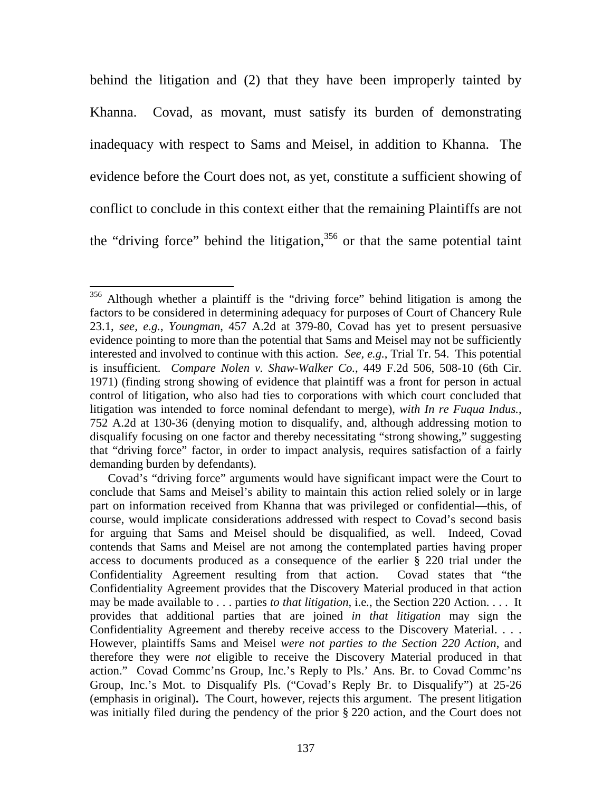behind the litigation and (2) that they have been improperly tainted by Khanna. Covad, as movant, must satisfy its burden of demonstrating inadequacy with respect to Sams and Meisel, in addition to Khanna. The evidence before the Court does not, as yet, constitute a sufficient showing of conflict to conclude in this context either that the remaining Plaintiffs are not the "driving force" behind the litigation, $356$  or that the same potential taint

<sup>356</sup> Although whether a plaintiff is the "driving force" behind litigation is among the factors to be considered in determining adequacy for purposes of Court of Chancery Rule 23.1, *see, e.g.*, *Youngman*, 457 A.2d at 379-80, Covad has yet to present persuasive evidence pointing to more than the potential that Sams and Meisel may not be sufficiently interested and involved to continue with this action. *See, e.g.*, Trial Tr. 54. This potential is insufficient. *Compare Nolen v. Shaw-Walker Co.*, 449 F.2d 506, 508-10 (6th Cir. 1971) (finding strong showing of evidence that plaintiff was a front for person in actual control of litigation, who also had ties to corporations with which court concluded that litigation was intended to force nominal defendant to merge), *with In re Fuqua Indus.*, 752 A.2d at 130-36 (denying motion to disqualify, and, although addressing motion to disqualify focusing on one factor and thereby necessitating "strong showing," suggesting that "driving force" factor, in order to impact analysis, requires satisfaction of a fairly demanding burden by defendants).

Covad's "driving force" arguments would have significant impact were the Court to conclude that Sams and Meisel's ability to maintain this action relied solely or in large part on information received from Khanna that was privileged or confidential—this, of course, would implicate considerations addressed with respect to Covad's second basis for arguing that Sams and Meisel should be disqualified, as well. Indeed, Covad contends that Sams and Meisel are not among the contemplated parties having proper access to documents produced as a consequence of the earlier § 220 trial under the Confidentiality Agreement resulting from that action. Covad states that "the Confidentiality Agreement provides that the Discovery Material produced in that action may be made available to . . . parties *to that litigation*, i.e*.*, the Section 220 Action. . . . It provides that additional parties that are joined *in that litigation* may sign the Confidentiality Agreement and thereby receive access to the Discovery Material. . . . However, plaintiffs Sams and Meisel *were not parties to the Section 220 Action*, and therefore they were *not* eligible to receive the Discovery Material produced in that action." Covad Commc'ns Group, Inc.'s Reply to Pls.' Ans. Br. to Covad Commc'ns Group, Inc.'s Mot. to Disqualify Pls. ("Covad's Reply Br. to Disqualify") at 25-26 (emphasis in original)**.** The Court, however, rejects this argument. The present litigation was initially filed during the pendency of the prior § 220 action, and the Court does not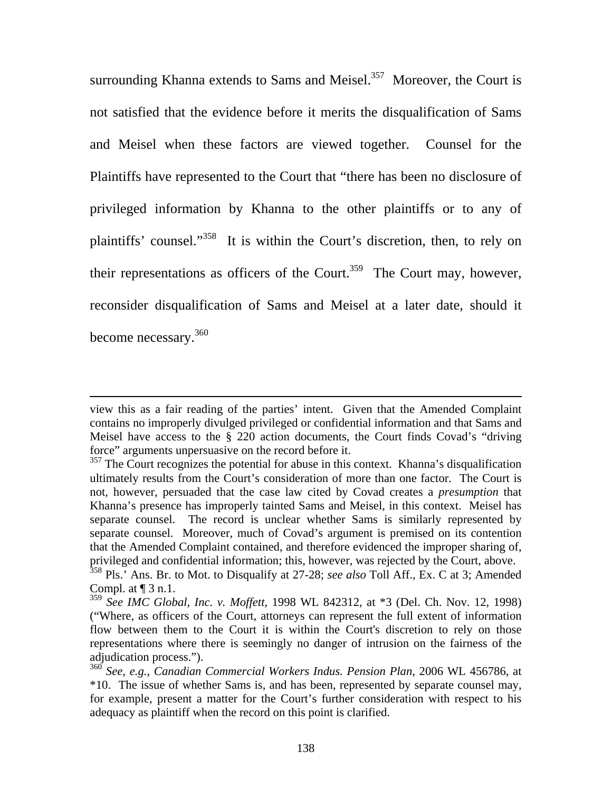surrounding Khanna extends to Sams and Meisel. $357$  Moreover, the Court is not satisfied that the evidence before it merits the disqualification of Sams and Meisel when these factors are viewed together. Counsel for the Plaintiffs have represented to the Court that "there has been no disclosure of privileged information by Khanna to the other plaintiffs or to any of plaintiffs' counsel."358 It is within the Court's discretion, then, to rely on their representations as officers of the Court.<sup>359</sup> The Court may, however, reconsider disqualification of Sams and Meisel at a later date, should it become necessary.<sup>360</sup>

view this as a fair reading of the parties' intent. Given that the Amended Complaint contains no improperly divulged privileged or confidential information and that Sams and Meisel have access to the § 220 action documents, the Court finds Covad's "driving force" arguments unpersuasive on the record before it.

<sup>&</sup>lt;sup>357</sup> The Court recognizes the potential for abuse in this context. Khanna's disqualification ultimately results from the Court's consideration of more than one factor. The Court is not, however, persuaded that the case law cited by Covad creates a *presumption* that Khanna's presence has improperly tainted Sams and Meisel, in this context. Meisel has separate counsel. The record is unclear whether Sams is similarly represented by separate counsel. Moreover, much of Covad's argument is premised on its contention that the Amended Complaint contained, and therefore evidenced the improper sharing of, privileged and confidential information; this, however, was rejected by the Court, above.

<sup>358</sup> Pls.' Ans. Br. to Mot. to Disqualify at 27-28; *see also* Toll Aff., Ex. C at 3; Amended Compl. at  $\P$  3 n.1.

<sup>359</sup> *See IMC Global, Inc. v. Moffett*, 1998 WL 842312, at \*3 (Del. Ch. Nov. 12, 1998) ("Where, as officers of the Court, attorneys can represent the full extent of information flow between them to the Court it is within the Court's discretion to rely on those representations where there is seemingly no danger of intrusion on the fairness of the adjudication process.").

<sup>360</sup> *See, e.g.*, *Canadian Commercial Workers Indus. Pension Plan*, 2006 WL 456786, at \*10. The issue of whether Sams is, and has been, represented by separate counsel may, for example, present a matter for the Court's further consideration with respect to his adequacy as plaintiff when the record on this point is clarified.